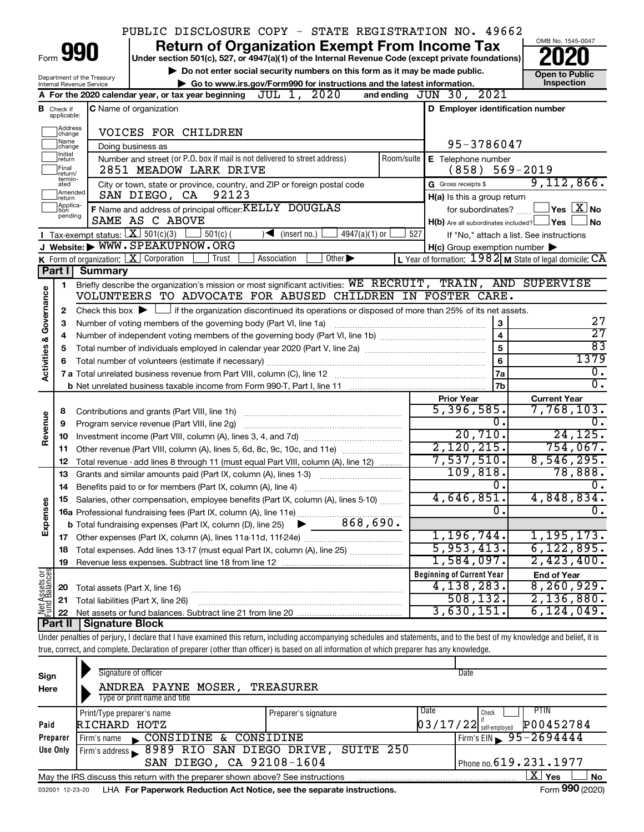|                                |                               |                                                                   | PUBLIC DISCLOSURE COPY - STATE REGISTRATION NO. 49662                                                                                                                      |                                                           |                                   |
|--------------------------------|-------------------------------|-------------------------------------------------------------------|----------------------------------------------------------------------------------------------------------------------------------------------------------------------------|-----------------------------------------------------------|-----------------------------------|
|                                |                               | Form 990                                                          | <b>Return of Organization Exempt From Income Tax</b><br>Under section 501(c), 527, or 4947(a)(1) of the Internal Revenue Code (except private foundations)                 |                                                           | OMB No. 1545-0047                 |
|                                |                               |                                                                   | Do not enter social security numbers on this form as it may be made public.                                                                                                |                                                           | <b>Open to Public</b>             |
|                                |                               | Department of the Treasury<br>Internal Revenue Service            | Go to www.irs.gov/Form990 for instructions and the latest information.                                                                                                     |                                                           | Inspection                        |
|                                |                               |                                                                   | JUL 1, 2020<br>A For the 2020 calendar year, or tax year beginning                                                                                                         | 2021<br>and ending $JUN$ 30,                              |                                   |
|                                | <b>B</b> Check if applicable: |                                                                   | <b>C</b> Name of organization                                                                                                                                              | D Employer identification number                          |                                   |
|                                | Address<br>change<br>Name     |                                                                   | VOICES FOR CHILDREN                                                                                                                                                        | 95-3786047                                                |                                   |
|                                | change<br>Initial<br>return   |                                                                   | Doing business as<br>Number and street (or P.O. box if mail is not delivered to street address)<br>Room/suite                                                              | E Telephone number                                        |                                   |
|                                | Final<br>return/              |                                                                   | 2851 MEADOW LARK DRIVE                                                                                                                                                     | (858)                                                     | $569 - 2019$                      |
|                                | termin-<br>ated               |                                                                   | City or town, state or province, country, and ZIP or foreign postal code                                                                                                   | G Gross receipts \$                                       | 9,112,866.                        |
|                                | Amended<br>return             |                                                                   | 92123<br>SAN DIEGO, CA                                                                                                                                                     | H(a) Is this a group return                               |                                   |
|                                | Applica-<br>tion<br>pending   |                                                                   | F Name and address of principal officer: KELLY DOUGLAS                                                                                                                     | for subordinates?                                         | $\sqrt{}$ Yes $\sqrt{X}$ No       |
|                                |                               |                                                                   | SAME AS C ABOVE                                                                                                                                                            | $H(b)$ Are all subordinates included? $\Box$ Yes          | l No                              |
|                                |                               | <b>I</b> Tax-exempt status: $X \overline{301(c)(3)}$              | $501(c)$ (<br>$4947(a)(1)$ or<br>$\sqrt{\bullet}$ (insert no.)                                                                                                             | 527<br>If "No," attach a list. See instructions           |                                   |
|                                |                               |                                                                   | J Website: WWW.SPEAKUPNOW.ORG                                                                                                                                              | $H(c)$ Group exemption number $\blacktriangleright$       |                                   |
|                                |                               |                                                                   | K Form of organization:   X Corporation<br>Other $\blacktriangleright$<br>Association<br>Trust                                                                             | L Year of formation: $1982$ M State of legal domicile: CA |                                   |
|                                | Part I                        | <b>Summary</b>                                                    |                                                                                                                                                                            |                                                           |                                   |
|                                | 1                             |                                                                   | Briefly describe the organization's mission or most significant activities: WE RECRUIT, TRAIN, AND SUPERVISE                                                               |                                                           |                                   |
|                                |                               |                                                                   | VOLUNTEERS TO ADVOCATE FOR ABUSED CHILDREN IN FOSTER CARE.                                                                                                                 |                                                           |                                   |
| Governance                     | $\mathbf{2}$                  |                                                                   | Check this box $\blacktriangleright$ $\Box$ if the organization discontinued its operations or disposed of more than 25% of its net assets.                                | 3                                                         |                                   |
|                                | 3                             | Number of voting members of the governing body (Part VI, line 1a) | 27<br>$\overline{27}$                                                                                                                                                      |                                                           |                                   |
|                                | 4                             |                                                                   |                                                                                                                                                                            | $\overline{\mathbf{4}}$                                   | 83                                |
| <b>Activities &amp;</b>        | 5                             |                                                                   |                                                                                                                                                                            | 5                                                         | 1379                              |
|                                | 6                             |                                                                   |                                                                                                                                                                            | 6                                                         | $\overline{0}$ .                  |
|                                |                               |                                                                   |                                                                                                                                                                            | 7a<br>7b                                                  | $\overline{0}$ .                  |
|                                |                               |                                                                   |                                                                                                                                                                            |                                                           |                                   |
|                                |                               |                                                                   |                                                                                                                                                                            | <b>Prior Year</b><br>5,396,585.                           | <b>Current Year</b><br>7,768,103. |
| Revenue                        | 8                             |                                                                   |                                                                                                                                                                            | 0.                                                        | $\overline{0}$ .                  |
|                                | 9                             |                                                                   | Program service revenue (Part VIII, line 2g)                                                                                                                               | 20,710.                                                   | 24, 125.                          |
|                                | 10                            |                                                                   | 11 Other revenue (Part VIII, column (A), lines 5, 6d, 8c, 9c, 10c, and 11e)                                                                                                | 2,120,215.                                                | 754,067.                          |
|                                | 12                            |                                                                   | Total revenue - add lines 8 through 11 (must equal Part VIII, column (A), line 12)                                                                                         | 7,537,510.                                                | 8,546,295.                        |
|                                | 13                            |                                                                   | Grants and similar amounts paid (Part IX, column (A), lines 1-3)                                                                                                           | 109,818.                                                  | 78,888.                           |
|                                |                               |                                                                   |                                                                                                                                                                            | $\overline{0}$ .                                          | 0.                                |
|                                |                               |                                                                   | Salaries, other compensation, employee benefits (Part IX, column (A), lines 5-10)                                                                                          | 4,646,851.                                                | 4,848,834.                        |
| Expenses                       |                               |                                                                   |                                                                                                                                                                            | $\overline{0}$ .                                          | $\overline{0}$ .                  |
|                                |                               |                                                                   |                                                                                                                                                                            |                                                           |                                   |
|                                |                               |                                                                   |                                                                                                                                                                            | 1,196,744.                                                | 1, 195, 173.                      |
|                                | 18                            |                                                                   | Total expenses. Add lines 13-17 (must equal Part IX, column (A), line 25) <i></i>                                                                                          | 5,953,413.                                                | 6, 122, 895.                      |
|                                | 19                            |                                                                   |                                                                                                                                                                            | 1,584,097.                                                | 2,423,400.                        |
|                                |                               |                                                                   |                                                                                                                                                                            | <b>Beginning of Current Year</b>                          | <b>End of Year</b>                |
| Net Assets or<br>Fund Balances | 20                            | Total assets (Part X, line 16)                                    |                                                                                                                                                                            | 4,138,283.                                                | 8, 260, 929.                      |
|                                | 21                            |                                                                   | Total liabilities (Part X, line 26)                                                                                                                                        | 508, 132.                                                 | 2,136,880.                        |
|                                | 22                            |                                                                   |                                                                                                                                                                            | 3,630,151.                                                | 6, 124, 049.                      |
|                                | Part II                       | <b>Signature Block</b>                                            |                                                                                                                                                                            |                                                           |                                   |
|                                |                               |                                                                   | Under penalties of perjury, I declare that I have examined this return, including accompanying schedules and statements, and to the best of my knowledge and belief, it is |                                                           |                                   |
|                                |                               |                                                                   | true, correct, and complete. Declaration of preparer (other than officer) is based on all information of which preparer has any knowledge.                                 |                                                           |                                   |
|                                |                               |                                                                   |                                                                                                                                                                            |                                                           |                                   |

| Sign<br>Here | Signature of officer<br>ANDREA PAYNE MOSER,<br>Type or print name and title                                                                                                                                                   | TREASURER            | Date                                        |
|--------------|-------------------------------------------------------------------------------------------------------------------------------------------------------------------------------------------------------------------------------|----------------------|---------------------------------------------|
|              | Print/Type preparer's name                                                                                                                                                                                                    | Preparer's signature | <b>PTIN</b><br>l Date<br>Check<br>P00452784 |
| Paid         | RICHARD HOTZ                                                                                                                                                                                                                  |                      | $\left[03/17/22\right]$ self-employed       |
| Preparer     | CONSIDINE & CONSIDINE<br>Firm's name<br>$\mathbf{R}$                                                                                                                                                                          |                      | Firm's EIN $\frac{95 - 2694444}{ }$         |
| Use Only     | Firm's address 8989 RIO SAN DIEGO DRIVE, SUITE 250                                                                                                                                                                            |                      |                                             |
|              | SAN DIEGO, CA 92108-1604                                                                                                                                                                                                      |                      | Phone no. 619.231.1977                      |
|              | May the IRS discuss this return with the preparer shown above? See instructions                                                                                                                                               |                      | $\mathbf{X}$<br>∣ Yes<br><b>No</b>          |
|              | . The state of the state of the state of the state of the state of the state of the state of the state of the state of the state of the state of the state of the state of the state of the state of the state of the state o |                      | $\overline{a}$ 000 $\overline{a}$           |

032001 12-23-20 LHA **For Paperwork Reduction Act Notice, see the separate instructions.** Form 990 (2020)

Form **990** (2020)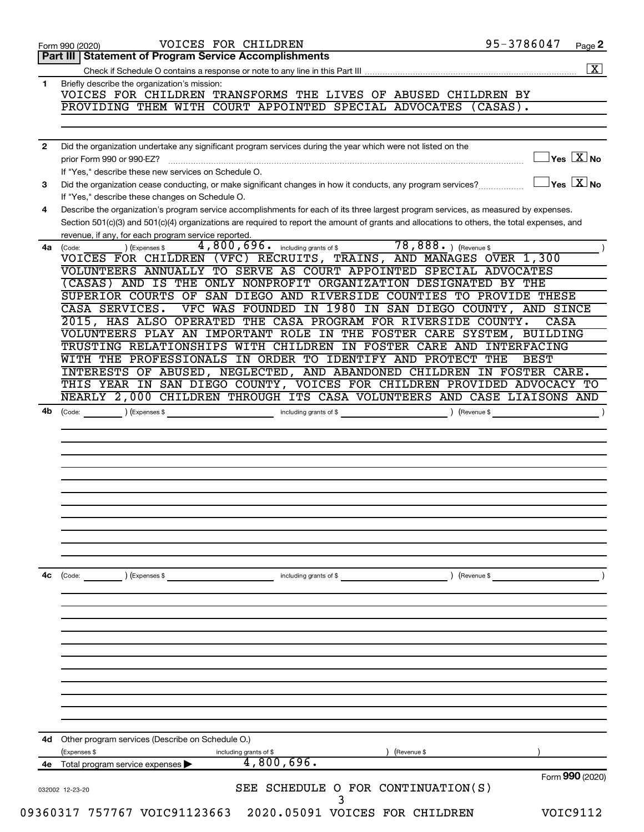|              | VOICES FOR CHILDREN<br>Form 990 (2020)                                                                                                       | 95-3786047    | Page 2                              |
|--------------|----------------------------------------------------------------------------------------------------------------------------------------------|---------------|-------------------------------------|
|              | Part III   Statement of Program Service Accomplishments                                                                                      |               |                                     |
|              |                                                                                                                                              |               | $\boxed{\text{X}}$                  |
| 1.           | Briefly describe the organization's mission:                                                                                                 |               |                                     |
|              | VOICES FOR CHILDREN TRANSFORMS THE LIVES OF ABUSED CHILDREN BY<br>PROVIDING THEM WITH COURT APPOINTED SPECIAL ADVOCATES (CASAS).             |               |                                     |
|              |                                                                                                                                              |               |                                     |
|              |                                                                                                                                              |               |                                     |
| $\mathbf{2}$ | Did the organization undertake any significant program services during the year which were not listed on the                                 |               |                                     |
|              | prior Form 990 or 990-EZ?                                                                                                                    |               | $\exists$ Yes $\boxed{\text{X}}$ No |
|              | If "Yes," describe these new services on Schedule O.                                                                                         |               |                                     |
| 3            | Did the organization cease conducting, or make significant changes in how it conducts, any program services?                                 |               | $\Box$ Yes $[\overline{X}]$ No      |
|              | If "Yes," describe these changes on Schedule O.                                                                                              |               |                                     |
| 4            | Describe the organization's program service accomplishments for each of its three largest program services, as measured by expenses.         |               |                                     |
|              | Section 501(c)(3) and 501(c)(4) organizations are required to report the amount of grants and allocations to others, the total expenses, and |               |                                     |
|              | revenue, if any, for each program service reported.                                                                                          |               |                                     |
| 4a           | 4,800,696. including grants of \$ 78,888. ) (Revenue \$<br>) (Expenses \$<br>(Code:                                                          |               |                                     |
|              | VOICES FOR CHILDREN (VFC) RECRUITS, TRAINS, AND MANAGES OVER 1,300                                                                           |               |                                     |
|              | VOLUNTEERS ANNUALLY TO SERVE AS COURT APPOINTED SPECIAL ADVOCATES<br>(CASAS) AND IS THE ONLY NONPROFIT ORGANIZATION DESIGNATED BY THE        |               |                                     |
|              | SUPERIOR COURTS OF SAN DIEGO AND RIVERSIDE COUNTIES TO PROVIDE THESE                                                                         |               |                                     |
|              | VFC WAS FOUNDED IN 1980 IN SAN DIEGO COUNTY, AND SINCE<br>CASA SERVICES.                                                                     |               |                                     |
|              | 2015, HAS ALSO OPERATED THE CASA PROGRAM FOR RIVERSIDE COUNTY.                                                                               | CASA          |                                     |
|              | VOLUNTEERS PLAY AN IMPORTANT ROLE IN THE FOSTER CARE SYSTEM, BUILDING                                                                        |               |                                     |
|              | TRUSTING RELATIONSHIPS WITH CHILDREN IN FOSTER CARE AND INTERFACING                                                                          |               |                                     |
|              | WITH THE PROFESSIONALS IN ORDER TO IDENTIFY AND PROTECT THE                                                                                  | <b>BEST</b>   |                                     |
|              | INTERESTS OF ABUSED, NEGLECTED, AND ABANDONED CHILDREN IN FOSTER CARE.                                                                       |               |                                     |
|              | THIS YEAR IN SAN DIEGO COUNTY, VOICES FOR CHILDREN PROVIDED ADVOCACY TO                                                                      |               |                                     |
|              | NEARLY 2,000 CHILDREN THROUGH ITS CASA VOLUNTEERS AND CASE LIAISONS AND                                                                      |               |                                     |
| 4b           |                                                                                                                                              |               | $\overline{\phantom{a}}$            |
|              |                                                                                                                                              |               |                                     |
|              |                                                                                                                                              |               |                                     |
|              |                                                                                                                                              |               |                                     |
|              |                                                                                                                                              |               |                                     |
|              |                                                                                                                                              |               |                                     |
|              |                                                                                                                                              |               |                                     |
|              |                                                                                                                                              |               |                                     |
|              |                                                                                                                                              |               |                                     |
|              |                                                                                                                                              |               |                                     |
|              |                                                                                                                                              |               |                                     |
|              |                                                                                                                                              |               |                                     |
| 4с           | (Code: ) (Expenses \$<br>including grants of \$                                                                                              | ) (Revenue \$ |                                     |
|              |                                                                                                                                              |               |                                     |
|              |                                                                                                                                              |               |                                     |
|              |                                                                                                                                              |               |                                     |
|              |                                                                                                                                              |               |                                     |
|              |                                                                                                                                              |               |                                     |
|              |                                                                                                                                              |               |                                     |
|              |                                                                                                                                              |               |                                     |
|              |                                                                                                                                              |               |                                     |
|              |                                                                                                                                              |               |                                     |
|              |                                                                                                                                              |               |                                     |
|              |                                                                                                                                              |               |                                     |
|              |                                                                                                                                              |               |                                     |
| 4d           | Other program services (Describe on Schedule O.)<br>(Revenue \$                                                                              |               |                                     |
| 4е           | (Expenses \$<br>including grants of \$<br>4,800,696.<br>Total program service expenses                                                       |               |                                     |
|              |                                                                                                                                              |               | Form 990 (2020)                     |
|              | SEE SCHEDULE O FOR CONTINUATION(S)<br>032002 12-23-20                                                                                        |               |                                     |
|              |                                                                                                                                              |               |                                     |
|              | 09360317 757767 VOIC91123663<br>2020.05091 VOICES FOR CHILDREN                                                                               |               | VOIC9112                            |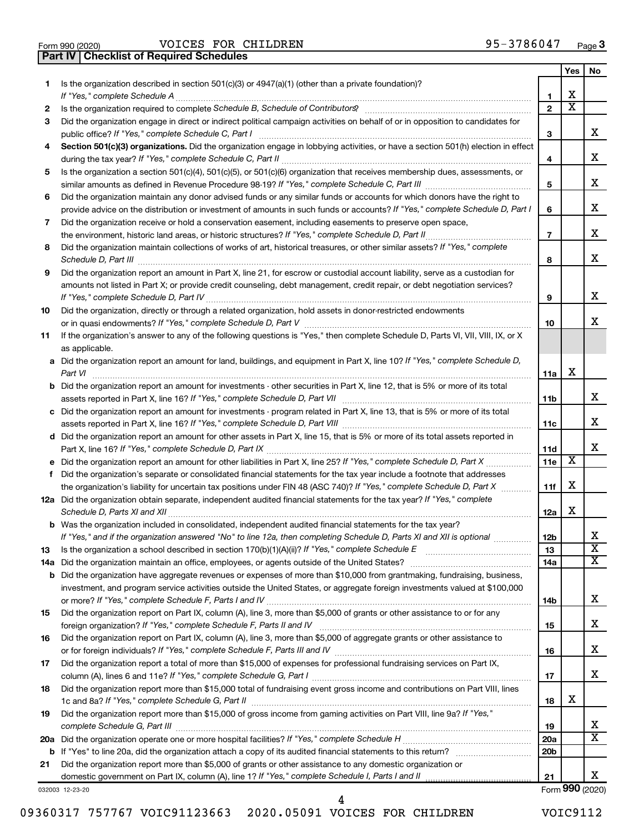|  | Form 990 (2020) |
|--|-----------------|

Form 990 (2020)  $\,$  VOICES FOR CHILDREN  $\,$  95 – 3786 0 47  $\,$  Page **Part IV Checklist of Required Schedules**

|    |                                                                                                                                                                                                                                     |                 | Yes                     | No                      |
|----|-------------------------------------------------------------------------------------------------------------------------------------------------------------------------------------------------------------------------------------|-----------------|-------------------------|-------------------------|
| 1  | Is the organization described in section $501(c)(3)$ or $4947(a)(1)$ (other than a private foundation)?                                                                                                                             |                 |                         |                         |
|    | If "Yes," complete Schedule A                                                                                                                                                                                                       | 1               | x                       |                         |
| 2  |                                                                                                                                                                                                                                     | $\mathbf{2}$    | $\overline{\mathtt{x}}$ |                         |
| 3  | Did the organization engage in direct or indirect political campaign activities on behalf of or in opposition to candidates for                                                                                                     |                 |                         | x                       |
|    | public office? If "Yes," complete Schedule C, Part I                                                                                                                                                                                | 3               |                         |                         |
| 4  | Section 501(c)(3) organizations. Did the organization engage in lobbying activities, or have a section 501(h) election in effect                                                                                                    | 4               |                         | x                       |
| 5  | Is the organization a section 501(c)(4), 501(c)(5), or 501(c)(6) organization that receives membership dues, assessments, or                                                                                                        |                 |                         |                         |
|    |                                                                                                                                                                                                                                     | 5               |                         | x                       |
| 6  | Did the organization maintain any donor advised funds or any similar funds or accounts for which donors have the right to                                                                                                           |                 |                         |                         |
|    | provide advice on the distribution or investment of amounts in such funds or accounts? If "Yes," complete Schedule D, Part I                                                                                                        | 6               |                         | x                       |
| 7  | Did the organization receive or hold a conservation easement, including easements to preserve open space,                                                                                                                           |                 |                         |                         |
|    | the environment, historic land areas, or historic structures? If "Yes," complete Schedule D, Part II                                                                                                                                | $\overline{7}$  |                         | x                       |
| 8  | Did the organization maintain collections of works of art, historical treasures, or other similar assets? If "Yes," complete                                                                                                        |                 |                         |                         |
|    | Schedule D, Part III <b>Process Construction Construction Construction</b> Construction Construction Construction Construction Construction Construction Construction Construction Construction Construction Construction Construct | 8               |                         | X.                      |
| 9  | Did the organization report an amount in Part X, line 21, for escrow or custodial account liability, serve as a custodian for                                                                                                       |                 |                         |                         |
|    | amounts not listed in Part X; or provide credit counseling, debt management, credit repair, or debt negotiation services?                                                                                                           |                 |                         |                         |
|    |                                                                                                                                                                                                                                     | 9               |                         | x                       |
| 10 | Did the organization, directly or through a related organization, hold assets in donor-restricted endowments                                                                                                                        |                 |                         |                         |
|    |                                                                                                                                                                                                                                     | 10              |                         | x.                      |
| 11 | If the organization's answer to any of the following questions is "Yes," then complete Schedule D, Parts VI, VII, VIII, IX, or X<br>as applicable.                                                                                  |                 |                         |                         |
|    | a Did the organization report an amount for land, buildings, and equipment in Part X, line 10? If "Yes," complete Schedule D,                                                                                                       |                 |                         |                         |
|    | Part VI                                                                                                                                                                                                                             | 11a             | х                       |                         |
|    | <b>b</b> Did the organization report an amount for investments - other securities in Part X, line 12, that is 5% or more of its total                                                                                               |                 |                         |                         |
|    |                                                                                                                                                                                                                                     | 11b             |                         | x                       |
|    | c Did the organization report an amount for investments - program related in Part X, line 13, that is 5% or more of its total                                                                                                       |                 |                         |                         |
|    |                                                                                                                                                                                                                                     |                 |                         | x                       |
|    | d Did the organization report an amount for other assets in Part X, line 15, that is 5% or more of its total assets reported in                                                                                                     |                 |                         |                         |
|    |                                                                                                                                                                                                                                     | 11d             |                         | x.                      |
|    | e Did the organization report an amount for other liabilities in Part X, line 25? If "Yes," complete Schedule D, Part X                                                                                                             | 11e             | $\overline{\mathbf{X}}$ |                         |
| f. | Did the organization's separate or consolidated financial statements for the tax year include a footnote that addresses                                                                                                             |                 |                         |                         |
|    | the organization's liability for uncertain tax positions under FIN 48 (ASC 740)? If "Yes," complete Schedule D, Part X                                                                                                              | 11f             | x                       |                         |
|    | 12a Did the organization obtain separate, independent audited financial statements for the tax year? If "Yes," complete<br>Schedule D, Parts XI and XII                                                                             | 12a             | x                       |                         |
|    | b Was the organization included in consolidated, independent audited financial statements for the tax year?                                                                                                                         |                 |                         |                         |
|    | If "Yes," and if the organization answered "No" to line 12a, then completing Schedule D, Parts XI and XII is optional www.                                                                                                          | 12 <sub>b</sub> |                         |                         |
| 13 | Is the organization a school described in section $170(b)(1)(A)(ii)$ ? If "Yes," complete Schedule E                                                                                                                                | 13              |                         | $\overline{\textbf{x}}$ |
|    | 14a Did the organization maintain an office, employees, or agents outside of the United States?                                                                                                                                     | 14a             |                         | X                       |
|    | <b>b</b> Did the organization have aggregate revenues or expenses of more than \$10,000 from grantmaking, fundraising, business,                                                                                                    |                 |                         |                         |
|    | investment, and program service activities outside the United States, or aggregate foreign investments valued at \$100,000                                                                                                          |                 |                         |                         |
|    |                                                                                                                                                                                                                                     | 14b             |                         | x                       |
| 15 | Did the organization report on Part IX, column (A), line 3, more than \$5,000 of grants or other assistance to or for any                                                                                                           |                 |                         |                         |
|    |                                                                                                                                                                                                                                     | 15              |                         | x                       |
| 16 | Did the organization report on Part IX, column (A), line 3, more than \$5,000 of aggregate grants or other assistance to                                                                                                            |                 |                         |                         |
|    | Did the organization report a total of more than \$15,000 of expenses for professional fundraising services on Part IX,                                                                                                             | 16              |                         | x                       |
| 17 |                                                                                                                                                                                                                                     | 17              |                         | x                       |
| 18 | Did the organization report more than \$15,000 total of fundraising event gross income and contributions on Part VIII, lines                                                                                                        |                 |                         |                         |
|    |                                                                                                                                                                                                                                     | 18              | x                       |                         |
| 19 | Did the organization report more than \$15,000 of gross income from gaming activities on Part VIII, line 9a? If "Yes,"                                                                                                              |                 |                         |                         |
|    |                                                                                                                                                                                                                                     | 19              |                         | x                       |
|    |                                                                                                                                                                                                                                     | 20a             |                         | $\overline{\mathtt{x}}$ |
|    |                                                                                                                                                                                                                                     | 20 <sub>b</sub> |                         |                         |
| 21 | Did the organization report more than \$5,000 of grants or other assistance to any domestic organization or                                                                                                                         |                 |                         |                         |
|    | domestic government on Part IX, column (A), line 1? If "Yes," complete Schedule I, Parts I and II                                                                                                                                   | 21              |                         | X.                      |

032003 12-23-20

Form (2020) **990**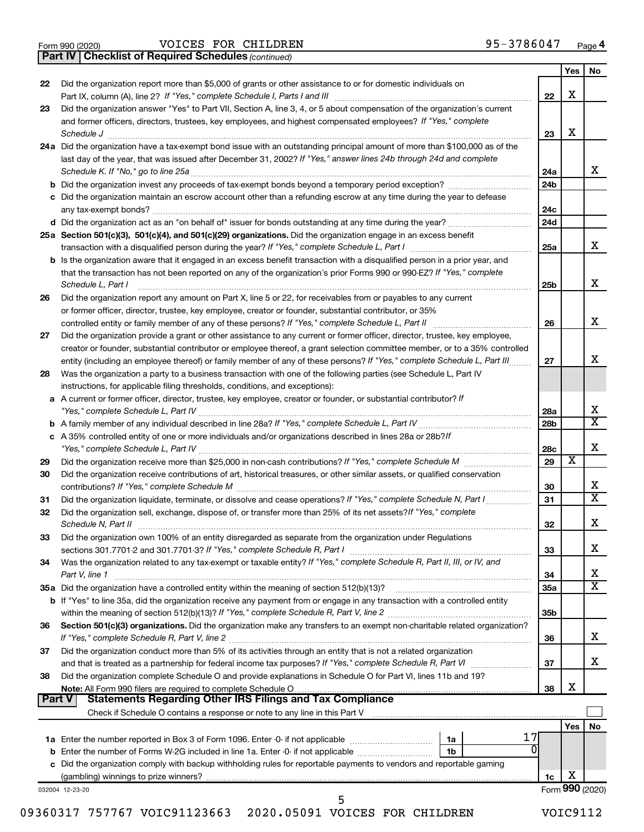|  | Form 990 (2020) |
|--|-----------------|
|  |                 |

Form 990 (2020)  $\,$  VOICES FOR CHILDREN  $\,$  95 – 3786 0 47  $\,$  Page

*(continued)* **Part IV Checklist of Required Schedules**

|               |                                                                                                                                                                                                                                |                 | Yes             | No                      |
|---------------|--------------------------------------------------------------------------------------------------------------------------------------------------------------------------------------------------------------------------------|-----------------|-----------------|-------------------------|
| 22            | Did the organization report more than \$5,000 of grants or other assistance to or for domestic individuals on                                                                                                                  |                 |                 |                         |
|               |                                                                                                                                                                                                                                | 22              | X               |                         |
| 23            | Did the organization answer "Yes" to Part VII, Section A, line 3, 4, or 5 about compensation of the organization's current                                                                                                     |                 |                 |                         |
|               | and former officers, directors, trustees, key employees, and highest compensated employees? If "Yes," complete                                                                                                                 |                 | X               |                         |
|               | Schedule J<br>24a Did the organization have a tax-exempt bond issue with an outstanding principal amount of more than \$100,000 as of the                                                                                      | 23              |                 |                         |
|               | last day of the year, that was issued after December 31, 2002? If "Yes," answer lines 24b through 24d and complete                                                                                                             |                 |                 |                         |
|               | Schedule K. If "No," go to line 25a                                                                                                                                                                                            | 24a             |                 | x                       |
|               | <b>b</b> Did the organization invest any proceeds of tax-exempt bonds beyond a temporary period exception?                                                                                                                     | 24 <sub>b</sub> |                 |                         |
|               | c Did the organization maintain an escrow account other than a refunding escrow at any time during the year to defease                                                                                                         |                 |                 |                         |
|               | any tax-exempt bonds?                                                                                                                                                                                                          | 24c             |                 |                         |
|               | d Did the organization act as an "on behalf of" issuer for bonds outstanding at any time during the year?                                                                                                                      | 24d             |                 |                         |
|               | 25a Section 501(c)(3), 501(c)(4), and 501(c)(29) organizations. Did the organization engage in an excess benefit                                                                                                               |                 |                 |                         |
|               |                                                                                                                                                                                                                                | 25a             |                 | x                       |
|               | <b>b</b> Is the organization aware that it engaged in an excess benefit transaction with a disqualified person in a prior year, and                                                                                            |                 |                 |                         |
|               | that the transaction has not been reported on any of the organization's prior Forms 990 or 990-EZ? If "Yes," complete                                                                                                          |                 |                 |                         |
|               | Schedule L, Part I                                                                                                                                                                                                             | 25b             |                 | х                       |
| 26            | Did the organization report any amount on Part X, line 5 or 22, for receivables from or payables to any current                                                                                                                |                 |                 |                         |
|               | or former officer, director, trustee, key employee, creator or founder, substantial contributor, or 35%                                                                                                                        |                 |                 |                         |
|               | controlled entity or family member of any of these persons? If "Yes," complete Schedule L, Part II                                                                                                                             | 26              |                 | х                       |
| 27            | Did the organization provide a grant or other assistance to any current or former officer, director, trustee, key employee,                                                                                                    |                 |                 |                         |
|               | creator or founder, substantial contributor or employee thereof, a grant selection committee member, or to a 35% controlled                                                                                                    |                 |                 |                         |
|               | entity (including an employee thereof) or family member of any of these persons? If "Yes," complete Schedule L, Part III                                                                                                       | 27              |                 | x                       |
| 28            | Was the organization a party to a business transaction with one of the following parties (see Schedule L, Part IV                                                                                                              |                 |                 |                         |
|               | instructions, for applicable filing thresholds, conditions, and exceptions):                                                                                                                                                   |                 |                 |                         |
|               | a A current or former officer, director, trustee, key employee, creator or founder, or substantial contributor? If                                                                                                             |                 |                 | х                       |
|               |                                                                                                                                                                                                                                | 28a             |                 | $\mathbf x$             |
|               | c A 35% controlled entity of one or more individuals and/or organizations described in lines 28a or 28b?If                                                                                                                     | 28 <sub>b</sub> |                 |                         |
|               |                                                                                                                                                                                                                                | 28c             |                 | х                       |
| 29            |                                                                                                                                                                                                                                | 29              | х               |                         |
| 30            | Did the organization receive contributions of art, historical treasures, or other similar assets, or qualified conservation                                                                                                    |                 |                 |                         |
|               |                                                                                                                                                                                                                                | 30              |                 | x                       |
| 31            | Did the organization liquidate, terminate, or dissolve and cease operations? If "Yes," complete Schedule N, Part I                                                                                                             | 31              |                 | $\overline{\mathbf{X}}$ |
| 32            | Did the organization sell, exchange, dispose of, or transfer more than 25% of its net assets? If "Yes," complete                                                                                                               |                 |                 |                         |
|               | Schedule N, Part II                                                                                                                                                                                                            | 32              |                 | х                       |
| 33            | Did the organization own 100% of an entity disregarded as separate from the organization under Regulations                                                                                                                     |                 |                 |                         |
|               |                                                                                                                                                                                                                                | 33              |                 | х                       |
| 34            | Was the organization related to any tax-exempt or taxable entity? If "Yes," complete Schedule R, Part II, III, or IV, and                                                                                                      |                 |                 |                         |
|               | Part V, line 1                                                                                                                                                                                                                 | 34              |                 | х                       |
|               |                                                                                                                                                                                                                                | <b>35a</b>      |                 | $\overline{\mathbf{X}}$ |
|               | b If "Yes" to line 35a, did the organization receive any payment from or engage in any transaction with a controlled entity                                                                                                    |                 |                 |                         |
|               |                                                                                                                                                                                                                                | 35 <sub>b</sub> |                 |                         |
| 36            | Section 501(c)(3) organizations. Did the organization make any transfers to an exempt non-charitable related organization?                                                                                                     |                 |                 |                         |
|               |                                                                                                                                                                                                                                | 36              |                 | x                       |
| 37            | Did the organization conduct more than 5% of its activities through an entity that is not a related organization                                                                                                               | 37              |                 | x                       |
| 38            | and that is treated as a partnership for federal income tax purposes? If "Yes," complete Schedule R, Part VI<br>Did the organization complete Schedule O and provide explanations in Schedule O for Part VI, lines 11b and 19? |                 |                 |                         |
|               |                                                                                                                                                                                                                                | 38              | X               |                         |
| <b>Part V</b> | <b>Statements Regarding Other IRS Filings and Tax Compliance</b>                                                                                                                                                               |                 |                 |                         |
|               |                                                                                                                                                                                                                                |                 |                 |                         |
|               |                                                                                                                                                                                                                                |                 | Yes             | No                      |
|               | 1a                                                                                                                                                                                                                             |                 |                 |                         |
|               | b Enter the number of Forms W-2G included in line 1a. Enter -0- if not applicable<br>1b                                                                                                                                        |                 |                 |                         |
|               | c Did the organization comply with backup withholding rules for reportable payments to vendors and reportable gaming                                                                                                           |                 |                 |                         |
|               |                                                                                                                                                                                                                                | 1c              | х               |                         |
|               | 032004 12-23-20                                                                                                                                                                                                                |                 | Form 990 (2020) |                         |
|               | 5                                                                                                                                                                                                                              |                 |                 |                         |

09360317 757767 VOIC91123663 2020.05091 VOICES FOR CHILDREN VOIC9112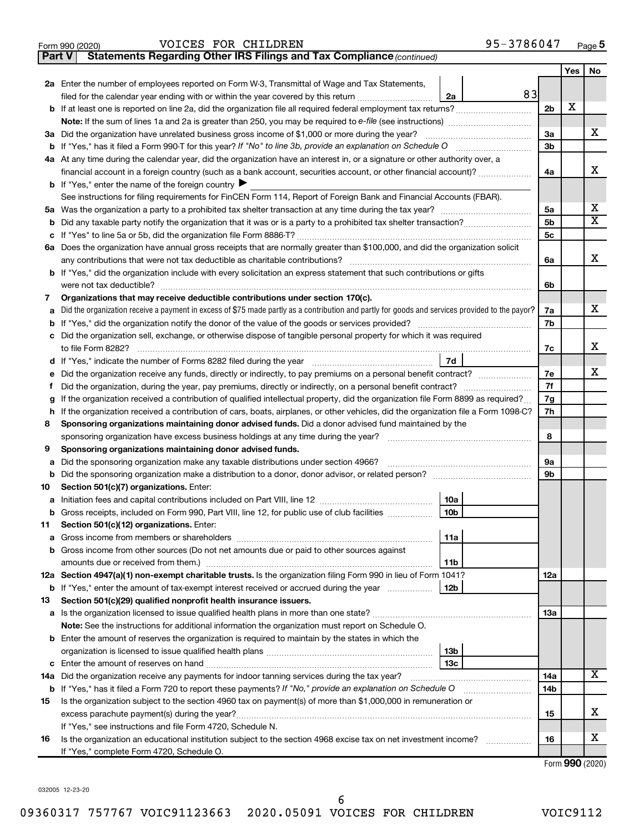| Form 990 (2020) | <b>FOR</b><br><b>CHILDREN</b><br><b>VOICES</b> | 3786047<br>$Q5 -$<br>$P$ age $\sigma$<br>ر ر |
|-----------------|------------------------------------------------|----------------------------------------------|
|-----------------|------------------------------------------------|----------------------------------------------|

| <b>Part V</b> | <b>Statements Regarding Other IRS Filings and Tax Compliance (continued)</b>                                                                    |    |                 |     |                         |
|---------------|-------------------------------------------------------------------------------------------------------------------------------------------------|----|-----------------|-----|-------------------------|
|               |                                                                                                                                                 |    |                 | Yes | No                      |
|               | 2a Enter the number of employees reported on Form W-3, Transmittal of Wage and Tax Statements,                                                  |    |                 |     |                         |
|               | filed for the calendar year ending with or within the year covered by this return<br>2a                                                         | 83 |                 |     |                         |
|               | b If at least one is reported on line 2a, did the organization file all required federal employment tax returns?                                |    | 2 <sub>b</sub>  | X   |                         |
|               |                                                                                                                                                 |    |                 |     |                         |
|               | 3a Did the organization have unrelated business gross income of \$1,000 or more during the year?                                                |    | 3a              |     | x                       |
|               |                                                                                                                                                 |    | 3 <sub>b</sub>  |     |                         |
|               | 4a At any time during the calendar year, did the organization have an interest in, or a signature or other authority over, a                    |    |                 |     |                         |
|               | financial account in a foreign country (such as a bank account, securities account, or other financial account)?                                |    | 4a              |     | X                       |
|               | <b>b</b> If "Yes," enter the name of the foreign country                                                                                        |    |                 |     |                         |
|               | See instructions for filing requirements for FinCEN Form 114, Report of Foreign Bank and Financial Accounts (FBAR).                             |    |                 |     |                         |
|               |                                                                                                                                                 |    | 5a              |     | х                       |
| b             |                                                                                                                                                 |    | 5b              |     | $\overline{\mathtt{x}}$ |
|               |                                                                                                                                                 |    | 5c              |     |                         |
|               | 6a Does the organization have annual gross receipts that are normally greater than \$100,000, and did the organization solicit                  |    |                 |     |                         |
|               |                                                                                                                                                 |    | 6a              |     | X                       |
|               | <b>b</b> If "Yes," did the organization include with every solicitation an express statement that such contributions or gifts                   |    |                 |     |                         |
|               |                                                                                                                                                 |    | 6b              |     |                         |
| 7             | Organizations that may receive deductible contributions under section 170(c).                                                                   |    |                 |     |                         |
| a             | Did the organization receive a payment in excess of \$75 made partly as a contribution and partly for goods and services provided to the payor? |    | 7a              |     | x                       |
|               |                                                                                                                                                 |    | 7b              |     |                         |
|               | c Did the organization sell, exchange, or otherwise dispose of tangible personal property for which it was required                             |    |                 |     |                         |
|               |                                                                                                                                                 |    | 7c              |     | X                       |
|               |                                                                                                                                                 | 7d |                 |     | x                       |
| е             | Did the organization receive any funds, directly or indirectly, to pay premiums on a personal benefit contract?                                 |    | 7e              |     |                         |
|               |                                                                                                                                                 |    | 7f              |     |                         |
| g             | If the organization received a contribution of qualified intellectual property, did the organization file Form 8899 as required?                |    | 7g<br>7h        |     |                         |
| h<br>8        | If the organization received a contribution of cars, boats, airplanes, or other vehicles, did the organization file a Form 1098-C?              |    |                 |     |                         |
|               | Sponsoring organizations maintaining donor advised funds. Did a donor advised fund maintained by the                                            |    | 8               |     |                         |
| 9             | Sponsoring organizations maintaining donor advised funds.                                                                                       |    |                 |     |                         |
| а             | Did the sponsoring organization make any taxable distributions under section 4966?                                                              |    | 9a              |     |                         |
| b             |                                                                                                                                                 |    | 9b              |     |                         |
| 10            | Section 501(c)(7) organizations. Enter:                                                                                                         |    |                 |     |                         |
| а             | 10a                                                                                                                                             |    |                 |     |                         |
|               | 10 <sub>b</sub><br>b Gross receipts, included on Form 990, Part VIII, line 12, for public use of club facilities                                |    |                 |     |                         |
| 11            | Section 501(c)(12) organizations. Enter:                                                                                                        |    |                 |     |                         |
| a             | 11a                                                                                                                                             |    |                 |     |                         |
|               | b Gross income from other sources (Do not net amounts due or paid to other sources against                                                      |    |                 |     |                         |
|               | 11 <sub>b</sub>                                                                                                                                 |    |                 |     |                         |
|               | 12a Section 4947(a)(1) non-exempt charitable trusts. Is the organization filing Form 990 in lieu of Form 1041?                                  |    | 12a             |     |                         |
|               | <b>b</b> If "Yes," enter the amount of tax-exempt interest received or accrued during the year<br>12b                                           |    |                 |     |                         |
| 13            | Section 501(c)(29) qualified nonprofit health insurance issuers.                                                                                |    |                 |     |                         |
|               | a Is the organization licensed to issue qualified health plans in more than one state?                                                          |    | 1За             |     |                         |
|               | Note: See the instructions for additional information the organization must report on Schedule O.                                               |    |                 |     |                         |
|               | <b>b</b> Enter the amount of reserves the organization is required to maintain by the states in which the                                       |    |                 |     |                         |
|               | 13 <sub>b</sub>                                                                                                                                 |    |                 |     |                         |
|               | 13 <sub>c</sub>                                                                                                                                 |    |                 |     |                         |
|               | 14a Did the organization receive any payments for indoor tanning services during the tax year?                                                  |    | 14a             |     | х                       |
|               | <b>b</b> If "Yes," has it filed a Form 720 to report these payments? If "No," provide an explanation on Schedule O                              |    | 14 <sub>b</sub> |     |                         |
| 15            | Is the organization subject to the section 4960 tax on payment(s) of more than \$1,000,000 in remuneration or                                   |    |                 |     |                         |
|               |                                                                                                                                                 |    | 15              |     | x                       |
|               | If "Yes," see instructions and file Form 4720, Schedule N.                                                                                      |    |                 |     |                         |
| 16            | Is the organization an educational institution subject to the section 4968 excise tax on net investment income?                                 |    | 16              |     | х                       |
|               | If "Yes," complete Form 4720, Schedule O.                                                                                                       |    |                 |     | Form $990(2020)$        |

032005 12-23-20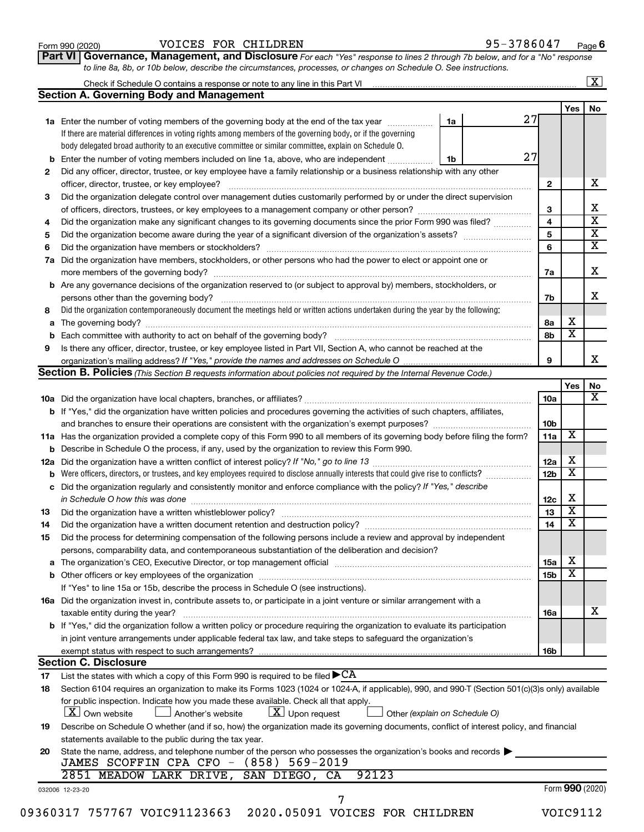| Form 990 (2020) |  |
|-----------------|--|
|-----------------|--|

# Form 990 (2020)  $\,$  VOICES FOR CHILDREN  $\,$  95 – 3786 0 47  $\,$  Page

**Part VI** Governance, Management, and Disclosure For each "Yes" response to lines 2 through 7b below, and for a "No" response *to line 8a, 8b, or 10b below, describe the circumstances, processes, or changes on Schedule O. See instructions.*

|    | Check if Schedule O contains a response or note to any line in this Part VI [11] [12] Check if Schedule O contains a response or note to any line in this Part VI |                               |                 |                              | $\overline{\mathbf{x}}$ |
|----|-------------------------------------------------------------------------------------------------------------------------------------------------------------------|-------------------------------|-----------------|------------------------------|-------------------------|
|    | <b>Section A. Governing Body and Management</b>                                                                                                                   |                               |                 |                              |                         |
|    |                                                                                                                                                                   |                               | 27              | Yes                          | No                      |
|    | 1a Enter the number of voting members of the governing body at the end of the tax year                                                                            | 1a                            |                 |                              |                         |
|    | If there are material differences in voting rights among members of the governing body, or if the governing                                                       |                               |                 |                              |                         |
|    | body delegated broad authority to an executive committee or similar committee, explain on Schedule O.                                                             |                               | 27              |                              |                         |
|    | <b>b</b> Enter the number of voting members included on line 1a, above, who are independent                                                                       | 1b                            |                 |                              |                         |
| 2  | Did any officer, director, trustee, or key employee have a family relationship or a business relationship with any other                                          |                               |                 |                              |                         |
|    | officer, director, trustee, or key employee?                                                                                                                      |                               | $\mathbf{2}$    |                              |                         |
| 3  | Did the organization delegate control over management duties customarily performed by or under the direct supervision                                             |                               |                 |                              |                         |
|    |                                                                                                                                                                   |                               | 3               |                              |                         |
| 4  | Did the organization make any significant changes to its governing documents since the prior Form 990 was filed?                                                  |                               | 4               |                              |                         |
| 5  |                                                                                                                                                                   |                               | 5               |                              |                         |
| 6  |                                                                                                                                                                   |                               | 6               |                              |                         |
| 7a | Did the organization have members, stockholders, or other persons who had the power to elect or appoint one or                                                    |                               |                 |                              |                         |
|    |                                                                                                                                                                   |                               | 7a              |                              |                         |
|    | <b>b</b> Are any governance decisions of the organization reserved to (or subject to approval by) members, stockholders, or                                       |                               |                 |                              |                         |
|    | persons other than the governing body?                                                                                                                            |                               | 7b              |                              |                         |
| 8  | Did the organization contemporaneously document the meetings held or written actions undertaken during the year by the following:                                 |                               |                 |                              |                         |
|    |                                                                                                                                                                   |                               | 8a              | х                            |                         |
|    |                                                                                                                                                                   |                               | 8b              | $\overline{\textbf{x}}$      |                         |
| 9  | Is there any officer, director, trustee, or key employee listed in Part VII, Section A, who cannot be reached at the                                              |                               |                 |                              |                         |
|    | organization's mailing address? If "Yes," provide the names and addresses on Schedule O manual content content                                                    |                               | 9               |                              |                         |
|    | Section B. Policies (This Section B requests information about policies not required by the Internal Revenue Code.)                                               |                               |                 |                              |                         |
|    |                                                                                                                                                                   |                               |                 | Yes                          |                         |
|    |                                                                                                                                                                   |                               | 10a             |                              |                         |
|    | <b>b</b> If "Yes," did the organization have written policies and procedures governing the activities of such chapters, affiliates,                               |                               |                 |                              |                         |
|    |                                                                                                                                                                   |                               | 10b             |                              |                         |
|    | 11a Has the organization provided a complete copy of this Form 990 to all members of its governing body before filing the form?                                   |                               | 11a             | X                            |                         |
|    | <b>b</b> Describe in Schedule O the process, if any, used by the organization to review this Form 990.                                                            |                               |                 |                              |                         |
|    |                                                                                                                                                                   |                               | 12a             | х                            |                         |
| b  |                                                                                                                                                                   |                               | 12 <sub>b</sub> | $\overline{\textbf{x}}$      |                         |
|    | c Did the organization regularly and consistently monitor and enforce compliance with the policy? If "Yes," describe                                              |                               |                 |                              |                         |
|    | in Schedule O how this was done <i>machine and a continuum continuum continuum continuum continuum continuum continuum</i>                                        |                               | 12c             | х                            |                         |
| 13 |                                                                                                                                                                   |                               | 13              | $\overline{\mathbf{x}}$      |                         |
|    | Did the organization have a written document retention and destruction policy? [11] manufaction manufaction in                                                    |                               | 14              | $\overline{\mathbf{x}}$      |                         |
| 14 |                                                                                                                                                                   |                               |                 |                              |                         |
| 15 | Did the process for determining compensation of the following persons include a review and approval by independent                                                |                               |                 |                              |                         |
|    | persons, comparability data, and contemporaneous substantiation of the deliberation and decision?                                                                 |                               |                 |                              |                         |
|    |                                                                                                                                                                   |                               | <b>15a</b>      | х<br>$\overline{\textbf{x}}$ |                         |
|    |                                                                                                                                                                   |                               | 15b             |                              |                         |
|    | If "Yes" to line 15a or 15b, describe the process in Schedule O (see instructions).                                                                               |                               |                 |                              |                         |
|    | 16a Did the organization invest in, contribute assets to, or participate in a joint venture or similar arrangement with a                                         |                               |                 |                              |                         |
|    | taxable entity during the year?                                                                                                                                   |                               | 16a             |                              |                         |
|    | b If "Yes," did the organization follow a written policy or procedure requiring the organization to evaluate its participation                                    |                               |                 |                              |                         |
|    | in joint venture arrangements under applicable federal tax law, and take steps to safeguard the organization's                                                    |                               |                 |                              |                         |
|    | exempt status with respect to such arrangements?                                                                                                                  |                               | 16b             |                              |                         |
|    | <b>Section C. Disclosure</b>                                                                                                                                      |                               |                 |                              |                         |
| 17 | List the states with which a copy of this Form 990 is required to be filed $\blacktriangleright$ CA                                                               |                               |                 |                              |                         |
| 18 | Section 6104 requires an organization to make its Forms 1023 (1024 or 1024-A, if applicable), 990, and 990-T (Section 501(c)(3)s only) available                  |                               |                 |                              |                         |
|    | for public inspection. Indicate how you made these available. Check all that apply.                                                                               |                               |                 |                              |                         |
|    | $X$ Own website<br>$X$ Upon request<br>Another's website                                                                                                          | Other (explain on Schedule O) |                 |                              |                         |
| 19 | Describe on Schedule O whether (and if so, how) the organization made its governing documents, conflict of interest policy, and financial                         |                               |                 |                              |                         |
|    | statements available to the public during the tax year.                                                                                                           |                               |                 |                              |                         |
| 20 | State the name, address, and telephone number of the person who possesses the organization's books and records                                                    |                               |                 |                              |                         |
|    | JAMES SCOFFIN CPA CFO - (858) 569-2019                                                                                                                            |                               |                 |                              |                         |
|    | 2851 MEADOW LARK DRIVE, SAN DIEGO, CA<br>92123                                                                                                                    |                               |                 |                              |                         |
|    | 032006 12-23-20                                                                                                                                                   |                               |                 | Form 990 (2020)              |                         |
|    |                                                                                                                                                                   |                               |                 |                              |                         |
|    | 09360317 757767 VOIC91123663 2020.05091 VOICES FOR CHILDREN                                                                                                       |                               |                 | VOIC9112                     |                         |
|    |                                                                                                                                                                   |                               |                 |                              |                         |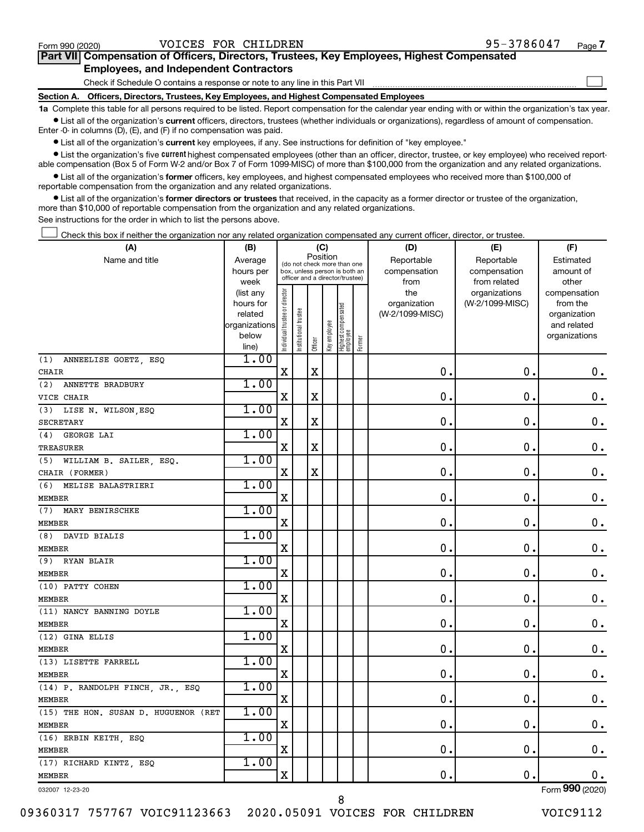$\Box$ 

| Part VII Compensation of Officers, Directors, Trustees, Key Employees, Highest Compensated |  |  |
|--------------------------------------------------------------------------------------------|--|--|
| <b>Employees, and Independent Contractors</b>                                              |  |  |

Check if Schedule O contains a response or note to any line in this Part VII

**Section A. Officers, Directors, Trustees, Key Employees, and Highest Compensated Employees**

**1a**  Complete this table for all persons required to be listed. Report compensation for the calendar year ending with or within the organization's tax year.  $\bullet$  List all of the organization's current officers, directors, trustees (whether individuals or organizations), regardless of amount of compensation.

Enter -0- in columns (D), (E), and (F) if no compensation was paid.

**•** List all of the organization's current key employees, if any. See instructions for definition of "key employee."

• List the organization's five *current* highest compensated employees (other than an officer, director, trustee, or key employee) who received reportable compensation (Box 5 of Form W-2 and/or Box 7 of Form 1099-MISC) of more than \$100,000 from the organization and any related organizations.

 $\bullet$  List all of the organization's former officers, key employees, and highest compensated employees who received more than \$100,000 of reportable compensation from the organization and any related organizations.

**•** List all of the organization's former directors or trustees that received, in the capacity as a former director or trustee of the organization, more than \$10,000 of reportable compensation from the organization and any related organizations.

See instructions for the order in which to list the persons above.

Check this box if neither the organization nor any related organization compensated any current officer, director, or trustee.  $\Box$ 

| (A)                                  | (B)           |                                |                                                              | (C)         |              |                                   |        | (D)             | (E)             | (F)             |
|--------------------------------------|---------------|--------------------------------|--------------------------------------------------------------|-------------|--------------|-----------------------------------|--------|-----------------|-----------------|-----------------|
| Name and title                       | Average       |                                |                                                              |             | Position     |                                   |        | Reportable      | Reportable      | Estimated       |
|                                      | hours per     |                                | (do not check more than one<br>box, unless person is both an |             |              |                                   |        | compensation    | compensation    | amount of       |
|                                      | week          |                                | officer and a director/trustee)                              |             |              |                                   |        | from            | from related    | other           |
|                                      | (list any     |                                |                                                              |             |              |                                   |        | the             | organizations   | compensation    |
|                                      | hours for     |                                |                                                              |             |              |                                   |        | organization    | (W-2/1099-MISC) | from the        |
|                                      | related       |                                |                                                              |             |              |                                   |        | (W-2/1099-MISC) |                 | organization    |
|                                      | organizations |                                |                                                              |             |              |                                   |        |                 |                 | and related     |
|                                      | below         | Individual trustee or director | Institutional trustee                                        |             | Key employee |                                   |        |                 |                 | organizations   |
|                                      | line)         |                                |                                                              | Officer     |              | Highest compensated<br>  employee | Former |                 |                 |                 |
| (1)<br>ANNEELISE GOETZ, ESQ          | 1.00          |                                |                                                              |             |              |                                   |        |                 |                 |                 |
| CHAIR                                |               | $\mathbf X$                    |                                                              | $\mathbf X$ |              |                                   |        | $\mathbf 0$ .   | $\mathbf 0$ .   | $\mathbf 0$ .   |
| ANNETTE BRADBURY<br>(2)              | 1.00          |                                |                                                              |             |              |                                   |        |                 |                 |                 |
| VICE CHAIR                           |               | $\mathbf X$                    |                                                              | $\mathbf X$ |              |                                   |        | $\mathbf{0}$ .  | $\mathbf 0$ .   | $\mathbf 0$ .   |
| (3)<br>LISE N. WILSON, ESQ           | 1.00          |                                |                                                              |             |              |                                   |        |                 |                 |                 |
| <b>SECRETARY</b>                     |               | $\mathbf X$                    |                                                              | X           |              |                                   |        | 0.              | $\mathbf 0$ .   | $\mathbf 0$ .   |
| GEORGE LAI<br>(4)                    | 1.00          |                                |                                                              |             |              |                                   |        |                 |                 |                 |
| TREASURER                            |               | X                              |                                                              | X           |              |                                   |        | 0.              | $\mathbf 0$     | $\mathbf 0$ .   |
| (5)<br>WILLIAM B. SAILER, ESQ.       | 1.00          |                                |                                                              |             |              |                                   |        |                 |                 |                 |
| CHAIR (FORMER)                       |               | $\mathbf X$                    |                                                              | X           |              |                                   |        | $\mathbf 0$ .   | $\mathbf 0$ .   | $\mathbf 0$ .   |
| (6) MELISE BALASTRIERI               | 1.00          |                                |                                                              |             |              |                                   |        |                 |                 |                 |
| <b>MEMBER</b>                        |               | X                              |                                                              |             |              |                                   |        | $\mathbf 0$ .   | $\mathbf 0$ .   | $\mathbf 0$ .   |
| (7)<br>MARY BENIRSCHKE               | 1.00          |                                |                                                              |             |              |                                   |        |                 |                 |                 |
| <b>MEMBER</b>                        |               | $\mathbf X$                    |                                                              |             |              |                                   |        | 0.              | $\mathbf 0$ .   | $\mathbf 0$ .   |
| (8) DAVID BIALIS                     | 1.00          |                                |                                                              |             |              |                                   |        |                 |                 |                 |
| <b>MEMBER</b>                        |               | $\mathbf X$                    |                                                              |             |              |                                   |        | $\mathbf 0$ .   | 0.              | $\mathbf 0$ .   |
| (9)<br><b>RYAN BLAIR</b>             | 1.00          |                                |                                                              |             |              |                                   |        |                 |                 |                 |
| <b>MEMBER</b>                        |               | $\mathbf X$                    |                                                              |             |              |                                   |        | $\mathbf 0$ .   | $\mathbf 0$ .   | $\mathbf 0$ .   |
| (10) PATTY COHEN                     | 1.00          |                                |                                                              |             |              |                                   |        |                 |                 |                 |
| <b>MEMBER</b>                        |               | X                              |                                                              |             |              |                                   |        | $\mathbf 0$ .   | $\mathbf 0$ .   | $\mathbf 0$ .   |
| (11) NANCY BANNING DOYLE             | 1.00          |                                |                                                              |             |              |                                   |        |                 |                 |                 |
| <b>MEMBER</b>                        |               | $\mathbf X$                    |                                                              |             |              |                                   |        | 0.              | $\mathbf 0$ .   | $\mathbf 0$ .   |
| (12) GINA ELLIS                      | 1.00          |                                |                                                              |             |              |                                   |        |                 |                 |                 |
| <b>MEMBER</b>                        |               | X                              |                                                              |             |              |                                   |        | $\mathbf 0$ .   | 0.              | $\mathbf 0$ .   |
| (13) LISETTE FARRELL                 | 1.00          |                                |                                                              |             |              |                                   |        |                 |                 |                 |
| <b>MEMBER</b>                        |               | $\mathbf X$                    |                                                              |             |              |                                   |        | 0.              | $\mathbf 0$     | $\mathbf 0$ .   |
| (14) P. RANDOLPH FINCH, JR., ESQ     | 1.00          |                                |                                                              |             |              |                                   |        |                 |                 |                 |
| <b>MEMBER</b>                        |               | $\mathbf X$                    |                                                              |             |              |                                   |        | $\mathbf 0$ .   | $\mathbf 0$ .   | $\mathbf 0$ .   |
| (15) THE HON. SUSAN D. HUGUENOR (RET | 1.00          |                                |                                                              |             |              |                                   |        |                 |                 |                 |
| <b>MEMBER</b>                        |               | X                              |                                                              |             |              |                                   |        | 0.              | $\mathbf 0$ .   | $\mathbf 0$ .   |
| (16) ERBIN KEITH, ESQ                | 1.00          |                                |                                                              |             |              |                                   |        |                 |                 |                 |
| <b>MEMBER</b>                        |               | $\mathbf X$                    |                                                              |             |              |                                   |        | $\mathbf 0$ .   | $\mathbf 0$ .   | $\mathbf 0$ .   |
| (17) RICHARD KINTZ, ESQ              | 1.00          |                                |                                                              |             |              |                                   |        |                 |                 |                 |
| <b>MEMBER</b>                        |               | $\mathbf X$                    |                                                              |             |              |                                   |        | $\mathbf 0$ .   | $\mathbf 0$ .   | 0.              |
| 032007 12-23-20                      |               |                                |                                                              |             |              |                                   |        |                 |                 | Form 990 (2020) |

8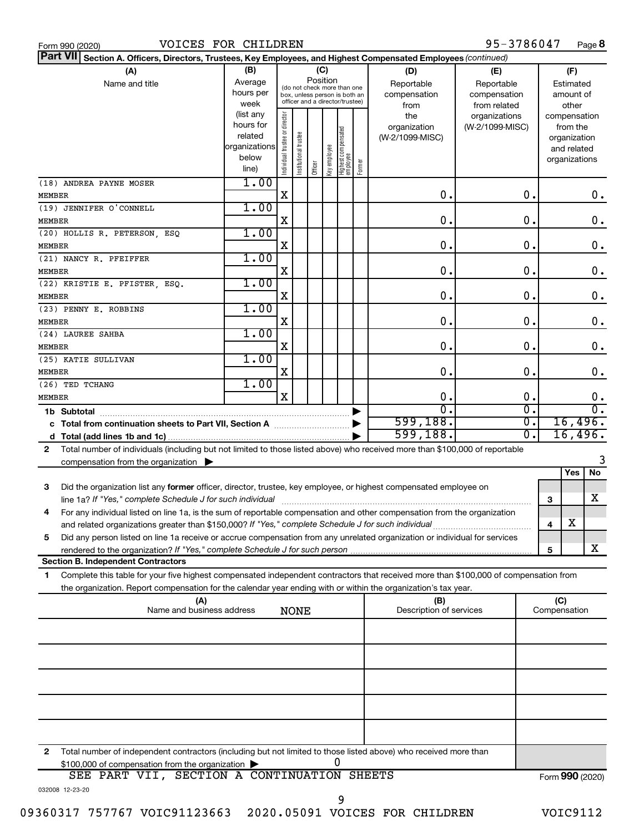|  | Form 990 (2020 |  |  |
|--|----------------|--|--|
|--|----------------|--|--|

95-3786047 Page 8

| Part VII Section A. Officers, Directors, Trustees, Key Employees, and Highest Compensated Employees (continued)                                                                                                                                             |                        |                                |                       |         |              |                                 |        |                                 |                  |                 |                          |               |
|-------------------------------------------------------------------------------------------------------------------------------------------------------------------------------------------------------------------------------------------------------------|------------------------|--------------------------------|-----------------------|---------|--------------|---------------------------------|--------|---------------------------------|------------------|-----------------|--------------------------|---------------|
| (A)                                                                                                                                                                                                                                                         | (B)                    |                                |                       |         | (C)          |                                 |        | (D)                             | (E)              |                 | (F)                      |               |
| Name and title                                                                                                                                                                                                                                              | Average                |                                |                       |         | Position     | (do not check more than one     |        | Reportable                      | Reportable       |                 | Estimated                |               |
|                                                                                                                                                                                                                                                             | hours per              |                                |                       |         |              | box, unless person is both an   |        | compensation                    | compensation     |                 | amount of                |               |
|                                                                                                                                                                                                                                                             | week                   |                                |                       |         |              | officer and a director/trustee) |        | from                            | from related     |                 | other                    |               |
|                                                                                                                                                                                                                                                             | (list any<br>hours for |                                |                       |         |              |                                 |        | the                             | organizations    |                 | compensation             |               |
|                                                                                                                                                                                                                                                             | related                |                                |                       |         |              |                                 |        | organization<br>(W-2/1099-MISC) | (W-2/1099-MISC)  |                 | from the<br>organization |               |
|                                                                                                                                                                                                                                                             | organizations          |                                |                       |         |              |                                 |        |                                 |                  |                 | and related              |               |
|                                                                                                                                                                                                                                                             | below                  | Individual trustee or director | Institutional trustee |         | Key employee |                                 |        |                                 |                  |                 | organizations            |               |
|                                                                                                                                                                                                                                                             | line)                  |                                |                       | Officer |              | Highest compensated<br>employee | Former |                                 |                  |                 |                          |               |
| (18) ANDREA PAYNE MOSER                                                                                                                                                                                                                                     | 1.00                   |                                |                       |         |              |                                 |        |                                 |                  |                 |                          |               |
| MEMBER                                                                                                                                                                                                                                                      |                        | x                              |                       |         |              |                                 |        | О.                              | $\mathbf 0$ .    |                 |                          | 0.            |
| (19) JENNIFER O'CONNELL                                                                                                                                                                                                                                     | 1.00                   |                                |                       |         |              |                                 |        |                                 |                  |                 |                          |               |
| <b>MEMBER</b>                                                                                                                                                                                                                                               |                        | x                              |                       |         |              |                                 |        | $\mathbf 0$ .                   | $\mathbf 0$ .    |                 |                          | $\mathbf 0$ . |
| (20) HOLLIS R. PETERSON, ESQ                                                                                                                                                                                                                                | 1.00                   |                                |                       |         |              |                                 |        |                                 |                  |                 |                          |               |
| MEMBER                                                                                                                                                                                                                                                      |                        | X                              |                       |         |              |                                 |        | $\mathbf 0$ .                   | $\mathbf 0$ .    |                 |                          | $\mathbf 0$ . |
| (21) NANCY R. PFEIFFER                                                                                                                                                                                                                                      | 1.00                   |                                |                       |         |              |                                 |        |                                 |                  |                 |                          |               |
| <b>MEMBER</b>                                                                                                                                                                                                                                               |                        | X                              |                       |         |              |                                 |        | $\mathbf 0$ .                   | $\mathbf 0$ .    |                 |                          | $\mathbf 0$ . |
| (22) KRISTIE E. PFISTER, ESQ.                                                                                                                                                                                                                               | 1.00                   |                                |                       |         |              |                                 |        |                                 |                  |                 |                          |               |
| MEMBER                                                                                                                                                                                                                                                      | 1.00                   | X                              |                       |         |              |                                 |        | $\mathbf 0$ .                   | $\mathbf 0$ .    |                 |                          | $\mathbf 0$ . |
| (23) PENNY E. ROBBINS                                                                                                                                                                                                                                       |                        | X                              |                       |         |              |                                 |        | $\mathbf 0$ .                   | $\mathbf 0$ .    |                 |                          | $\mathbf 0$ . |
| MEMBER<br>(24) LAUREE SAHBA                                                                                                                                                                                                                                 | 1.00                   |                                |                       |         |              |                                 |        |                                 |                  |                 |                          |               |
| MEMBER                                                                                                                                                                                                                                                      |                        | X                              |                       |         |              |                                 |        | $\mathbf 0$ .                   | $\mathbf 0$ .    |                 |                          | $\mathbf 0$ . |
| (25) KATIE SULLIVAN                                                                                                                                                                                                                                         | 1.00                   |                                |                       |         |              |                                 |        |                                 |                  |                 |                          |               |
| <b>MEMBER</b>                                                                                                                                                                                                                                               |                        | X                              |                       |         |              |                                 |        | $\mathbf 0$ .                   | $\mathbf 0$ .    |                 |                          | $\mathbf 0$ . |
| (26) TED TCHANG                                                                                                                                                                                                                                             | 1.00                   |                                |                       |         |              |                                 |        |                                 |                  |                 |                          |               |
| MEMBER                                                                                                                                                                                                                                                      |                        | X                              |                       |         |              |                                 |        | 0.                              | $\mathbf 0$ .    |                 |                          | 0.            |
| 1b Subtotal                                                                                                                                                                                                                                                 |                        |                                |                       |         |              |                                 |        | $\overline{0}$                  | σ.               |                 |                          | σ.            |
|                                                                                                                                                                                                                                                             |                        |                                |                       |         |              |                                 |        | 599,188.                        | σ.               |                 |                          | 16,496.       |
|                                                                                                                                                                                                                                                             |                        |                                |                       |         |              |                                 |        | 599,188.                        | $\overline{0}$ . |                 |                          | 16,496.       |
| Total number of individuals (including but not limited to those listed above) who received more than \$100,000 of reportable<br>2                                                                                                                           |                        |                                |                       |         |              |                                 |        |                                 |                  |                 |                          |               |
| compensation from the organization                                                                                                                                                                                                                          |                        |                                |                       |         |              |                                 |        |                                 |                  |                 |                          | 3             |
|                                                                                                                                                                                                                                                             |                        |                                |                       |         |              |                                 |        |                                 |                  |                 | Yes                      | <b>No</b>     |
| Did the organization list any former officer, director, trustee, key employee, or highest compensated employee on<br>3                                                                                                                                      |                        |                                |                       |         |              |                                 |        |                                 |                  |                 |                          |               |
| line 1a? If "Yes," complete Schedule J for such individual                                                                                                                                                                                                  |                        |                                |                       |         |              |                                 |        |                                 |                  | 3               |                          | х             |
| For any individual listed on line 1a, is the sum of reportable compensation and other compensation from the organization<br>4                                                                                                                               |                        |                                |                       |         |              |                                 |        |                                 |                  |                 |                          |               |
| and related organizations greater than \$150,000? If "Yes," complete Schedule J for such individual                                                                                                                                                         |                        |                                |                       |         |              |                                 |        |                                 |                  | 4               | X                        |               |
| Did any person listed on line 1a receive or accrue compensation from any unrelated organization or individual for services<br>5                                                                                                                             |                        |                                |                       |         |              |                                 |        |                                 |                  |                 |                          |               |
| <b>Section B. Independent Contractors</b>                                                                                                                                                                                                                   |                        |                                |                       |         |              |                                 |        |                                 |                  | 5               |                          | x             |
|                                                                                                                                                                                                                                                             |                        |                                |                       |         |              |                                 |        |                                 |                  |                 |                          |               |
| Complete this table for your five highest compensated independent contractors that received more than \$100,000 of compensation from<br>1<br>the organization. Report compensation for the calendar year ending with or within the organization's tax year. |                        |                                |                       |         |              |                                 |        |                                 |                  |                 |                          |               |
| (A)                                                                                                                                                                                                                                                         |                        |                                |                       |         |              |                                 |        | (B)                             |                  | (C)             |                          |               |
| Name and business address                                                                                                                                                                                                                                   |                        |                                | <b>NONE</b>           |         |              |                                 |        | Description of services         |                  | Compensation    |                          |               |
|                                                                                                                                                                                                                                                             |                        |                                |                       |         |              |                                 |        |                                 |                  |                 |                          |               |
|                                                                                                                                                                                                                                                             |                        |                                |                       |         |              |                                 |        |                                 |                  |                 |                          |               |
|                                                                                                                                                                                                                                                             |                        |                                |                       |         |              |                                 |        |                                 |                  |                 |                          |               |
|                                                                                                                                                                                                                                                             |                        |                                |                       |         |              |                                 |        |                                 |                  |                 |                          |               |
|                                                                                                                                                                                                                                                             |                        |                                |                       |         |              |                                 |        |                                 |                  |                 |                          |               |
|                                                                                                                                                                                                                                                             |                        |                                |                       |         |              |                                 |        |                                 |                  |                 |                          |               |
|                                                                                                                                                                                                                                                             |                        |                                |                       |         |              |                                 |        |                                 |                  |                 |                          |               |
|                                                                                                                                                                                                                                                             |                        |                                |                       |         |              |                                 |        |                                 |                  |                 |                          |               |
|                                                                                                                                                                                                                                                             |                        |                                |                       |         |              |                                 |        |                                 |                  |                 |                          |               |
|                                                                                                                                                                                                                                                             |                        |                                |                       |         |              |                                 |        |                                 |                  |                 |                          |               |
| Total number of independent contractors (including but not limited to those listed above) who received more than<br>2                                                                                                                                       |                        |                                |                       |         |              | U                               |        |                                 |                  |                 |                          |               |
| \$100,000 of compensation from the organization<br>SEE PART VII, SECTION A CONTINUATION SHEETS                                                                                                                                                              |                        |                                |                       |         |              |                                 |        |                                 |                  | Form 990 (2020) |                          |               |
| 032008 12-23-20                                                                                                                                                                                                                                             |                        |                                |                       |         |              |                                 |        |                                 |                  |                 |                          |               |

09360317 757767 VOIC91123663 2020.05091 VOICES FOR CHILDREN VOIC9112

9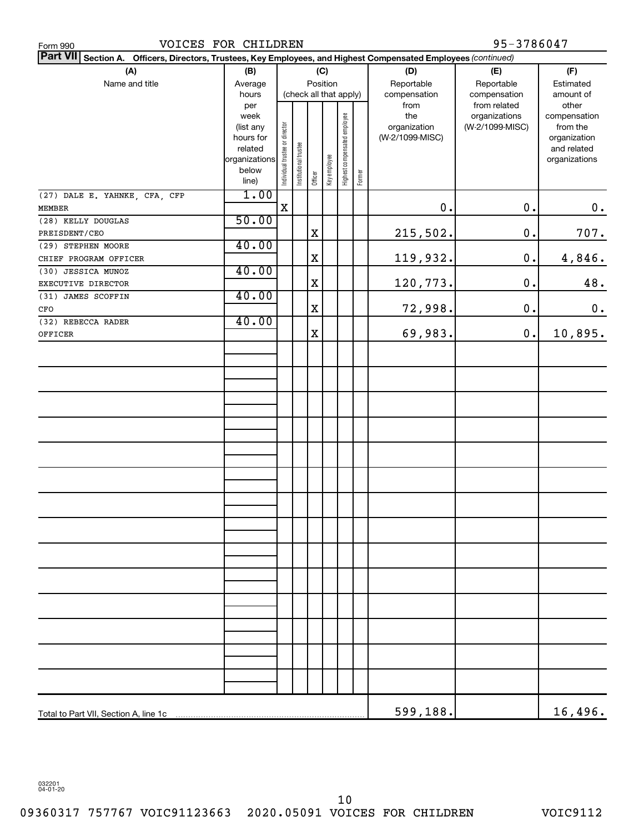| VOICES FOR CHILDREN<br>Form 990                                                                                           |                        |                                |                       |                        |              |                              |        |                 | 95-3786047                    |                          |
|---------------------------------------------------------------------------------------------------------------------------|------------------------|--------------------------------|-----------------------|------------------------|--------------|------------------------------|--------|-----------------|-------------------------------|--------------------------|
| <b>Part VII</b><br>Section A. Officers, Directors, Trustees, Key Employees, and Highest Compensated Employees (continued) |                        |                                |                       |                        |              |                              |        |                 |                               |                          |
| (A)                                                                                                                       | (B)                    |                                |                       |                        | (C)          |                              |        | (D)             | (E)                           | (F)                      |
| Name and title                                                                                                            | Average                |                                |                       | Position               |              |                              |        | Reportable      | Reportable                    | Estimated                |
|                                                                                                                           | hours                  |                                |                       | (check all that apply) |              |                              |        | compensation    | compensation                  | amount of                |
|                                                                                                                           | per<br>week            |                                |                       |                        |              |                              |        | from<br>the     | from related<br>organizations | other                    |
|                                                                                                                           | (list any              |                                |                       |                        |              |                              |        | organization    | (W-2/1099-MISC)               | compensation<br>from the |
|                                                                                                                           | hours for              |                                |                       |                        |              |                              |        | (W-2/1099-MISC) |                               | organization             |
|                                                                                                                           | related                |                                |                       |                        |              |                              |        |                 |                               | and related              |
|                                                                                                                           | organizations<br>below |                                |                       |                        |              |                              |        |                 |                               | organizations            |
|                                                                                                                           | line)                  | Individual trustee or director | Institutional trustee | Officer                | Key employee | Highest compensated employee | Former |                 |                               |                          |
| (27) DALE E. YAHNKE, CFA, CFP                                                                                             | 1.00                   |                                |                       |                        |              |                              |        |                 |                               |                          |
| MEMBER                                                                                                                    |                        | $\mathbf X$                    |                       |                        |              |                              |        | 0.              | 0.                            | $0$ .                    |
| (28) KELLY DOUGLAS                                                                                                        | 50.00                  |                                |                       |                        |              |                              |        |                 |                               |                          |
| PREISDENT/CEO                                                                                                             |                        |                                |                       | $\mathbf X$            |              |                              |        | 215,502.        | 0.                            | 707.                     |
| (29) STEPHEN MOORE                                                                                                        | 40.00                  |                                |                       |                        |              |                              |        |                 |                               |                          |
| CHIEF PROGRAM OFFICER                                                                                                     |                        |                                |                       | $\mathbf X$            |              |                              |        | 119,932.        | 0.                            | 4,846.                   |
| (30) JESSICA MUNOZ                                                                                                        | 40.00                  |                                |                       |                        |              |                              |        |                 |                               |                          |
| EXECUTIVE DIRECTOR                                                                                                        |                        |                                |                       | $\mathbf X$            |              |                              |        | 120,773.        | 0.                            | 48.                      |
| (31) JAMES SCOFFIN                                                                                                        | 40.00                  |                                |                       |                        |              |                              |        |                 |                               |                          |
| CFO                                                                                                                       |                        |                                |                       | X                      |              |                              |        | 72,998.         | 0.                            | 0.                       |
| (32) REBECCA RADER                                                                                                        | 40.00                  |                                |                       |                        |              |                              |        |                 |                               |                          |
| OFFICER                                                                                                                   |                        |                                |                       | $\mathbf X$            |              |                              |        | 69,983.         | 0.                            | 10,895.                  |
|                                                                                                                           |                        |                                |                       |                        |              |                              |        |                 |                               |                          |
|                                                                                                                           |                        |                                |                       |                        |              |                              |        |                 |                               |                          |
|                                                                                                                           |                        |                                |                       |                        |              |                              |        |                 |                               |                          |
|                                                                                                                           |                        |                                |                       |                        |              |                              |        |                 |                               |                          |
|                                                                                                                           |                        |                                |                       |                        |              |                              |        |                 |                               |                          |
|                                                                                                                           |                        |                                |                       |                        |              |                              |        |                 |                               |                          |
|                                                                                                                           |                        |                                |                       |                        |              |                              |        |                 |                               |                          |
|                                                                                                                           |                        |                                |                       |                        |              |                              |        |                 |                               |                          |
|                                                                                                                           |                        |                                |                       |                        |              |                              |        |                 |                               |                          |
|                                                                                                                           |                        |                                |                       |                        |              |                              |        |                 |                               |                          |
|                                                                                                                           |                        |                                |                       |                        |              |                              |        |                 |                               |                          |
|                                                                                                                           |                        |                                |                       |                        |              |                              |        |                 |                               |                          |
|                                                                                                                           |                        |                                |                       |                        |              |                              |        |                 |                               |                          |
|                                                                                                                           |                        |                                |                       |                        |              |                              |        |                 |                               |                          |
|                                                                                                                           |                        |                                |                       |                        |              |                              |        |                 |                               |                          |
|                                                                                                                           |                        |                                |                       |                        |              |                              |        |                 |                               |                          |
|                                                                                                                           |                        |                                |                       |                        |              |                              |        |                 |                               |                          |
|                                                                                                                           |                        |                                |                       |                        |              |                              |        |                 |                               |                          |
|                                                                                                                           |                        |                                |                       |                        |              |                              |        |                 |                               |                          |
|                                                                                                                           |                        |                                |                       |                        |              |                              |        |                 |                               |                          |
|                                                                                                                           |                        |                                |                       |                        |              |                              |        |                 |                               |                          |
|                                                                                                                           |                        |                                |                       |                        |              |                              |        |                 |                               |                          |
|                                                                                                                           |                        |                                |                       |                        |              |                              |        |                 |                               |                          |
|                                                                                                                           |                        |                                |                       |                        |              |                              |        |                 |                               |                          |
|                                                                                                                           |                        |                                |                       |                        |              |                              |        |                 |                               |                          |
|                                                                                                                           |                        |                                |                       |                        |              |                              |        |                 |                               |                          |
| Total to Part VII, Section A, line 1c                                                                                     |                        |                                |                       |                        |              |                              |        | 599,188.        |                               | 16,496.                  |
|                                                                                                                           |                        |                                |                       |                        |              |                              |        |                 |                               |                          |

032201 04-01-20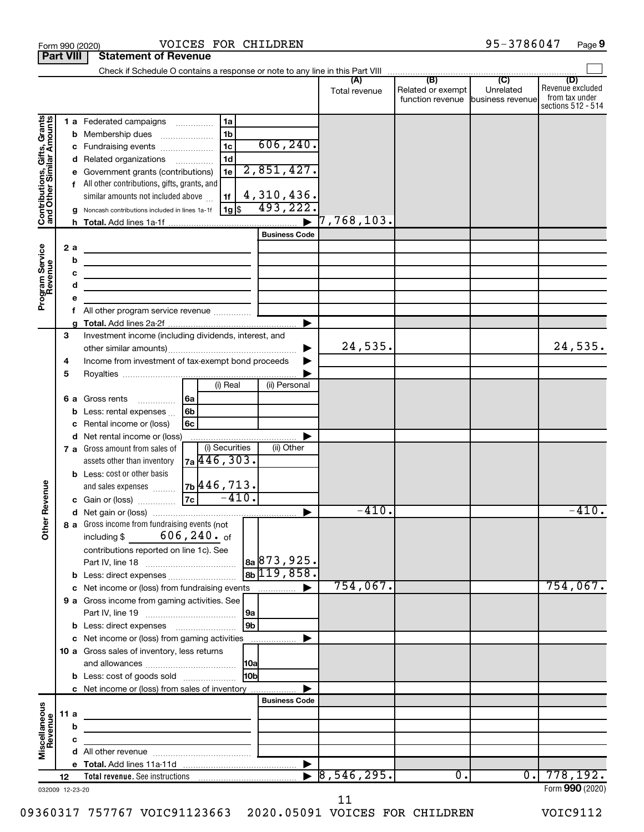|                                                           | <b>Part VIII</b> |                   | <b>Statement of Revenue</b>                                                                                                                                                                                                                                            |                                                                                                                       |                                                   |                     |                                       |                               |                                                                 |
|-----------------------------------------------------------|------------------|-------------------|------------------------------------------------------------------------------------------------------------------------------------------------------------------------------------------------------------------------------------------------------------------------|-----------------------------------------------------------------------------------------------------------------------|---------------------------------------------------|---------------------|---------------------------------------|-------------------------------|-----------------------------------------------------------------|
|                                                           |                  |                   |                                                                                                                                                                                                                                                                        |                                                                                                                       |                                                   |                     |                                       |                               |                                                                 |
|                                                           |                  |                   |                                                                                                                                                                                                                                                                        |                                                                                                                       |                                                   | Total revenue       | Related or exempt<br>function revenue | Unrelated<br>business revenue | (D)<br>Revenue excluded<br>from tax under<br>sections 512 - 514 |
| Contributions, Gifts, Grants<br>and Other Similar Amounts |                  | b<br>с<br>d<br>h. | 1 a Federated campaigns<br>Membership dues<br>Fundraising events<br>Related organizations<br>Government grants (contributions)<br>f All other contributions, gifts, grants, and<br>similar amounts not included above<br>Noncash contributions included in lines 1a-1f | 1a<br>1 <sub>b</sub><br>1 <sub>c</sub><br>1 <sub>d</sub><br>1e<br>1f<br>$1g$ \$                                       | 606, 240.<br>2,851,427.<br>4,310,436.<br>493,222. | $\vert 7$ ,768,103. |                                       |                               |                                                                 |
|                                                           |                  |                   |                                                                                                                                                                                                                                                                        |                                                                                                                       | <b>Business Code</b>                              |                     |                                       |                               |                                                                 |
| Program Service<br>Revenue                                | 2a               | b<br>c<br>d<br>е  | <u> 1980 - Johann Barbara, martxa alemaniar a</u><br>the control of the control of the control of the control of the control of<br>the control of the control of the control of the control of                                                                         |                                                                                                                       | ▶                                                 |                     |                                       |                               |                                                                 |
|                                                           | 3                |                   | Investment income (including dividends, interest, and                                                                                                                                                                                                                  |                                                                                                                       |                                                   |                     |                                       |                               |                                                                 |
|                                                           | 4<br>5           |                   | Income from investment of tax-exempt bond proceeds                                                                                                                                                                                                                     |                                                                                                                       |                                                   | 24,535.             |                                       |                               | 24,535.                                                         |
|                                                           |                  | b<br>с            | 6 a Gross rents<br>.<br>Less: rental expenses<br>Rental income or (loss)                                                                                                                                                                                               | (i) Real<br>6a<br>6 <sub>b</sub><br>6c                                                                                | (ii) Personal                                     |                     |                                       |                               |                                                                 |
|                                                           |                  | d                 | Net rental income or (loss)<br>7 a Gross amount from sales of<br>assets other than inventory<br><b>b</b> Less: cost or other basis                                                                                                                                     | (i) Securities<br>7a 446, 303.                                                                                        | (ii) Other                                        |                     |                                       |                               |                                                                 |
| Revenue                                                   |                  |                   | and sales expenses                                                                                                                                                                                                                                                     | 7b 446, 713.<br>$-410.$<br>7c                                                                                         |                                                   |                     |                                       |                               |                                                                 |
|                                                           |                  |                   | c Gain or (loss)                                                                                                                                                                                                                                                       |                                                                                                                       |                                                   | $-410.$             |                                       |                               | $-410.$                                                         |
| ৯<br>$\check{\bar{\epsilon}}$                             |                  |                   | 8 a Gross income from fundraising events (not<br>including \$<br>contributions reported on line 1c). See<br><b>b</b> Less: direct expenses <i>manually contained</i>                                                                                                   | 606,240. of                                                                                                           | 8a 873, 925.<br>$8b$ 119,858.                     |                     |                                       |                               |                                                                 |
|                                                           |                  |                   | c Net income or (loss) from fundraising events                                                                                                                                                                                                                         |                                                                                                                       |                                                   | 754,067.            |                                       |                               | 754,067.                                                        |
|                                                           |                  |                   | 9 a Gross income from gaming activities. See                                                                                                                                                                                                                           |                                                                                                                       | 9a                                                |                     |                                       |                               |                                                                 |
|                                                           |                  |                   | <b>b</b> Less: direct expenses <b>manually</b><br>c Net income or (loss) from gaming activities                                                                                                                                                                        |                                                                                                                       | 9 <sub>b</sub>                                    |                     |                                       |                               |                                                                 |
|                                                           |                  |                   | 10 a Gross sales of inventory, less returns                                                                                                                                                                                                                            |                                                                                                                       |                                                   |                     |                                       |                               |                                                                 |
|                                                           |                  |                   | <b>b</b> Less: cost of goods sold                                                                                                                                                                                                                                      |                                                                                                                       | H <sub>0b</sub>                                   |                     |                                       |                               |                                                                 |
|                                                           |                  |                   | c Net income or (loss) from sales of inventory                                                                                                                                                                                                                         |                                                                                                                       | <b>Business Code</b>                              |                     |                                       |                               |                                                                 |
|                                                           | 11a              |                   | the control of the control of the control of the control of the                                                                                                                                                                                                        |                                                                                                                       |                                                   |                     |                                       |                               |                                                                 |
|                                                           |                  | b                 |                                                                                                                                                                                                                                                                        |                                                                                                                       |                                                   |                     |                                       |                               |                                                                 |
| Miscellaneous<br>Revenue                                  |                  | с                 |                                                                                                                                                                                                                                                                        | <u> 1989 - Johann Barbara, martin amerikan basal dan berasal dalam basal dalam basal dalam basal dalam basal dala</u> |                                                   |                     |                                       |                               |                                                                 |
|                                                           |                  |                   |                                                                                                                                                                                                                                                                        |                                                                                                                       |                                                   |                     |                                       |                               |                                                                 |
|                                                           |                  |                   |                                                                                                                                                                                                                                                                        |                                                                                                                       |                                                   |                     |                                       |                               |                                                                 |
|                                                           | 12               |                   |                                                                                                                                                                                                                                                                        |                                                                                                                       |                                                   | 8,546,295.          | $\overline{0}$ .                      | 0.1                           | 778,192.<br>Form 990 (2020)                                     |

Form 990 (2020) VOLCES FOR CHILDREN 9 5-3 7 8 6 0 4 7 Page

VOICES FOR CHILDREN 95-3786047

11

09360317 757767 VOIC91123663 2020.05091 VOICES FOR CHILDREN VOIC9112

**9**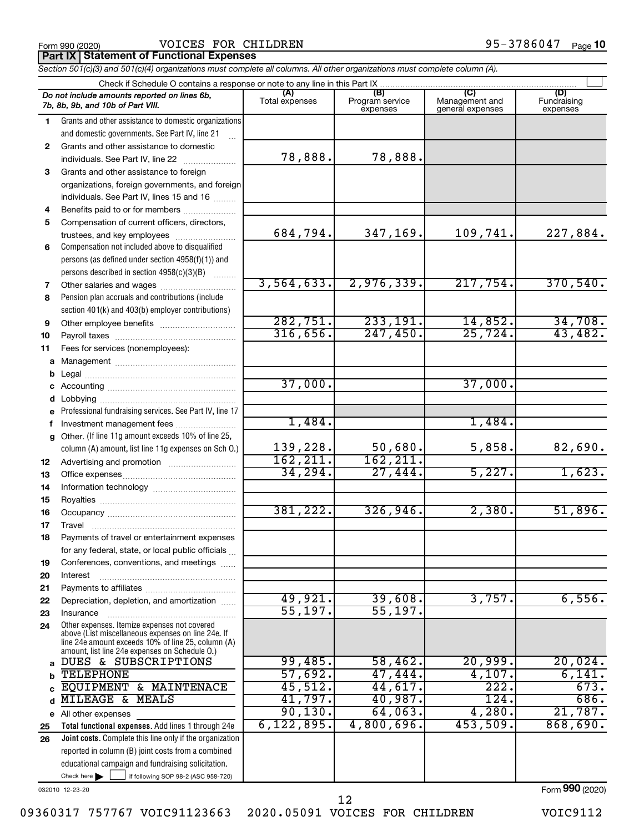Form 990 (2020) Page VOICES FOR CHILDREN 95-3786047

**Part IX Statement of Functional Expenses**

|              | Section 501(c)(3) and 501(c)(4) organizations must complete all columns. All other organizations must complete column (A). |                       |                                    |                                           |                                |
|--------------|----------------------------------------------------------------------------------------------------------------------------|-----------------------|------------------------------------|-------------------------------------------|--------------------------------|
|              | Check if Schedule O contains a response or note to any line in this Part IX.                                               |                       |                                    |                                           |                                |
|              | Do not include amounts reported on lines 6b,<br>7b, 8b, 9b, and 10b of Part VIII.                                          | (A)<br>Total expenses | (B)<br>Program service<br>expenses | (C)<br>Management and<br>general expenses | (D)<br>Fundraising<br>expenses |
| 1.           | Grants and other assistance to domestic organizations                                                                      |                       |                                    |                                           |                                |
|              | and domestic governments. See Part IV, line 21                                                                             |                       |                                    |                                           |                                |
| $\mathbf{2}$ | Grants and other assistance to domestic                                                                                    |                       |                                    |                                           |                                |
|              | individuals. See Part IV, line 22                                                                                          | 78,888.               | 78,888.                            |                                           |                                |
| 3            | Grants and other assistance to foreign                                                                                     |                       |                                    |                                           |                                |
|              | organizations, foreign governments, and foreign                                                                            |                       |                                    |                                           |                                |
|              | individuals. See Part IV, lines 15 and 16                                                                                  |                       |                                    |                                           |                                |
| 4            | Benefits paid to or for members                                                                                            |                       |                                    |                                           |                                |
| 5            | Compensation of current officers, directors,                                                                               |                       |                                    |                                           |                                |
|              | trustees, and key employees                                                                                                | 684,794.              | 347,169.                           | 109,741.                                  | 227,884.                       |
| 6            | Compensation not included above to disqualified                                                                            |                       |                                    |                                           |                                |
|              | persons (as defined under section 4958(f)(1)) and                                                                          |                       |                                    |                                           |                                |
|              | persons described in section 4958(c)(3)(B)                                                                                 |                       |                                    |                                           |                                |
| 7            |                                                                                                                            | 3,564,633.            | 2,976,339.                         | 217,754.                                  | 370,540.                       |
| 8            | Pension plan accruals and contributions (include                                                                           |                       |                                    |                                           |                                |
|              | section 401(k) and 403(b) employer contributions)                                                                          |                       |                                    |                                           |                                |
| 9            | Other employee benefits                                                                                                    | 282,751.              | 233, 191.                          | 14,852.                                   | 34,708.                        |
| 10           |                                                                                                                            | 316,656.              | 247,450.                           | 25,724.                                   | 43,482.                        |
| 11           | Fees for services (nonemployees):                                                                                          |                       |                                    |                                           |                                |
| а            |                                                                                                                            |                       |                                    |                                           |                                |
| b            |                                                                                                                            |                       |                                    |                                           |                                |
|              |                                                                                                                            | 37,000.               |                                    | 37,000.                                   |                                |
| d            |                                                                                                                            |                       |                                    |                                           |                                |
| е            | Professional fundraising services. See Part IV, line 17                                                                    |                       |                                    |                                           |                                |
|              | Investment management fees                                                                                                 | 1,484.                |                                    | 1,484.                                    |                                |
| q            | Other. (If line 11g amount exceeds 10% of line 25,                                                                         |                       |                                    |                                           |                                |
|              | column (A) amount, list line 11g expenses on Sch O.)                                                                       | 139,228.              | 50,680.                            | 5,858.                                    | 82,690.                        |
| 12           |                                                                                                                            | 162, 211.             | 162, 211.                          |                                           |                                |
| 13           |                                                                                                                            | 34,294.               | 27,444.                            | 5,227.                                    | 1,623.                         |
| 14           |                                                                                                                            |                       |                                    |                                           |                                |
| 15           |                                                                                                                            |                       |                                    |                                           |                                |
| 16           |                                                                                                                            | 381,222.              | 326,946.                           | 2,380.                                    | 51,896.                        |
| 17           |                                                                                                                            |                       |                                    |                                           |                                |
| 18           | Payments of travel or entertainment expenses                                                                               |                       |                                    |                                           |                                |
|              | for any federal, state, or local public officials                                                                          |                       |                                    |                                           |                                |
| 19           | Conferences, conventions, and meetings                                                                                     |                       |                                    |                                           |                                |
| 20           | Interest                                                                                                                   |                       |                                    |                                           |                                |
| 21           | Depreciation, depletion, and amortization                                                                                  | 49,921.               | 39,608.                            | 3,757.                                    | 6,556.                         |
| 22           |                                                                                                                            | 55, 197.              | 55, 197.                           |                                           |                                |
| 23<br>24     | Insurance<br>Other expenses. Itemize expenses not covered                                                                  |                       |                                    |                                           |                                |
|              | above (List miscellaneous expenses on line 24e. If<br>line 24e amount exceeds 10% of line 25, column (A)                   |                       |                                    |                                           |                                |
|              | amount, list line 24e expenses on Schedule O.)<br>DUES & SUBSCRIPTIONS                                                     | 99,485.               | 58,462.                            | 20,999.                                   | 20,024.                        |
| a            | <b>TELEPHONE</b>                                                                                                           | 57,692.               | 47,444.                            | 4,107.                                    | 6,141.                         |
|              | EQUIPMENT & MAINTENACE                                                                                                     | 45,512.               | 44,617.                            | $\overline{222}$ .                        | 673.                           |
|              | MILEAGE &<br>MEALS                                                                                                         | 41,797.               | 40,987.                            | 124.                                      | 686.                           |
|              | All other expenses                                                                                                         | 90, 130.              | 64,063.                            | 4,280.                                    | 21,787.                        |
| е<br>25      | Total functional expenses. Add lines 1 through 24e                                                                         | 6, 122, 895.          | 4,800,696.                         | 453,509.                                  | 868,690.                       |
| 26           | Joint costs. Complete this line only if the organization                                                                   |                       |                                    |                                           |                                |
|              | reported in column (B) joint costs from a combined                                                                         |                       |                                    |                                           |                                |
|              | educational campaign and fundraising solicitation.                                                                         |                       |                                    |                                           |                                |
|              | Check here $\blacktriangleright$<br>if following SOP 98-2 (ASC 958-720)                                                    |                       |                                    |                                           |                                |

032010 12-23-20

Form (2020) **990**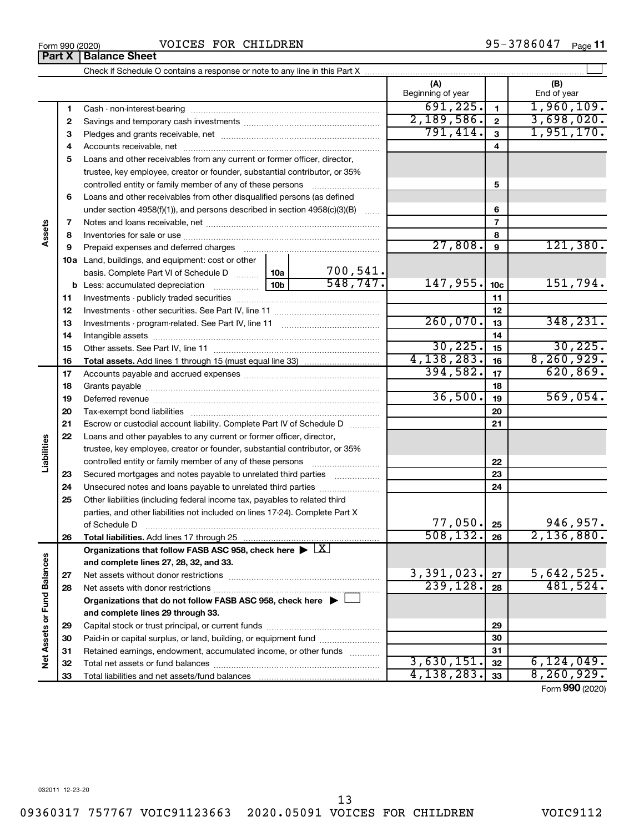# Form 990 (2020)  $\blacksquare$   $\blacksquare$   $\blacksquare$   $\blacksquare$   $\blacksquare$   $\blacksquare$   $\blacksquare$   $\blacksquare$   $\blacksquare$   $\blacksquare$   $\blacksquare$   $\blacksquare$   $\blacksquare$   $\blacksquare$   $\blacksquare$   $\blacksquare$   $\blacksquare$   $\blacksquare$   $\blacksquare$   $\blacksquare$   $\blacksquare$   $\blacksquare$   $\blacksquare$   $\blacksquare$   $\blacksquare$   $\blacksquare$   $\blacksquare$   $\blacksquare$   $\blacksquare$   $\$

Check if Schedule O contains a response or note to any line in this Part X

|                             |          |                                                                                                                                                                                                                                |                 |                           | (A) | Beginning of year    |                 | (B)<br>End of year |
|-----------------------------|----------|--------------------------------------------------------------------------------------------------------------------------------------------------------------------------------------------------------------------------------|-----------------|---------------------------|-----|----------------------|-----------------|--------------------|
|                             | 1        |                                                                                                                                                                                                                                |                 |                           |     | 691, 225.            | $\mathbf{1}$    | 1,960,109.         |
|                             | 2        |                                                                                                                                                                                                                                |                 |                           |     | 2,189,586.           | $\mathbf 2$     | 3,698,020.         |
|                             | 3        |                                                                                                                                                                                                                                |                 |                           |     | 791,414.             | 3               | 1,951,170.         |
|                             | 4        |                                                                                                                                                                                                                                |                 |                           |     |                      | 4               |                    |
|                             | 5        | Loans and other receivables from any current or former officer, director,                                                                                                                                                      |                 |                           |     |                      |                 |                    |
|                             |          | trustee, key employee, creator or founder, substantial contributor, or 35%                                                                                                                                                     |                 |                           |     |                      |                 |                    |
|                             |          | controlled entity or family member of any of these persons                                                                                                                                                                     |                 |                           |     |                      | 5               |                    |
|                             | 6        | Loans and other receivables from other disqualified persons (as defined                                                                                                                                                        |                 |                           |     |                      |                 |                    |
|                             |          | under section $4958(f)(1)$ , and persons described in section $4958(c)(3)(B)$                                                                                                                                                  |                 |                           |     |                      | 6               |                    |
|                             | 7        |                                                                                                                                                                                                                                |                 |                           |     |                      | $\overline{7}$  |                    |
| Assets                      | 8        |                                                                                                                                                                                                                                |                 |                           |     |                      | 8               |                    |
|                             | 9        | Prepaid expenses and deferred charges [11] [11] Prepaid expenses and deferred charges [11] [11] All and the summary series are presented as a series and the series and the series and series and series and series are series |                 |                           |     | 27,808.              | 9               | 121,380.           |
|                             |          | 10a Land, buildings, and equipment: cost or other                                                                                                                                                                              |                 |                           |     |                      |                 |                    |
|                             |          | basis. Complete Part VI of Schedule D                                                                                                                                                                                          | 10a             | $\frac{700,541}{548,747}$ |     |                      |                 |                    |
|                             |          | <b>b</b> Less: accumulated depreciation                                                                                                                                                                                        | 10 <sub>b</sub> |                           |     | 147,955.             | 10 <sub>c</sub> | 151,794.           |
|                             | 11       |                                                                                                                                                                                                                                |                 |                           |     |                      | 11              |                    |
|                             | 12       |                                                                                                                                                                                                                                |                 |                           |     |                      | 12              |                    |
|                             | 13       |                                                                                                                                                                                                                                |                 |                           |     | 260,070.             | 13              | 348, 231.          |
|                             | 14       |                                                                                                                                                                                                                                |                 |                           |     |                      | 14              |                    |
|                             | 15       |                                                                                                                                                                                                                                |                 |                           |     | 30, 225.             | 15              | 30, 225.           |
|                             | 16       |                                                                                                                                                                                                                                |                 |                           |     | 4,138,283.           | 16              | 8, 260, 929.       |
|                             | 17       |                                                                                                                                                                                                                                |                 |                           |     | 394,582.             | 17              | 620,869.           |
|                             | 18       |                                                                                                                                                                                                                                |                 |                           |     |                      | 18              |                    |
|                             | 19       |                                                                                                                                                                                                                                |                 |                           |     | 36,500.              | 19              | 569,054.           |
|                             | 20       |                                                                                                                                                                                                                                |                 |                           |     |                      | 20              |                    |
|                             | 21       | Escrow or custodial account liability. Complete Part IV of Schedule D                                                                                                                                                          |                 |                           |     |                      | 21              |                    |
|                             | 22       | Loans and other payables to any current or former officer, director,                                                                                                                                                           |                 |                           |     |                      |                 |                    |
| Liabilities                 |          | trustee, key employee, creator or founder, substantial contributor, or 35%                                                                                                                                                     |                 |                           |     |                      |                 |                    |
|                             |          |                                                                                                                                                                                                                                |                 |                           |     |                      | 22              |                    |
|                             | 23       | Secured mortgages and notes payable to unrelated third parties                                                                                                                                                                 |                 |                           |     |                      | 23              |                    |
|                             | 24       | Unsecured notes and loans payable to unrelated third parties                                                                                                                                                                   |                 |                           |     |                      | 24              |                    |
|                             | 25       | Other liabilities (including federal income tax, payables to related third                                                                                                                                                     |                 |                           |     |                      |                 |                    |
|                             |          | parties, and other liabilities not included on lines 17-24). Complete Part X                                                                                                                                                   |                 |                           |     |                      |                 | 946,957.           |
|                             |          | of Schedule D                                                                                                                                                                                                                  |                 |                           |     | 77,050.<br>508, 132. | 25              | 2,136,880.         |
|                             | 26       |                                                                                                                                                                                                                                |                 |                           |     |                      | 26              |                    |
|                             |          | Organizations that follow FASB ASC 958, check here $\blacktriangleright \boxed{X}$                                                                                                                                             |                 |                           |     |                      |                 |                    |
|                             |          | and complete lines 27, 28, 32, and 33.<br>Net assets without donor restrictions                                                                                                                                                |                 |                           |     | 3,391,023.           | 27              | 5,642,525.         |
|                             | 27<br>28 |                                                                                                                                                                                                                                |                 |                           |     | 239, 128.            | 28              | 481,524.           |
|                             |          | Organizations that do not follow FASB ASC 958, check here $\blacktriangleright$                                                                                                                                                |                 |                           |     |                      |                 |                    |
|                             |          | and complete lines 29 through 33.                                                                                                                                                                                              |                 |                           |     |                      |                 |                    |
|                             | 29       |                                                                                                                                                                                                                                |                 |                           |     |                      | 29              |                    |
|                             | 30       | Paid-in or capital surplus, or land, building, or equipment fund                                                                                                                                                               |                 |                           |     |                      | 30              |                    |
|                             | 31       | Retained earnings, endowment, accumulated income, or other funds                                                                                                                                                               |                 |                           |     |                      | 31              |                    |
| Net Assets or Fund Balances | 32       |                                                                                                                                                                                                                                |                 |                           |     | 3,630,151.           | 32              | 6,124,049.         |
|                             | 33       |                                                                                                                                                                                                                                |                 |                           |     | 4, 138, 283.         | 33              | 8, 260, 929.       |

95-3786047 Page 11

 $\perp$ 

Form (2020) **990**

**Part X** | Balance Sheet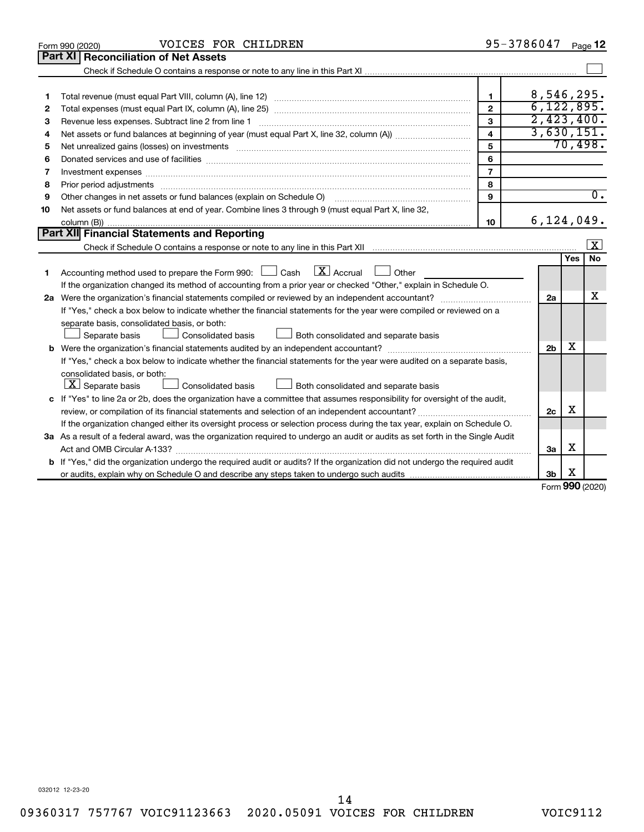| Part XI   Reconciliation of Net Assets<br>8,546,295.<br>$\mathbf{1}$<br>1<br>6, 122, 895.<br>$\overline{2}$<br>2<br>2,423,400.<br>3<br>З<br>Revenue less expenses. Subtract line 2 from line 1<br>3,630,151.<br>$\overline{\mathbf{4}}$<br>4<br>70,498.<br>5<br>5<br>6<br>6<br>$\overline{7}$<br>7<br>Investment expenses www.communication.com/www.communication.com/www.communication.com/www.com<br>8<br>8<br>$\overline{0}$ .<br>Other changes in net assets or fund balances (explain on Schedule O) manual contraction control of the changes in net assets or fund balances (explain on Schedule O)<br>9<br>9<br>Net assets or fund balances at end of year. Combine lines 3 through 9 (must equal Part X, line 32,<br>10<br>6, 124, 049.<br>10<br>Part XII Financial Statements and Reporting<br>$\lfloor x \rfloor$<br>No<br>Yes<br>Accounting method used to prepare the Form 990: $\Box$ Cash $\Box X$ Accrual<br>$\Box$ Other<br>1<br>If the organization changed its method of accounting from a prior year or checked "Other," explain in Schedule O.<br>х<br>2a<br>If "Yes," check a box below to indicate whether the financial statements for the year were compiled or reviewed on a<br>separate basis, consolidated basis, or both:<br>Both consolidated and separate basis<br>Separate basis<br>Consolidated basis<br>x<br>2 <sub>b</sub><br>If "Yes," check a box below to indicate whether the financial statements for the year were audited on a separate basis,<br>consolidated basis, or both:<br>$ \mathbf{X} $ Separate basis<br><b>Consolidated basis</b><br>Both consolidated and separate basis<br>c If "Yes" to line 2a or 2b, does the organization have a committee that assumes responsibility for oversight of the audit,<br>X<br>2c<br>If the organization changed either its oversight process or selection process during the tax year, explain on Schedule O.<br>3a As a result of a federal award, was the organization required to undergo an audit or audits as set forth in the Single Audit<br>х<br>Act and OMB Circular A-133?<br>3a<br><b>b</b> If "Yes," did the organization undergo the required audit or audits? If the organization did not undergo the required audit<br>X<br>3b<br><b>000</b> | VOICES FOR CHILDREN<br>Form 990 (2020) | 95-3786047 | Page 12 |
|-----------------------------------------------------------------------------------------------------------------------------------------------------------------------------------------------------------------------------------------------------------------------------------------------------------------------------------------------------------------------------------------------------------------------------------------------------------------------------------------------------------------------------------------------------------------------------------------------------------------------------------------------------------------------------------------------------------------------------------------------------------------------------------------------------------------------------------------------------------------------------------------------------------------------------------------------------------------------------------------------------------------------------------------------------------------------------------------------------------------------------------------------------------------------------------------------------------------------------------------------------------------------------------------------------------------------------------------------------------------------------------------------------------------------------------------------------------------------------------------------------------------------------------------------------------------------------------------------------------------------------------------------------------------------------------------------------------------------------------------------------------------------------------------------------------------------------------------------------------------------------------------------------------------------------------------------------------------------------------------------------------------------------------------------------------------------------------------------------------------------------------------------------------------------------------------------------------------------------------------------------|----------------------------------------|------------|---------|
|                                                                                                                                                                                                                                                                                                                                                                                                                                                                                                                                                                                                                                                                                                                                                                                                                                                                                                                                                                                                                                                                                                                                                                                                                                                                                                                                                                                                                                                                                                                                                                                                                                                                                                                                                                                                                                                                                                                                                                                                                                                                                                                                                                                                                                                     |                                        |            |         |
|                                                                                                                                                                                                                                                                                                                                                                                                                                                                                                                                                                                                                                                                                                                                                                                                                                                                                                                                                                                                                                                                                                                                                                                                                                                                                                                                                                                                                                                                                                                                                                                                                                                                                                                                                                                                                                                                                                                                                                                                                                                                                                                                                                                                                                                     |                                        |            |         |
|                                                                                                                                                                                                                                                                                                                                                                                                                                                                                                                                                                                                                                                                                                                                                                                                                                                                                                                                                                                                                                                                                                                                                                                                                                                                                                                                                                                                                                                                                                                                                                                                                                                                                                                                                                                                                                                                                                                                                                                                                                                                                                                                                                                                                                                     |                                        |            |         |
|                                                                                                                                                                                                                                                                                                                                                                                                                                                                                                                                                                                                                                                                                                                                                                                                                                                                                                                                                                                                                                                                                                                                                                                                                                                                                                                                                                                                                                                                                                                                                                                                                                                                                                                                                                                                                                                                                                                                                                                                                                                                                                                                                                                                                                                     |                                        |            |         |
|                                                                                                                                                                                                                                                                                                                                                                                                                                                                                                                                                                                                                                                                                                                                                                                                                                                                                                                                                                                                                                                                                                                                                                                                                                                                                                                                                                                                                                                                                                                                                                                                                                                                                                                                                                                                                                                                                                                                                                                                                                                                                                                                                                                                                                                     |                                        |            |         |
|                                                                                                                                                                                                                                                                                                                                                                                                                                                                                                                                                                                                                                                                                                                                                                                                                                                                                                                                                                                                                                                                                                                                                                                                                                                                                                                                                                                                                                                                                                                                                                                                                                                                                                                                                                                                                                                                                                                                                                                                                                                                                                                                                                                                                                                     |                                        |            |         |
|                                                                                                                                                                                                                                                                                                                                                                                                                                                                                                                                                                                                                                                                                                                                                                                                                                                                                                                                                                                                                                                                                                                                                                                                                                                                                                                                                                                                                                                                                                                                                                                                                                                                                                                                                                                                                                                                                                                                                                                                                                                                                                                                                                                                                                                     |                                        |            |         |
|                                                                                                                                                                                                                                                                                                                                                                                                                                                                                                                                                                                                                                                                                                                                                                                                                                                                                                                                                                                                                                                                                                                                                                                                                                                                                                                                                                                                                                                                                                                                                                                                                                                                                                                                                                                                                                                                                                                                                                                                                                                                                                                                                                                                                                                     |                                        |            |         |
|                                                                                                                                                                                                                                                                                                                                                                                                                                                                                                                                                                                                                                                                                                                                                                                                                                                                                                                                                                                                                                                                                                                                                                                                                                                                                                                                                                                                                                                                                                                                                                                                                                                                                                                                                                                                                                                                                                                                                                                                                                                                                                                                                                                                                                                     |                                        |            |         |
|                                                                                                                                                                                                                                                                                                                                                                                                                                                                                                                                                                                                                                                                                                                                                                                                                                                                                                                                                                                                                                                                                                                                                                                                                                                                                                                                                                                                                                                                                                                                                                                                                                                                                                                                                                                                                                                                                                                                                                                                                                                                                                                                                                                                                                                     |                                        |            |         |
|                                                                                                                                                                                                                                                                                                                                                                                                                                                                                                                                                                                                                                                                                                                                                                                                                                                                                                                                                                                                                                                                                                                                                                                                                                                                                                                                                                                                                                                                                                                                                                                                                                                                                                                                                                                                                                                                                                                                                                                                                                                                                                                                                                                                                                                     |                                        |            |         |
|                                                                                                                                                                                                                                                                                                                                                                                                                                                                                                                                                                                                                                                                                                                                                                                                                                                                                                                                                                                                                                                                                                                                                                                                                                                                                                                                                                                                                                                                                                                                                                                                                                                                                                                                                                                                                                                                                                                                                                                                                                                                                                                                                                                                                                                     |                                        |            |         |
|                                                                                                                                                                                                                                                                                                                                                                                                                                                                                                                                                                                                                                                                                                                                                                                                                                                                                                                                                                                                                                                                                                                                                                                                                                                                                                                                                                                                                                                                                                                                                                                                                                                                                                                                                                                                                                                                                                                                                                                                                                                                                                                                                                                                                                                     |                                        |            |         |
|                                                                                                                                                                                                                                                                                                                                                                                                                                                                                                                                                                                                                                                                                                                                                                                                                                                                                                                                                                                                                                                                                                                                                                                                                                                                                                                                                                                                                                                                                                                                                                                                                                                                                                                                                                                                                                                                                                                                                                                                                                                                                                                                                                                                                                                     |                                        |            |         |
|                                                                                                                                                                                                                                                                                                                                                                                                                                                                                                                                                                                                                                                                                                                                                                                                                                                                                                                                                                                                                                                                                                                                                                                                                                                                                                                                                                                                                                                                                                                                                                                                                                                                                                                                                                                                                                                                                                                                                                                                                                                                                                                                                                                                                                                     |                                        |            |         |
|                                                                                                                                                                                                                                                                                                                                                                                                                                                                                                                                                                                                                                                                                                                                                                                                                                                                                                                                                                                                                                                                                                                                                                                                                                                                                                                                                                                                                                                                                                                                                                                                                                                                                                                                                                                                                                                                                                                                                                                                                                                                                                                                                                                                                                                     |                                        |            |         |
|                                                                                                                                                                                                                                                                                                                                                                                                                                                                                                                                                                                                                                                                                                                                                                                                                                                                                                                                                                                                                                                                                                                                                                                                                                                                                                                                                                                                                                                                                                                                                                                                                                                                                                                                                                                                                                                                                                                                                                                                                                                                                                                                                                                                                                                     |                                        |            |         |
|                                                                                                                                                                                                                                                                                                                                                                                                                                                                                                                                                                                                                                                                                                                                                                                                                                                                                                                                                                                                                                                                                                                                                                                                                                                                                                                                                                                                                                                                                                                                                                                                                                                                                                                                                                                                                                                                                                                                                                                                                                                                                                                                                                                                                                                     |                                        |            |         |
|                                                                                                                                                                                                                                                                                                                                                                                                                                                                                                                                                                                                                                                                                                                                                                                                                                                                                                                                                                                                                                                                                                                                                                                                                                                                                                                                                                                                                                                                                                                                                                                                                                                                                                                                                                                                                                                                                                                                                                                                                                                                                                                                                                                                                                                     |                                        |            |         |
|                                                                                                                                                                                                                                                                                                                                                                                                                                                                                                                                                                                                                                                                                                                                                                                                                                                                                                                                                                                                                                                                                                                                                                                                                                                                                                                                                                                                                                                                                                                                                                                                                                                                                                                                                                                                                                                                                                                                                                                                                                                                                                                                                                                                                                                     |                                        |            |         |
|                                                                                                                                                                                                                                                                                                                                                                                                                                                                                                                                                                                                                                                                                                                                                                                                                                                                                                                                                                                                                                                                                                                                                                                                                                                                                                                                                                                                                                                                                                                                                                                                                                                                                                                                                                                                                                                                                                                                                                                                                                                                                                                                                                                                                                                     |                                        |            |         |
|                                                                                                                                                                                                                                                                                                                                                                                                                                                                                                                                                                                                                                                                                                                                                                                                                                                                                                                                                                                                                                                                                                                                                                                                                                                                                                                                                                                                                                                                                                                                                                                                                                                                                                                                                                                                                                                                                                                                                                                                                                                                                                                                                                                                                                                     |                                        |            |         |
|                                                                                                                                                                                                                                                                                                                                                                                                                                                                                                                                                                                                                                                                                                                                                                                                                                                                                                                                                                                                                                                                                                                                                                                                                                                                                                                                                                                                                                                                                                                                                                                                                                                                                                                                                                                                                                                                                                                                                                                                                                                                                                                                                                                                                                                     |                                        |            |         |
|                                                                                                                                                                                                                                                                                                                                                                                                                                                                                                                                                                                                                                                                                                                                                                                                                                                                                                                                                                                                                                                                                                                                                                                                                                                                                                                                                                                                                                                                                                                                                                                                                                                                                                                                                                                                                                                                                                                                                                                                                                                                                                                                                                                                                                                     |                                        |            |         |
|                                                                                                                                                                                                                                                                                                                                                                                                                                                                                                                                                                                                                                                                                                                                                                                                                                                                                                                                                                                                                                                                                                                                                                                                                                                                                                                                                                                                                                                                                                                                                                                                                                                                                                                                                                                                                                                                                                                                                                                                                                                                                                                                                                                                                                                     |                                        |            |         |
|                                                                                                                                                                                                                                                                                                                                                                                                                                                                                                                                                                                                                                                                                                                                                                                                                                                                                                                                                                                                                                                                                                                                                                                                                                                                                                                                                                                                                                                                                                                                                                                                                                                                                                                                                                                                                                                                                                                                                                                                                                                                                                                                                                                                                                                     |                                        |            |         |
|                                                                                                                                                                                                                                                                                                                                                                                                                                                                                                                                                                                                                                                                                                                                                                                                                                                                                                                                                                                                                                                                                                                                                                                                                                                                                                                                                                                                                                                                                                                                                                                                                                                                                                                                                                                                                                                                                                                                                                                                                                                                                                                                                                                                                                                     |                                        |            |         |
|                                                                                                                                                                                                                                                                                                                                                                                                                                                                                                                                                                                                                                                                                                                                                                                                                                                                                                                                                                                                                                                                                                                                                                                                                                                                                                                                                                                                                                                                                                                                                                                                                                                                                                                                                                                                                                                                                                                                                                                                                                                                                                                                                                                                                                                     |                                        |            |         |
|                                                                                                                                                                                                                                                                                                                                                                                                                                                                                                                                                                                                                                                                                                                                                                                                                                                                                                                                                                                                                                                                                                                                                                                                                                                                                                                                                                                                                                                                                                                                                                                                                                                                                                                                                                                                                                                                                                                                                                                                                                                                                                                                                                                                                                                     |                                        |            |         |
|                                                                                                                                                                                                                                                                                                                                                                                                                                                                                                                                                                                                                                                                                                                                                                                                                                                                                                                                                                                                                                                                                                                                                                                                                                                                                                                                                                                                                                                                                                                                                                                                                                                                                                                                                                                                                                                                                                                                                                                                                                                                                                                                                                                                                                                     |                                        |            |         |
|                                                                                                                                                                                                                                                                                                                                                                                                                                                                                                                                                                                                                                                                                                                                                                                                                                                                                                                                                                                                                                                                                                                                                                                                                                                                                                                                                                                                                                                                                                                                                                                                                                                                                                                                                                                                                                                                                                                                                                                                                                                                                                                                                                                                                                                     |                                        |            |         |
|                                                                                                                                                                                                                                                                                                                                                                                                                                                                                                                                                                                                                                                                                                                                                                                                                                                                                                                                                                                                                                                                                                                                                                                                                                                                                                                                                                                                                                                                                                                                                                                                                                                                                                                                                                                                                                                                                                                                                                                                                                                                                                                                                                                                                                                     |                                        |            |         |
|                                                                                                                                                                                                                                                                                                                                                                                                                                                                                                                                                                                                                                                                                                                                                                                                                                                                                                                                                                                                                                                                                                                                                                                                                                                                                                                                                                                                                                                                                                                                                                                                                                                                                                                                                                                                                                                                                                                                                                                                                                                                                                                                                                                                                                                     |                                        |            |         |
|                                                                                                                                                                                                                                                                                                                                                                                                                                                                                                                                                                                                                                                                                                                                                                                                                                                                                                                                                                                                                                                                                                                                                                                                                                                                                                                                                                                                                                                                                                                                                                                                                                                                                                                                                                                                                                                                                                                                                                                                                                                                                                                                                                                                                                                     |                                        |            |         |

Form (2020) **990**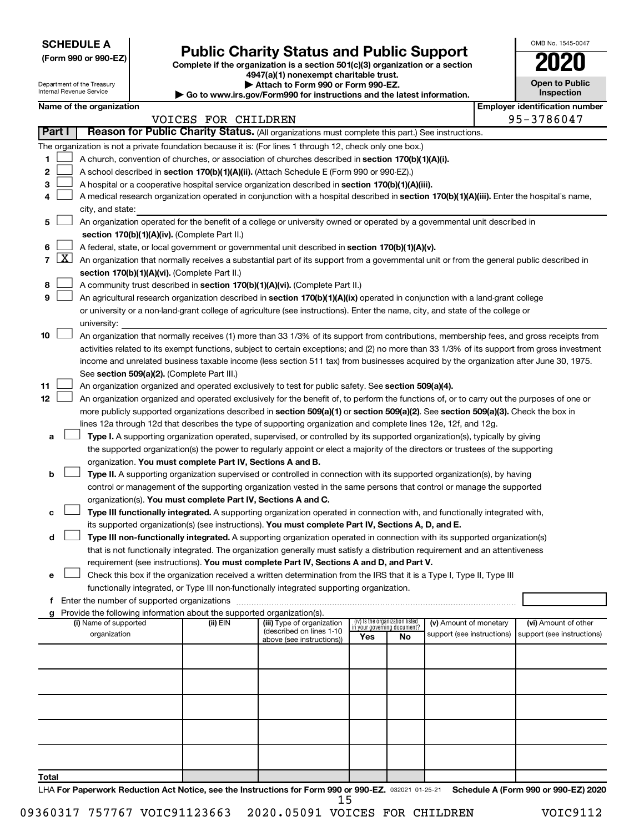| <b>SCHEDULE A</b> |  |
|-------------------|--|
|-------------------|--|

Department of the Treasury Internal Revenue Service

|  |  | (Form 990 or 990-EZ) |  |
|--|--|----------------------|--|
|  |  |                      |  |

# Form 990 or 990-EZ) **Public Charity Status and Public Support**<br>
Complete if the organization is a section 501(c)(3) organization or a section<br> **2020**

**4947(a)(1) nonexempt charitable trust. | Attach to Form 990 or Form 990-EZ.** 

**| Go to www.irs.gov/Form990 for instructions and the latest information.**

|                         | <b>Open to Public</b><br>Inspection |  |  |  |  |
|-------------------------|-------------------------------------|--|--|--|--|
| dentification nu<br>'n. |                                     |  |  |  |  |

OMB No. 1545-0047

| Name of the organization |  |  |  |
|--------------------------|--|--|--|
|--------------------------|--|--|--|

|       | Name of the organization |                                                                                                                                                                                                                                                       |                                                                                                                         |                                                       |                             |                                 | <b>Employer identification number</b> |  |                                      |
|-------|--------------------------|-------------------------------------------------------------------------------------------------------------------------------------------------------------------------------------------------------------------------------------------------------|-------------------------------------------------------------------------------------------------------------------------|-------------------------------------------------------|-----------------------------|---------------------------------|---------------------------------------|--|--------------------------------------|
|       | Part I                   |                                                                                                                                                                                                                                                       | VOICES FOR CHILDREN<br>Reason for Public Charity Status. (All organizations must complete this part.) See instructions. |                                                       |                             |                                 |                                       |  | 95-3786047                           |
|       |                          |                                                                                                                                                                                                                                                       |                                                                                                                         |                                                       |                             |                                 |                                       |  |                                      |
|       |                          |                                                                                                                                                                                                                                                       | The organization is not a private foundation because it is: (For lines 1 through 12, check only one box.)               |                                                       |                             |                                 |                                       |  |                                      |
| 1.    |                          | A church, convention of churches, or association of churches described in section 170(b)(1)(A)(i).                                                                                                                                                    |                                                                                                                         |                                                       |                             |                                 |                                       |  |                                      |
| 2     |                          | A school described in section 170(b)(1)(A)(ii). (Attach Schedule E (Form 990 or 990-EZ).)                                                                                                                                                             |                                                                                                                         |                                                       |                             |                                 |                                       |  |                                      |
| 3.    |                          | A hospital or a cooperative hospital service organization described in section 170(b)(1)(A)(iii).                                                                                                                                                     |                                                                                                                         |                                                       |                             |                                 |                                       |  |                                      |
| 4     |                          | A medical research organization operated in conjunction with a hospital described in section 170(b)(1)(A)(iii). Enter the hospital's name,                                                                                                            |                                                                                                                         |                                                       |                             |                                 |                                       |  |                                      |
|       |                          | city, and state:                                                                                                                                                                                                                                      |                                                                                                                         |                                                       |                             |                                 |                                       |  |                                      |
| 5     |                          | An organization operated for the benefit of a college or university owned or operated by a governmental unit described in                                                                                                                             |                                                                                                                         |                                                       |                             |                                 |                                       |  |                                      |
|       |                          | section 170(b)(1)(A)(iv). (Complete Part II.)                                                                                                                                                                                                         |                                                                                                                         |                                                       |                             |                                 |                                       |  |                                      |
| 6.    |                          | A federal, state, or local government or governmental unit described in section 170(b)(1)(A)(v).<br>7 $ X $ An organization that normally receives a substantial part of its support from a governmental unit or from the general public described in |                                                                                                                         |                                                       |                             |                                 |                                       |  |                                      |
|       |                          |                                                                                                                                                                                                                                                       |                                                                                                                         |                                                       |                             |                                 |                                       |  |                                      |
|       |                          | section 170(b)(1)(A)(vi). (Complete Part II.)                                                                                                                                                                                                         |                                                                                                                         |                                                       |                             |                                 |                                       |  |                                      |
| 8     |                          | A community trust described in section 170(b)(1)(A)(vi). (Complete Part II.)                                                                                                                                                                          |                                                                                                                         |                                                       |                             |                                 |                                       |  |                                      |
| 9     |                          | An agricultural research organization described in section 170(b)(1)(A)(ix) operated in conjunction with a land-grant college                                                                                                                         |                                                                                                                         |                                                       |                             |                                 |                                       |  |                                      |
|       |                          | or university or a non-land-grant college of agriculture (see instructions). Enter the name, city, and state of the college or                                                                                                                        |                                                                                                                         |                                                       |                             |                                 |                                       |  |                                      |
|       |                          | university:                                                                                                                                                                                                                                           |                                                                                                                         |                                                       |                             |                                 |                                       |  |                                      |
| 10    |                          | An organization that normally receives (1) more than 33 1/3% of its support from contributions, membership fees, and gross receipts from                                                                                                              |                                                                                                                         |                                                       |                             |                                 |                                       |  |                                      |
|       |                          | activities related to its exempt functions, subject to certain exceptions; and (2) no more than 33 1/3% of its support from gross investment                                                                                                          |                                                                                                                         |                                                       |                             |                                 |                                       |  |                                      |
|       |                          | income and unrelated business taxable income (less section 511 tax) from businesses acquired by the organization after June 30, 1975.                                                                                                                 |                                                                                                                         |                                                       |                             |                                 |                                       |  |                                      |
|       |                          | See section 509(a)(2). (Complete Part III.)                                                                                                                                                                                                           |                                                                                                                         |                                                       |                             |                                 |                                       |  |                                      |
| 11    |                          | An organization organized and operated exclusively to test for public safety. See section 509(a)(4).                                                                                                                                                  |                                                                                                                         |                                                       |                             |                                 |                                       |  |                                      |
| 12    |                          | An organization organized and operated exclusively for the benefit of, to perform the functions of, or to carry out the purposes of one or                                                                                                            |                                                                                                                         |                                                       |                             |                                 |                                       |  |                                      |
|       |                          | more publicly supported organizations described in section 509(a)(1) or section 509(a)(2). See section 509(a)(3). Check the box in                                                                                                                    |                                                                                                                         |                                                       |                             |                                 |                                       |  |                                      |
|       |                          | lines 12a through 12d that describes the type of supporting organization and complete lines 12e, 12f, and 12g.                                                                                                                                        |                                                                                                                         |                                                       |                             |                                 |                                       |  |                                      |
| а     |                          | Type I. A supporting organization operated, supervised, or controlled by its supported organization(s), typically by giving                                                                                                                           |                                                                                                                         |                                                       |                             |                                 |                                       |  |                                      |
|       |                          | the supported organization(s) the power to regularly appoint or elect a majority of the directors or trustees of the supporting                                                                                                                       |                                                                                                                         |                                                       |                             |                                 |                                       |  |                                      |
|       |                          | organization. You must complete Part IV, Sections A and B.                                                                                                                                                                                            |                                                                                                                         |                                                       |                             |                                 |                                       |  |                                      |
| b     |                          | Type II. A supporting organization supervised or controlled in connection with its supported organization(s), by having                                                                                                                               |                                                                                                                         |                                                       |                             |                                 |                                       |  |                                      |
|       |                          | control or management of the supporting organization vested in the same persons that control or manage the supported                                                                                                                                  |                                                                                                                         |                                                       |                             |                                 |                                       |  |                                      |
|       |                          | organization(s). You must complete Part IV, Sections A and C.<br>Type III functionally integrated. A supporting organization operated in connection with, and functionally integrated with,                                                           |                                                                                                                         |                                                       |                             |                                 |                                       |  |                                      |
| с     |                          | its supported organization(s) (see instructions). You must complete Part IV, Sections A, D, and E.                                                                                                                                                    |                                                                                                                         |                                                       |                             |                                 |                                       |  |                                      |
| d     |                          | Type III non-functionally integrated. A supporting organization operated in connection with its supported organization(s)                                                                                                                             |                                                                                                                         |                                                       |                             |                                 |                                       |  |                                      |
|       |                          | that is not functionally integrated. The organization generally must satisfy a distribution requirement and an attentiveness                                                                                                                          |                                                                                                                         |                                                       |                             |                                 |                                       |  |                                      |
|       |                          | requirement (see instructions). You must complete Part IV, Sections A and D, and Part V.                                                                                                                                                              |                                                                                                                         |                                                       |                             |                                 |                                       |  |                                      |
|       |                          | Check this box if the organization received a written determination from the IRS that it is a Type I, Type II, Type III                                                                                                                               |                                                                                                                         |                                                       |                             |                                 |                                       |  |                                      |
|       |                          | functionally integrated, or Type III non-functionally integrated supporting organization.                                                                                                                                                             |                                                                                                                         |                                                       |                             |                                 |                                       |  |                                      |
|       |                          | f Enter the number of supported organizations                                                                                                                                                                                                         |                                                                                                                         |                                                       |                             |                                 |                                       |  |                                      |
|       |                          | g Provide the following information about the supported organization(s).                                                                                                                                                                              |                                                                                                                         |                                                       |                             |                                 |                                       |  |                                      |
|       |                          | (i) Name of supported                                                                                                                                                                                                                                 | (ii) EIN                                                                                                                | (iii) Type of organization                            | in your governing document? | (iv) Is the organization listed | (v) Amount of monetary                |  | (vi) Amount of other                 |
|       |                          | organization                                                                                                                                                                                                                                          |                                                                                                                         | (described on lines 1-10<br>above (see instructions)) | Yes                         | No                              | support (see instructions)            |  | support (see instructions)           |
|       |                          |                                                                                                                                                                                                                                                       |                                                                                                                         |                                                       |                             |                                 |                                       |  |                                      |
|       |                          |                                                                                                                                                                                                                                                       |                                                                                                                         |                                                       |                             |                                 |                                       |  |                                      |
|       |                          |                                                                                                                                                                                                                                                       |                                                                                                                         |                                                       |                             |                                 |                                       |  |                                      |
|       |                          |                                                                                                                                                                                                                                                       |                                                                                                                         |                                                       |                             |                                 |                                       |  |                                      |
|       |                          |                                                                                                                                                                                                                                                       |                                                                                                                         |                                                       |                             |                                 |                                       |  |                                      |
|       |                          |                                                                                                                                                                                                                                                       |                                                                                                                         |                                                       |                             |                                 |                                       |  |                                      |
|       |                          |                                                                                                                                                                                                                                                       |                                                                                                                         |                                                       |                             |                                 |                                       |  |                                      |
|       |                          |                                                                                                                                                                                                                                                       |                                                                                                                         |                                                       |                             |                                 |                                       |  |                                      |
|       |                          |                                                                                                                                                                                                                                                       |                                                                                                                         |                                                       |                             |                                 |                                       |  |                                      |
|       |                          |                                                                                                                                                                                                                                                       |                                                                                                                         |                                                       |                             |                                 |                                       |  |                                      |
| Total |                          |                                                                                                                                                                                                                                                       |                                                                                                                         |                                                       |                             |                                 |                                       |  |                                      |
|       |                          | LHA For Paperwork Reduction Act Notice, see the Instructions for Form 990 or 990-EZ. 032021 01-25-21                                                                                                                                                  |                                                                                                                         |                                                       |                             |                                 |                                       |  | Schedule A (Form 990 or 990-EZ) 2020 |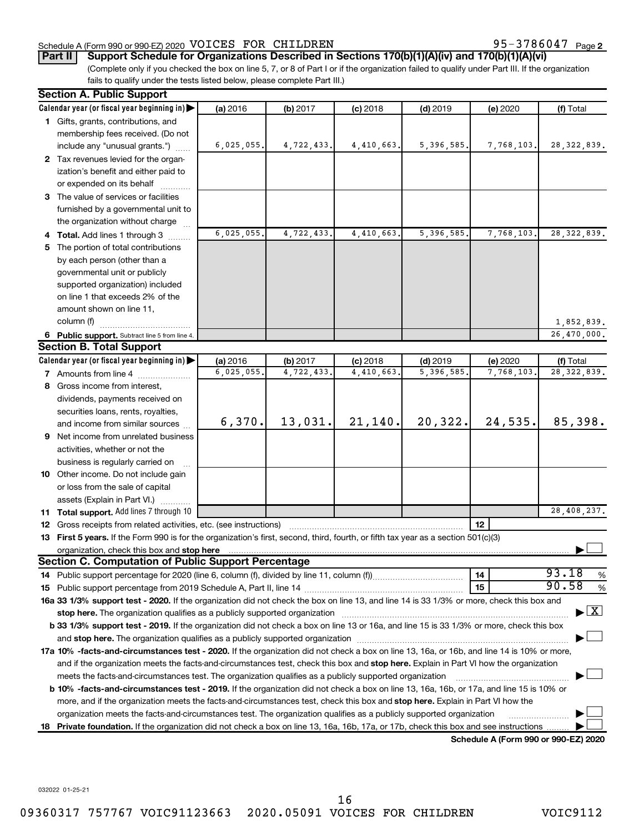# Schedule A (Form 990 or 990-EZ) 2020  $\sqrt{\text{VOLCES}}$   $\sqrt{\text{PDENN}}$  Page  $\sqrt{\text{PDENN}}$  95 - 3786047  $\sqrt{\text{Page}}$

# (Complete only if you checked the box on line 5, 7, or 8 of Part I or if the organization failed to qualify under Part III. If the organization **Part II Support Schedule for Organizations Described in Sections 170(b)(1)(A)(iv) and 170(b)(1)(A)(vi)**

fails to qualify under the tests listed below, please complete Part III.)

| <b>Section A. Public Support</b> |                                                                                                                                                                                                                                                                                                                                                                            |            |            |            |              |            |                                          |  |
|----------------------------------|----------------------------------------------------------------------------------------------------------------------------------------------------------------------------------------------------------------------------------------------------------------------------------------------------------------------------------------------------------------------------|------------|------------|------------|--------------|------------|------------------------------------------|--|
|                                  | Calendar year (or fiscal year beginning in) $\blacktriangleright$                                                                                                                                                                                                                                                                                                          | (a) 2016   | (b) 2017   | $(c)$ 2018 | $(d)$ 2019   | (e) 2020   | (f) Total                                |  |
|                                  | 1 Gifts, grants, contributions, and                                                                                                                                                                                                                                                                                                                                        |            |            |            |              |            |                                          |  |
|                                  | membership fees received. (Do not                                                                                                                                                                                                                                                                                                                                          |            |            |            |              |            |                                          |  |
|                                  | include any "unusual grants.")                                                                                                                                                                                                                                                                                                                                             | 6,025,055. | 4,722,433. | 4,410,663. | 5, 396, 585. | 7,768,103. | 28, 322, 839.                            |  |
|                                  | 2 Tax revenues levied for the organ-                                                                                                                                                                                                                                                                                                                                       |            |            |            |              |            |                                          |  |
|                                  | ization's benefit and either paid to                                                                                                                                                                                                                                                                                                                                       |            |            |            |              |            |                                          |  |
|                                  | or expended on its behalf                                                                                                                                                                                                                                                                                                                                                  |            |            |            |              |            |                                          |  |
|                                  | 3 The value of services or facilities                                                                                                                                                                                                                                                                                                                                      |            |            |            |              |            |                                          |  |
|                                  | furnished by a governmental unit to                                                                                                                                                                                                                                                                                                                                        |            |            |            |              |            |                                          |  |
|                                  | the organization without charge                                                                                                                                                                                                                                                                                                                                            |            |            |            |              |            |                                          |  |
|                                  | 4 Total. Add lines 1 through 3                                                                                                                                                                                                                                                                                                                                             | 6,025,055. | 4,722,433. | 4,410,663. | 5,396,585.   | 7,768,103. | 28, 322, 839.                            |  |
|                                  | 5 The portion of total contributions                                                                                                                                                                                                                                                                                                                                       |            |            |            |              |            |                                          |  |
|                                  | by each person (other than a                                                                                                                                                                                                                                                                                                                                               |            |            |            |              |            |                                          |  |
|                                  | governmental unit or publicly                                                                                                                                                                                                                                                                                                                                              |            |            |            |              |            |                                          |  |
|                                  | supported organization) included                                                                                                                                                                                                                                                                                                                                           |            |            |            |              |            |                                          |  |
|                                  | on line 1 that exceeds 2% of the                                                                                                                                                                                                                                                                                                                                           |            |            |            |              |            |                                          |  |
|                                  | amount shown on line 11,                                                                                                                                                                                                                                                                                                                                                   |            |            |            |              |            |                                          |  |
|                                  | column (f)                                                                                                                                                                                                                                                                                                                                                                 |            |            |            |              |            | 1,852,839.                               |  |
|                                  | 6 Public support. Subtract line 5 from line 4.                                                                                                                                                                                                                                                                                                                             |            |            |            |              |            | 26,470,000.                              |  |
|                                  | <b>Section B. Total Support</b>                                                                                                                                                                                                                                                                                                                                            |            |            |            |              |            |                                          |  |
|                                  | Calendar year (or fiscal year beginning in)                                                                                                                                                                                                                                                                                                                                | (a) 2016   | (b) 2017   | $(c)$ 2018 | $(d)$ 2019   | (e) 2020   | (f) Total                                |  |
|                                  | 7 Amounts from line 4                                                                                                                                                                                                                                                                                                                                                      | 6,025,055. | 4,722,433. | 4,410,663  | 5,396,585    | 7,768,103. | 28, 322, 839.                            |  |
|                                  | 8 Gross income from interest,                                                                                                                                                                                                                                                                                                                                              |            |            |            |              |            |                                          |  |
|                                  | dividends, payments received on                                                                                                                                                                                                                                                                                                                                            |            |            |            |              |            |                                          |  |
|                                  | securities loans, rents, royalties,                                                                                                                                                                                                                                                                                                                                        |            |            |            |              |            |                                          |  |
|                                  | and income from similar sources                                                                                                                                                                                                                                                                                                                                            | 6,370.     | 13,031.    | 21,140.    | 20,322.      | 24,535.    | 85,398.                                  |  |
|                                  | <b>9</b> Net income from unrelated business                                                                                                                                                                                                                                                                                                                                |            |            |            |              |            |                                          |  |
|                                  |                                                                                                                                                                                                                                                                                                                                                                            |            |            |            |              |            |                                          |  |
|                                  | activities, whether or not the                                                                                                                                                                                                                                                                                                                                             |            |            |            |              |            |                                          |  |
|                                  | business is regularly carried on                                                                                                                                                                                                                                                                                                                                           |            |            |            |              |            |                                          |  |
|                                  | 10 Other income. Do not include gain                                                                                                                                                                                                                                                                                                                                       |            |            |            |              |            |                                          |  |
|                                  | or loss from the sale of capital                                                                                                                                                                                                                                                                                                                                           |            |            |            |              |            |                                          |  |
|                                  | assets (Explain in Part VI.)                                                                                                                                                                                                                                                                                                                                               |            |            |            |              |            | 28,408,237.                              |  |
|                                  | 11 Total support. Add lines 7 through 10                                                                                                                                                                                                                                                                                                                                   |            |            |            |              |            |                                          |  |
|                                  | <b>12</b> Gross receipts from related activities, etc. (see instructions)                                                                                                                                                                                                                                                                                                  |            |            |            |              | 12         |                                          |  |
|                                  | 13 First 5 years. If the Form 990 is for the organization's first, second, third, fourth, or fifth tax year as a section 501(c)(3)<br>organization, check this box and stop here                                                                                                                                                                                           |            |            |            |              |            |                                          |  |
|                                  | Section C. Computation of Public Support Percentage                                                                                                                                                                                                                                                                                                                        |            |            |            |              |            |                                          |  |
|                                  | 14 Public support percentage for 2020 (line 6, column (f), divided by line 11, column (f))                                                                                                                                                                                                                                                                                 |            |            |            |              | 14         | 93.18<br>%                               |  |
|                                  |                                                                                                                                                                                                                                                                                                                                                                            |            |            |            |              | 15         | 90.58<br>%                               |  |
|                                  | 16a 33 1/3% support test - 2020. If the organization did not check the box on line 13, and line 14 is 33 1/3% or more, check this box and                                                                                                                                                                                                                                  |            |            |            |              |            |                                          |  |
|                                  |                                                                                                                                                                                                                                                                                                                                                                            |            |            |            |              |            | $\blacktriangleright$ $\boxed{\text{X}}$ |  |
|                                  | stop here. The organization qualifies as a publicly supported organization manufaction manufacture or manufacture or the organization manufacture or the state of the state of the state of the state of the state of the stat<br>b 33 1/3% support test - 2019. If the organization did not check a box on line 13 or 16a, and line 15 is 33 1/3% or more, check this box |            |            |            |              |            |                                          |  |
|                                  |                                                                                                                                                                                                                                                                                                                                                                            |            |            |            |              |            |                                          |  |
|                                  | and stop here. The organization qualifies as a publicly supported organization [11] manuscription manuscription manuscription manuscription and stop here. The organization qualifies as a publicly supported organization                                                                                                                                                 |            |            |            |              |            |                                          |  |
|                                  | 17a 10% -facts-and-circumstances test - 2020. If the organization did not check a box on line 13, 16a, or 16b, and line 14 is 10% or more,                                                                                                                                                                                                                                 |            |            |            |              |            |                                          |  |
|                                  | and if the organization meets the facts-and-circumstances test, check this box and stop here. Explain in Part VI how the organization                                                                                                                                                                                                                                      |            |            |            |              |            |                                          |  |
|                                  | meets the facts-and-circumstances test. The organization qualifies as a publicly supported organization<br><b>b 10%</b> -facts-and-circumstances test - 2019. If the organization did not check a box on line 13, 16a, 16b, or 17a, and line 15 is 10% or                                                                                                                  |            |            |            |              |            |                                          |  |
|                                  |                                                                                                                                                                                                                                                                                                                                                                            |            |            |            |              |            |                                          |  |
|                                  | more, and if the organization meets the facts-and-circumstances test, check this box and <b>stop here.</b> Explain in Part VI how the                                                                                                                                                                                                                                      |            |            |            |              |            |                                          |  |
|                                  | organization meets the facts-and-circumstances test. The organization qualifies as a publicly supported organization                                                                                                                                                                                                                                                       |            |            |            |              |            |                                          |  |
| 18.                              | Private foundation. If the organization did not check a box on line 13, 16a, 16b, 17a, or 17b, check this box and see instructions                                                                                                                                                                                                                                         |            |            |            |              |            |                                          |  |

**Schedule A (Form 990 or 990-EZ) 2020**

032022 01-25-21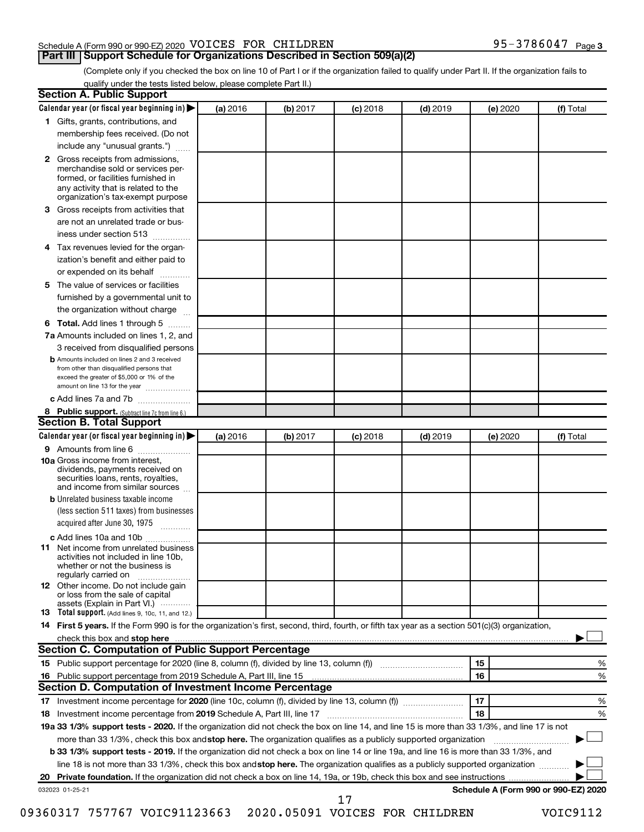# Schedule A (Form 990 or 990-EZ) 2020  $\sqrt{\text{VOLCES}}$   $\sqrt{\text{PDENN}}$  Page  $\sqrt{\text{PDENN}}$  95 - 3786047  $\sqrt{\text{Page}}$

95-3786047 Page 3

(Complete only if you checked the box on line 10 of Part I or if the organization failed to qualify under Part II. If the organization fails to qualify under the tests listed below, please complete Part II.)

| <b>Section A. Public Support</b>                                                                                                                                                         |          |          |          |            |          |                                      |
|------------------------------------------------------------------------------------------------------------------------------------------------------------------------------------------|----------|----------|----------|------------|----------|--------------------------------------|
| Calendar year (or fiscal year beginning in) $\blacktriangleright$                                                                                                                        | (a) 2016 | (b) 2017 | (c) 2018 | $(d)$ 2019 | (e) 2020 | (f) Total                            |
| 1 Gifts, grants, contributions, and                                                                                                                                                      |          |          |          |            |          |                                      |
| membership fees received. (Do not                                                                                                                                                        |          |          |          |            |          |                                      |
| include any "unusual grants.")                                                                                                                                                           |          |          |          |            |          |                                      |
| 2 Gross receipts from admissions,<br>merchandise sold or services per-<br>formed, or facilities furnished in<br>any activity that is related to the<br>organization's tax-exempt purpose |          |          |          |            |          |                                      |
| 3 Gross receipts from activities that                                                                                                                                                    |          |          |          |            |          |                                      |
| are not an unrelated trade or bus-                                                                                                                                                       |          |          |          |            |          |                                      |
| iness under section 513                                                                                                                                                                  |          |          |          |            |          |                                      |
| 4 Tax revenues levied for the organ-                                                                                                                                                     |          |          |          |            |          |                                      |
| ization's benefit and either paid to                                                                                                                                                     |          |          |          |            |          |                                      |
| or expended on its behalf                                                                                                                                                                |          |          |          |            |          |                                      |
| 5 The value of services or facilities                                                                                                                                                    |          |          |          |            |          |                                      |
| furnished by a governmental unit to                                                                                                                                                      |          |          |          |            |          |                                      |
| the organization without charge                                                                                                                                                          |          |          |          |            |          |                                      |
| 6 Total. Add lines 1 through 5                                                                                                                                                           |          |          |          |            |          |                                      |
| 7a Amounts included on lines 1, 2, and                                                                                                                                                   |          |          |          |            |          |                                      |
| 3 received from disqualified persons                                                                                                                                                     |          |          |          |            |          |                                      |
| <b>b</b> Amounts included on lines 2 and 3 received<br>from other than disqualified persons that<br>exceed the greater of \$5,000 or 1% of the<br>amount on line 13 for the year         |          |          |          |            |          |                                      |
| c Add lines 7a and 7b                                                                                                                                                                    |          |          |          |            |          |                                      |
| 8 Public support. (Subtract line 7c from line 6.)                                                                                                                                        |          |          |          |            |          |                                      |
| <b>Section B. Total Support</b>                                                                                                                                                          |          |          |          |            |          |                                      |
| Calendar year (or fiscal year beginning in) $\blacktriangleright$                                                                                                                        | (a) 2016 | (b) 2017 | (c) 2018 | $(d)$ 2019 | (e) 2020 | (f) Total                            |
| 9 Amounts from line 6                                                                                                                                                                    |          |          |          |            |          |                                      |
| <b>10a</b> Gross income from interest,<br>dividends, payments received on<br>securities loans, rents, royalties,<br>and income from similar sources                                      |          |          |          |            |          |                                      |
| <b>b</b> Unrelated business taxable income                                                                                                                                               |          |          |          |            |          |                                      |
| (less section 511 taxes) from businesses<br>acquired after June 30, 1975                                                                                                                 |          |          |          |            |          |                                      |
| c Add lines 10a and 10b                                                                                                                                                                  |          |          |          |            |          |                                      |
| <b>11</b> Net income from unrelated business<br>activities not included in line 10b.<br>whether or not the business is<br>regularly carried on                                           |          |          |          |            |          |                                      |
| 12 Other income. Do not include gain<br>or loss from the sale of capital<br>assets (Explain in Part VI.)                                                                                 |          |          |          |            |          |                                      |
| <b>13</b> Total support. (Add lines 9, 10c, 11, and 12.)                                                                                                                                 |          |          |          |            |          |                                      |
| 14 First 5 years. If the Form 990 is for the organization's first, second, third, fourth, or fifth tax year as a section 501(c)(3) organization,                                         |          |          |          |            |          |                                      |
|                                                                                                                                                                                          |          |          |          |            |          |                                      |
| Section C. Computation of Public Support Percentage                                                                                                                                      |          |          |          |            |          |                                      |
|                                                                                                                                                                                          |          |          |          |            | 15       | ℅                                    |
| 16 Public support percentage from 2019 Schedule A, Part III, line 15                                                                                                                     |          |          |          |            | 16       | %                                    |
| Section D. Computation of Investment Income Percentage                                                                                                                                   |          |          |          |            |          |                                      |
|                                                                                                                                                                                          |          |          |          |            | 17       | %                                    |
| 18 Investment income percentage from 2019 Schedule A, Part III, line 17                                                                                                                  |          |          |          |            | 18       | %                                    |
| 19a 33 1/3% support tests - 2020. If the organization did not check the box on line 14, and line 15 is more than 33 1/3%, and line 17 is not                                             |          |          |          |            |          |                                      |
| more than 33 1/3%, check this box and stop here. The organization qualifies as a publicly supported organization                                                                         |          |          |          |            |          |                                      |
| <b>b 33 1/3% support tests - 2019.</b> If the organization did not check a box on line 14 or line 19a, and line 16 is more than 33 1/3%, and                                             |          |          |          |            |          |                                      |
| line 18 is not more than 33 1/3%, check this box and stop here. The organization qualifies as a publicly supported organization                                                          |          |          |          |            |          |                                      |
|                                                                                                                                                                                          |          |          |          |            |          |                                      |
| 032023 01-25-21                                                                                                                                                                          |          |          | 17       |            |          | Schedule A (Form 990 or 990-EZ) 2020 |

09360317 757767 VOIC91123663 2020.05091 VOICES FOR CHILDREN VOIC9112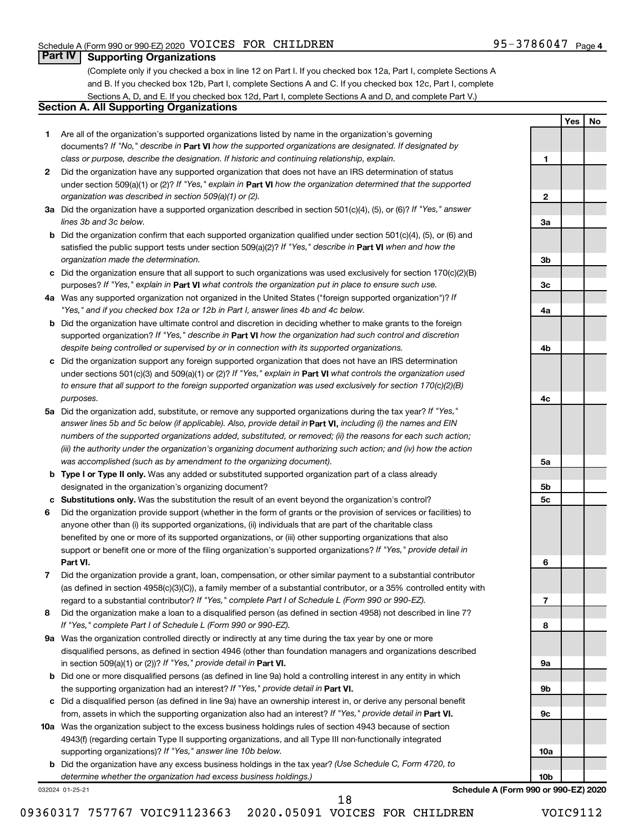**2**

**3a**

**3b**

**3c**

**4a**

**4b**

**4c**

**5a**

**5b 5c**

**6**

**7**

**8**

**9a**

**9b**

**9c**

**10a**

**10b**

**Yes No**

# **Part IV Supporting Organizations**

(Complete only if you checked a box in line 12 on Part I. If you checked box 12a, Part I, complete Sections A and B. If you checked box 12b, Part I, complete Sections A and C. If you checked box 12c, Part I, complete Sections A, D, and E. If you checked box 12d, Part I, complete Sections A and D, and complete Part V.)

# **Section A. All Supporting Organizations**

- **1** Are all of the organization's supported organizations listed by name in the organization's governing documents? If "No," describe in Part VI how the supported organizations are designated. If designated by *class or purpose, describe the designation. If historic and continuing relationship, explain.*
- **2** Did the organization have any supported organization that does not have an IRS determination of status under section 509(a)(1) or (2)? If "Yes," explain in Part **VI** how the organization determined that the supported *organization was described in section 509(a)(1) or (2).*
- **3a** Did the organization have a supported organization described in section 501(c)(4), (5), or (6)? If "Yes," answer *lines 3b and 3c below.*
- **b** Did the organization confirm that each supported organization qualified under section 501(c)(4), (5), or (6) and satisfied the public support tests under section 509(a)(2)? If "Yes," describe in Part VI when and how the *organization made the determination.*
- **c** Did the organization ensure that all support to such organizations was used exclusively for section 170(c)(2)(B) purposes? If "Yes," explain in Part VI what controls the organization put in place to ensure such use.
- **4 a** *If* Was any supported organization not organized in the United States ("foreign supported organization")? *"Yes," and if you checked box 12a or 12b in Part I, answer lines 4b and 4c below.*
- **b** Did the organization have ultimate control and discretion in deciding whether to make grants to the foreign supported organization? If "Yes," describe in Part VI how the organization had such control and discretion *despite being controlled or supervised by or in connection with its supported organizations.*
- **c** Did the organization support any foreign supported organization that does not have an IRS determination under sections 501(c)(3) and 509(a)(1) or (2)? If "Yes," explain in Part VI what controls the organization used *to ensure that all support to the foreign supported organization was used exclusively for section 170(c)(2)(B) purposes.*
- **5a** Did the organization add, substitute, or remove any supported organizations during the tax year? If "Yes," answer lines 5b and 5c below (if applicable). Also, provide detail in **Part VI,** including (i) the names and EIN *numbers of the supported organizations added, substituted, or removed; (ii) the reasons for each such action; (iii) the authority under the organization's organizing document authorizing such action; and (iv) how the action was accomplished (such as by amendment to the organizing document).*
- **b Type I or Type II only.** Was any added or substituted supported organization part of a class already designated in the organization's organizing document?
- **c Substitutions only.**  Was the substitution the result of an event beyond the organization's control?
- **6** Did the organization provide support (whether in the form of grants or the provision of services or facilities) to **Part VI.** support or benefit one or more of the filing organization's supported organizations? If "Yes," provide detail in anyone other than (i) its supported organizations, (ii) individuals that are part of the charitable class benefited by one or more of its supported organizations, or (iii) other supporting organizations that also
- **7** Did the organization provide a grant, loan, compensation, or other similar payment to a substantial contributor regard to a substantial contributor? If "Yes," complete Part I of Schedule L (Form 990 or 990-EZ). (as defined in section 4958(c)(3)(C)), a family member of a substantial contributor, or a 35% controlled entity with
- **8** Did the organization make a loan to a disqualified person (as defined in section 4958) not described in line 7? *If "Yes," complete Part I of Schedule L (Form 990 or 990-EZ).*
- **9 a** Was the organization controlled directly or indirectly at any time during the tax year by one or more in section 509(a)(1) or (2))? If "Yes," provide detail in **Part VI.** disqualified persons, as defined in section 4946 (other than foundation managers and organizations described
- **b** Did one or more disqualified persons (as defined in line 9a) hold a controlling interest in any entity in which the supporting organization had an interest? If "Yes," provide detail in Part VI.
- **c** Did a disqualified person (as defined in line 9a) have an ownership interest in, or derive any personal benefit from, assets in which the supporting organization also had an interest? If "Yes," provide detail in Part VI.
- **10 a** Was the organization subject to the excess business holdings rules of section 4943 because of section supporting organizations)? If "Yes," answer line 10b below. 4943(f) (regarding certain Type II supporting organizations, and all Type III non-functionally integrated
	- **b** Did the organization have any excess business holdings in the tax year? (Use Schedule C, Form 4720, to *determine whether the organization had excess business holdings.)*

032024 01-25-21

**Schedule A (Form 990 or 990-EZ) 2020**

18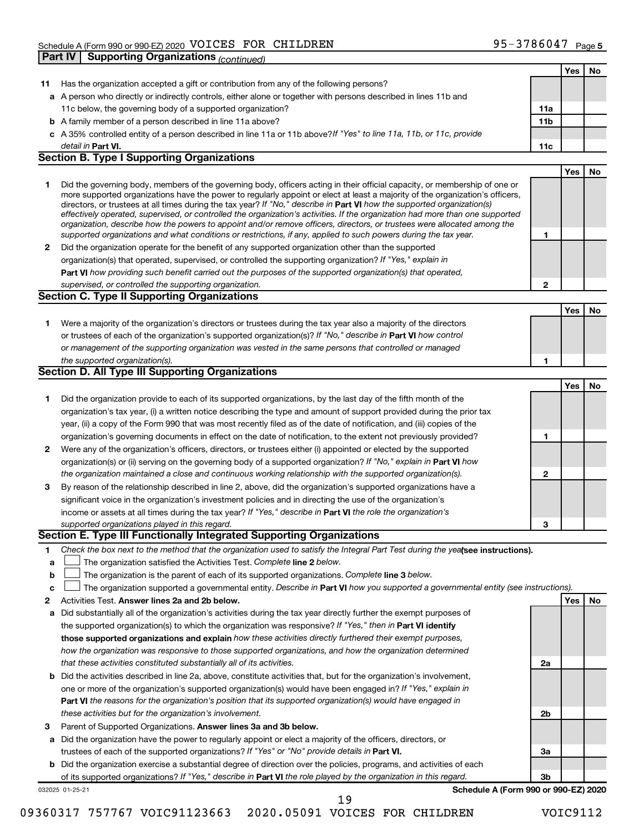|              |                                                                                                                                                                                                                                                            |                 | Yes | No |
|--------------|------------------------------------------------------------------------------------------------------------------------------------------------------------------------------------------------------------------------------------------------------------|-----------------|-----|----|
| 11           | Has the organization accepted a gift or contribution from any of the following persons?                                                                                                                                                                    |                 |     |    |
|              | a A person who directly or indirectly controls, either alone or together with persons described in lines 11b and                                                                                                                                           |                 |     |    |
|              | 11c below, the governing body of a supported organization?                                                                                                                                                                                                 | 11a             |     |    |
|              | <b>b</b> A family member of a person described in line 11a above?                                                                                                                                                                                          | 11 <sub>b</sub> |     |    |
|              | c A 35% controlled entity of a person described in line 11a or 11b above?If "Yes" to line 11a, 11b, or 11c, provide                                                                                                                                        |                 |     |    |
|              | detail in Part VI.                                                                                                                                                                                                                                         | 11c             |     |    |
|              | <b>Section B. Type I Supporting Organizations</b>                                                                                                                                                                                                          |                 |     |    |
|              |                                                                                                                                                                                                                                                            |                 | Yes | No |
| 1            | Did the governing body, members of the governing body, officers acting in their official capacity, or membership of one or                                                                                                                                 |                 |     |    |
|              | more supported organizations have the power to regularly appoint or elect at least a majority of the organization's officers,                                                                                                                              |                 |     |    |
|              | directors, or trustees at all times during the tax year? If "No," describe in Part VI how the supported organization(s)                                                                                                                                    |                 |     |    |
|              | effectively operated, supervised, or controlled the organization's activities. If the organization had more than one supported<br>organization, describe how the powers to appoint and/or remove officers, directors, or trustees were allocated among the |                 |     |    |
|              | supported organizations and what conditions or restrictions, if any, applied to such powers during the tax year.                                                                                                                                           | 1               |     |    |
| $\mathbf{2}$ | Did the organization operate for the benefit of any supported organization other than the supported                                                                                                                                                        |                 |     |    |
|              | organization(s) that operated, supervised, or controlled the supporting organization? If "Yes," explain in                                                                                                                                                 |                 |     |    |
|              | Part VI how providing such benefit carried out the purposes of the supported organization(s) that operated,                                                                                                                                                |                 |     |    |
|              | supervised, or controlled the supporting organization.                                                                                                                                                                                                     | $\mathbf{2}$    |     |    |
|              | <b>Section C. Type II Supporting Organizations</b>                                                                                                                                                                                                         |                 |     |    |
|              |                                                                                                                                                                                                                                                            |                 | Yes | No |
| 1.           | Were a majority of the organization's directors or trustees during the tax year also a majority of the directors                                                                                                                                           |                 |     |    |
|              | or trustees of each of the organization's supported organization(s)? If "No," describe in Part VI how control                                                                                                                                              |                 |     |    |
|              | or management of the supporting organization was vested in the same persons that controlled or managed                                                                                                                                                     |                 |     |    |
|              | the supported organization(s).                                                                                                                                                                                                                             | 1               |     |    |
|              | Section D. All Type III Supporting Organizations                                                                                                                                                                                                           |                 |     |    |
|              |                                                                                                                                                                                                                                                            |                 | Yes | No |
| 1            | Did the organization provide to each of its supported organizations, by the last day of the fifth month of the                                                                                                                                             |                 |     |    |
|              | organization's tax year, (i) a written notice describing the type and amount of support provided during the prior tax                                                                                                                                      |                 |     |    |
|              | year, (ii) a copy of the Form 990 that was most recently filed as of the date of notification, and (iii) copies of the                                                                                                                                     |                 |     |    |
|              | organization's governing documents in effect on the date of notification, to the extent not previously provided?                                                                                                                                           | 1               |     |    |
| $\mathbf{2}$ | Were any of the organization's officers, directors, or trustees either (i) appointed or elected by the supported                                                                                                                                           |                 |     |    |
|              | organization(s) or (ii) serving on the governing body of a supported organization? If "No," explain in Part VI how                                                                                                                                         |                 |     |    |
|              | the organization maintained a close and continuous working relationship with the supported organization(s).                                                                                                                                                | $\mathbf{2}$    |     |    |
| 3            | By reason of the relationship described in line 2, above, did the organization's supported organizations have a                                                                                                                                            |                 |     |    |
|              | significant voice in the organization's investment policies and in directing the use of the organization's                                                                                                                                                 |                 |     |    |
|              | income or assets at all times during the tax year? If "Yes," describe in Part VI the role the organization's                                                                                                                                               |                 |     |    |
|              | supported organizations played in this regard.                                                                                                                                                                                                             | 3               |     |    |
|              | Section E. Type III Functionally Integrated Supporting Organizations                                                                                                                                                                                       |                 |     |    |
| 1            | Check the box next to the method that the organization used to satisfy the Integral Part Test during the yealsee instructions).                                                                                                                            |                 |     |    |
| a            | The organization satisfied the Activities Test. Complete line 2 below.                                                                                                                                                                                     |                 |     |    |
| b            | The organization is the parent of each of its supported organizations. Complete line 3 below.                                                                                                                                                              |                 |     |    |
| c            | The organization supported a governmental entity. Describe in Part VI how you supported a governmental entity (see instructions).                                                                                                                          |                 |     |    |
| 2            | Activities Test. Answer lines 2a and 2b below.                                                                                                                                                                                                             |                 | Yes | No |
| а            | Did substantially all of the organization's activities during the tax year directly further the exempt purposes of                                                                                                                                         |                 |     |    |
|              | the supported organization(s) to which the organization was responsive? If "Yes," then in Part VI identify                                                                                                                                                 |                 |     |    |
|              | those supported organizations and explain how these activities directly furthered their exempt purposes,                                                                                                                                                   |                 |     |    |
|              | how the organization was responsive to those supported organizations, and how the organization determined                                                                                                                                                  |                 |     |    |
|              | that these activities constituted substantially all of its activities.                                                                                                                                                                                     | 2a              |     |    |
|              | <b>b</b> Did the activities described in line 2a, above, constitute activities that, but for the organization's involvement,                                                                                                                               |                 |     |    |
|              | one or more of the organization's supported organization(s) would have been engaged in? If "Yes," explain in                                                                                                                                               |                 |     |    |
|              | Part VI the reasons for the organization's position that its supported organization(s) would have engaged in                                                                                                                                               |                 |     |    |
|              | these activities but for the organization's involvement.                                                                                                                                                                                                   | 2 <sub>b</sub>  |     |    |
| З            | Parent of Supported Organizations. Answer lines 3a and 3b below.                                                                                                                                                                                           |                 |     |    |
|              | Did the organization have the power to regularly appoint or elect a majority of the officers, directors, or                                                                                                                                                |                 |     |    |
| а            | trustees of each of the supported organizations? If "Yes" or "No" provide details in Part VI.                                                                                                                                                              | За              |     |    |
|              | <b>b</b> Did the organization exercise a substantial degree of direction over the policies, programs, and activities of each                                                                                                                               |                 |     |    |
|              | of its supported organizations? If "Yes," describe in Part VI the role played by the organization in this regard.                                                                                                                                          | 3b              |     |    |
|              | Schedule A (Form 990 or 990-EZ) 2020<br>032025 01-25-21                                                                                                                                                                                                    |                 |     |    |
|              | 19                                                                                                                                                                                                                                                         |                 |     |    |

09360317 757767 VOIC91123663 2020.05091 VOICES FOR CHILDREN VOIC9112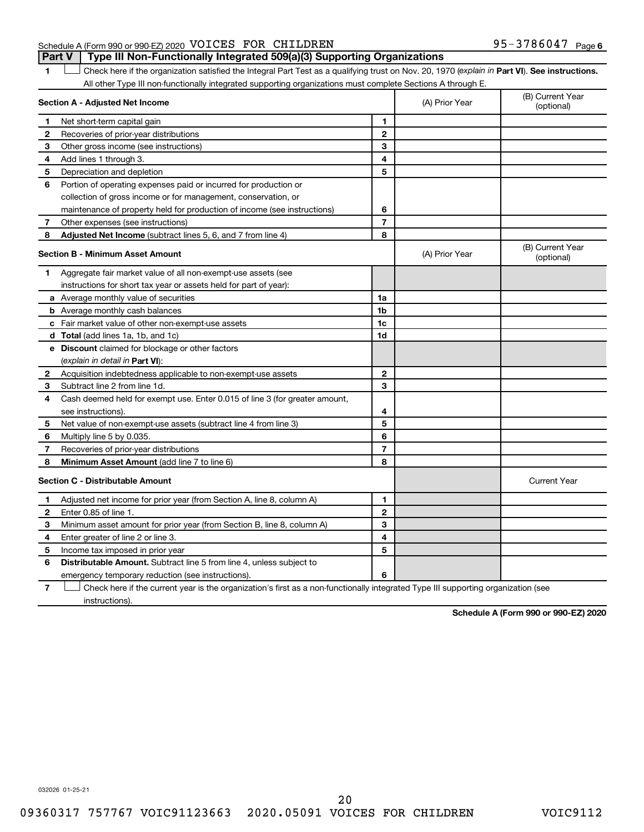# Schedule A (Form 990 or 990-EZ) 2020  $\sqrt{\text{VOLCES}}$   $\sqrt{\text{PDENN}}$  Page  $\sqrt{\text{PDENN}}$  95 - 3786047  $\sqrt{\text{Page}}$ **Part V Type III Non-Functionally Integrated 509(a)(3) Supporting Organizations**

1 **Letter See instructions.** Check here if the organization satisfied the Integral Part Test as a qualifying trust on Nov. 20, 1970 (*explain in* Part **VI**). See instructions. All other Type III non-functionally integrated supporting organizations must complete Sections A through E.

|    | Section A - Adjusted Net Income                                             | (A) Prior Year | (B) Current Year<br>(optional) |                                |
|----|-----------------------------------------------------------------------------|----------------|--------------------------------|--------------------------------|
| 1  | Net short-term capital gain                                                 | 1              |                                |                                |
| 2  | Recoveries of prior-year distributions                                      | $\mathbf{2}$   |                                |                                |
| 3  | Other gross income (see instructions)                                       | 3              |                                |                                |
| 4  | Add lines 1 through 3.                                                      | 4              |                                |                                |
| 5  | Depreciation and depletion                                                  | 5              |                                |                                |
| 6  | Portion of operating expenses paid or incurred for production or            |                |                                |                                |
|    | collection of gross income or for management, conservation, or              |                |                                |                                |
|    | maintenance of property held for production of income (see instructions)    | 6              |                                |                                |
| 7  | Other expenses (see instructions)                                           | $\overline{7}$ |                                |                                |
| 8  | Adjusted Net Income (subtract lines 5, 6, and 7 from line 4)                | 8              |                                |                                |
|    | <b>Section B - Minimum Asset Amount</b>                                     |                | (A) Prior Year                 | (B) Current Year<br>(optional) |
| 1. | Aggregate fair market value of all non-exempt-use assets (see               |                |                                |                                |
|    | instructions for short tax year or assets held for part of year):           |                |                                |                                |
|    | a Average monthly value of securities                                       | 1a             |                                |                                |
|    | <b>b</b> Average monthly cash balances                                      | 1 <sub>b</sub> |                                |                                |
|    | c Fair market value of other non-exempt-use assets                          | 1c             |                                |                                |
|    | d Total (add lines 1a, 1b, and 1c)                                          | 1 <sub>d</sub> |                                |                                |
|    | e Discount claimed for blockage or other factors                            |                |                                |                                |
|    | (explain in detail in Part VI):                                             |                |                                |                                |
| 2  | Acquisition indebtedness applicable to non-exempt-use assets                | $\mathbf{2}$   |                                |                                |
| З  | Subtract line 2 from line 1d.                                               | 3              |                                |                                |
| 4  | Cash deemed held for exempt use. Enter 0.015 of line 3 (for greater amount, |                |                                |                                |
|    | see instructions).                                                          | 4              |                                |                                |
| 5  | Net value of non-exempt-use assets (subtract line 4 from line 3)            | 5              |                                |                                |
| 6  | Multiply line 5 by 0.035.                                                   | 6              |                                |                                |
| 7  | Recoveries of prior-year distributions                                      | $\overline{7}$ |                                |                                |
| 8  | Minimum Asset Amount (add line 7 to line 6)                                 | 8              |                                |                                |
|    | <b>Section C - Distributable Amount</b>                                     |                |                                | <b>Current Year</b>            |
| 1  | Adjusted net income for prior year (from Section A, line 8, column A)       | 1              |                                |                                |
| 2  | Enter 0.85 of line 1.                                                       | $\mathbf{2}$   |                                |                                |
| З  | Minimum asset amount for prior year (from Section B, line 8, column A)      | 3              |                                |                                |
| 4  | Enter greater of line 2 or line 3.                                          | 4              |                                |                                |
| 5  | Income tax imposed in prior year                                            | 5              |                                |                                |
| 6  | <b>Distributable Amount.</b> Subtract line 5 from line 4, unless subject to |                |                                |                                |
|    | emergency temporary reduction (see instructions).                           | 6              |                                |                                |
|    |                                                                             |                |                                |                                |

**7** Check here if the current year is the organization's first as a non-functionally integrated Type III supporting organization (see † instructions).

**Schedule A (Form 990 or 990-EZ) 2020**

032026 01-25-21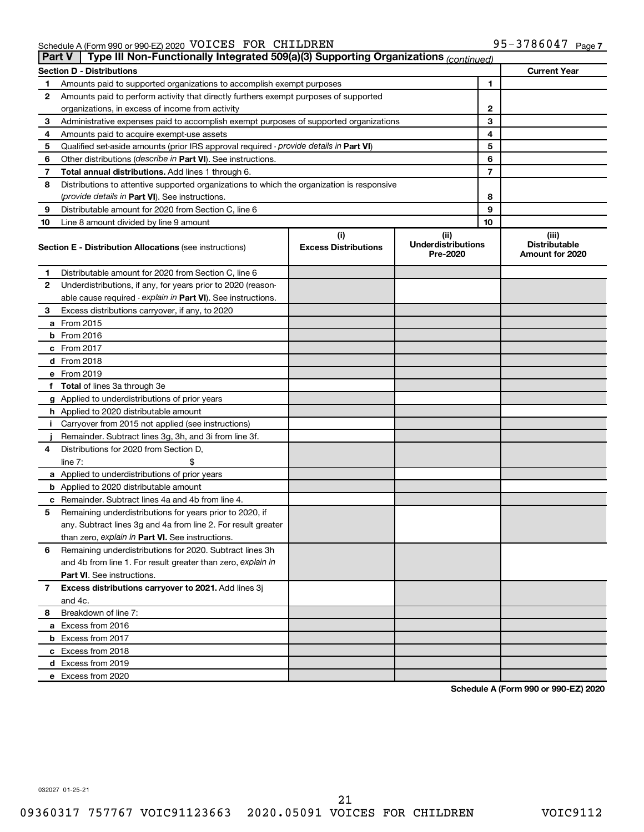|    | Type III Non-Functionally Integrated 509(a)(3) Supporting Organizations (continued)<br>Part V |                                    |                                               |                                                  |  |  |  |  |
|----|-----------------------------------------------------------------------------------------------|------------------------------------|-----------------------------------------------|--------------------------------------------------|--|--|--|--|
|    | <b>Section D - Distributions</b>                                                              |                                    |                                               | <b>Current Year</b>                              |  |  |  |  |
| 1  | Amounts paid to supported organizations to accomplish exempt purposes                         |                                    | 1                                             |                                                  |  |  |  |  |
| 2  | Amounts paid to perform activity that directly furthers exempt purposes of supported          |                                    |                                               |                                                  |  |  |  |  |
|    | organizations, in excess of income from activity                                              |                                    | 2                                             |                                                  |  |  |  |  |
| 3  | Administrative expenses paid to accomplish exempt purposes of supported organizations         |                                    | 3                                             |                                                  |  |  |  |  |
| 4  | Amounts paid to acquire exempt-use assets                                                     |                                    | 4                                             |                                                  |  |  |  |  |
| 5  | Qualified set-aside amounts (prior IRS approval required - provide details in Part VI)        |                                    | 5                                             |                                                  |  |  |  |  |
| 6  | Other distributions ( <i>describe in Part VI</i> ). See instructions.                         |                                    | 6                                             |                                                  |  |  |  |  |
| 7  | Total annual distributions. Add lines 1 through 6.                                            |                                    | 7                                             |                                                  |  |  |  |  |
| 8  | Distributions to attentive supported organizations to which the organization is responsive    |                                    |                                               |                                                  |  |  |  |  |
|    | ( <i>provide details in Part VI</i> ). See instructions.                                      | 8                                  |                                               |                                                  |  |  |  |  |
| 9  | Distributable amount for 2020 from Section C, line 6                                          | 9                                  |                                               |                                                  |  |  |  |  |
| 10 | Line 8 amount divided by line 9 amount                                                        | 10                                 |                                               |                                                  |  |  |  |  |
|    | <b>Section E - Distribution Allocations (see instructions)</b>                                | (i)<br><b>Excess Distributions</b> | (ii)<br><b>Underdistributions</b><br>Pre-2020 | (iii)<br><b>Distributable</b><br>Amount for 2020 |  |  |  |  |
| 1  | Distributable amount for 2020 from Section C, line 6                                          |                                    |                                               |                                                  |  |  |  |  |
| 2  | Underdistributions, if any, for years prior to 2020 (reason-                                  |                                    |                                               |                                                  |  |  |  |  |
|    | able cause required - explain in Part VI). See instructions.                                  |                                    |                                               |                                                  |  |  |  |  |
| 3  | Excess distributions carryover, if any, to 2020                                               |                                    |                                               |                                                  |  |  |  |  |
|    | a From 2015                                                                                   |                                    |                                               |                                                  |  |  |  |  |
|    | $b$ From 2016                                                                                 |                                    |                                               |                                                  |  |  |  |  |
|    | c From 2017                                                                                   |                                    |                                               |                                                  |  |  |  |  |
|    | <b>d</b> From 2018                                                                            |                                    |                                               |                                                  |  |  |  |  |
|    | e From 2019                                                                                   |                                    |                                               |                                                  |  |  |  |  |
|    | f Total of lines 3a through 3e                                                                |                                    |                                               |                                                  |  |  |  |  |
|    | g Applied to underdistributions of prior years                                                |                                    |                                               |                                                  |  |  |  |  |
|    | h Applied to 2020 distributable amount                                                        |                                    |                                               |                                                  |  |  |  |  |
| Ť. | Carryover from 2015 not applied (see instructions)                                            |                                    |                                               |                                                  |  |  |  |  |
|    | Remainder. Subtract lines 3g, 3h, and 3i from line 3f.                                        |                                    |                                               |                                                  |  |  |  |  |
| 4  | Distributions for 2020 from Section D,                                                        |                                    |                                               |                                                  |  |  |  |  |
|    | line $7:$                                                                                     |                                    |                                               |                                                  |  |  |  |  |
|    | a Applied to underdistributions of prior years                                                |                                    |                                               |                                                  |  |  |  |  |
|    | <b>b</b> Applied to 2020 distributable amount                                                 |                                    |                                               |                                                  |  |  |  |  |
|    | c Remainder. Subtract lines 4a and 4b from line 4.                                            |                                    |                                               |                                                  |  |  |  |  |
| 5  | Remaining underdistributions for years prior to 2020, if                                      |                                    |                                               |                                                  |  |  |  |  |
|    | any. Subtract lines 3g and 4a from line 2. For result greater                                 |                                    |                                               |                                                  |  |  |  |  |
|    | than zero, explain in Part VI. See instructions.                                              |                                    |                                               |                                                  |  |  |  |  |
| 6  | Remaining underdistributions for 2020. Subtract lines 3h                                      |                                    |                                               |                                                  |  |  |  |  |
|    | and 4b from line 1. For result greater than zero, explain in                                  |                                    |                                               |                                                  |  |  |  |  |
|    | <b>Part VI.</b> See instructions.                                                             |                                    |                                               |                                                  |  |  |  |  |
| 7  | Excess distributions carryover to 2021. Add lines 3j                                          |                                    |                                               |                                                  |  |  |  |  |
|    | and 4c.                                                                                       |                                    |                                               |                                                  |  |  |  |  |
| 8  | Breakdown of line 7:                                                                          |                                    |                                               |                                                  |  |  |  |  |
|    | a Excess from 2016                                                                            |                                    |                                               |                                                  |  |  |  |  |
|    | <b>b</b> Excess from 2017                                                                     |                                    |                                               |                                                  |  |  |  |  |
|    | c Excess from 2018                                                                            |                                    |                                               |                                                  |  |  |  |  |
|    | d Excess from 2019                                                                            |                                    |                                               |                                                  |  |  |  |  |
|    | e Excess from 2020                                                                            |                                    |                                               |                                                  |  |  |  |  |

**Schedule A (Form 990 or 990-EZ) 2020**

032027 01-25-21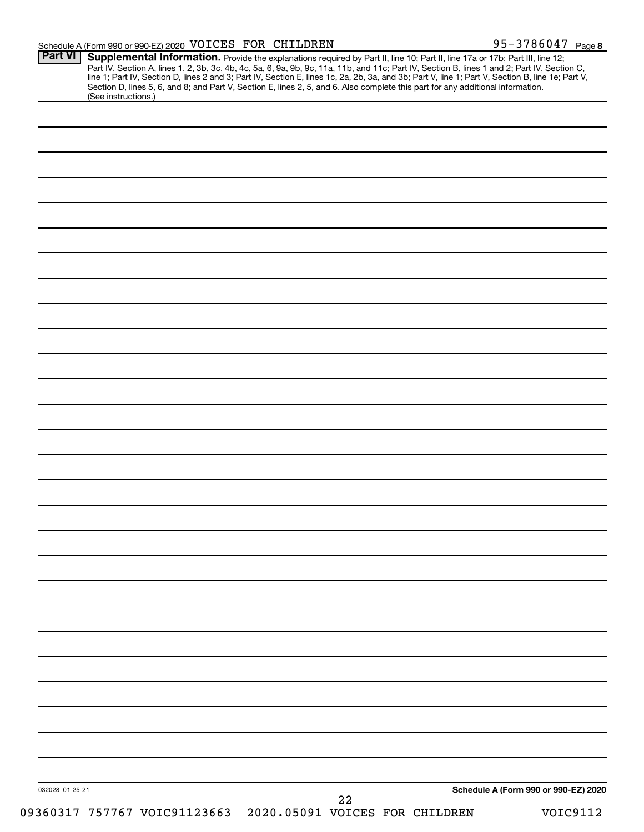| (See instructions.) | Section D, lines 5, 6, and 8; and Part V, Section E, lines 2, 5, and 6. Also complete this part for any additional information. |  |                                      |  |
|---------------------|---------------------------------------------------------------------------------------------------------------------------------|--|--------------------------------------|--|
|                     |                                                                                                                                 |  |                                      |  |
|                     |                                                                                                                                 |  |                                      |  |
|                     |                                                                                                                                 |  |                                      |  |
|                     |                                                                                                                                 |  |                                      |  |
|                     |                                                                                                                                 |  |                                      |  |
|                     |                                                                                                                                 |  |                                      |  |
|                     |                                                                                                                                 |  |                                      |  |
|                     |                                                                                                                                 |  |                                      |  |
|                     |                                                                                                                                 |  |                                      |  |
|                     |                                                                                                                                 |  |                                      |  |
|                     |                                                                                                                                 |  |                                      |  |
|                     |                                                                                                                                 |  |                                      |  |
|                     |                                                                                                                                 |  |                                      |  |
|                     |                                                                                                                                 |  |                                      |  |
|                     |                                                                                                                                 |  |                                      |  |
|                     |                                                                                                                                 |  |                                      |  |
|                     |                                                                                                                                 |  |                                      |  |
|                     |                                                                                                                                 |  |                                      |  |
|                     |                                                                                                                                 |  |                                      |  |
|                     |                                                                                                                                 |  |                                      |  |
|                     |                                                                                                                                 |  |                                      |  |
|                     |                                                                                                                                 |  |                                      |  |
|                     |                                                                                                                                 |  |                                      |  |
|                     |                                                                                                                                 |  |                                      |  |
|                     |                                                                                                                                 |  |                                      |  |
|                     |                                                                                                                                 |  |                                      |  |
|                     |                                                                                                                                 |  |                                      |  |
|                     |                                                                                                                                 |  |                                      |  |
|                     |                                                                                                                                 |  |                                      |  |
|                     |                                                                                                                                 |  |                                      |  |
|                     |                                                                                                                                 |  |                                      |  |
|                     |                                                                                                                                 |  |                                      |  |
|                     |                                                                                                                                 |  |                                      |  |
|                     |                                                                                                                                 |  |                                      |  |
|                     |                                                                                                                                 |  |                                      |  |
|                     |                                                                                                                                 |  |                                      |  |
|                     |                                                                                                                                 |  | Schedule A (Form 990 or 990-EZ) 2020 |  |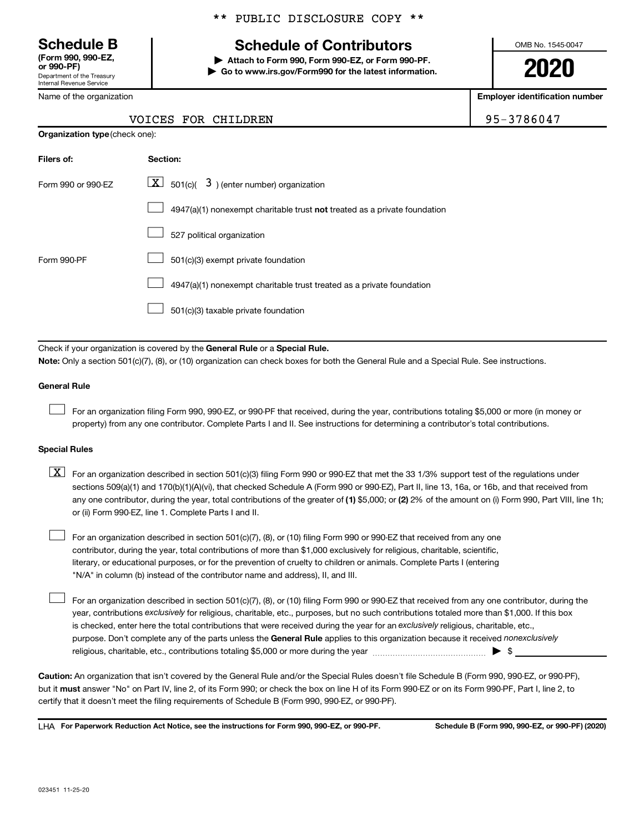Department of the Treasury Internal Revenue Service **(Form 990, 990-EZ,**

Name of the organization

# \*\* PUBLIC DISCLOSURE COPY \*\*

# **Schedule B Schedule of Contributors**

**or 990-PF) | Attach to Form 990, Form 990-EZ, or Form 990-PF. | Go to www.irs.gov/Form990 for the latest information.** OMB No. 1545-0047

**2020**

**Employer identification number**

|  | VOICES FOR CHILDREN | 95-3786047 |
|--|---------------------|------------|
|  |                     |            |

| <b>Organization type (check one):</b> |                                                                                    |  |  |  |
|---------------------------------------|------------------------------------------------------------------------------------|--|--|--|
| Filers of:                            | Section:                                                                           |  |  |  |
| Form 990 or 990-EZ                    | $\underline{\mathbf{X}}$ 501(c)( 3) (enter number) organization                    |  |  |  |
|                                       | $4947(a)(1)$ nonexempt charitable trust <b>not</b> treated as a private foundation |  |  |  |
|                                       | 527 political organization                                                         |  |  |  |
| Form 990-PF                           | 501(c)(3) exempt private foundation                                                |  |  |  |
|                                       | 4947(a)(1) nonexempt charitable trust treated as a private foundation              |  |  |  |
|                                       | 501(c)(3) taxable private foundation                                               |  |  |  |
|                                       |                                                                                    |  |  |  |

Check if your organization is covered by the General Rule or a Special Rule.

**Note:**  Only a section 501(c)(7), (8), or (10) organization can check boxes for both the General Rule and a Special Rule. See instructions.

### **General Rule**

 $\Box$ 

 $\Box$ 

For an organization filing Form 990, 990-EZ, or 990-PF that received, during the year, contributions totaling \$5,000 or more (in money or property) from any one contributor. Complete Parts I and II. See instructions for determining a contributor's total contributions.

### **Special Rules**

any one contributor, during the year, total contributions of the greater of (1) \$5,000; or (2) 2% of the amount on (i) Form 990, Part VIII, line 1h;  $\boxed{\text{X}}$  For an organization described in section 501(c)(3) filing Form 990 or 990-EZ that met the 33 1/3% support test of the regulations under sections 509(a)(1) and 170(b)(1)(A)(vi), that checked Schedule A (Form 990 or 990-EZ), Part II, line 13, 16a, or 16b, and that received from or (ii) Form 990-EZ, line 1. Complete Parts I and II.

For an organization described in section 501(c)(7), (8), or (10) filing Form 990 or 990-EZ that received from any one contributor, during the year, total contributions of more than \$1,000 exclusively for religious, charitable, scientific, literary, or educational purposes, or for the prevention of cruelty to children or animals. Complete Parts I (entering "N/A" in column (b) instead of the contributor name and address), II, and III.  $\Box$ 

purpose. Don't complete any of the parts unless the General Rule applies to this organization because it received nonexclusively year, contributions exclusively for religious, charitable, etc., purposes, but no such contributions totaled more than \$1,000. If this box is checked, enter here the total contributions that were received during the year for an exclusively religious, charitable, etc., For an organization described in section 501(c)(7), (8), or (10) filing Form 990 or 990-EZ that received from any one contributor, during the religious, charitable, etc., contributions totaling \$5,000 or more during the year  $~\ldots\ldots\ldots\ldots\ldots\ldots\ldots\ldots\blacktriangleright~$ \$

**Caution:**  An organization that isn't covered by the General Rule and/or the Special Rules doesn't file Schedule B (Form 990, 990-EZ, or 990-PF),  **must** but it answer "No" on Part IV, line 2, of its Form 990; or check the box on line H of its Form 990-EZ or on its Form 990-PF, Part I, line 2, to certify that it doesn't meet the filing requirements of Schedule B (Form 990, 990-EZ, or 990-PF).

**For Paperwork Reduction Act Notice, see the instructions for Form 990, 990-EZ, or 990-PF. Schedule B (Form 990, 990-EZ, or 990-PF) (2020)** LHA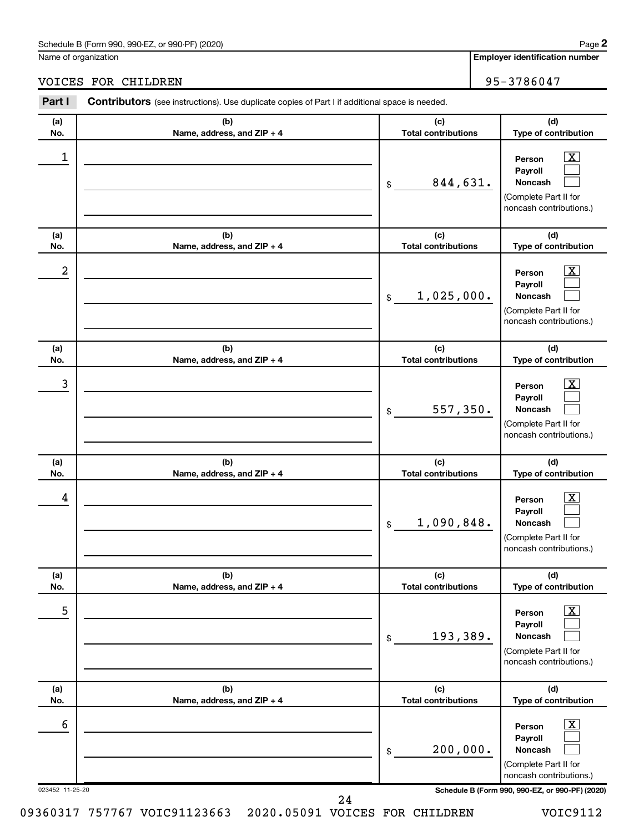### Schedule B (Form 990, 990-EZ, or 990-PF) (2020)

Name of organization

**Employer identification number**

#### 023452 11-25-20 **Schedule B (Form 990, 990-EZ, or 990-PF) (2020) (a) No. (b) Name, address, and ZIP + 4 (c) Total contributions (d) Type of contribution Person Payroll Noncash (a) No. (b) Name, address, and ZIP + 4 (c) Total contributions (d) Type of contribution Person Payroll Noncash (a) No. (b) Name, address, and ZIP + 4 (c) Total contributions (d) Type of contribution Person Payroll Noncash (a) No. (b) Name, address, and ZIP + 4 (c) Total contributions (d) Type of contribution Person Payroll Noncash (a) No. (b) Name, address, and ZIP + 4 (c) Total contributions (d) Type of contribution Person Payroll Noncash (a) No. (b) Name, address, and ZIP + 4 (c) Total contributions (d) Type of contribution Person Payroll Noncash Part I** Contributors (see instructions). Use duplicate copies of Part I if additional space is needed. \$ (Complete Part II for noncash contributions.) \$ (Complete Part II for noncash contributions.) \$ (Complete Part II for noncash contributions.) \$ (Complete Part II for noncash contributions.) \$ (Complete Part II for noncash contributions.) \$ (Complete Part II for noncash contributions.)  $\boxed{\textbf{X}}$  $\Box$  $\Box$  $\boxed{\textbf{X}}$  $\Box$  $\Box$  $\boxed{\textbf{X}}$  $\Box$  $\Box$  $\boxed{\text{X}}$  $\Box$  $\Box$  $\boxed{\text{X}}$  $\Box$  $\Box$  $\boxed{\text{X}}$  $\Box$  $\Box$  $\begin{array}{|c|c|c|c|c|}\hline \ \text{1} & \text{Person} & \text{X} \ \hline \end{array}$ 844,631.  $2$  Person  $\overline{\text{X}}$ 1,025,000.  $\begin{array}{|c|c|c|c|c|c|}\hline \text{3} & \text{Person} & \text{X} \ \hline \end{array}$ 557,350.  $\begin{array}{|c|c|c|c|c|}\hline \text{4} & \text{Person} & \text{\textbf{X}}\ \hline \end{array}$ 1,090,848. 5 X 193,389.  $\overline{6}$  Person  $\overline{X}$ 200,000. 24

09360317 757767 VOIC91123663 2020.05091 VOICES FOR CHILDREN VOIC9112

**2**

VOICES FOR CHILDREN 95-3786047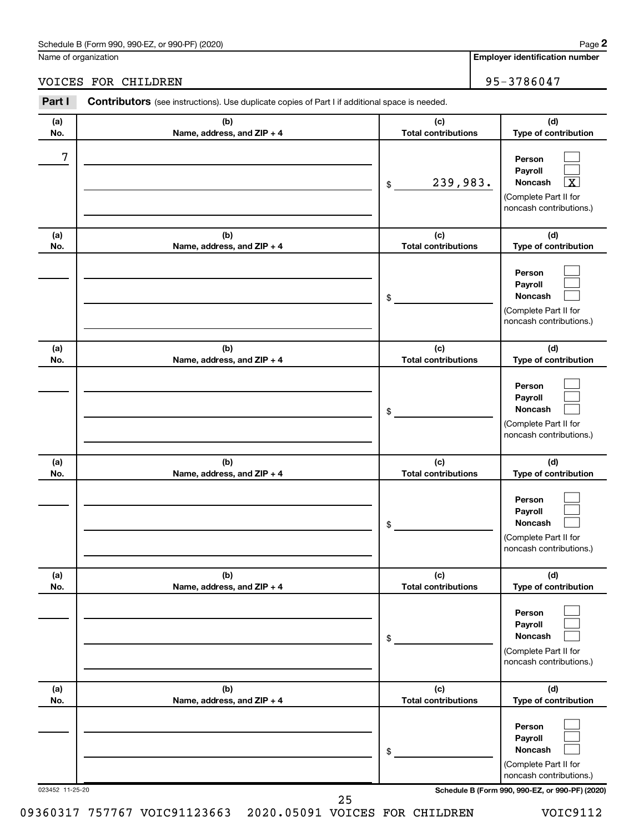### Schedule B (Form 990, 990-EZ, or 990-PF) (2020)

Name of organization

**Employer identification number**

VOICES FOR CHILDREN 95-3786047

#### 023452 11-25-20 **Schedule B (Form 990, 990-EZ, or 990-PF) (2020) (a) No. (b) Name, address, and ZIP + 4 (c) Total contributions (d) Type of contribution Person Payroll Noncash (a) No. (b) Name, address, and ZIP + 4 (c) Total contributions (d) Type of contribution Person Payroll Noncash (a) No. (b) Name, address, and ZIP + 4 (c) Total contributions (d) Type of contribution Person Payroll Noncash (a) No. (b) Name, address, and ZIP + 4 (c) Total contributions (d) Type of contribution Person Payroll Noncash (a) No. (b) Name, address, and ZIP + 4 (c) Total contributions (d) Type of contribution Person Payroll Noncash (a) No. (b) Name, address, and ZIP + 4 (c) Total contributions (d) Type of contribution Person Payroll Noncash Part I** Contributors (see instructions). Use duplicate copies of Part I if additional space is needed. \$ (Complete Part II for noncash contributions.) \$ (Complete Part II for noncash contributions.) \$ (Complete Part II for noncash contributions.) \$ (Complete Part II for noncash contributions.) \$ (Complete Part II for noncash contributions.) \$ (Complete Part II for noncash contributions.)  $\Box$  $\Box$ †  $\Box$  $\Box$  $\Box$  $\Box$  $\Box$  $\Box$  $\Box$  $\Box$  $\Box$  $\Box$  $\Box$  $\Box$  $\Box$  $\Box$  $\Box$ 7  $239,983.$ 25

09360317 757767 VOIC91123663 2020.05091 VOICES FOR CHILDREN VOIC9112

**2**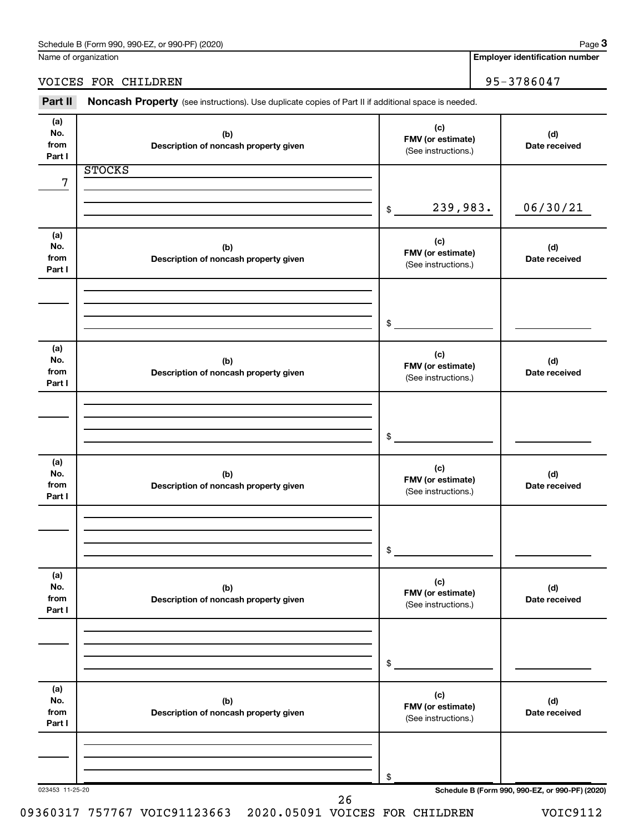| Schedule B (Form 990, 990-EZ, or 990-PF) (2020) | Paɑe |
|-------------------------------------------------|------|
|-------------------------------------------------|------|

Name of organization

**Employer identification number**

# VOICES FOR CHILDREN 95-3786047

Part II Noncash Property (see instructions). Use duplicate copies of Part II if additional space is needed.

| (a)<br>No.<br>from<br>Part I | (b)<br>Description of noncash property given | (c)<br>FMV (or estimate)<br>(See instructions.) | (d)<br>Date received                            |
|------------------------------|----------------------------------------------|-------------------------------------------------|-------------------------------------------------|
|                              | <b>STOCKS</b>                                |                                                 |                                                 |
| $\overline{7}$               |                                              |                                                 |                                                 |
|                              |                                              |                                                 |                                                 |
|                              |                                              | 239,983.<br>$\$$                                | 06/30/21                                        |
| (a)                          |                                              |                                                 |                                                 |
| No.                          | (b)                                          | (c)                                             | (d)                                             |
| from                         | Description of noncash property given        | FMV (or estimate)<br>(See instructions.)        | Date received                                   |
| Part I                       |                                              |                                                 |                                                 |
|                              |                                              |                                                 |                                                 |
|                              |                                              |                                                 |                                                 |
|                              |                                              | \$                                              |                                                 |
|                              |                                              |                                                 |                                                 |
| (a)                          |                                              | (c)                                             |                                                 |
| No.<br>from                  | (b)<br>Description of noncash property given | FMV (or estimate)                               | (d)<br>Date received                            |
| Part I                       |                                              | (See instructions.)                             |                                                 |
|                              |                                              |                                                 |                                                 |
|                              |                                              |                                                 |                                                 |
|                              |                                              |                                                 |                                                 |
|                              |                                              | \$                                              |                                                 |
| (a)                          |                                              |                                                 |                                                 |
| No.                          | (b)                                          | (c)<br>FMV (or estimate)                        | (d)                                             |
| from                         | Description of noncash property given        | (See instructions.)                             | Date received                                   |
| Part I                       |                                              |                                                 |                                                 |
|                              |                                              |                                                 |                                                 |
|                              |                                              |                                                 |                                                 |
|                              |                                              | \$                                              |                                                 |
|                              |                                              |                                                 |                                                 |
| (a)<br>No.                   | (b)                                          | (c)                                             | (d)                                             |
| from                         | Description of noncash property given        | FMV (or estimate)                               | Date received                                   |
| Part I                       |                                              | (See instructions.)                             |                                                 |
|                              |                                              |                                                 |                                                 |
|                              |                                              |                                                 |                                                 |
|                              |                                              | \$                                              |                                                 |
|                              |                                              |                                                 |                                                 |
| (a)                          |                                              |                                                 |                                                 |
| No.                          | (b)                                          | (c)<br>FMV (or estimate)                        | (d)                                             |
| from<br>Part I               | Description of noncash property given        | (See instructions.)                             | Date received                                   |
|                              |                                              |                                                 |                                                 |
|                              |                                              |                                                 |                                                 |
|                              |                                              |                                                 |                                                 |
|                              |                                              | \$                                              |                                                 |
| 023453 11-25-20              | 26                                           |                                                 | Schedule B (Form 990, 990-EZ, or 990-PF) (2020) |
|                              |                                              |                                                 |                                                 |

09360317 757767 VOIC91123663 2020.05091 VOICES FOR CHILDREN VOIC9112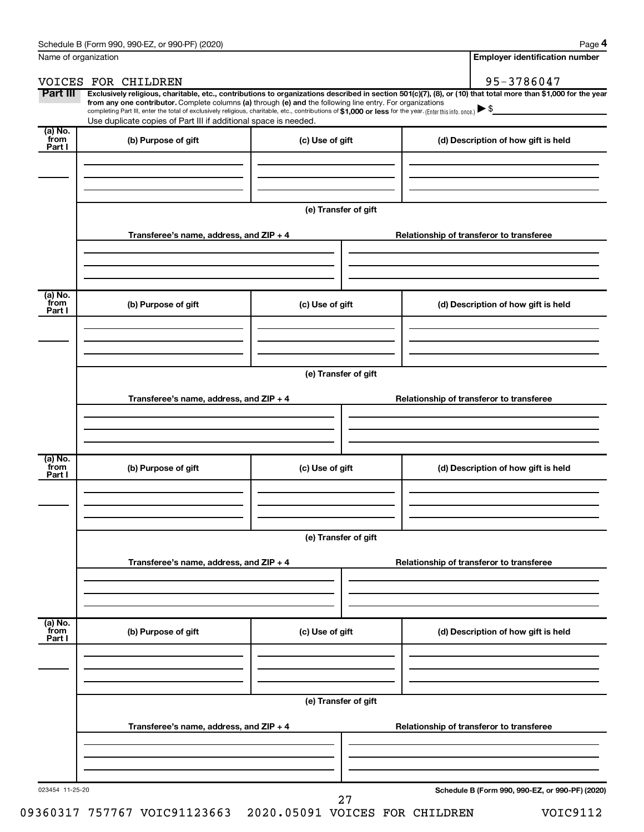| Name of organization      |                                                                                                                                                                                                                                                                                                                                                                                                                                                                                                                                      |                      | <b>Employer identification number</b>           |
|---------------------------|--------------------------------------------------------------------------------------------------------------------------------------------------------------------------------------------------------------------------------------------------------------------------------------------------------------------------------------------------------------------------------------------------------------------------------------------------------------------------------------------------------------------------------------|----------------------|-------------------------------------------------|
|                           | VOICES FOR CHILDREN                                                                                                                                                                                                                                                                                                                                                                                                                                                                                                                  |                      | 95-3786047                                      |
| Part III                  | Exclusively religious, charitable, etc., contributions to organizations described in section 501(c)(7), (8), or (10) that total more than \$1,000 for the year<br>from any one contributor. Complete columns (a) through (e) and the following line entry. For organizations<br>completing Part III, enter the total of exclusively religious, charitable, etc., contributions of \$1,000 or less for the year. (Enter this info. once.) $\blacktriangleright$ \$<br>Use duplicate copies of Part III if additional space is needed. |                      |                                                 |
| (a) No.<br>from<br>Part I | (b) Purpose of gift                                                                                                                                                                                                                                                                                                                                                                                                                                                                                                                  | (c) Use of gift      | (d) Description of how gift is held             |
|                           |                                                                                                                                                                                                                                                                                                                                                                                                                                                                                                                                      |                      |                                                 |
|                           |                                                                                                                                                                                                                                                                                                                                                                                                                                                                                                                                      | (e) Transfer of gift |                                                 |
|                           | Transferee's name, address, and ZIP + 4                                                                                                                                                                                                                                                                                                                                                                                                                                                                                              |                      | Relationship of transferor to transferee        |
| (a) No.<br>from<br>Part I | (b) Purpose of gift                                                                                                                                                                                                                                                                                                                                                                                                                                                                                                                  | (c) Use of gift      | (d) Description of how gift is held             |
|                           |                                                                                                                                                                                                                                                                                                                                                                                                                                                                                                                                      |                      |                                                 |
|                           |                                                                                                                                                                                                                                                                                                                                                                                                                                                                                                                                      | (e) Transfer of gift |                                                 |
|                           | Transferee's name, address, and ZIP + 4                                                                                                                                                                                                                                                                                                                                                                                                                                                                                              |                      | Relationship of transferor to transferee        |
| (a) No.<br>from<br>Part I | (b) Purpose of gift                                                                                                                                                                                                                                                                                                                                                                                                                                                                                                                  | (c) Use of gift      | (d) Description of how gift is held             |
|                           |                                                                                                                                                                                                                                                                                                                                                                                                                                                                                                                                      |                      |                                                 |
|                           |                                                                                                                                                                                                                                                                                                                                                                                                                                                                                                                                      | (e) Transfer of gift |                                                 |
|                           | Transferee's name, address, and ZIP + 4                                                                                                                                                                                                                                                                                                                                                                                                                                                                                              |                      | Relationship of transferor to transferee        |
| (a) No.<br>from<br>Part I | (b) Purpose of gift                                                                                                                                                                                                                                                                                                                                                                                                                                                                                                                  | (c) Use of gift      | (d) Description of how gift is held             |
|                           |                                                                                                                                                                                                                                                                                                                                                                                                                                                                                                                                      |                      |                                                 |
|                           |                                                                                                                                                                                                                                                                                                                                                                                                                                                                                                                                      | (e) Transfer of gift |                                                 |
|                           | Transferee's name, address, and ZIP + 4                                                                                                                                                                                                                                                                                                                                                                                                                                                                                              |                      | Relationship of transferor to transferee        |
|                           |                                                                                                                                                                                                                                                                                                                                                                                                                                                                                                                                      |                      |                                                 |
| 023454 11-25-20           |                                                                                                                                                                                                                                                                                                                                                                                                                                                                                                                                      |                      | Schedule B (Form 990, 990-EZ, or 990-PF) (2020) |

09360317 757767 VOIC91123663 2020.05091 VOICES FOR CHILDREN VOIC9112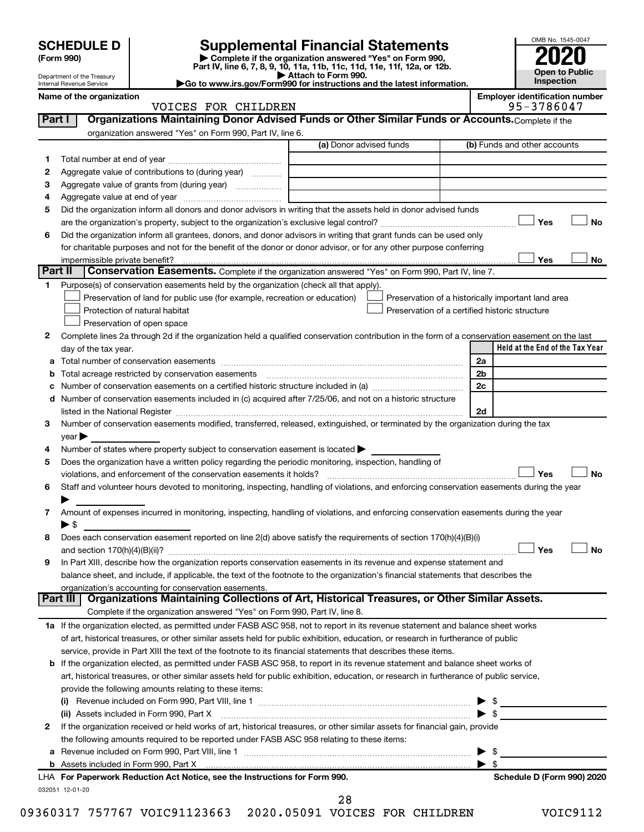| <b>SCHEDULE D</b> |  |
|-------------------|--|
|-------------------|--|

| (Form 990) |  |
|------------|--|
|------------|--|

032051 12-01-20

# **SCHEDULE D Supplemental Financial Statements**<br> **Form 990 2020**<br> **Part IV** line 6.7.8.9.10, 11a, 11b, 11d, 11d, 11d, 11d, 11d, 12a, 0r, 12b

**(Form 990) | Complete if the organization answered "Yes" on Form 990, Part IV, line 6, 7, 8, 9, 10, 11a, 11b, 11c, 11d, 11e, 11f, 12a, or 12b.**

**| Attach to Form 990. |Go to www.irs.gov/Form990 for instructions and the latest information.**



Department of the Treasury Internal Revenue Service **Name of the organization**<br> **Employer in the organization EMPLOYER ISOR** CULTIFIENT

|  |            |  | ployer identification number |
|--|------------|--|------------------------------|
|  | AE STOCAAT |  |                              |

|         | VOICES FOR CHILDREN                                                                                                                            |                                                    |                          | 95-3786047                      |
|---------|------------------------------------------------------------------------------------------------------------------------------------------------|----------------------------------------------------|--------------------------|---------------------------------|
| Part I  | Organizations Maintaining Donor Advised Funds or Other Similar Funds or Accounts. Complete if the                                              |                                                    |                          |                                 |
|         | organization answered "Yes" on Form 990, Part IV, line 6.                                                                                      |                                                    |                          |                                 |
|         |                                                                                                                                                | (a) Donor advised funds                            |                          | (b) Funds and other accounts    |
| 1       |                                                                                                                                                |                                                    |                          |                                 |
| 2       | Aggregate value of contributions to (during year)                                                                                              |                                                    |                          |                                 |
| З       | Aggregate value of grants from (during year)                                                                                                   |                                                    |                          |                                 |
| 4       |                                                                                                                                                |                                                    |                          |                                 |
| 5       | Did the organization inform all donors and donor advisors in writing that the assets held in donor advised funds                               |                                                    |                          |                                 |
|         |                                                                                                                                                |                                                    |                          | Yes<br>No                       |
|         | Did the organization inform all grantees, donors, and donor advisors in writing that grant funds can be used only                              |                                                    |                          |                                 |
| 6       |                                                                                                                                                |                                                    |                          |                                 |
|         | for charitable purposes and not for the benefit of the donor or donor advisor, or for any other purpose conferring                             |                                                    |                          |                                 |
| Part II | Conservation Easements. Complete if the organization answered "Yes" on Form 990, Part IV, line 7.                                              |                                                    |                          | Yes<br>No                       |
|         |                                                                                                                                                |                                                    |                          |                                 |
| 1       | Purpose(s) of conservation easements held by the organization (check all that apply).                                                          |                                                    |                          |                                 |
|         | Preservation of land for public use (for example, recreation or education)                                                                     | Preservation of a historically important land area |                          |                                 |
|         | Protection of natural habitat                                                                                                                  | Preservation of a certified historic structure     |                          |                                 |
|         | Preservation of open space                                                                                                                     |                                                    |                          |                                 |
| 2       | Complete lines 2a through 2d if the organization held a qualified conservation contribution in the form of a conservation easement on the last |                                                    |                          |                                 |
|         | day of the tax year.                                                                                                                           |                                                    |                          | Held at the End of the Tax Year |
|         |                                                                                                                                                |                                                    | 2a                       |                                 |
| b       | Total acreage restricted by conservation easements                                                                                             |                                                    | 2b                       |                                 |
| c       |                                                                                                                                                |                                                    | 2c                       |                                 |
|         | d Number of conservation easements included in (c) acquired after 7/25/06, and not on a historic structure                                     |                                                    |                          |                                 |
|         | listed in the National Register [111] [12] The Marian Marian Marian Marian Marian Marian Marian Marian Marian M                                |                                                    | 2d                       |                                 |
| 3       | Number of conservation easements modified, transferred, released, extinguished, or terminated by the organization during the tax               |                                                    |                          |                                 |
|         | $year \triangleright$                                                                                                                          |                                                    |                          |                                 |
| 4       | Number of states where property subject to conservation easement is located >                                                                  |                                                    |                          |                                 |
| 5       | Does the organization have a written policy regarding the periodic monitoring, inspection, handling of                                         |                                                    |                          |                                 |
|         | violations, and enforcement of the conservation easements it holds?                                                                            |                                                    |                          | Yes<br>No                       |
| 6       | Staff and volunteer hours devoted to monitoring, inspecting, handling of violations, and enforcing conservation easements during the year      |                                                    |                          |                                 |
|         |                                                                                                                                                |                                                    |                          |                                 |
| 7       | Amount of expenses incurred in monitoring, inspecting, handling of violations, and enforcing conservation easements during the year            |                                                    |                          |                                 |
|         | $\blacktriangleright$ \$                                                                                                                       |                                                    |                          |                                 |
| 8       | Does each conservation easement reported on line 2(d) above satisfy the requirements of section 170(h)(4)(B)(i)                                |                                                    |                          |                                 |
|         |                                                                                                                                                |                                                    |                          | Yes<br>No                       |
| 9       | In Part XIII, describe how the organization reports conservation easements in its revenue and expense statement and                            |                                                    |                          |                                 |
|         | balance sheet, and include, if applicable, the text of the footnote to the organization's financial statements that describes the              |                                                    |                          |                                 |
|         | organization's accounting for conservation easements.                                                                                          |                                                    |                          |                                 |
|         | Organizations Maintaining Collections of Art, Historical Treasures, or Other Similar Assets.<br>Part III                                       |                                                    |                          |                                 |
|         | Complete if the organization answered "Yes" on Form 990, Part IV, line 8.                                                                      |                                                    |                          |                                 |
|         | 1a If the organization elected, as permitted under FASB ASC 958, not to report in its revenue statement and balance sheet works                |                                                    |                          |                                 |
|         | of art, historical treasures, or other similar assets held for public exhibition, education, or research in furtherance of public              |                                                    |                          |                                 |
|         | service, provide in Part XIII the text of the footnote to its financial statements that describes these items.                                 |                                                    |                          |                                 |
|         | b If the organization elected, as permitted under FASB ASC 958, to report in its revenue statement and balance sheet works of                  |                                                    |                          |                                 |
|         | art, historical treasures, or other similar assets held for public exhibition, education, or research in furtherance of public service,        |                                                    |                          |                                 |
|         | provide the following amounts relating to these items:                                                                                         |                                                    |                          |                                 |
|         |                                                                                                                                                |                                                    |                          |                                 |
|         | (i)                                                                                                                                            |                                                    | $\blacktriangleright$ \$ | - \$                            |
|         | (ii) Assets included in Form 990, Part X                                                                                                       |                                                    |                          |                                 |
| 2       | If the organization received or held works of art, historical treasures, or other similar assets for financial gain, provide                   |                                                    |                          |                                 |
|         | the following amounts required to be reported under FASB ASC 958 relating to these items:                                                      |                                                    |                          |                                 |
|         |                                                                                                                                                |                                                    |                          | \$                              |
|         |                                                                                                                                                |                                                    |                          | - \$                            |
|         | LHA For Paperwork Reduction Act Notice, see the Instructions for Form 990.                                                                     |                                                    |                          | Schedule D (Form 990) 2020      |

28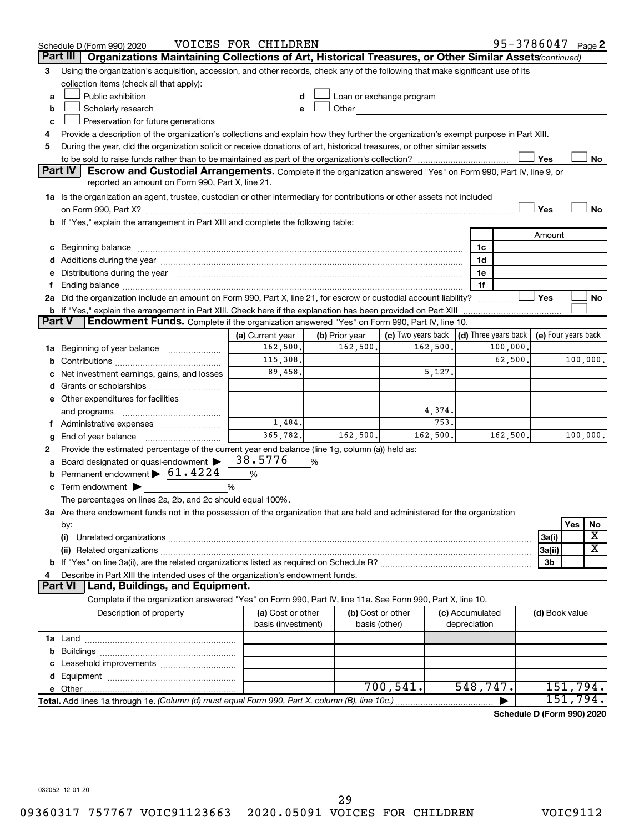|               | Schedule D (Form 990) 2020                                                                                                                                                                                                     | VOICES FOR CHILDREN |                            |                                                                                                                                                                                                                                |          |                 | 95-3786047 Page 2                          |                |          |          |
|---------------|--------------------------------------------------------------------------------------------------------------------------------------------------------------------------------------------------------------------------------|---------------------|----------------------------|--------------------------------------------------------------------------------------------------------------------------------------------------------------------------------------------------------------------------------|----------|-----------------|--------------------------------------------|----------------|----------|----------|
|               | Organizations Maintaining Collections of Art, Historical Treasures, or Other Similar Assets(continued)<br>Part III                                                                                                             |                     |                            |                                                                                                                                                                                                                                |          |                 |                                            |                |          |          |
| 3             | Using the organization's acquisition, accession, and other records, check any of the following that make significant use of its                                                                                                |                     |                            |                                                                                                                                                                                                                                |          |                 |                                            |                |          |          |
|               | collection items (check all that apply):                                                                                                                                                                                       |                     |                            |                                                                                                                                                                                                                                |          |                 |                                            |                |          |          |
| a             | Public exhibition                                                                                                                                                                                                              |                     |                            | Loan or exchange program                                                                                                                                                                                                       |          |                 |                                            |                |          |          |
| b             | Scholarly research                                                                                                                                                                                                             |                     |                            | Other and the control of the control of the control of the control of the control of the control of the control of the control of the control of the control of the control of the control of the control of the control of th |          |                 |                                            |                |          |          |
| c             | Preservation for future generations                                                                                                                                                                                            |                     |                            |                                                                                                                                                                                                                                |          |                 |                                            |                |          |          |
| 4             | Provide a description of the organization's collections and explain how they further the organization's exempt purpose in Part XIII.                                                                                           |                     |                            |                                                                                                                                                                                                                                |          |                 |                                            |                |          |          |
| 5             | During the year, did the organization solicit or receive donations of art, historical treasures, or other similar assets                                                                                                       |                     |                            |                                                                                                                                                                                                                                |          |                 |                                            |                |          |          |
|               |                                                                                                                                                                                                                                |                     |                            |                                                                                                                                                                                                                                |          |                 |                                            | Yes            |          | No       |
|               | <b>Part IV</b><br><b>Escrow and Custodial Arrangements.</b> Complete if the organization answered "Yes" on Form 990, Part IV, line 9, or                                                                                       |                     |                            |                                                                                                                                                                                                                                |          |                 |                                            |                |          |          |
|               | reported an amount on Form 990, Part X, line 21.                                                                                                                                                                               |                     |                            |                                                                                                                                                                                                                                |          |                 |                                            |                |          |          |
|               | 1a Is the organization an agent, trustee, custodian or other intermediary for contributions or other assets not included                                                                                                       |                     |                            |                                                                                                                                                                                                                                |          |                 |                                            |                |          |          |
|               |                                                                                                                                                                                                                                |                     |                            |                                                                                                                                                                                                                                |          |                 |                                            | Yes            |          | No       |
|               | b If "Yes," explain the arrangement in Part XIII and complete the following table:                                                                                                                                             |                     |                            |                                                                                                                                                                                                                                |          |                 |                                            |                |          |          |
|               |                                                                                                                                                                                                                                |                     |                            |                                                                                                                                                                                                                                |          |                 |                                            | Amount         |          |          |
|               | c Beginning balance measurements and the contract of the contract of the contract of the contract of the contract of the contract of the contract of the contract of the contract of the contract of the contract of the contr |                     |                            |                                                                                                                                                                                                                                |          | 1c              |                                            |                |          |          |
|               |                                                                                                                                                                                                                                |                     |                            |                                                                                                                                                                                                                                |          | 1d              |                                            |                |          |          |
|               | e Distributions during the year manufactured and contained and contained and contained and contained and contained and contained and contained and contained and contained and contained and contained and contained and conta |                     |                            |                                                                                                                                                                                                                                |          | 1e              |                                            |                |          |          |
|               |                                                                                                                                                                                                                                |                     |                            |                                                                                                                                                                                                                                |          | 1f              |                                            |                |          |          |
|               | 2a Did the organization include an amount on Form 990, Part X, line 21, for escrow or custodial account liability?                                                                                                             |                     |                            |                                                                                                                                                                                                                                |          |                 | .                                          | Yes            |          | No       |
| <b>Part V</b> | <b>b</b> If "Yes," explain the arrangement in Part XIII. Check here if the explanation has been provided on Part XIII<br>Endowment Funds. Complete if the organization answered "Yes" on Form 990, Part IV, line 10.           |                     |                            |                                                                                                                                                                                                                                |          |                 |                                            |                |          |          |
|               |                                                                                                                                                                                                                                | (a) Current year    |                            | (c) Two years back                                                                                                                                                                                                             |          |                 | (d) Three years back   (e) Four years back |                |          |          |
|               | 1a Beginning of year balance                                                                                                                                                                                                   | 162,500.            | (b) Prior year<br>162,500. |                                                                                                                                                                                                                                | 162,500. |                 | 100,000                                    |                |          |          |
|               |                                                                                                                                                                                                                                | 115,308.            |                            |                                                                                                                                                                                                                                |          |                 | 62,500                                     |                |          | 100,000. |
|               | Net investment earnings, gains, and losses                                                                                                                                                                                     | 89,458.             |                            |                                                                                                                                                                                                                                | 5,127.   |                 |                                            |                |          |          |
|               |                                                                                                                                                                                                                                |                     |                            |                                                                                                                                                                                                                                |          |                 |                                            |                |          |          |
|               | e Other expenditures for facilities                                                                                                                                                                                            |                     |                            |                                                                                                                                                                                                                                |          |                 |                                            |                |          |          |
|               | and programs                                                                                                                                                                                                                   |                     |                            |                                                                                                                                                                                                                                | 4,374.   |                 |                                            |                |          |          |
|               | f Administrative expenses                                                                                                                                                                                                      | 1,484.              |                            |                                                                                                                                                                                                                                | 753.     |                 |                                            |                |          |          |
| g             | End of year balance <i></i>                                                                                                                                                                                                    | 365,782.            | 162,500.                   |                                                                                                                                                                                                                                | 162,500. |                 | 162,500                                    |                |          | 100,000. |
| 2             | Provide the estimated percentage of the current year end balance (line 1g, column (a)) held as:                                                                                                                                |                     |                            |                                                                                                                                                                                                                                |          |                 |                                            |                |          |          |
|               | a Board designated or quasi-endowment >                                                                                                                                                                                        | 38.5776             | %                          |                                                                                                                                                                                                                                |          |                 |                                            |                |          |          |
|               | <b>b</b> Permanent endowment $\triangleright$ 61.4224                                                                                                                                                                          | $\%$                |                            |                                                                                                                                                                                                                                |          |                 |                                            |                |          |          |
|               | c Term endowment $\blacktriangleright$                                                                                                                                                                                         | %                   |                            |                                                                                                                                                                                                                                |          |                 |                                            |                |          |          |
|               | The percentages on lines 2a, 2b, and 2c should equal 100%.                                                                                                                                                                     |                     |                            |                                                                                                                                                                                                                                |          |                 |                                            |                |          |          |
|               | 3a Are there endowment funds not in the possession of the organization that are held and administered for the organization                                                                                                     |                     |                            |                                                                                                                                                                                                                                |          |                 |                                            |                |          |          |
|               | by:                                                                                                                                                                                                                            |                     |                            |                                                                                                                                                                                                                                |          |                 |                                            |                | Yes      | No       |
|               | (i)                                                                                                                                                                                                                            |                     |                            |                                                                                                                                                                                                                                |          |                 |                                            | 3a(i)          |          | X        |
|               |                                                                                                                                                                                                                                |                     |                            |                                                                                                                                                                                                                                |          |                 |                                            | 3a(ii)         |          | х        |
|               |                                                                                                                                                                                                                                |                     |                            |                                                                                                                                                                                                                                |          |                 |                                            | 3b             |          |          |
| 4             | Describe in Part XIII the intended uses of the organization's endowment funds.                                                                                                                                                 |                     |                            |                                                                                                                                                                                                                                |          |                 |                                            |                |          |          |
|               | Land, Buildings, and Equipment.<br><b>Part VI</b>                                                                                                                                                                              |                     |                            |                                                                                                                                                                                                                                |          |                 |                                            |                |          |          |
|               | Complete if the organization answered "Yes" on Form 990, Part IV, line 11a. See Form 990, Part X, line 10.                                                                                                                     |                     |                            |                                                                                                                                                                                                                                |          |                 |                                            |                |          |          |
|               | Description of property                                                                                                                                                                                                        | (a) Cost or other   |                            | (b) Cost or other                                                                                                                                                                                                              |          | (c) Accumulated |                                            | (d) Book value |          |          |
|               |                                                                                                                                                                                                                                | basis (investment)  |                            | basis (other)                                                                                                                                                                                                                  |          | depreciation    |                                            |                |          |          |
|               |                                                                                                                                                                                                                                |                     |                            |                                                                                                                                                                                                                                |          |                 |                                            |                |          |          |
|               |                                                                                                                                                                                                                                |                     |                            |                                                                                                                                                                                                                                |          |                 |                                            |                |          |          |
|               |                                                                                                                                                                                                                                |                     |                            |                                                                                                                                                                                                                                |          |                 |                                            |                |          |          |
|               |                                                                                                                                                                                                                                |                     |                            |                                                                                                                                                                                                                                |          |                 |                                            |                |          |          |
|               |                                                                                                                                                                                                                                |                     |                            | 700, 541.                                                                                                                                                                                                                      |          | 548,747.        |                                            |                |          | 151,794. |
|               | Total. Add lines 1a through 1e. (Column (d) must equal Form 990, Part X, column (B), line 10c.)                                                                                                                                |                     |                            |                                                                                                                                                                                                                                |          |                 |                                            |                | 151,794. |          |
|               |                                                                                                                                                                                                                                |                     |                            |                                                                                                                                                                                                                                |          |                 | Schedule D (Form 990) 2020                 |                |          |          |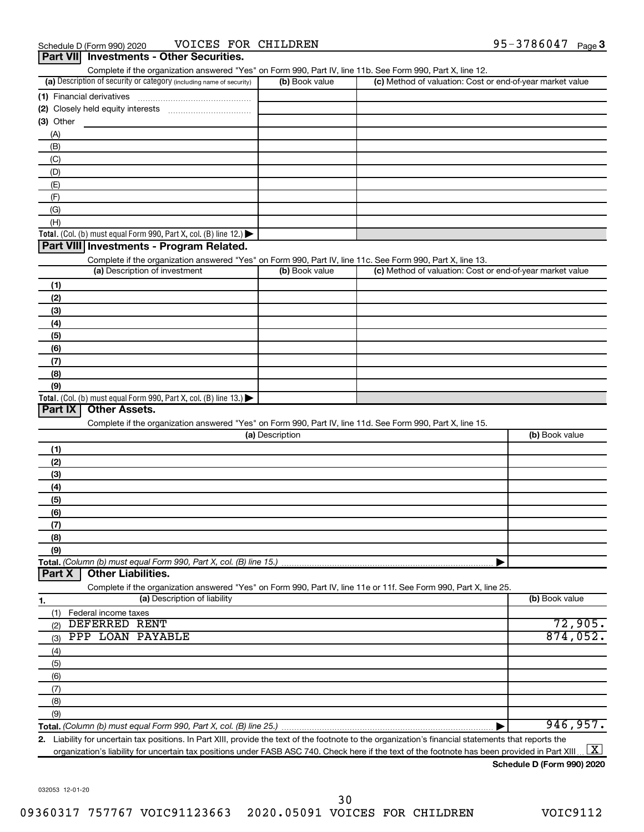| Part VII Investments - Other Securities.                                                                                                    |                 |                                                           |                |
|---------------------------------------------------------------------------------------------------------------------------------------------|-----------------|-----------------------------------------------------------|----------------|
| Complete if the organization answered "Yes" on Form 990, Part IV, line 11b. See Form 990, Part X, line 12.                                  |                 |                                                           |                |
| (a) Description of security or category (including name of security)                                                                        | (b) Book value  | (c) Method of valuation: Cost or end-of-year market value |                |
| (1) Financial derivatives                                                                                                                   |                 |                                                           |                |
|                                                                                                                                             |                 |                                                           |                |
| (3) Other                                                                                                                                   |                 |                                                           |                |
| (A)                                                                                                                                         |                 |                                                           |                |
| (B)                                                                                                                                         |                 |                                                           |                |
| (C)                                                                                                                                         |                 |                                                           |                |
| (D)                                                                                                                                         |                 |                                                           |                |
| (E)                                                                                                                                         |                 |                                                           |                |
| (F)                                                                                                                                         |                 |                                                           |                |
| (G)                                                                                                                                         |                 |                                                           |                |
| (H)                                                                                                                                         |                 |                                                           |                |
| <b>Total.</b> (Col. (b) must equal Form 990, Part X, col. (B) line $12$ .)<br>Part VIII Investments - Program Related.                      |                 |                                                           |                |
|                                                                                                                                             |                 |                                                           |                |
| Complete if the organization answered "Yes" on Form 990, Part IV, line 11c. See Form 990, Part X, line 13.<br>(a) Description of investment | (b) Book value  | (c) Method of valuation: Cost or end-of-year market value |                |
|                                                                                                                                             |                 |                                                           |                |
| (1)                                                                                                                                         |                 |                                                           |                |
| (2)                                                                                                                                         |                 |                                                           |                |
| (3)                                                                                                                                         |                 |                                                           |                |
| (4)<br>(5)                                                                                                                                  |                 |                                                           |                |
| (6)                                                                                                                                         |                 |                                                           |                |
| (7)                                                                                                                                         |                 |                                                           |                |
| (8)                                                                                                                                         |                 |                                                           |                |
| (9)                                                                                                                                         |                 |                                                           |                |
| <b>Total.</b> (Col. (b) must equal Form 990, Part X, col. (B) line $13$ .)                                                                  |                 |                                                           |                |
| Part IX<br><b>Other Assets.</b>                                                                                                             |                 |                                                           |                |
| Complete if the organization answered "Yes" on Form 990, Part IV, line 11d. See Form 990, Part X, line 15.                                  |                 |                                                           |                |
|                                                                                                                                             | (a) Description |                                                           | (b) Book value |
| (1)                                                                                                                                         |                 |                                                           |                |
| (2)                                                                                                                                         |                 |                                                           |                |
| (3)                                                                                                                                         |                 |                                                           |                |
| (4)                                                                                                                                         |                 |                                                           |                |
| (5)                                                                                                                                         |                 |                                                           |                |
| (6)                                                                                                                                         |                 |                                                           |                |
| (7)                                                                                                                                         |                 |                                                           |                |
| (8)                                                                                                                                         |                 |                                                           |                |
| (9)                                                                                                                                         |                 |                                                           |                |
|                                                                                                                                             |                 |                                                           |                |
| <b>Other Liabilities.</b><br>Part X                                                                                                         |                 |                                                           |                |
| Complete if the organization answered "Yes" on Form 990, Part IV, line 11e or 11f. See Form 990, Part X, line 25.                           |                 |                                                           |                |
| (a) Description of liability<br>1.                                                                                                          |                 |                                                           | (b) Book value |
| (1) Federal income taxes                                                                                                                    |                 |                                                           |                |
| DEFERRED RENT<br>(2)                                                                                                                        |                 |                                                           | 72,905.        |
| PPP LOAN PAYABLE<br>(3)                                                                                                                     |                 |                                                           | 874,052.       |
| (4)                                                                                                                                         |                 |                                                           |                |
| (5)                                                                                                                                         |                 |                                                           |                |
| (6)                                                                                                                                         |                 |                                                           |                |
| (7)                                                                                                                                         |                 |                                                           |                |
| (8)                                                                                                                                         |                 |                                                           |                |
| (9)                                                                                                                                         |                 |                                                           |                |
|                                                                                                                                             |                 |                                                           | 946, 957.      |

**2.** Liability for uncertain tax positions. In Part XIII, provide the text of the footnote to the organization's financial statements that reports the organization's liability for uncertain tax positions under FASB ASC 740. Check here if the text of the footnote has been provided in Part XIII..  $\boxed{\text{X}}$ 

**Schedule D (Form 990) 2020**

032053 12-01-20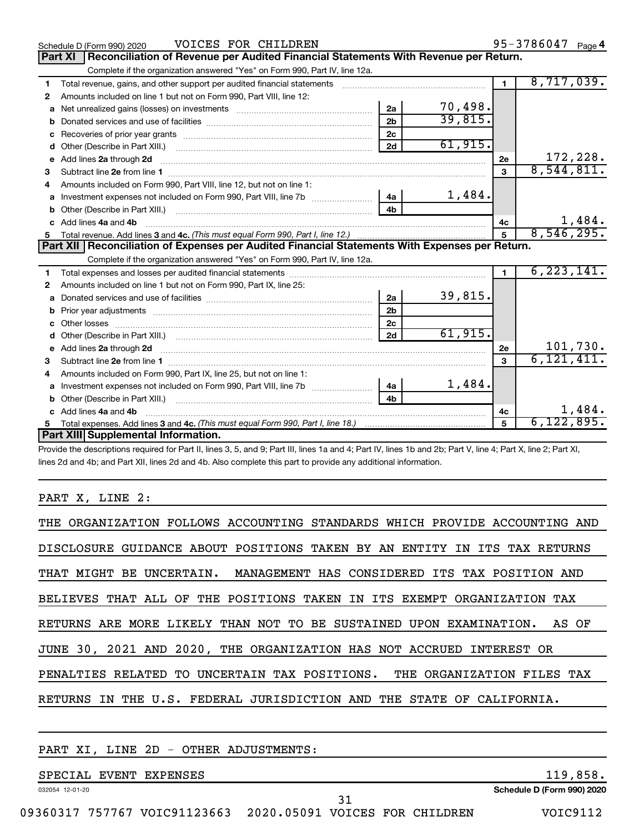|    | VOICES FOR CHILDREN<br>Schedule D (Form 990) 2020                                                                                                           |                |         |                | 95-3786047 Page 4 |          |
|----|-------------------------------------------------------------------------------------------------------------------------------------------------------------|----------------|---------|----------------|-------------------|----------|
|    | Reconciliation of Revenue per Audited Financial Statements With Revenue per Return.<br><b>Part XI</b>                                                       |                |         |                |                   |          |
|    | Complete if the organization answered "Yes" on Form 990, Part IV, line 12a.                                                                                 |                |         |                |                   |          |
| 1  | Total revenue, gains, and other support per audited financial statements [11] [11] Total revenue, gains, and other support per audited financial statements |                |         | $\blacksquare$ | 8,717,039.        |          |
| 2  | Amounts included on line 1 but not on Form 990, Part VIII, line 12:                                                                                         |                |         |                |                   |          |
| a  | Net unrealized gains (losses) on investments [111] [12] Met unrealized gains (losses) on investments                                                        | 2a             | 70,498. |                |                   |          |
| b  |                                                                                                                                                             | 2 <sub>b</sub> | 39,815. |                |                   |          |
| c  |                                                                                                                                                             | 2c             |         |                |                   |          |
| d  |                                                                                                                                                             | 2d             | 61,915. |                |                   |          |
| e  | Add lines 2a through 2d <b>contract and all anominal contract and all anominal contract anominal contract and all a</b>                                     |                |         | 2е             |                   | 172,228. |
| з  |                                                                                                                                                             |                |         | 3              | 8,544,811.        |          |
|    | Amounts included on Form 990. Part VIII. line 12, but not on line 1:                                                                                        |                |         |                |                   |          |
| a  | Investment expenses not included on Form 990, Part VIII, line 7b                                                                                            | 4a             | 1,484.  |                |                   |          |
|    |                                                                                                                                                             | 4 <sub>b</sub> |         |                |                   |          |
| c. | Add lines 4a and 4b                                                                                                                                         |                |         | 4c             |                   | 1,484.   |
| 5  |                                                                                                                                                             |                |         | 5              | 8,546,295.        |          |
|    | Part XII   Reconciliation of Expenses per Audited Financial Statements With Expenses per Return.                                                            |                |         |                |                   |          |
|    | Complete if the organization answered "Yes" on Form 990, Part IV, line 12a.                                                                                 |                |         |                |                   |          |
| 1  |                                                                                                                                                             |                |         | $\blacksquare$ | 6, 223, 141.      |          |
| 2  | Amounts included on line 1 but not on Form 990, Part IX, line 25:                                                                                           |                |         |                |                   |          |
| a  |                                                                                                                                                             | 2a             | 39,815. |                |                   |          |
|    |                                                                                                                                                             | 2 <sub>b</sub> |         |                |                   |          |
| c. |                                                                                                                                                             | 2c             |         |                |                   |          |
| d  |                                                                                                                                                             | 2d             | 61,915. |                |                   |          |
|    |                                                                                                                                                             |                |         | 2e             |                   | 101,730. |
| з  |                                                                                                                                                             |                |         | $\mathbf{a}$   | 6, 121, 411.      |          |
| 4  | Amounts included on Form 990, Part IX, line 25, but not on line 1:                                                                                          |                |         |                |                   |          |
| a  |                                                                                                                                                             | 4a l           | 1,484.  |                |                   |          |
| b  |                                                                                                                                                             | 4b             |         |                |                   |          |
|    | c Add lines 4a and 4b                                                                                                                                       |                |         | 4c             |                   | 1,484.   |
|    |                                                                                                                                                             |                |         | 5              | 6, 122, 895.      |          |
|    | Part XIII Supplemental Information.                                                                                                                         |                |         |                |                   |          |

Provide the descriptions required for Part II, lines 3, 5, and 9; Part III, lines 1a and 4; Part IV, lines 1b and 2b; Part V, line 4; Part X, line 2; Part XI, lines 2d and 4b; and Part XII, lines 2d and 4b. Also complete this part to provide any additional information.

# PART X, LINE 2:

| THE ORGANIZATION FOLLOWS ACCOUNTING STANDARDS WHICH PROVIDE ACCOUNTING AND |
|----------------------------------------------------------------------------|
| DISCLOSURE GUIDANCE ABOUT POSITIONS TAKEN BY AN ENTITY IN ITS TAX RETURNS  |
| THAT MIGHT BE UNCERTAIN. MANAGEMENT HAS CONSIDERED ITS TAX POSITION AND    |
| BELIEVES THAT ALL OF THE POSITIONS TAKEN IN ITS EXEMPT ORGANIZATION TAX    |
| RETURNS ARE MORE LIKELY THAN NOT TO BE SUSTAINED UPON EXAMINATION. AS OF   |
| JUNE 30, 2021 AND 2020, THE ORGANIZATION HAS NOT ACCRUED INTEREST OR       |
| PENALTIES RELATED TO UNCERTAIN TAX POSITIONS. THE ORGANIZATION FILES TAX   |
| RETURNS IN THE U.S. FEDERAL JURISDICTION AND THE STATE OF CALIFORNIA.      |

# PART XI, LINE 2D - OTHER ADJUSTMENTS:

# SPECIAL EVENT EXPENSES 119,858.

032054 12-01-20

**Schedule D (Form 990) 2020**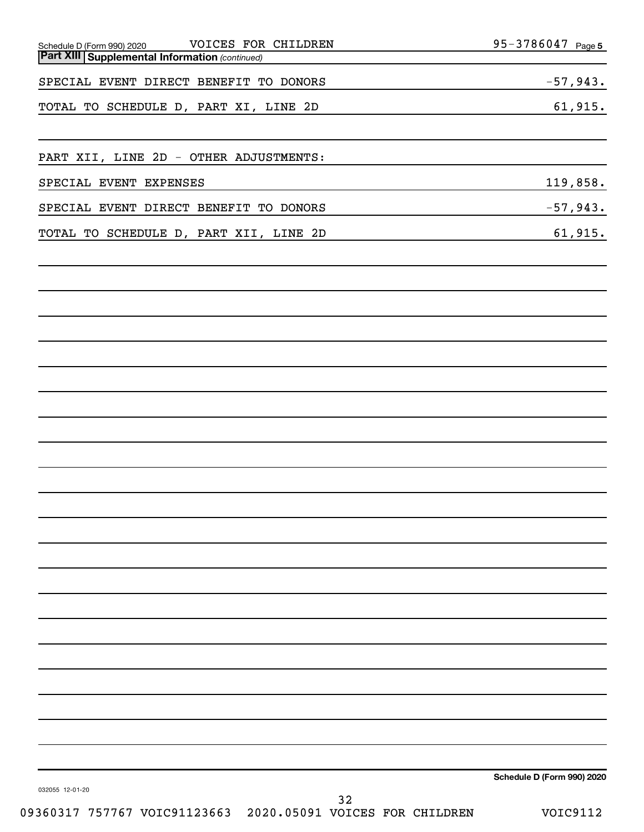| VOICES FOR CHILDREN<br>Schedule D (Form 990) 2020     | $95 - 3786047$ Page 5          |
|-------------------------------------------------------|--------------------------------|
| <b>Part XIII Supplemental Information (continued)</b> |                                |
| SPECIAL EVENT DIRECT BENEFIT TO DONORS                | $-57,943.$                     |
| TOTAL TO SCHEDULE D, PART XI, LINE 2D                 | 61,915.                        |
|                                                       |                                |
| PART XII, LINE 2D - OTHER ADJUSTMENTS:                |                                |
| SPECIAL EVENT EXPENSES                                | 119,858.                       |
| SPECIAL EVENT DIRECT BENEFIT TO DONORS                | $-57,943.$                     |
| TOTAL TO SCHEDULE D, PART XII, LINE 2D                | 61,915.                        |
|                                                       |                                |
|                                                       |                                |
|                                                       |                                |
|                                                       |                                |
|                                                       |                                |
|                                                       |                                |
|                                                       |                                |
|                                                       |                                |
|                                                       |                                |
|                                                       |                                |
|                                                       |                                |
|                                                       |                                |
|                                                       |                                |
|                                                       |                                |
| 032055 12-01-20                                       | Schedule D (Form 990) 2020     |
| 32<br>755565 1105801100660<br>0.001<br>$\Omega$       | $T^{\sim}$ $T^{\sim}$ $\sim$ 1 |

09360317 757767 VOIC91123663 2020.05091 VOICES FOR CHILDREN VOIC9112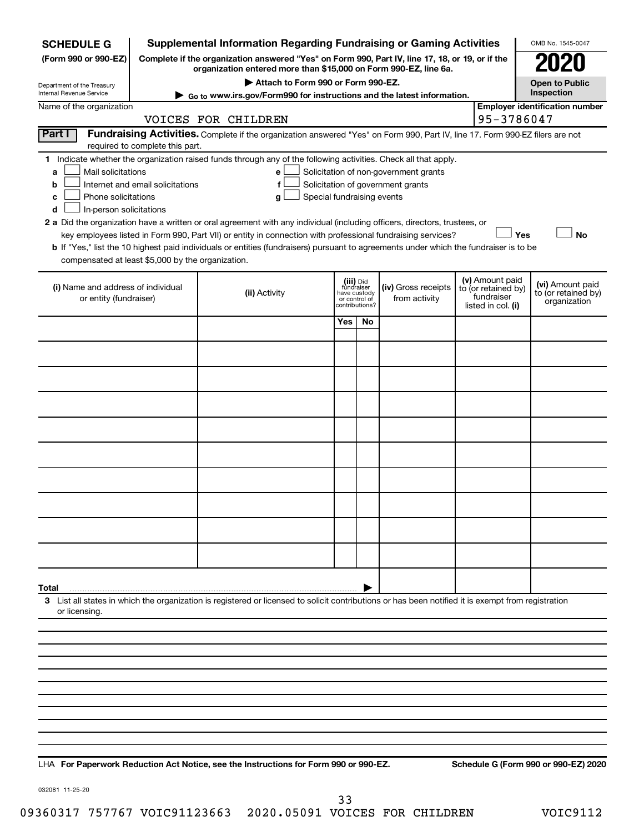| <b>SCHEDULE G</b>                                 |                                  | <b>Supplemental Information Regarding Fundraising or Gaming Activities</b>                                                                                          |              |                                 |                                       |                                        | OMB No. 1545-0047                     |
|---------------------------------------------------|----------------------------------|---------------------------------------------------------------------------------------------------------------------------------------------------------------------|--------------|---------------------------------|---------------------------------------|----------------------------------------|---------------------------------------|
| (Form 990 or 990-EZ)                              |                                  | Complete if the organization answered "Yes" on Form 990, Part IV, line 17, 18, or 19, or if the<br>organization entered more than \$15,000 on Form 990-EZ, line 6a. |              |                                 |                                       |                                        |                                       |
| Department of the Treasury                        |                                  | Attach to Form 990 or Form 990-EZ.                                                                                                                                  |              |                                 |                                       |                                        | <b>Open to Public</b>                 |
| Internal Revenue Service                          |                                  | Go to www.irs.gov/Form990 for instructions and the latest information.                                                                                              |              |                                 |                                       |                                        | Inspection                            |
| Name of the organization                          |                                  | VOICES FOR CHILDREN                                                                                                                                                 |              |                                 |                                       | 95-3786047                             | <b>Employer identification number</b> |
| Part I                                            |                                  | Fundraising Activities. Complete if the organization answered "Yes" on Form 990, Part IV, line 17. Form 990-EZ filers are not                                       |              |                                 |                                       |                                        |                                       |
|                                                   | required to complete this part.  |                                                                                                                                                                     |              |                                 |                                       |                                        |                                       |
| Mail solicitations<br>a                           |                                  | 1 Indicate whether the organization raised funds through any of the following activities. Check all that apply.<br>е                                                |              |                                 | Solicitation of non-government grants |                                        |                                       |
| b                                                 | Internet and email solicitations | f                                                                                                                                                                   |              |                                 | Solicitation of government grants     |                                        |                                       |
| Phone solicitations<br>с                          |                                  | Special fundraising events<br>g                                                                                                                                     |              |                                 |                                       |                                        |                                       |
| In-person solicitations<br>d                      |                                  |                                                                                                                                                                     |              |                                 |                                       |                                        |                                       |
|                                                   |                                  | 2 a Did the organization have a written or oral agreement with any individual (including officers, directors, trustees, or                                          |              |                                 |                                       |                                        |                                       |
|                                                   |                                  | key employees listed in Form 990, Part VII) or entity in connection with professional fundraising services?                                                         |              |                                 |                                       | Yes                                    | <b>No</b>                             |
| compensated at least \$5,000 by the organization. |                                  | b If "Yes," list the 10 highest paid individuals or entities (fundraisers) pursuant to agreements under which the fundraiser is to be                               |              |                                 |                                       |                                        |                                       |
|                                                   |                                  |                                                                                                                                                                     |              |                                 |                                       |                                        |                                       |
| (i) Name and address of individual                |                                  |                                                                                                                                                                     |              | (iii) Did<br>fundraiser         | (iv) Gross receipts                   | (v) Amount paid<br>to (or retained by) | (vi) Amount paid                      |
| or entity (fundraiser)                            |                                  | (ii) Activity                                                                                                                                                       | have custody | or control of<br>contributions? | from activity                         | fundraiser<br>listed in col. (i)       | to (or retained by)<br>organization   |
|                                                   |                                  |                                                                                                                                                                     | <b>Yes</b>   | No                              |                                       |                                        |                                       |
|                                                   |                                  |                                                                                                                                                                     |              |                                 |                                       |                                        |                                       |
|                                                   |                                  |                                                                                                                                                                     |              |                                 |                                       |                                        |                                       |
|                                                   |                                  |                                                                                                                                                                     |              |                                 |                                       |                                        |                                       |
|                                                   |                                  |                                                                                                                                                                     |              |                                 |                                       |                                        |                                       |
|                                                   |                                  |                                                                                                                                                                     |              |                                 |                                       |                                        |                                       |
|                                                   |                                  |                                                                                                                                                                     |              |                                 |                                       |                                        |                                       |
|                                                   |                                  |                                                                                                                                                                     |              |                                 |                                       |                                        |                                       |
|                                                   |                                  |                                                                                                                                                                     |              |                                 |                                       |                                        |                                       |
|                                                   |                                  |                                                                                                                                                                     |              |                                 |                                       |                                        |                                       |
|                                                   |                                  |                                                                                                                                                                     |              |                                 |                                       |                                        |                                       |
|                                                   |                                  |                                                                                                                                                                     |              |                                 |                                       |                                        |                                       |
|                                                   |                                  |                                                                                                                                                                     |              |                                 |                                       |                                        |                                       |
| Total                                             |                                  |                                                                                                                                                                     |              |                                 |                                       |                                        |                                       |
| or licensing.                                     |                                  | 3 List all states in which the organization is registered or licensed to solicit contributions or has been notified it is exempt from registration                  |              |                                 |                                       |                                        |                                       |
|                                                   |                                  |                                                                                                                                                                     |              |                                 |                                       |                                        |                                       |
|                                                   |                                  |                                                                                                                                                                     |              |                                 |                                       |                                        |                                       |
|                                                   |                                  |                                                                                                                                                                     |              |                                 |                                       |                                        |                                       |
|                                                   |                                  |                                                                                                                                                                     |              |                                 |                                       |                                        |                                       |
|                                                   |                                  |                                                                                                                                                                     |              |                                 |                                       |                                        |                                       |
|                                                   |                                  |                                                                                                                                                                     |              |                                 |                                       |                                        |                                       |
|                                                   |                                  |                                                                                                                                                                     |              |                                 |                                       |                                        |                                       |
|                                                   |                                  |                                                                                                                                                                     |              |                                 |                                       |                                        |                                       |
|                                                   |                                  |                                                                                                                                                                     |              |                                 |                                       |                                        |                                       |
|                                                   |                                  |                                                                                                                                                                     |              |                                 |                                       |                                        |                                       |

**For Paperwork Reduction Act Notice, see the Instructions for Form 990 or 990-EZ. Schedule G (Form 990 or 990-EZ) 2020** LHA

032081 11-25-20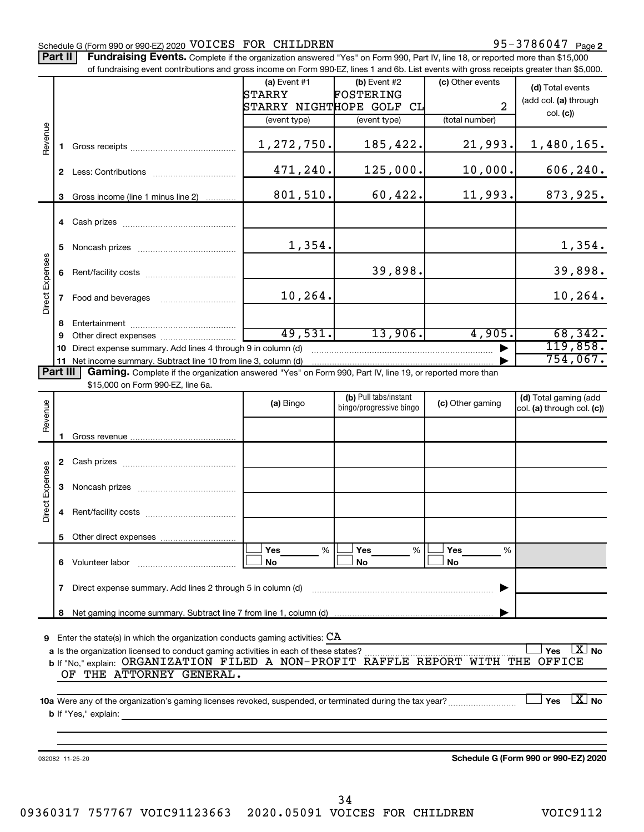# Schedule G (Form 990 or 990-EZ) 2020  $\sqrt{\text{VOLCES}}$   $\sqrt{\text{PDENN}}$  Page  $\sqrt{\text{PDENN}}$  95 - 3786047  $\sqrt{\text{Page}}$

Part II | Fundraising Events. Complete if the organization answered "Yes" on Form 990, Part IV, line 18, or reported more than \$15,000 of fundraising event contributions and gross income on Form 990-EZ, lines 1 and 6b. List events with gross receipts greater than \$5,000.

|                        |              | OF IDITIONS IN POSTED SHOWING THE ORIGINAL CONTRACT ON A SUBSTRAINING OF THE STATES OF SHOWING STREET IN A SUBSTRAINER ON A SUBSTRAINER ON A SUBSTRAINER ON A SUBSTRAINER ON A SUBSTRAINER ON A SUBSTRAINER ON A SUBSTRAINER O |                          |                         |                  |                               |
|------------------------|--------------|--------------------------------------------------------------------------------------------------------------------------------------------------------------------------------------------------------------------------------|--------------------------|-------------------------|------------------|-------------------------------|
|                        |              |                                                                                                                                                                                                                                | (a) Event $#1$           | $(b)$ Event #2          | (c) Other events | (d) Total events              |
|                        |              |                                                                                                                                                                                                                                | STARRY                   | FOSTERING               |                  |                               |
|                        |              |                                                                                                                                                                                                                                | STARRY NIGHTHOPE GOLF CL |                         | $\overline{2}$   | (add col. (a) through         |
|                        |              |                                                                                                                                                                                                                                | (event type)             | (event type)            | (total number)   | col. (c)                      |
|                        |              |                                                                                                                                                                                                                                |                          |                         |                  |                               |
| Revenue                | 1.           |                                                                                                                                                                                                                                | 1,272,750.               | 185,422.                | 21,993.          | 1,480,165.                    |
|                        |              |                                                                                                                                                                                                                                |                          |                         |                  |                               |
|                        |              |                                                                                                                                                                                                                                | 471,240.                 | 125,000.                | 10,000.          | 606, 240.                     |
|                        |              |                                                                                                                                                                                                                                |                          |                         |                  |                               |
|                        | 3            | Gross income (line 1 minus line 2)                                                                                                                                                                                             | 801,510.                 | 60,422.                 | 11,993.          | 873,925.                      |
|                        |              |                                                                                                                                                                                                                                |                          |                         |                  |                               |
|                        |              |                                                                                                                                                                                                                                |                          |                         |                  |                               |
|                        |              |                                                                                                                                                                                                                                |                          |                         |                  |                               |
|                        | 5            |                                                                                                                                                                                                                                | 1,354.                   |                         |                  | 1,354.                        |
|                        |              |                                                                                                                                                                                                                                |                          |                         |                  |                               |
|                        | 6            |                                                                                                                                                                                                                                |                          | 39,898.                 |                  | 39,898.                       |
|                        |              |                                                                                                                                                                                                                                |                          |                         |                  |                               |
| Direct Expenses        |              |                                                                                                                                                                                                                                | 10,264.                  |                         |                  | 10,264.                       |
|                        |              |                                                                                                                                                                                                                                |                          |                         |                  |                               |
|                        | 8            |                                                                                                                                                                                                                                |                          |                         |                  |                               |
|                        | 9            |                                                                                                                                                                                                                                | 49,531.                  | 13,906.                 | 4,905.           | 68, 342.                      |
|                        | 10           | Direct expense summary. Add lines 4 through 9 in column (d)                                                                                                                                                                    |                          |                         |                  | 119,858.                      |
|                        |              |                                                                                                                                                                                                                                |                          |                         |                  | 754,067.                      |
| <b>Part III</b>        |              | Gaming. Complete if the organization answered "Yes" on Form 990, Part IV, line 19, or reported more than                                                                                                                       |                          |                         |                  |                               |
|                        |              | \$15,000 on Form 990-EZ, line 6a.                                                                                                                                                                                              |                          |                         |                  |                               |
|                        |              |                                                                                                                                                                                                                                |                          | (b) Pull tabs/instant   |                  | (d) Total gaming (add         |
|                        |              |                                                                                                                                                                                                                                | (a) Bingo                | bingo/progressive bingo | (c) Other gaming | col. (a) through col. (c))    |
| Revenue                |              |                                                                                                                                                                                                                                |                          |                         |                  |                               |
|                        | 1.           |                                                                                                                                                                                                                                |                          |                         |                  |                               |
|                        |              |                                                                                                                                                                                                                                |                          |                         |                  |                               |
|                        |              |                                                                                                                                                                                                                                |                          |                         |                  |                               |
|                        |              |                                                                                                                                                                                                                                |                          |                         |                  |                               |
|                        | 3            |                                                                                                                                                                                                                                |                          |                         |                  |                               |
| <b>Direct Expenses</b> |              |                                                                                                                                                                                                                                |                          |                         |                  |                               |
|                        | 4            |                                                                                                                                                                                                                                |                          |                         |                  |                               |
|                        |              |                                                                                                                                                                                                                                |                          |                         |                  |                               |
|                        |              |                                                                                                                                                                                                                                |                          |                         |                  |                               |
|                        |              |                                                                                                                                                                                                                                | Yes<br>%                 | Yes<br>%                | Yes<br>%         |                               |
|                        |              | 6 Volunteer labor                                                                                                                                                                                                              | No                       | No                      | No               |                               |
|                        |              |                                                                                                                                                                                                                                |                          |                         |                  |                               |
|                        | $\mathbf{7}$ | Direct expense summary. Add lines 2 through 5 in column (d)                                                                                                                                                                    |                          |                         |                  |                               |
|                        |              |                                                                                                                                                                                                                                |                          |                         |                  |                               |
|                        |              |                                                                                                                                                                                                                                |                          |                         |                  |                               |
|                        |              |                                                                                                                                                                                                                                |                          |                         |                  |                               |
| 9                      |              | Enter the state(s) in which the organization conducts gaming activities: $\rm CA$                                                                                                                                              |                          |                         |                  |                               |
|                        |              |                                                                                                                                                                                                                                |                          |                         |                  | $\lfloor x \rfloor$ No<br>Yes |
|                        |              | b If "No," explain: ORGANIZATION FILED A NON-PROFIT RAFFLE REPORT WITH THE OFFICE<br>OF THE ATTORNEY GENERAL.                                                                                                                  |                          |                         |                  |                               |
|                        |              |                                                                                                                                                                                                                                |                          |                         |                  |                               |
|                        |              |                                                                                                                                                                                                                                |                          |                         |                  |                               |
|                        |              | 10a Were any of the organization's gaming licenses revoked, suspended, or terminated during the tax year?                                                                                                                      |                          |                         |                  | $\lfloor x \rfloor$ No<br>Yes |
|                        |              | <b>b</b> If "Yes," explain:                                                                                                                                                                                                    |                          |                         |                  |                               |
|                        |              |                                                                                                                                                                                                                                |                          |                         |                  |                               |
|                        |              |                                                                                                                                                                                                                                |                          |                         |                  |                               |
|                        |              |                                                                                                                                                                                                                                |                          |                         |                  |                               |

34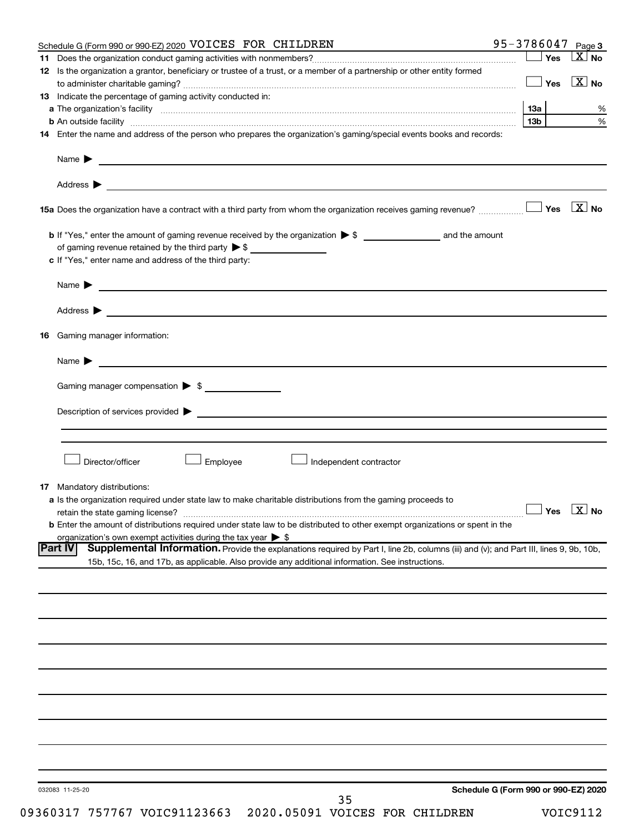|                | Schedule G (Form 990 or 990-EZ) 2020 VOICES FOR CHILDREN                                                                                           | 95-3786047 $_{Page 3}$               |                           |
|----------------|----------------------------------------------------------------------------------------------------------------------------------------------------|--------------------------------------|---------------------------|
| 11.            |                                                                                                                                                    | ∫ Yes                                | $\mathbf{X}$<br><b>No</b> |
|                | 12 Is the organization a grantor, beneficiary or trustee of a trust, or a member of a partnership or other entity formed                           |                                      |                           |
|                |                                                                                                                                                    | Yes                                  | $\mathbf{X}$ No           |
|                | 13 Indicate the percentage of gaming activity conducted in:                                                                                        |                                      |                           |
|                |                                                                                                                                                    |                                      |                           |
|                |                                                                                                                                                    | 13 <sub>b</sub>                      | %                         |
|                |                                                                                                                                                    |                                      | $\%$                      |
|                | 14 Enter the name and address of the person who prepares the organization's gaming/special events books and records:                               |                                      |                           |
|                |                                                                                                                                                    |                                      |                           |
|                | Name $\blacktriangleright$<br><u> 1989 - Johann Barbara, martin amerikan basal dan berasal dan berasal dalam basal dan berasal dan berasal dan</u> |                                      |                           |
|                |                                                                                                                                                    |                                      |                           |
|                |                                                                                                                                                    |                                      |                           |
|                |                                                                                                                                                    |                                      |                           |
|                |                                                                                                                                                    |                                      |                           |
|                |                                                                                                                                                    |                                      |                           |
|                |                                                                                                                                                    |                                      |                           |
|                | of gaming revenue retained by the third party $\triangleright$ \$                                                                                  |                                      |                           |
|                |                                                                                                                                                    |                                      |                           |
|                | c If "Yes," enter name and address of the third party:                                                                                             |                                      |                           |
|                |                                                                                                                                                    |                                      |                           |
|                | Name $\blacktriangleright$ $\blacksquare$                                                                                                          |                                      |                           |
|                |                                                                                                                                                    |                                      |                           |
|                |                                                                                                                                                    |                                      |                           |
|                |                                                                                                                                                    |                                      |                           |
| 16             | Gaming manager information:                                                                                                                        |                                      |                           |
|                |                                                                                                                                                    |                                      |                           |
|                | Name $\blacktriangleright$ $\blacksquare$                                                                                                          |                                      |                           |
|                |                                                                                                                                                    |                                      |                           |
|                |                                                                                                                                                    |                                      |                           |
|                | Gaming manager compensation > \$                                                                                                                   |                                      |                           |
|                |                                                                                                                                                    |                                      |                           |
|                |                                                                                                                                                    |                                      |                           |
|                |                                                                                                                                                    |                                      |                           |
|                |                                                                                                                                                    |                                      |                           |
|                |                                                                                                                                                    |                                      |                           |
|                | Director/officer<br><b>Employee</b><br>Independent contractor                                                                                      |                                      |                           |
|                |                                                                                                                                                    |                                      |                           |
|                | <b>17</b> Mandatory distributions:                                                                                                                 |                                      |                           |
|                | <b>a</b> Is the organization required under state law to make charitable distributions from the gaming proceeds to                                 |                                      |                           |
|                |                                                                                                                                                    |                                      | $\Box$ Yes $\Box X$ No    |
|                |                                                                                                                                                    |                                      |                           |
|                | <b>b</b> Enter the amount of distributions required under state law to be distributed to other exempt organizations or spent in the                |                                      |                           |
|                | organization's own exempt activities during the tax year $\triangleright$ \$                                                                       |                                      |                           |
| <b>Part IV</b> | Supplemental Information. Provide the explanations required by Part I, line 2b, columns (iii) and (v); and Part III, lines 9, 9b, 10b,             |                                      |                           |
|                | 15b, 15c, 16, and 17b, as applicable. Also provide any additional information. See instructions.                                                   |                                      |                           |
|                |                                                                                                                                                    |                                      |                           |
|                |                                                                                                                                                    |                                      |                           |
|                |                                                                                                                                                    |                                      |                           |
|                |                                                                                                                                                    |                                      |                           |
|                |                                                                                                                                                    |                                      |                           |
|                |                                                                                                                                                    |                                      |                           |
|                |                                                                                                                                                    |                                      |                           |
|                |                                                                                                                                                    |                                      |                           |
|                |                                                                                                                                                    |                                      |                           |
|                |                                                                                                                                                    |                                      |                           |
|                |                                                                                                                                                    |                                      |                           |
|                |                                                                                                                                                    |                                      |                           |
|                |                                                                                                                                                    |                                      |                           |
|                |                                                                                                                                                    |                                      |                           |
|                |                                                                                                                                                    |                                      |                           |
|                |                                                                                                                                                    |                                      |                           |
|                |                                                                                                                                                    |                                      |                           |
|                |                                                                                                                                                    |                                      |                           |
|                |                                                                                                                                                    |                                      |                           |
|                | 032083 11-25-20                                                                                                                                    | Schedule G (Form 990 or 990-EZ) 2020 |                           |
|                | 35                                                                                                                                                 |                                      |                           |

09360317 757767 VOIC91123663 2020.05091 VOICES FOR CHILDREN VOIC9112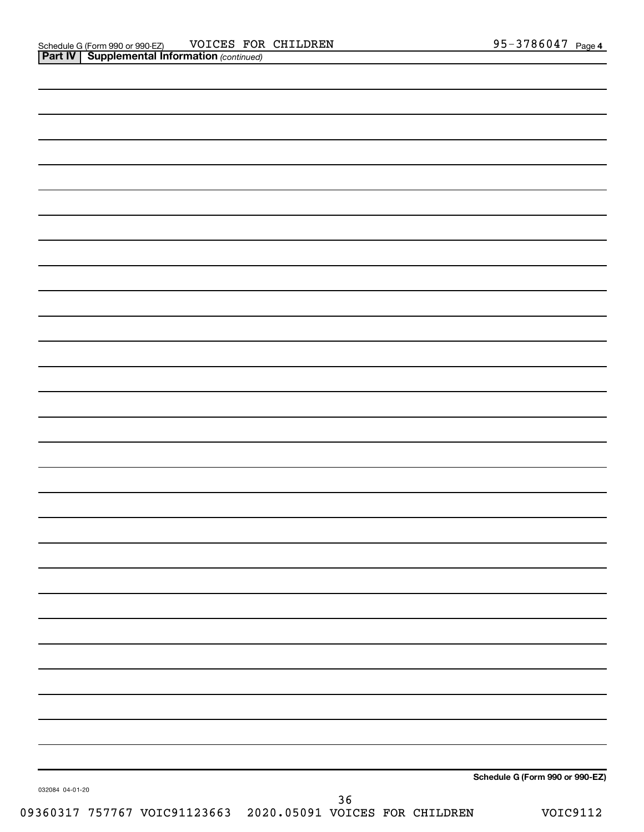|  | Schedule G (Form 990 or 990-EZ) |
|--|---------------------------------|
|  |                                 |
|  |                                 |
|  |                                 |
|  |                                 |
|  |                                 |
|  |                                 |
|  |                                 |
|  |                                 |
|  |                                 |
|  |                                 |
|  |                                 |
|  |                                 |
|  |                                 |
|  |                                 |
|  |                                 |
|  |                                 |
|  |                                 |
|  |                                 |
|  |                                 |
|  |                                 |
|  |                                 |
|  |                                 |
|  |                                 |
|  |                                 |
|  |                                 |
|  |                                 |
|  |                                 |
|  |                                 |
|  |                                 |
|  |                                 |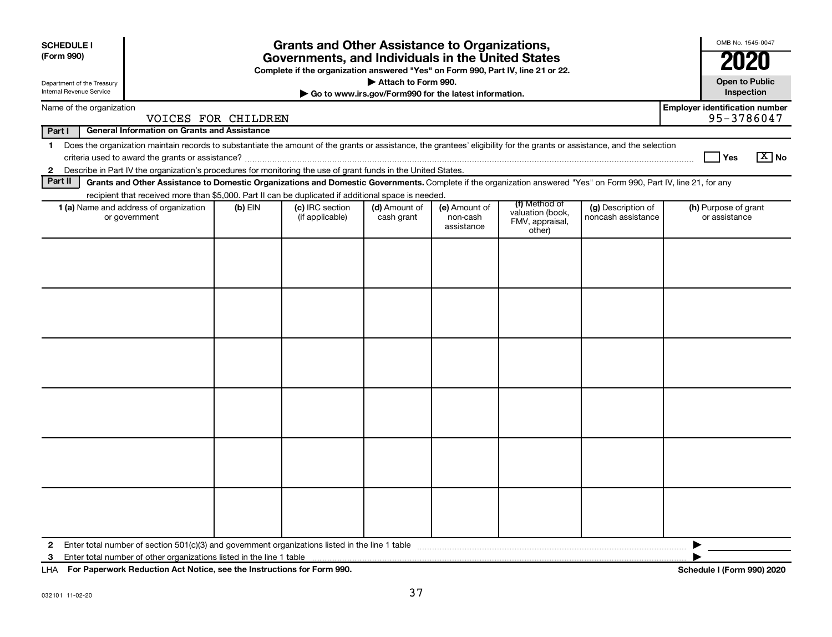|                                                        | <b>Grants and Other Assistance to Organizations,</b><br><b>SCHEDULE I</b><br>(Form 990)<br>Governments, and Individuals in the United States<br>Complete if the organization answered "Yes" on Form 990, Part IV, line 21 or 22.                                                                                                                                                                          |                                                                                                                                                                                                                                                                                           |                     |                                                                                                                                                                    |                                                                              |  |                                       | OMB No. 1545-0047<br>21 |   |                                                     |                       |
|--------------------------------------------------------|-----------------------------------------------------------------------------------------------------------------------------------------------------------------------------------------------------------------------------------------------------------------------------------------------------------------------------------------------------------------------------------------------------------|-------------------------------------------------------------------------------------------------------------------------------------------------------------------------------------------------------------------------------------------------------------------------------------------|---------------------|--------------------------------------------------------------------------------------------------------------------------------------------------------------------|------------------------------------------------------------------------------|--|---------------------------------------|-------------------------|---|-----------------------------------------------------|-----------------------|
| Department of the Treasury<br>Internal Revenue Service |                                                                                                                                                                                                                                                                                                                                                                                                           |                                                                                                                                                                                                                                                                                           |                     |                                                                                                                                                                    | Attach to Form 990.<br>Go to www.irs.gov/Form990 for the latest information. |  |                                       |                         |   | <b>Open to Public</b><br>Inspection                 |                       |
|                                                        | Name of the organization                                                                                                                                                                                                                                                                                                                                                                                  |                                                                                                                                                                                                                                                                                           | VOICES FOR CHILDREN |                                                                                                                                                                    |                                                                              |  |                                       |                         |   | <b>Employer identification number</b><br>95-3786047 |                       |
| Part I                                                 |                                                                                                                                                                                                                                                                                                                                                                                                           | <b>General Information on Grants and Assistance</b>                                                                                                                                                                                                                                       |                     |                                                                                                                                                                    |                                                                              |  |                                       |                         |   |                                                     |                       |
| $\mathbf 1$<br>$\mathbf{2}$                            |                                                                                                                                                                                                                                                                                                                                                                                                           | Does the organization maintain records to substantiate the amount of the grants or assistance, the grantees' eligibility for the grants or assistance, and the selection<br>Describe in Part IV the organization's procedures for monitoring the use of grant funds in the United States. |                     |                                                                                                                                                                    |                                                                              |  |                                       |                         |   |                                                     | $\boxed{\text{X}}$ No |
| Part II                                                |                                                                                                                                                                                                                                                                                                                                                                                                           |                                                                                                                                                                                                                                                                                           |                     | Grants and Other Assistance to Domestic Organizations and Domestic Governments. Complete if the organization answered "Yes" on Form 990, Part IV, line 21, for any |                                                                              |  |                                       |                         |   |                                                     |                       |
|                                                        | recipient that received more than \$5,000. Part II can be duplicated if additional space is needed.<br>(f) Method of<br>1 (a) Name and address of organization<br>(d) Amount of<br>(g) Description of<br>$(b)$ EIN<br>(c) IRC section<br>(e) Amount of<br>valuation (book,<br>noncash assistance<br>or government<br>(if applicable)<br>cash grant<br>non-cash<br>FMV, appraisal,<br>assistance<br>other) |                                                                                                                                                                                                                                                                                           |                     |                                                                                                                                                                    |                                                                              |  | (h) Purpose of grant<br>or assistance |                         |   |                                                     |                       |
|                                                        |                                                                                                                                                                                                                                                                                                                                                                                                           |                                                                                                                                                                                                                                                                                           |                     |                                                                                                                                                                    |                                                                              |  |                                       |                         |   |                                                     |                       |
|                                                        |                                                                                                                                                                                                                                                                                                                                                                                                           |                                                                                                                                                                                                                                                                                           |                     |                                                                                                                                                                    |                                                                              |  |                                       |                         |   |                                                     |                       |
|                                                        |                                                                                                                                                                                                                                                                                                                                                                                                           |                                                                                                                                                                                                                                                                                           |                     |                                                                                                                                                                    |                                                                              |  |                                       |                         |   |                                                     |                       |
|                                                        |                                                                                                                                                                                                                                                                                                                                                                                                           |                                                                                                                                                                                                                                                                                           |                     |                                                                                                                                                                    |                                                                              |  |                                       |                         |   |                                                     |                       |
| $\mathbf{2}$<br>3                                      |                                                                                                                                                                                                                                                                                                                                                                                                           |                                                                                                                                                                                                                                                                                           |                     | Enter total number of section 501(c)(3) and government organizations listed in the line 1 table                                                                    |                                                                              |  |                                       |                         | ▶ |                                                     |                       |

**For Paperwork Reduction Act Notice, see the Instructions for Form 990. Schedule I (Form 990) 2020** LHA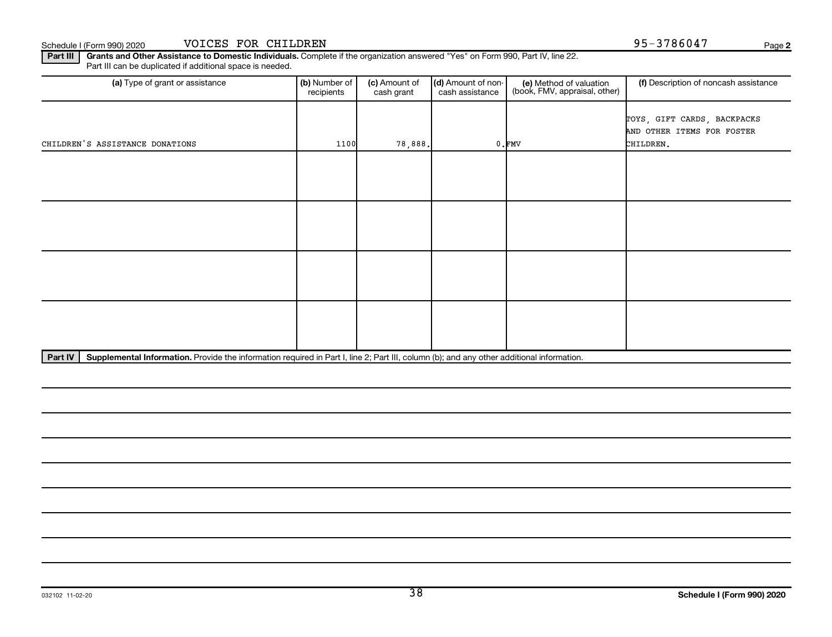Part III | Grants and Other Assistance to Domestic Individuals. Complete if the organization answered "Yes" on Form 990, Part IV, line 22. Part III can be duplicated if additional space is needed.

| (a) Type of grant or assistance | (b) Number of<br>recipients | (c) Amount of<br>cash grant | (d) Amount of non-<br>cash assistance | (e) Method of valuation<br>(book, FMV, appraisal, other) | (f) Description of noncash assistance                                  |
|---------------------------------|-----------------------------|-----------------------------|---------------------------------------|----------------------------------------------------------|------------------------------------------------------------------------|
| CHILDREN'S ASSISTANCE DONATIONS | 1100                        | 78,888.                     |                                       | $0.$ FMV                                                 | TOYS, GIFT CARDS, BACKPACKS<br>AND OTHER ITEMS FOR FOSTER<br>CHILDREN. |
|                                 |                             |                             |                                       |                                                          |                                                                        |
|                                 |                             |                             |                                       |                                                          |                                                                        |
|                                 |                             |                             |                                       |                                                          |                                                                        |
|                                 |                             |                             |                                       |                                                          |                                                                        |

Part IV | Supplemental Information. Provide the information required in Part I, line 2; Part III, column (b); and any other additional information.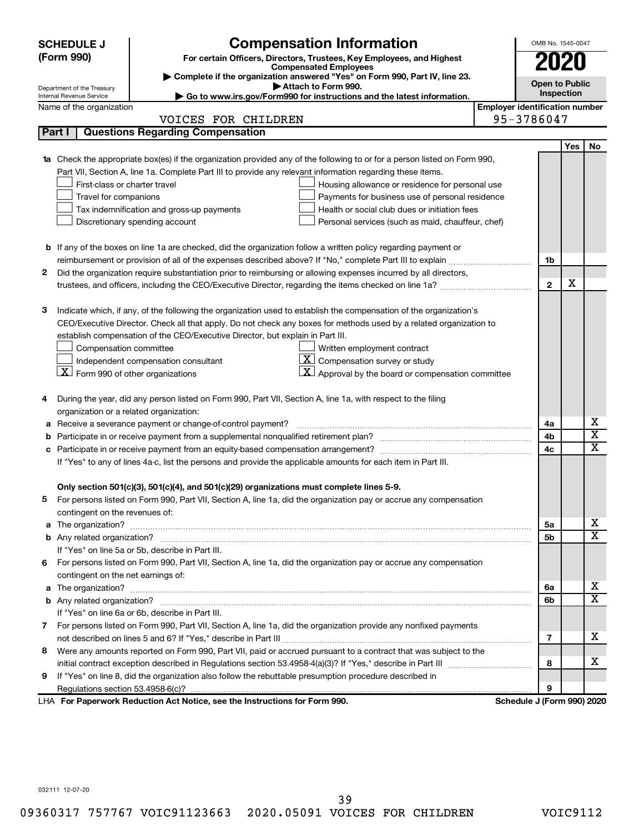| <b>Compensation Information</b><br>OMB No. 1545-0047<br><b>SCHEDULE J</b> |                                                                                            |                                                                                                                           |                                       |                            |     |                         |  |  |
|---------------------------------------------------------------------------|--------------------------------------------------------------------------------------------|---------------------------------------------------------------------------------------------------------------------------|---------------------------------------|----------------------------|-----|-------------------------|--|--|
|                                                                           | (Form 990)                                                                                 | For certain Officers, Directors, Trustees, Key Employees, and Highest                                                     |                                       | <b>2020</b>                |     |                         |  |  |
|                                                                           |                                                                                            | <b>Compensated Employees</b>                                                                                              |                                       |                            |     |                         |  |  |
|                                                                           | Department of the Treasury                                                                 | Complete if the organization answered "Yes" on Form 990, Part IV, line 23.<br>Attach to Form 990.                         |                                       | <b>Open to Public</b>      |     |                         |  |  |
|                                                                           | Internal Revenue Service                                                                   | Go to www.irs.gov/Form990 for instructions and the latest information.                                                    |                                       | Inspection                 |     |                         |  |  |
|                                                                           | Name of the organization                                                                   |                                                                                                                           | <b>Employer identification number</b> |                            |     |                         |  |  |
|                                                                           |                                                                                            | VOICES FOR CHILDREN                                                                                                       |                                       | 95-3786047                 |     |                         |  |  |
|                                                                           | Part I                                                                                     | <b>Questions Regarding Compensation</b>                                                                                   |                                       |                            |     |                         |  |  |
|                                                                           |                                                                                            |                                                                                                                           |                                       |                            | Yes | No                      |  |  |
|                                                                           |                                                                                            | 1a Check the appropriate box(es) if the organization provided any of the following to or for a person listed on Form 990, |                                       |                            |     |                         |  |  |
|                                                                           |                                                                                            | Part VII, Section A, line 1a. Complete Part III to provide any relevant information regarding these items.                |                                       |                            |     |                         |  |  |
|                                                                           | First-class or charter travel                                                              | Housing allowance or residence for personal use                                                                           |                                       |                            |     |                         |  |  |
|                                                                           | Travel for companions                                                                      | Payments for business use of personal residence                                                                           |                                       |                            |     |                         |  |  |
|                                                                           | Tax indemnification and gross-up payments<br>Health or social club dues or initiation fees |                                                                                                                           |                                       |                            |     |                         |  |  |
|                                                                           |                                                                                            | Discretionary spending account<br>Personal services (such as maid, chauffeur, chef)                                       |                                       |                            |     |                         |  |  |
|                                                                           |                                                                                            |                                                                                                                           |                                       |                            |     |                         |  |  |
|                                                                           |                                                                                            | <b>b</b> If any of the boxes on line 1a are checked, did the organization follow a written policy regarding payment or    |                                       |                            |     |                         |  |  |
|                                                                           |                                                                                            | reimbursement or provision of all of the expenses described above? If "No," complete Part III to explain                  |                                       | 1b                         |     |                         |  |  |
| 2                                                                         |                                                                                            | Did the organization require substantiation prior to reimbursing or allowing expenses incurred by all directors,          |                                       |                            |     |                         |  |  |
|                                                                           |                                                                                            | trustees, and officers, including the CEO/Executive Director, regarding the items checked on line 1a?                     |                                       | $\mathbf{2}$               | х   |                         |  |  |
|                                                                           |                                                                                            |                                                                                                                           |                                       |                            |     |                         |  |  |
| 3                                                                         |                                                                                            | Indicate which, if any, of the following the organization used to establish the compensation of the organization's        |                                       |                            |     |                         |  |  |
|                                                                           |                                                                                            | CEO/Executive Director. Check all that apply. Do not check any boxes for methods used by a related organization to        |                                       |                            |     |                         |  |  |
|                                                                           |                                                                                            | establish compensation of the CEO/Executive Director, but explain in Part III.                                            |                                       |                            |     |                         |  |  |
|                                                                           | Compensation committee                                                                     | Written employment contract                                                                                               |                                       |                            |     |                         |  |  |
|                                                                           |                                                                                            | $ \mathbf{X} $ Compensation survey or study<br>Independent compensation consultant                                        |                                       |                            |     |                         |  |  |
|                                                                           | $X$ Form 990 of other organizations                                                        | $\mathbf{X}$ Approval by the board or compensation committee                                                              |                                       |                            |     |                         |  |  |
| 4                                                                         |                                                                                            | During the year, did any person listed on Form 990, Part VII, Section A, line 1a, with respect to the filing              |                                       |                            |     |                         |  |  |
|                                                                           | organization or a related organization:                                                    |                                                                                                                           |                                       |                            |     |                         |  |  |
|                                                                           |                                                                                            | Receive a severance payment or change-of-control payment?                                                                 |                                       | 4a                         |     | х                       |  |  |
| b                                                                         |                                                                                            |                                                                                                                           |                                       | 4b                         |     | $\overline{\mathbf{x}}$ |  |  |
| с                                                                         |                                                                                            |                                                                                                                           |                                       | 4c                         |     | $\overline{\text{x}}$   |  |  |
|                                                                           |                                                                                            | If "Yes" to any of lines 4a-c, list the persons and provide the applicable amounts for each item in Part III.             |                                       |                            |     |                         |  |  |
|                                                                           |                                                                                            |                                                                                                                           |                                       |                            |     |                         |  |  |
|                                                                           |                                                                                            | Only section 501(c)(3), 501(c)(4), and 501(c)(29) organizations must complete lines 5-9.                                  |                                       |                            |     |                         |  |  |
|                                                                           |                                                                                            | For persons listed on Form 990, Part VII, Section A, line 1a, did the organization pay or accrue any compensation         |                                       |                            |     |                         |  |  |
|                                                                           | contingent on the revenues of:                                                             |                                                                                                                           |                                       |                            |     |                         |  |  |
|                                                                           |                                                                                            |                                                                                                                           |                                       | 5а                         |     | X.                      |  |  |
|                                                                           |                                                                                            |                                                                                                                           |                                       | 5b                         |     | $\overline{\mathbf{X}}$ |  |  |
|                                                                           |                                                                                            | If "Yes" on line 5a or 5b, describe in Part III.                                                                          |                                       |                            |     |                         |  |  |
| 6                                                                         |                                                                                            | For persons listed on Form 990, Part VII, Section A, line 1a, did the organization pay or accrue any compensation         |                                       |                            |     |                         |  |  |
|                                                                           | contingent on the net earnings of:                                                         |                                                                                                                           |                                       |                            |     |                         |  |  |
|                                                                           |                                                                                            |                                                                                                                           |                                       |                            |     |                         |  |  |
|                                                                           |                                                                                            |                                                                                                                           |                                       |                            |     |                         |  |  |
|                                                                           |                                                                                            | If "Yes" on line 6a or 6b, describe in Part III.                                                                          |                                       |                            |     |                         |  |  |
|                                                                           |                                                                                            | 7 For persons listed on Form 990, Part VII, Section A, line 1a, did the organization provide any nonfixed payments        |                                       |                            |     |                         |  |  |
|                                                                           |                                                                                            |                                                                                                                           |                                       | 7                          |     | х                       |  |  |
| 8                                                                         |                                                                                            | Were any amounts reported on Form 990, Part VII, paid or accrued pursuant to a contract that was subject to the           |                                       |                            |     |                         |  |  |
|                                                                           |                                                                                            |                                                                                                                           |                                       | 8                          |     | х                       |  |  |
| 9                                                                         |                                                                                            | If "Yes" on line 8, did the organization also follow the rebuttable presumption procedure described in                    |                                       |                            |     |                         |  |  |
|                                                                           |                                                                                            |                                                                                                                           |                                       | 9                          |     |                         |  |  |
|                                                                           |                                                                                            | LHA For Paperwork Reduction Act Notice, see the Instructions for Form 990.                                                |                                       | Schedule J (Form 990) 2020 |     |                         |  |  |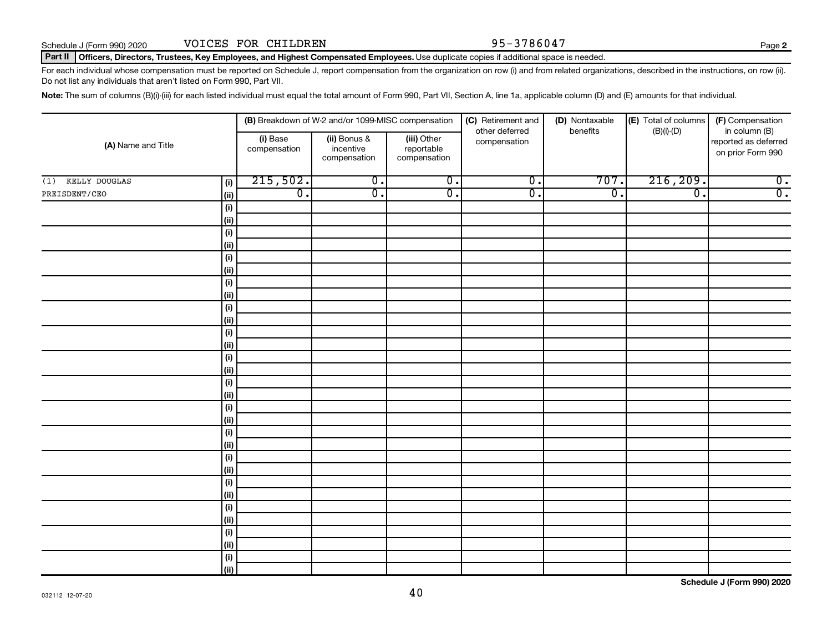### Part II | Officers, Directors, Trustees, Key Employees, and Highest Compensated Employees. Use duplicate copies if additional space is needed.

For each individual whose compensation must be reported on Schedule J, report compensation from the organization on row (i) and from related organizations, described in the instructions, on row (ii). Do not list any individuals that aren't listed on Form 990, Part VII.

Note: The sum of columns (B)(i)-(iii) for each listed individual must equal the total amount of Form 990, Part VII, Section A, line 1a, applicable column (D) and (E) amounts for that individual.

|                      | (B) Breakdown of W-2 and/or 1099-MISC compensation |                          |                                           | (C) Retirement and                        | (D) Nontaxable                 | (E) Total of columns        | (F) Compensation            |                                                            |
|----------------------|----------------------------------------------------|--------------------------|-------------------------------------------|-------------------------------------------|--------------------------------|-----------------------------|-----------------------------|------------------------------------------------------------|
| (A) Name and Title   |                                                    | (i) Base<br>compensation | (ii) Bonus &<br>incentive<br>compensation | (iii) Other<br>reportable<br>compensation | other deferred<br>compensation | benefits                    | $(B)(i)$ - $(D)$            | in column (B)<br>reported as deferred<br>on prior Form 990 |
| KELLY DOUGLAS<br>(1) | (i)                                                | 215,502.                 | $\overline{0}$ .                          | $\overline{0}$ .                          | $\overline{0}$ .               | 707.                        | 216, 209.                   | $\overline{0}$ .                                           |
| PREISDENT/CEO        | (ii)                                               | $\overline{0}$ .         | $\overline{\mathfrak{o}}$ .               | $\overline{0}$ .                          | $\overline{0}$ .               | $\overline{\mathfrak{o}}$ . | $\overline{\mathfrak{o}}$ . | $\overline{0}$ .                                           |
|                      | (i)                                                |                          |                                           |                                           |                                |                             |                             |                                                            |
|                      | (ii)                                               |                          |                                           |                                           |                                |                             |                             |                                                            |
|                      | (i)                                                |                          |                                           |                                           |                                |                             |                             |                                                            |
|                      | (ii)                                               |                          |                                           |                                           |                                |                             |                             |                                                            |
|                      | (i)                                                |                          |                                           |                                           |                                |                             |                             |                                                            |
|                      | (ii)                                               |                          |                                           |                                           |                                |                             |                             |                                                            |
|                      | (i)                                                |                          |                                           |                                           |                                |                             |                             |                                                            |
|                      | (ii)                                               |                          |                                           |                                           |                                |                             |                             |                                                            |
|                      | (i)                                                |                          |                                           |                                           |                                |                             |                             |                                                            |
|                      | (ii)                                               |                          |                                           |                                           |                                |                             |                             |                                                            |
|                      | (i)                                                |                          |                                           |                                           |                                |                             |                             |                                                            |
|                      | (ii)                                               |                          |                                           |                                           |                                |                             |                             |                                                            |
|                      | (i)                                                |                          |                                           |                                           |                                |                             |                             |                                                            |
|                      | (ii)                                               |                          |                                           |                                           |                                |                             |                             |                                                            |
|                      | (i)<br>(ii)                                        |                          |                                           |                                           |                                |                             |                             |                                                            |
|                      | (i)                                                |                          |                                           |                                           |                                |                             |                             |                                                            |
|                      | (ii)                                               |                          |                                           |                                           |                                |                             |                             |                                                            |
|                      | (i)                                                |                          |                                           |                                           |                                |                             |                             |                                                            |
|                      | (ii)                                               |                          |                                           |                                           |                                |                             |                             |                                                            |
|                      | (i)                                                |                          |                                           |                                           |                                |                             |                             |                                                            |
|                      | (ii)                                               |                          |                                           |                                           |                                |                             |                             |                                                            |
|                      | (i)                                                |                          |                                           |                                           |                                |                             |                             |                                                            |
|                      | (ii)                                               |                          |                                           |                                           |                                |                             |                             |                                                            |
|                      | (i)                                                |                          |                                           |                                           |                                |                             |                             |                                                            |
|                      | (ii)                                               |                          |                                           |                                           |                                |                             |                             |                                                            |
|                      | (i)                                                |                          |                                           |                                           |                                |                             |                             |                                                            |
|                      | (ii)                                               |                          |                                           |                                           |                                |                             |                             |                                                            |
|                      | (i)                                                |                          |                                           |                                           |                                |                             |                             |                                                            |
|                      | (ii)                                               |                          |                                           |                                           |                                |                             |                             |                                                            |

**Schedule J (Form 990) 2020**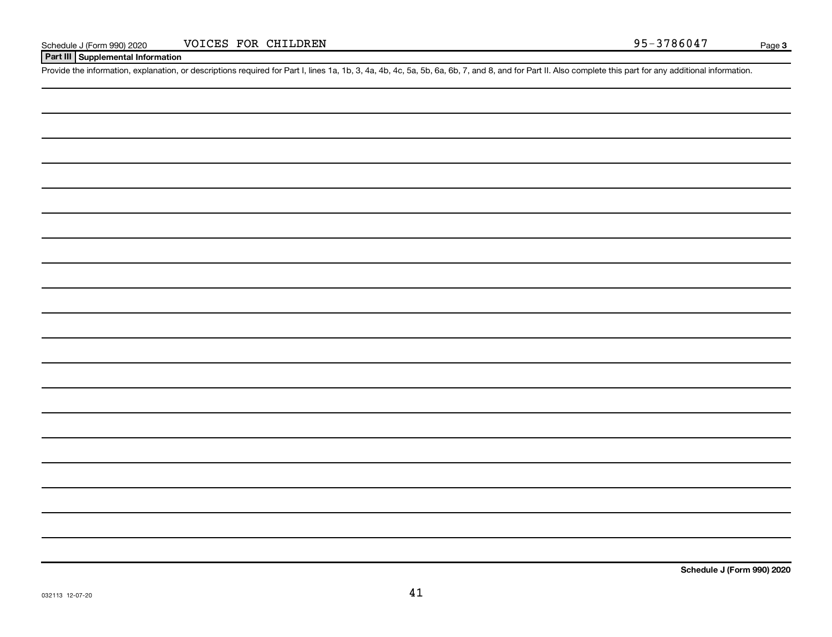# **Part III Supplemental Information**

Provide the information, explanation, or descriptions required for Part I, lines 1a, 1b, 3, 4a, 4b, 4c, 5a, 5b, 6a, 6b, 7, and 8, and for Part II. Also complete this part for any additional information.

**Schedule J (Form 990) 2020**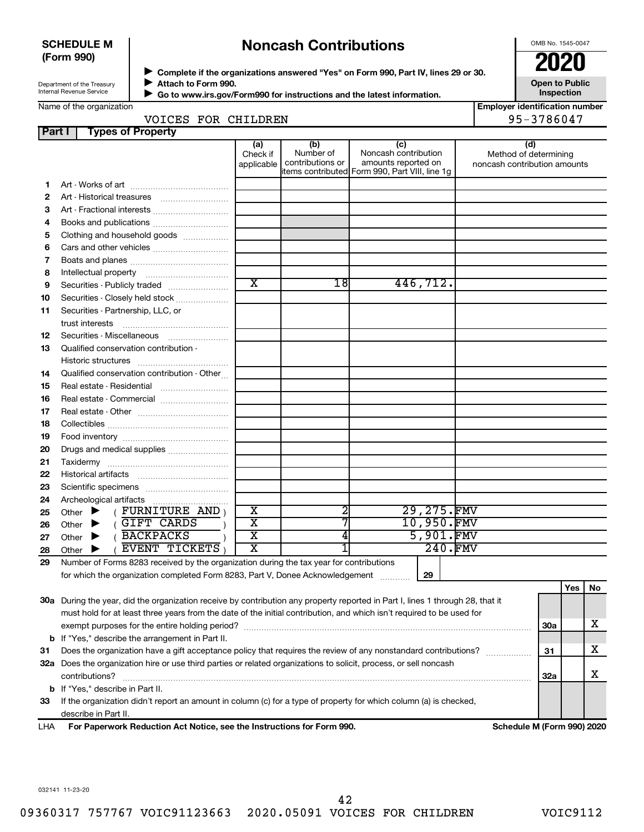# **SCHEDULE M (Form 990)**

# **Noncash Contributions**

OMB No. 1545-0047

| Department of the Treasury |
|----------------------------|
| Internal Revenue Service   |

◆ Complete if the organizations answered "Yes" on Form 990, Part IV, lines 29 or 30.<br>● Complete if the organizations answered "Yes" on Form 990, Part IV, lines 29 or 30. **Attach to Form 990.**  $\blacktriangleright$ 

**Open to Public Inspection**

| Name of the organization |  |
|--------------------------|--|

 **Go to www.irs.gov/Form990 for instructions and the latest information.** J

| <b>Employer identification number</b> |  |
|---------------------------------------|--|
| $95 - 3786047$                        |  |

| VOICES FOR CI |  |
|---------------|--|

|               | VOICES FOR CHILDREN                                                                                                            | 95-3786047                    |                                      |                                                                                                      |                                                       |     |          |   |
|---------------|--------------------------------------------------------------------------------------------------------------------------------|-------------------------------|--------------------------------------|------------------------------------------------------------------------------------------------------|-------------------------------------------------------|-----|----------|---|
| <b>Part I</b> | <b>Types of Property</b>                                                                                                       |                               |                                      |                                                                                                      |                                                       |     |          |   |
|               |                                                                                                                                | (a)<br>Check if<br>applicable | (b)<br>Number of<br>contributions or | (c)<br>Noncash contribution<br>amounts reported on<br>items contributed Form 990, Part VIII, line 1g | Method of determining<br>noncash contribution amounts | (d) |          |   |
| 1.            |                                                                                                                                |                               |                                      |                                                                                                      |                                                       |     |          |   |
| 2             | Art - Historical treasures                                                                                                     |                               |                                      |                                                                                                      |                                                       |     |          |   |
| з             | Art - Fractional interests                                                                                                     |                               |                                      |                                                                                                      |                                                       |     |          |   |
| 4             | Books and publications                                                                                                         |                               |                                      |                                                                                                      |                                                       |     |          |   |
| 5             | Clothing and household goods                                                                                                   |                               |                                      |                                                                                                      |                                                       |     |          |   |
| 6             |                                                                                                                                |                               |                                      |                                                                                                      |                                                       |     |          |   |
| 7             |                                                                                                                                |                               |                                      |                                                                                                      |                                                       |     |          |   |
| 8             |                                                                                                                                |                               |                                      |                                                                                                      |                                                       |     |          |   |
| 9             | Securities - Publicly traded                                                                                                   | $\overline{\text{x}}$         | 18                                   | 446, 712.                                                                                            |                                                       |     |          |   |
| 10            | Securities - Closely held stock                                                                                                |                               |                                      |                                                                                                      |                                                       |     |          |   |
| 11            | Securities - Partnership, LLC, or                                                                                              |                               |                                      |                                                                                                      |                                                       |     |          |   |
|               | trust interests                                                                                                                |                               |                                      |                                                                                                      |                                                       |     |          |   |
| 12            | Securities - Miscellaneous                                                                                                     |                               |                                      |                                                                                                      |                                                       |     |          |   |
| 13            | Qualified conservation contribution -                                                                                          |                               |                                      |                                                                                                      |                                                       |     |          |   |
|               |                                                                                                                                |                               |                                      |                                                                                                      |                                                       |     |          |   |
| 14            | Qualified conservation contribution - Other                                                                                    |                               |                                      |                                                                                                      |                                                       |     |          |   |
| 15            | Real estate - Residential                                                                                                      |                               |                                      |                                                                                                      |                                                       |     |          |   |
| 16            | Real estate - Commercial                                                                                                       |                               |                                      |                                                                                                      |                                                       |     |          |   |
| 17            |                                                                                                                                |                               |                                      |                                                                                                      |                                                       |     |          |   |
| 18            |                                                                                                                                |                               |                                      |                                                                                                      |                                                       |     |          |   |
| 19            |                                                                                                                                |                               |                                      |                                                                                                      |                                                       |     |          |   |
| 20            | Drugs and medical supplies                                                                                                     |                               |                                      |                                                                                                      |                                                       |     |          |   |
| 21            |                                                                                                                                |                               |                                      |                                                                                                      |                                                       |     |          |   |
| 22            |                                                                                                                                |                               |                                      |                                                                                                      |                                                       |     |          |   |
| 23            |                                                                                                                                |                               |                                      |                                                                                                      |                                                       |     |          |   |
| 24            | Archeological artifacts                                                                                                        |                               |                                      |                                                                                                      |                                                       |     |          |   |
| 25            | $($ FURNITURE AND $)$<br>Other $\blacktriangleright$                                                                           | $\overline{\textbf{x}}$       | 2                                    | 29,275.FMV                                                                                           |                                                       |     |          |   |
| 26            | (GIFT CARDS<br>Other $\blacktriangleright$                                                                                     | $\overline{\text{x}}$         |                                      | 10,950.FMV                                                                                           |                                                       |     |          |   |
| 27            | 5,901.FMV<br>(BACKPACKS<br>$\overline{\texttt{x}}$<br>4<br>Other $\blacktriangleright$                                         |                               |                                      |                                                                                                      |                                                       |     |          |   |
| 28            | EVENT TICKETS<br>Other $\blacktriangleright$                                                                                   | X                             |                                      |                                                                                                      | 240.FMV                                               |     |          |   |
| 29            | Number of Forms 8283 received by the organization during the tax year for contributions                                        |                               |                                      |                                                                                                      |                                                       |     |          |   |
|               | for which the organization completed Form 8283, Part V, Donee Acknowledgement                                                  |                               |                                      | 29                                                                                                   |                                                       |     |          |   |
|               |                                                                                                                                |                               |                                      |                                                                                                      |                                                       |     | $Yes$ No |   |
|               | 30a During the year, did the organization receive by contribution any property reported in Part I, lines 1 through 28, that it |                               |                                      |                                                                                                      |                                                       |     |          |   |
|               | must hold for at least three years from the date of the initial contribution, and which isn't required to be used for          |                               |                                      |                                                                                                      |                                                       |     |          |   |
|               | х<br>30a                                                                                                                       |                               |                                      |                                                                                                      |                                                       |     |          |   |
|               | <b>b</b> If "Yes," describe the arrangement in Part II.                                                                        |                               |                                      |                                                                                                      |                                                       |     |          |   |
| 31            | Does the organization have a gift acceptance policy that requires the review of any nonstandard contributions?                 |                               |                                      |                                                                                                      |                                                       | 31  |          | х |
|               | 32a Does the organization hire or use third parties or related organizations to solicit, process, or sell noncash              |                               |                                      |                                                                                                      |                                                       |     |          |   |
|               | contributions?                                                                                                                 |                               |                                      |                                                                                                      |                                                       | 32a |          | х |
|               | <b>b</b> If "Yes," describe in Part II.                                                                                        |                               |                                      |                                                                                                      |                                                       |     |          |   |

**For Paperwork Reduction Act Notice, see the Instructions for Form 990. Schedule M (Form 990) 2020** LHA describe in Part II.

032141 11-23-20

42

**33** If the organization didn't report an amount in column (c) for a type of property for which column (a) is checked,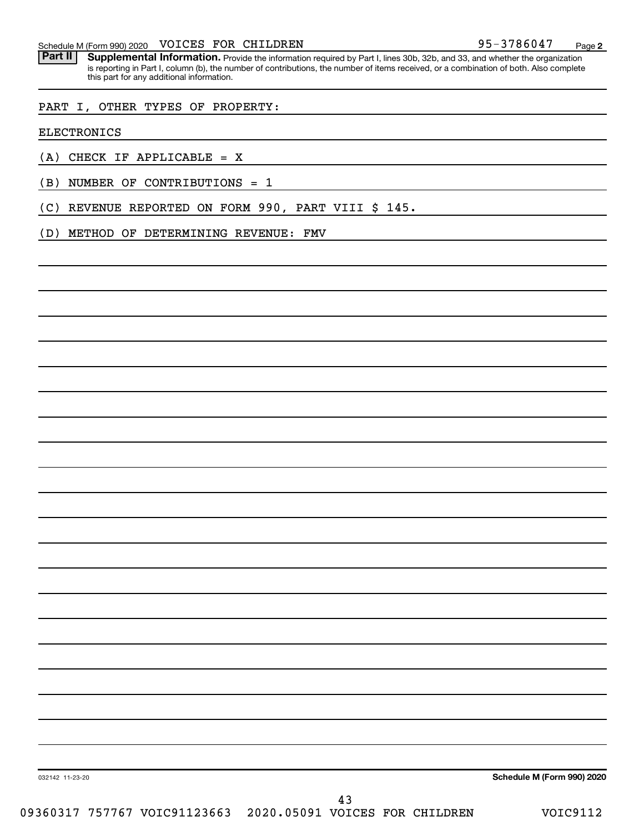Part II | Supplemental Information. Provide the information required by Part I, lines 30b, 32b, and 33, and whether the organization is reporting in Part I, column (b), the number of contributions, the number of items received, or a combination of both. Also complete this part for any additional information.

### PART I, OTHER TYPES OF PROPERTY:

ELECTRONICS

(A) CHECK IF APPLICABLE = X

- (B) NUMBER OF CONTRIBUTIONS = 1
- (C) REVENUE REPORTED ON FORM 990, PART VIII \$ 145.

(D) METHOD OF DETERMINING REVENUE: FMV

**Schedule M (Form 990) 2020**

032142 11-23-20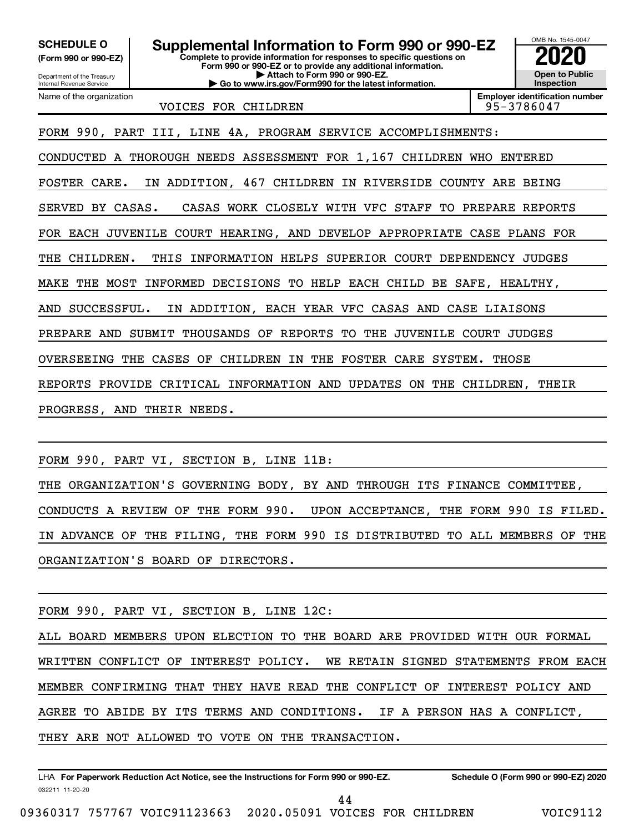**(Form 990 or 990-EZ)**

**Complete to provide information for responses to specific questions on Form 990 or 990-EZ or to provide any additional information. | Attach to Form 990 or 990-EZ. | Go to www.irs.gov/Form990 for the latest information. SCHEDULE O Supplemental Information to Form 990 or 990-EZ 2020**<br>(Form 990 or 990-EZ) Complete to provide information for responses to specific questions on

Department of the Treasury Internal Revenue Service Name of the organization

VOICES FOR CHILDREN 195-3786047

**Employer identification number**

OMB No. 1545-0047

**Open to Public Inspection**

FORM 990, PART III, LINE 4A, PROGRAM SERVICE ACCOMPLISHMENTS:

CONDUCTED A THOROUGH NEEDS ASSESSMENT FOR 1,167 CHILDREN WHO ENTERED

FOSTER CARE. IN ADDITION, 467 CHILDREN IN RIVERSIDE COUNTY ARE BEING

SERVED BY CASAS. CASAS WORK CLOSELY WITH VFC STAFF TO PREPARE REPORTS

FOR EACH JUVENILE COURT HEARING, AND DEVELOP APPROPRIATE CASE PLANS FOR

THE CHILDREN. THIS INFORMATION HELPS SUPERIOR COURT DEPENDENCY JUDGES

MAKE THE MOST INFORMED DECISIONS TO HELP EACH CHILD BE SAFE, HEALTHY,

AND SUCCESSFUL. IN ADDITION, EACH YEAR VFC CASAS AND CASE LIAISONS

PREPARE AND SUBMIT THOUSANDS OF REPORTS TO THE JUVENILE COURT JUDGES

OVERSEEING THE CASES OF CHILDREN IN THE FOSTER CARE SYSTEM. THOSE

REPORTS PROVIDE CRITICAL INFORMATION AND UPDATES ON THE CHILDREN, THEIR

PROGRESS, AND THEIR NEEDS.

FORM 990, PART VI, SECTION B, LINE 11B:

THE ORGANIZATION'S GOVERNING BODY, BY AND THROUGH ITS FINANCE COMMITTEE, CONDUCTS A REVIEW OF THE FORM 990. UPON ACCEPTANCE, THE FORM 990 IS FILED. IN ADVANCE OF THE FILING, THE FORM 990 IS DISTRIBUTED TO ALL MEMBERS OF THE ORGANIZATION'S BOARD OF DIRECTORS.

FORM 990, PART VI, SECTION B, LINE 12C:

ALL BOARD MEMBERS UPON ELECTION TO THE BOARD ARE PROVIDED WITH OUR FORMAL WRITTEN CONFLICT OF INTEREST POLICY. WE RETAIN SIGNED STATEMENTS FROM EACH MEMBER CONFIRMING THAT THEY HAVE READ THE CONFLICT OF INTEREST POLICY AND AGREE TO ABIDE BY ITS TERMS AND CONDITIONS. IF A PERSON HAS A CONFLICT, THEY ARE NOT ALLOWED TO VOTE ON THE TRANSACTION.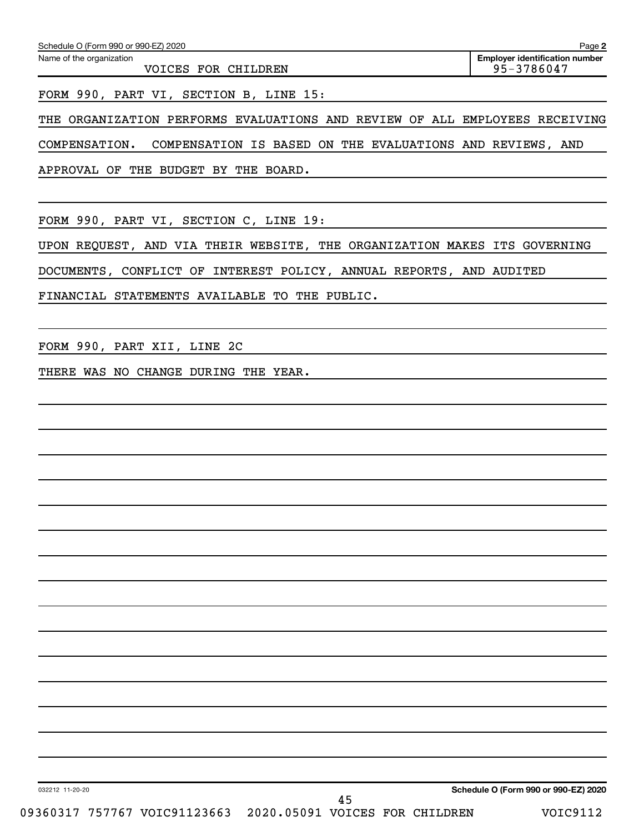| Schedule O (Form 990 or 990-EZ) 2020            | Page 2                                              |
|-------------------------------------------------|-----------------------------------------------------|
| Name of the organization<br>VOICES FOR CHILDREN | <b>Employer identification number</b><br>95-3786047 |
|                                                 |                                                     |

FORM 990, PART VI, SECTION B, LINE 15:

THE ORGANIZATION PERFORMS EVALUATIONS AND REVIEW OF ALL EMPLOYEES RECEIVING

COMPENSATION. COMPENSATION IS BASED ON THE EVALUATIONS AND REVIEWS, AND

APPROVAL OF THE BUDGET BY THE BOARD.

FORM 990, PART VI, SECTION C, LINE 19:

UPON REQUEST, AND VIA THEIR WEBSITE, THE ORGANIZATION MAKES ITS GOVERNING

DOCUMENTS, CONFLICT OF INTEREST POLICY, ANNUAL REPORTS, AND AUDITED

FINANCIAL STATEMENTS AVAILABLE TO THE PUBLIC.

FORM 990, PART XII, LINE 2C

THERE WAS NO CHANGE DURING THE YEAR.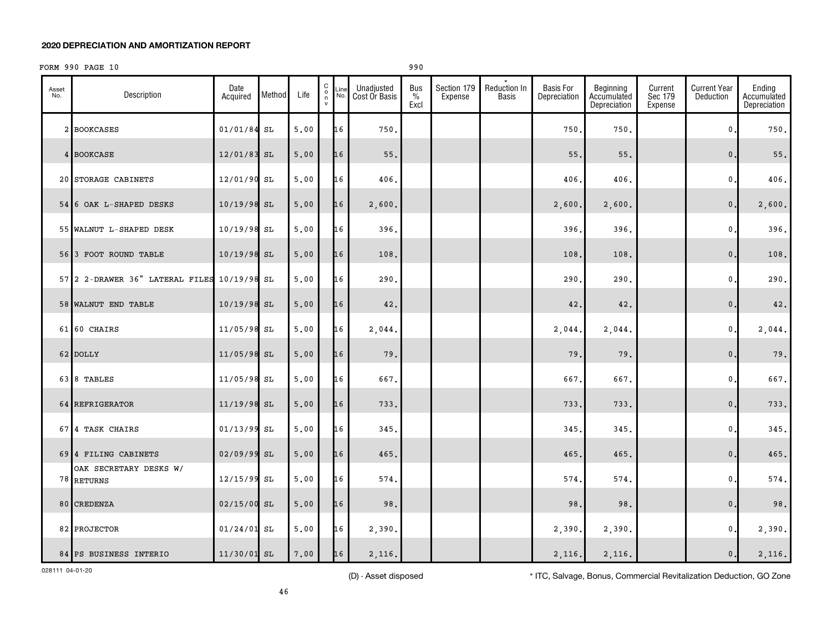# FORM 990 PAGE 10 990

| Asset<br>No. | Description                                 | Date<br>Acquired | Method | Life | $_{\rm o}^{\rm C}$<br>n<br>$\mathsf{v}$ | Line | Unadjusted<br>Cost Or Basis | Bus<br>$\%$<br>Excl | Section 179<br>Expense | Reduction In<br><b>Basis</b> | <b>Basis For</b><br>Depreciation | Beginning<br>Accumulated<br>Depreciation | Current<br>Sec 179<br>Expense | <b>Current Year</b><br>Deduction | Ending<br>Accumulated<br>Depreciation |
|--------------|---------------------------------------------|------------------|--------|------|-----------------------------------------|------|-----------------------------|---------------------|------------------------|------------------------------|----------------------------------|------------------------------------------|-------------------------------|----------------------------------|---------------------------------------|
|              | 2 BOOKCASES                                 | $01/01/84$ SL    |        | 5.00 |                                         | 16   | 750.                        |                     |                        |                              | 750                              | 750.                                     |                               | 0.                               | 750.                                  |
|              | 4 BOOKCASE                                  | 12/01/83 SL      |        | 5.00 |                                         | 16   | 55.                         |                     |                        |                              | 55                               | 55.                                      |                               | $\mathbf{0}$                     | $55.$                                 |
|              | 20 STORAGE CABINETS                         | 12/01/90 SL      |        | 5.00 |                                         | 16   | 406.                        |                     |                        |                              | 406                              | 406.                                     |                               | $\mathfrak o$ .                  | 406.                                  |
|              | 54 6 OAK L-SHAPED DESKS                     | 10/19/98 SL      |        | 5.00 |                                         | 16   | 2,600.                      |                     |                        |                              | 2,600                            | 2,600.                                   |                               | $\mathbf{0}$ .                   | 2,600.                                |
|              | 55 WALNUT L-SHAPED DESK                     | $10/19/98$ SL    |        | 5,00 |                                         | 16   | 396.                        |                     |                        |                              | 396                              | 396.                                     |                               | $\mathbf 0$ .                    | 396.                                  |
|              | 56 3 FOOT ROUND TABLE                       | 10/19/98 SL      |        | 5.00 |                                         | 16   | 108.                        |                     |                        |                              | 108                              | 108.                                     |                               | $\mathbf{0}$ .                   | 108.                                  |
|              | 57 2 2-DRAWER 36" LATERAL FILES 10/19/98 SL |                  |        | 5,00 |                                         | 16   | 290.                        |                     |                        |                              | 290                              | 290.                                     |                               | 0.                               | 290.                                  |
|              | 58 WALNUT END TABLE                         | $10/19/98$ SL    |        | 5.00 |                                         | 16   | 42.                         |                     |                        |                              | 42.                              | 42.                                      |                               | $\mathbf{0}$                     | 42.                                   |
|              | 61 60 CHAIRS                                | 11/05/98 SL      |        | 5.00 |                                         | 16   | 2,044.                      |                     |                        |                              | 2,044                            | 2,044.                                   |                               | 0.                               | 2,044.                                |
|              | 62 DOLLY                                    | 11/05/98 SL      |        | 5.00 |                                         | 16   | 79.                         |                     |                        |                              | 79                               | 79.                                      |                               | $\mathbf{0}$                     | 79.                                   |
|              | 63 8 TABLES                                 | 11/05/98 SL      |        | 5.00 |                                         | 16   | 667.                        |                     |                        |                              | 667.                             | 667.                                     |                               | 0.                               | 667.                                  |
|              | 64 REFRIGERATOR                             | 11/19/98 SL      |        | 5,00 |                                         | 16   | 733.                        |                     |                        |                              | 733                              | 733.                                     |                               | $\mathbf{0}$ .                   | 733.                                  |
|              | 67 4 TASK CHAIRS                            | $01/13/99$ SL    |        | 5,00 |                                         | 16   | 345.                        |                     |                        |                              | 345                              | 345.                                     |                               | 0.                               | 345.                                  |
|              | 69 4 FILING CABINETS                        | 02/09/99 SL      |        | 5.00 |                                         | 16   | 465.                        |                     |                        |                              | 465.                             | 465.                                     |                               | $\mathbf{0}$                     | 465.                                  |
|              | OAK SECRETARY DESKS W/<br>78 RETURNS        | 12/15/99 SL      |        | 5.00 |                                         | 16   | 574.                        |                     |                        |                              | 574                              | 574.                                     |                               | 0.                               | 574.                                  |
|              | 80 CREDENZA                                 | $02/15/00$ SL    |        | 5,00 |                                         | 16   | 98.                         |                     |                        |                              | 98                               | 98.                                      |                               | $\mathbf{0}$ .                   | 98.                                   |
|              | 82 PROJECTOR                                | $01/24/01$ SL    |        | 5,00 |                                         | 16   | 2,390.                      |                     |                        |                              | 2,390                            | 2,390.                                   |                               | 0.                               | 2,390.                                |
|              | 84 PS BUSINESS INTERIO                      | 11/30/01 SL      |        | 7.00 |                                         | 16   | 2,116.                      |                     |                        |                              | 2,116.                           | 2,116.                                   |                               | $\mathsf{0}\,.$                  | 2,116.                                |

028111 04-01-20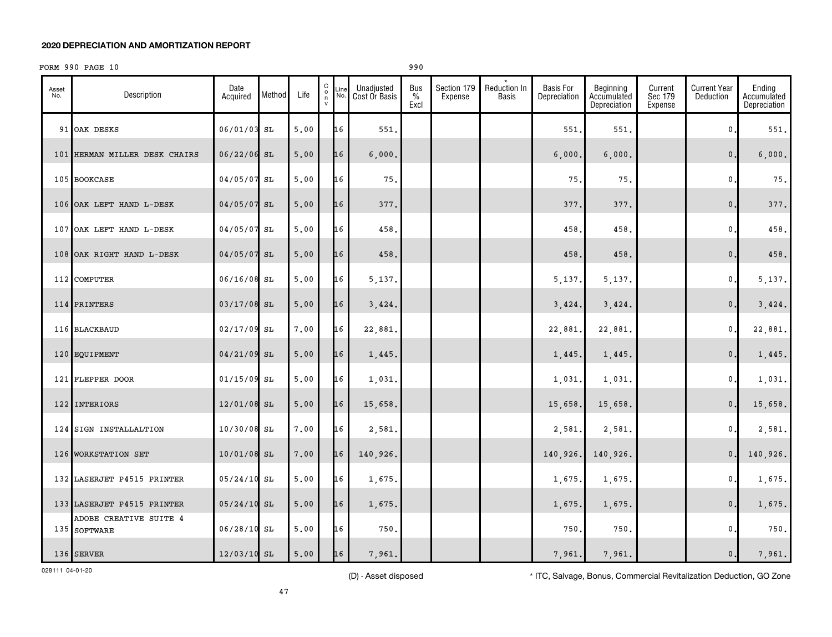# FORM 990 PAGE 10 990

| Asset<br>No. | Description                            | Date<br>Acquired | Method | Life | $\begin{matrix} 0 \\ 0 \\ n \end{matrix}$<br>Line<br>No.<br>$\mathsf{v}$ | Unadjusted<br>Cost Or Basis | <b>Bus</b><br>$\%$<br>Excl | Section 179<br>Expense | Reduction In<br>Basis | <b>Basis For</b><br>Depreciation | Beginning<br>Accumulated<br>Depreciation | Current<br>Sec 179<br>Expense | <b>Current Year</b><br>Deduction | Ending<br>Accumulated<br>Depreciation |
|--------------|----------------------------------------|------------------|--------|------|--------------------------------------------------------------------------|-----------------------------|----------------------------|------------------------|-----------------------|----------------------------------|------------------------------------------|-------------------------------|----------------------------------|---------------------------------------|
|              | 91 OAK DESKS                           | 06/01/03 SL      |        | 5,00 | 16                                                                       | 551.                        |                            |                        |                       | 551                              | 551.                                     |                               | 0                                | 551.                                  |
|              | 101 HERMAN MILLER DESK CHAIRS          | $06/22/06$ SL    |        | 5.00 | 16                                                                       | 6,000.                      |                            |                        |                       | 6,000.                           | 6,000.                                   |                               | $\mathbf{0}$ .                   | 6,000.                                |
|              | 105 BOOKCASE                           | 04/05/07 SL      |        | 5.00 | 16                                                                       | 75.                         |                            |                        |                       | 75                               | 75.                                      |                               | $\mathbf{0}$                     | 75.                                   |
|              | 106 OAK LEFT HAND L-DESK               | 04/05/07 SL      |        | 5.00 | 16                                                                       | 377.                        |                            |                        |                       | 377                              | 377.                                     |                               | $\mathbf{0}$                     | 377.                                  |
|              | 107 OAK LEFT HAND L-DESK               | 04/05/07 SL      |        | 5.00 | 16                                                                       | 458.                        |                            |                        |                       | 458                              | 458.                                     |                               | $\mathbf{0}$                     | 458.                                  |
|              | 108 OAK RIGHT HAND L-DESK              | 04/05/07 SL      |        | 5.00 | 16                                                                       | 458.                        |                            |                        |                       | 458                              | 458.                                     |                               | $\mathbf{0}$                     | 458.                                  |
|              | 112 COMPUTER                           | 06/16/08 SL      |        | 5,00 | 16                                                                       | 5,137.                      |                            |                        |                       | 5,137.                           | 5,137.                                   |                               | $\mathbf 0$ .                    | 5,137.                                |
|              | 114 PRINTERS                           | 03/17/08 SL      |        | 5.00 | 16                                                                       | 3,424.                      |                            |                        |                       | 3,424.                           | 3,424.                                   |                               | $\mathbf{0}$ .                   | 3,424.                                |
|              | 116 BLACKBAUD                          | 02/17/09 SL      |        | 7.00 | 16                                                                       | 22,881                      |                            |                        |                       | 22,881                           | 22,881.                                  |                               | 0.                               | 22,881.                               |
|              | 120 EQUIPMENT                          | 04/21/09 SL      |        | 5.00 | 16                                                                       | 1,445.                      |                            |                        |                       | 1,445.                           | 1,445.                                   |                               | $\mathbf{0}$ .                   | 1,445.                                |
|              | 121 FLEPPER DOOR                       | $01/15/09$ SL    |        | 5.00 | 16                                                                       | 1,031.                      |                            |                        |                       | 1,031                            | 1,031.                                   |                               | 0.                               | 1,031.                                |
|              | 122 INTERIORS                          | 12/01/08 SL      |        | 5.00 | 16                                                                       | 15,658.                     |                            |                        |                       | 15,658                           | 15,658.                                  |                               | $\mathbf{0}$ .                   | 15,658.                               |
|              | 124 SIGN INSTALLALTION                 | 10/30/08 SL      |        | 7.00 | 16                                                                       | 2,581.                      |                            |                        |                       | 2,581.                           | 2,581.                                   |                               | 0.                               | 2,581.                                |
|              | 126 WORKSTATION SET                    | 10/01/08 SL      |        | 7.00 | 16                                                                       | 140,926.                    |                            |                        |                       | 140,926.                         | 140,926.                                 |                               | $\mathbf{0}$ .                   | 140,926.                              |
|              | 132 LASERJET P4515 PRINTER             | $05/24/10$ SL    |        | 5.00 | 16                                                                       | 1,675.                      |                            |                        |                       | 1,675                            | 1,675.                                   |                               | 0.                               | 1,675.                                |
|              | 133 LASERJET P4515 PRINTER             | $05/24/10$ SL    |        | 5.00 | 16                                                                       | 1,675.                      |                            |                        |                       | 1,675                            | 1,675.                                   |                               | 0.                               | 1,675.                                |
|              | ADOBE CREATIVE SUITE 4<br>135 SOFTWARE | 06/28/10 SL      |        | 5,00 | 16                                                                       | 750.                        |                            |                        |                       | 750                              | 750.                                     |                               | $\mathbf 0$ .                    | 750.                                  |
|              | 136 SERVER                             | 12/03/10 SL      |        | 5.00 | 16                                                                       | 7,961.                      |                            |                        |                       | 7,961.                           | 7,961.                                   |                               | 0.                               | 7,961.                                |

028111 04-01-20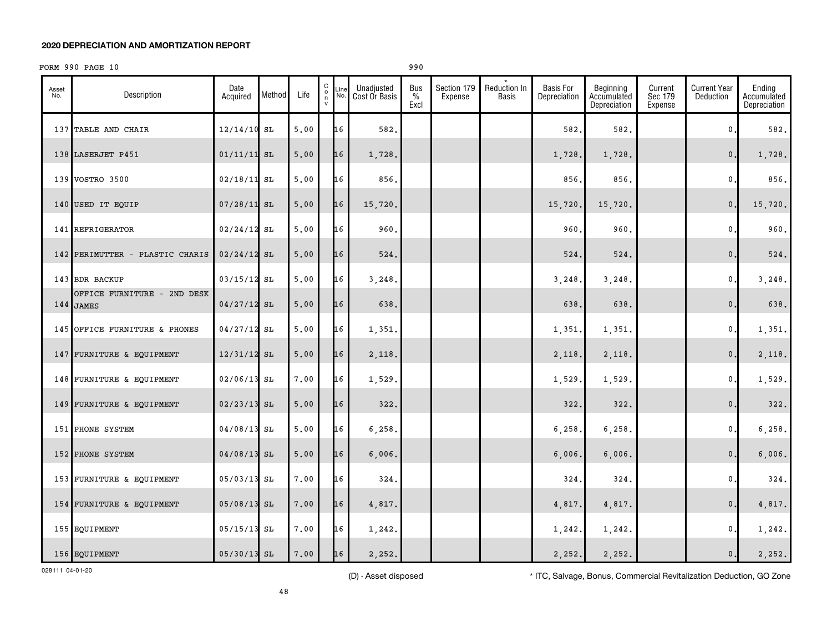# FORM 990 PAGE 10 990

| Asset<br>No. | Description                              | Date<br>Acquired | Method | Life | $\begin{smallmatrix}&&&\&\&\&\&\&\&\&\&\&\&\&\end{smallmatrix}$<br>Line<br>No. | Unadjusted<br>Cost Or Basis | Bus<br>$\%$<br>Excl | Section 179<br>Expense | Reduction In<br>Basis | <b>Basis For</b><br>Depreciation | Beginning<br>Accumulated<br>Depreciation | Current<br>Sec 179<br>Expense | <b>Current Year</b><br>Deduction | Ending<br>Accumulated<br>Depreciation |
|--------------|------------------------------------------|------------------|--------|------|--------------------------------------------------------------------------------|-----------------------------|---------------------|------------------------|-----------------------|----------------------------------|------------------------------------------|-------------------------------|----------------------------------|---------------------------------------|
|              | 137 TABLE AND CHAIR                      | $12/14/10$ SL    |        | 5.00 | 16                                                                             | 582.                        |                     |                        |                       | 582.                             | 582.                                     |                               | 0                                | 582.                                  |
|              | 138 LASERJET P451                        | $01/11/11$ SL    |        | 5.00 | 16                                                                             | 1,728.                      |                     |                        |                       | 1,728.                           | 1,728.                                   |                               | $\mathbf{0}$ .                   | 1,728.                                |
|              | 139 VOSTRO 3500                          | 02/18/11 SL      |        | 5.00 | 16                                                                             | 856.                        |                     |                        |                       | 856                              | 856.                                     |                               | 0.                               | 856.                                  |
|              | 140 USED IT EQUIP                        | $07/28/11$ SL    |        | 5.00 | 16                                                                             | 15,720.                     |                     |                        |                       | 15,720                           | 15,720.                                  |                               | $\mathbf{0}$ .                   | 15,720.                               |
|              | 141 REFRIGERATOR                         | $02/24/12$ SL    |        | 5,00 | 16                                                                             | 960.                        |                     |                        |                       | 960                              | 960.                                     |                               | $\mathfrak o$ .                  | 960.                                  |
|              | 142 PERIMUTTER - PLASTIC CHARIS          | $02/24/12$ SL    |        | 5.00 | 16                                                                             | 524.                        |                     |                        |                       | 524.                             | 524.                                     |                               | $\mathbf{0}$ .                   | 524.                                  |
|              | 143 BDR BACKUP                           | 03/15/12 SL      |        | 5.00 | 16                                                                             | 3,248.                      |                     |                        |                       | 3,248.                           | 3,248.                                   |                               | 0.                               | 3,248.                                |
|              | OFFICE FURNITURE - 2ND DESK<br>144 JAMES | $04/27/12$ SL    |        | 5.00 | 16                                                                             | 638.                        |                     |                        |                       | 638.                             | 638.                                     |                               | $\mathbf{0}$ .                   | 638.                                  |
|              | 145 OFFICE FURNITURE & PHONES            | 04/27/12 SL      |        | 5.00 | 16                                                                             | 1,351.                      |                     |                        |                       | 1,351                            | 1,351.                                   |                               | 0.                               | 1,351.                                |
|              | 147 FURNITURE & EQUIPMENT                | $12/31/12$ SL    |        | 5.00 | 16                                                                             | 2,118.                      |                     |                        |                       | 2,118                            | 2,118.                                   |                               | $\mathbf{0}$ .                   | 2,118.                                |
|              | 148 FURNITURE & EQUIPMENT                | 02/06/13 SL      |        | 7.00 | 16                                                                             | 1,529.                      |                     |                        |                       | 1,529.                           | 1,529.                                   |                               | 0.                               | 1,529.                                |
|              | 149 FURNITURE & EQUIPMENT                | 02/23/13 SL      |        | 5.00 | 16                                                                             | 322.                        |                     |                        |                       | 322.                             | 322.                                     |                               | $\mathbf{0}$ .                   | 322.                                  |
|              | 151 PHONE SYSTEM                         | 04/08/13 SL      |        | 5.00 | 16                                                                             | 6,258.                      |                     |                        |                       | 6, 258.                          | 6, 258.                                  |                               | 0.                               | 6,258.                                |
|              | 152 PHONE SYSTEM                         | 04/08/13 SL      |        | 5.00 | 16                                                                             | 6,006.                      |                     |                        |                       | 6,006.                           | 6,006.                                   |                               | $\mathbf{0}$ .                   | 6,006.                                |
|              | 153 FURNITURE & EQUIPMENT                | 05/03/13 SL      |        | 7.00 | 16                                                                             | 324.                        |                     |                        |                       | 324                              | 324.                                     |                               | 0.                               | 324.                                  |
|              | 154 FURNITURE & EQUIPMENT                | 05/08/13 SL      |        | 7.00 | 16                                                                             | 4,817.                      |                     |                        |                       | 4,817.                           | 4,817.                                   |                               | $\mathbf{0}$ .                   | 4,817.                                |
|              | 155 EQUIPMENT                            | 05/15/13 SL      |        | 7.00 | 16                                                                             | 1,242.                      |                     |                        |                       | 1,242.                           | 1,242.                                   |                               | 0.                               | 1,242.                                |
|              | 156 EQUIPMENT                            | 05/30/13 SL      |        | 7.00 | 16                                                                             | 2,252.                      |                     |                        |                       | 2,252.                           | 2,252.                                   |                               | $\mathbf 0$ .                    | 2,252.                                |

028111 04-01-20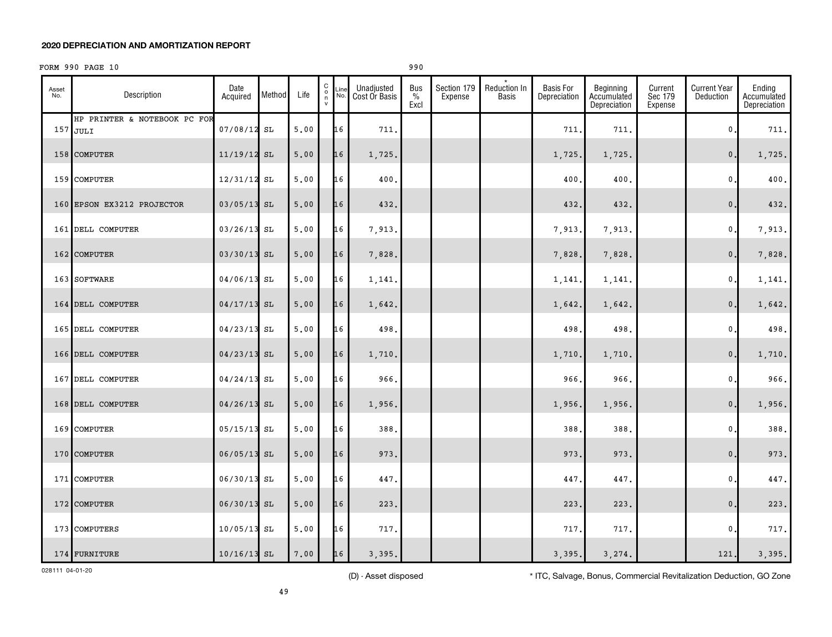# FORM 990 PAGE 10 990

| Asset<br>No. | Description                                | Date<br>Acquired | Method | Life | $\begin{matrix} 0 \\ 0 \\ n \end{matrix}$<br>$\mathsf{v}$ | Line<br>No. | Unadjusted<br>Cost Or Basis | <b>Bus</b><br>$\%$<br>Excl | Section 179<br>Expense | Reduction In<br>Basis | <b>Basis For</b><br>Depreciation | Beginning<br>Accumulated<br>Depreciation | Current<br>Sec 179<br>Expense | <b>Current Year</b><br>Deduction | Ending<br>Accumulated<br>Depreciation |
|--------------|--------------------------------------------|------------------|--------|------|-----------------------------------------------------------|-------------|-----------------------------|----------------------------|------------------------|-----------------------|----------------------------------|------------------------------------------|-------------------------------|----------------------------------|---------------------------------------|
|              | HP PRINTER & NOTEBOOK PC FOR<br>$157$ JULI | $07/08/12$ SL    |        | 5.00 |                                                           | 16          | 711.                        |                            |                        |                       | 711                              | 711.                                     |                               | 0                                | 711.                                  |
|              | 158 COMPUTER                               | $11/19/12$ SL    |        | 5.00 |                                                           | 16          | 1,725.                      |                            |                        |                       | 1,725.                           | 1,725.                                   |                               | $\mathbf{0}$ .                   | 1,725.                                |
|              | 159 COMPUTER                               | 12/31/12         | SL     | 5.00 |                                                           | 16          | 400.                        |                            |                        |                       | 400                              | 400.                                     |                               | 0                                | 400.                                  |
|              | 160 EPSON EX3212 PROJECTOR                 | $03/05/13$ SL    |        | 5,00 |                                                           | 16          | 432.                        |                            |                        |                       | 432                              | 432.                                     |                               | $\mathbf 0$                      | 432.                                  |
|              | 161 DELL COMPUTER                          | $03/26/13$ SL    |        | 5,00 |                                                           | 16          | 7,913.                      |                            |                        |                       | 7,913                            | 7,913.                                   |                               | $\mathbf{0}$                     | 7,913.                                |
|              | 162 COMPUTER                               | 03/30/13 SL      |        | 5.00 |                                                           | 16          | 7,828.                      |                            |                        |                       | 7,828                            | 7,828.                                   |                               | $\mathsf{0}$ .                   | 7,828.                                |
|              | 163 SOFTWARE                               | 04/06/13 SL      |        | 5,00 |                                                           | 16          | 1,141.                      |                            |                        |                       | 1,141                            | 1,141.                                   |                               | 0                                | 1,141.                                |
|              | 164 DELL COMPUTER                          | $04/17/13$ SL    |        | 5.00 |                                                           | 16          | 1,642.                      |                            |                        |                       | 1,642.                           | 1,642.                                   |                               | $\mathbf{0}$ .                   | 1,642.                                |
|              | 165 DELL COMPUTER                          | $04/23/13$ SL    |        | 5,00 |                                                           | 16          | 498                         |                            |                        |                       | 498                              | 498.                                     |                               | 0                                | 498.                                  |
|              | 166 DELL COMPUTER                          | $04/23/13$ SL    |        | 5.00 |                                                           | 16          | 1,710.                      |                            |                        |                       | 1,710                            | 1,710.                                   |                               | $\mathbf{0}$ .                   | 1,710.                                |
|              | 167 DELL COMPUTER                          | $04/24/13$ SL    |        | 5,00 |                                                           | 16          | 966.                        |                            |                        |                       | 966                              | 966.                                     |                               | 0                                | 966.                                  |
|              | 168 DELL COMPUTER                          | $04/26/13$ SL    |        | 5,00 |                                                           | 16          | 1,956.                      |                            |                        |                       | 1,956                            | 1,956.                                   |                               | $\mathbf{0}$ .                   | 1,956.                                |
|              | 169 COMPUTER                               | $05/15/13$ SL    |        | 5.00 |                                                           | 16          | 388.                        |                            |                        |                       | 388                              | 388.                                     |                               | 0                                | 388.                                  |
|              | 170 COMPUTER                               | $06/05/13$ SL    |        | 5.00 |                                                           | 16          | 973.                        |                            |                        |                       | 973                              | 973.                                     |                               | $\mathbf{0}$ .                   | 973.                                  |
|              | 171 COMPUTER                               | 06/30/13 SL      |        | 5,00 |                                                           | 16          | 447.                        |                            |                        |                       | 447                              | 447.                                     |                               | 0                                | 447.                                  |
|              | 172 COMPUTER                               | $06/30/13$ SL    |        | 5.00 |                                                           | 16          | 223.                        |                            |                        |                       | 223                              | 223.                                     |                               | $\mathbf{0}$ .                   | 223.                                  |
|              | 173 COMPUTERS                              | $10/05/13$ SL    |        | 5.00 |                                                           | 16          | 717.                        |                            |                        |                       | 717                              | 717.                                     |                               | 0                                | 717.                                  |
|              | 174 FURNITURE                              | $10/16/13$ SL    |        | 7,00 |                                                           | 16          | 3,395.                      |                            |                        |                       | 3,395.                           | 3,274.                                   |                               | 121.                             | 3,395.                                |

028111 04-01-20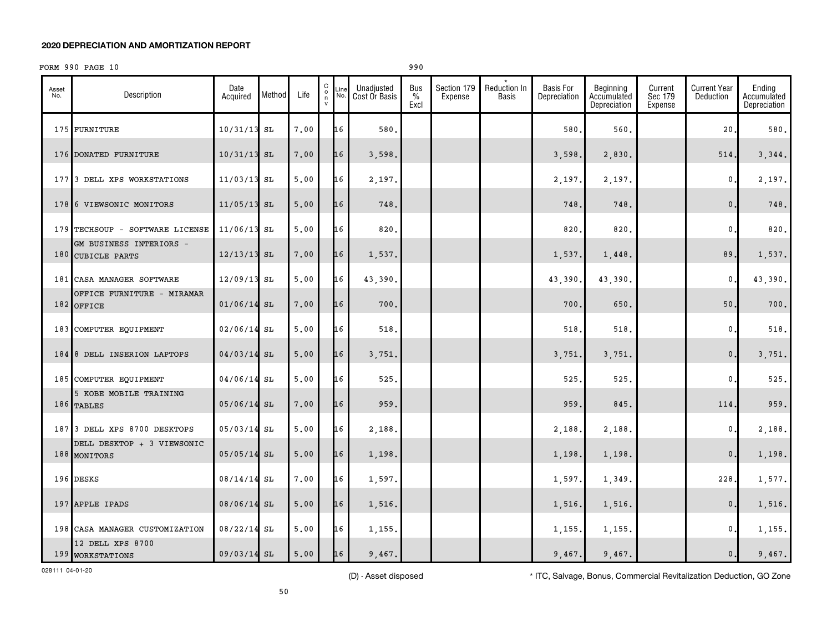# FORM 990 PAGE 10 990

| Asset<br>No. | Description                                  | Date<br>Acquired | Method | Life | $\begin{matrix} 0 \\ 0 \\ n \end{matrix}$<br>$\mathsf{v}$ | Line<br>No. | Unadjusted<br>Cost Or Basis | Bus<br>$\%$<br>Excl | Section 179<br>Expense | Reduction In<br><b>Basis</b> | <b>Basis For</b><br>Depreciation | Beginning<br>Accumulated<br>Depreciation | Current<br>Sec 179<br>Expense | <b>Current Year</b><br>Deduction | Ending<br>Accumulated<br>Depreciation |
|--------------|----------------------------------------------|------------------|--------|------|-----------------------------------------------------------|-------------|-----------------------------|---------------------|------------------------|------------------------------|----------------------------------|------------------------------------------|-------------------------------|----------------------------------|---------------------------------------|
|              | 175 FURNITURE                                | 10/31/13         | SL     | 7.00 |                                                           | 16          | 580.                        |                     |                        |                              | 580                              | 560.                                     |                               | 20                               | 580                                   |
|              | 176 DONATED FURNITURE                        | 10/31/13         | SL     | 7.00 |                                                           | 16          | 3,598.                      |                     |                        |                              | 3,598                            | 2,830.                                   |                               | 514                              | 3,344.                                |
|              | 177 3 DELL XPS WORKSTATIONS                  | 11/03/13         | SL     | 5,00 |                                                           | 16          | 2,197                       |                     |                        |                              | 2,197                            | 2,197.                                   |                               | 0.                               | 2,197.                                |
|              | 178 6 VIEWSONIC MONITORS                     | $11/05/13$ SL    |        | 5,00 |                                                           | 16          | 748.                        |                     |                        |                              | 748                              | 748.                                     |                               | $\mathbf{0}$                     | 748.                                  |
|              | 179 TECHSOUP - SOFTWARE LICENSE              | 11/06/13 SL      |        | 5.00 |                                                           | 16          | 820                         |                     |                        |                              | 820                              | 820                                      |                               | 0                                | 820                                   |
|              | GM BUSINESS INTERIORS -<br>180 CUBICLE PARTS | 12/13/13         | SL     | 7.00 |                                                           | 16          | 1,537.                      |                     |                        |                              | 1,537                            | 1,448.                                   |                               | 89,                              | 1,537.                                |
|              | 181 CASA MANAGER SOFTWARE                    | 12/09/13         | SL     | 5,00 |                                                           | 16          | 43,390                      |                     |                        |                              | 43,390                           | 43,390.                                  |                               | $\mathbf{0}$                     | 43,390.                               |
|              | OFFICE FURNITURE - MIRAMAR<br>$182$ OFFICE   | $01/06/14$ SL    |        | 7.00 |                                                           | 16          | 700.                        |                     |                        |                              | 700                              | 650.                                     |                               | $50.$                            | 700.                                  |
|              | 183 COMPUTER EQUIPMENT                       | 02/06/14         | SL     | 5.00 |                                                           | 16          | 518                         |                     |                        |                              | 518                              | 518.                                     |                               | $\mathbf 0$ .                    | 518.                                  |
|              | 184 8 DELL INSERION LAPTOPS                  | 04/03/14 SL      |        | 5,00 |                                                           | 16          | 3,751.                      |                     |                        |                              | 3,751                            | 3,751.                                   |                               | $\mathbf{0}$ .                   | 3,751.                                |
|              | 185 COMPUTER EQUIPMENT                       | 04/06/14 SL      |        | 5,00 |                                                           | 16          | 525.                        |                     |                        |                              | 525                              | 525.                                     |                               | 0                                | 525.                                  |
|              | 5 KOBE MOBILE TRAINING<br>186 TABLES         | $05/06/14$ SL    |        | 7.00 |                                                           | 16          | 959.                        |                     |                        |                              | 959                              | 845.                                     |                               | 114                              | 959.                                  |
|              | 187 3 DELL XPS 8700 DESKTOPS                 | 05/03/14 SL      |        | 5,00 |                                                           | 16          | 2,188.                      |                     |                        |                              | 2,188                            | 2,188.                                   |                               | 0.                               | 2,188.                                |
|              | DELL DESKTOP + 3 VIEWSONIC<br>188 MONITORS   | $05/05/14$ SL    |        | 5,00 |                                                           | 16          | 1,198.                      |                     |                        |                              | 1,198                            | 1,198.                                   |                               | $\mathbf{0}$ .                   | 1,198.                                |
|              | 196 DESKS                                    | 08/14/14         | SL     | 7.00 |                                                           | 16          | 1,597.                      |                     |                        |                              | 1,597                            | 1,349.                                   |                               | 228                              | 1,577.                                |
|              | 197 APPLE IPADS                              | 08/06/14 SL      |        | 5,00 |                                                           | 16          | 1,516.                      |                     |                        |                              | 1,516                            | 1,516.                                   |                               | $\mathbf{0}$                     | 1,516.                                |
|              | 198 CASA MANAGER CUSTOMIZATION               | 08/22/14 SL      |        | 5,00 |                                                           | 16          | 1,155.                      |                     |                        |                              | 1,155                            | 1,155.                                   |                               | $\mathbf{0}$ .                   | 1,155.                                |
|              | 12 DELL XPS 8700<br>199 WORKSTATIONS         | 09/03/14 SL      |        | 5.00 |                                                           | 16          | 9,467.                      |                     |                        |                              | 9,467.                           | 9,467.                                   |                               | $\mathsf{0}\,.$                  | 9,467.                                |

028111 04-01-20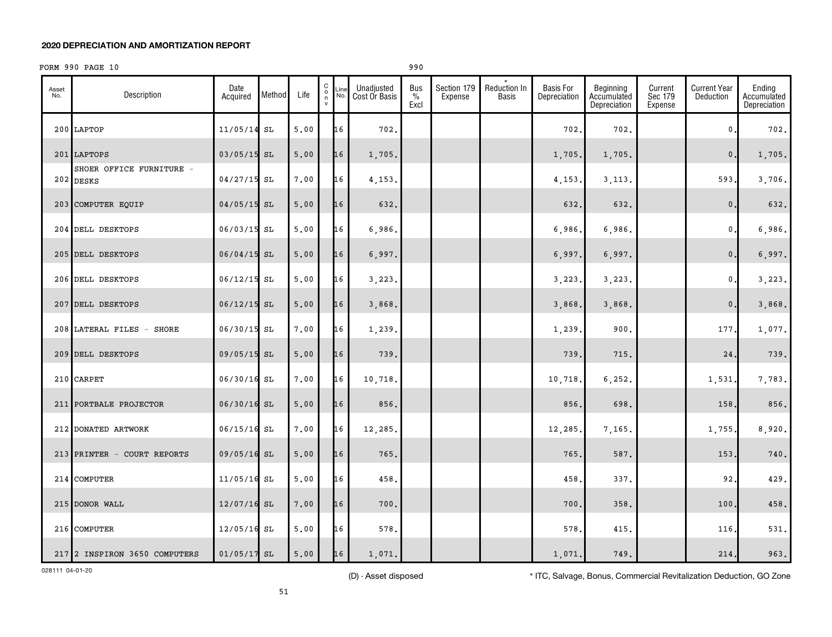# FORM 990 PAGE 10 990

| Asset<br>No. | Description                         | Date<br>Acquired | Method | Life | $\mathsf C$<br>$\overline{0}$<br>${\mathsf v}$ | Line<br>No. | Unadjusted<br>Cost Or Basis | Bus<br>$\%$<br>Excl | Section 179<br>Expense | Reduction In<br>Basis | <b>Basis For</b><br>Depreciation | Beginning<br>Accumulated<br>Depreciation | Current<br>Sec 179<br>Expense | <b>Current Year</b><br>Deduction | Ending<br>Accumulated<br>Depreciation |
|--------------|-------------------------------------|------------------|--------|------|------------------------------------------------|-------------|-----------------------------|---------------------|------------------------|-----------------------|----------------------------------|------------------------------------------|-------------------------------|----------------------------------|---------------------------------------|
|              | 200 LAPTOP                          | 11/05/14         | SL     | 5,00 |                                                | 16          | 702.                        |                     |                        |                       | 702                              | 702.                                     |                               | 0                                | 702.                                  |
|              | 201 LAPTOPS                         | $03/05/15$ SL    |        | 5.00 |                                                | 16          | 1,705.                      |                     |                        |                       | 1,705.                           | 1,705.                                   |                               | $\mathbf{0}$                     | 1,705.                                |
|              | SHOER OFFICE FURNITURE<br>202 DESKS | $04/27/15$ SL    |        | 7.00 |                                                | 16          | 4,153                       |                     |                        |                       | 4,153                            | 3, 113,                                  |                               | 593.                             | 3,706.                                |
|              | 203 COMPUTER EQUIP                  | 04/05/15 SL      |        | 5.00 |                                                | 16          | 632.                        |                     |                        |                       | 632                              | 632.                                     |                               | $\mathbf 0$ .                    | 632.                                  |
|              | 204 DELL DESKTOPS                   | $06/03/15$ SL    |        | 5,00 |                                                | 16          | 6,986.                      |                     |                        |                       | 6,986                            | 6,986.                                   |                               | 0.                               | 6,986.                                |
|              | 205 DELL DESKTOPS                   | 06/04/15 SL      |        | 5,00 |                                                | 16          | 6,997.                      |                     |                        |                       | 6,997.                           | 6,997.                                   |                               | $\mathbf{0}$ .                   | 6,997.                                |
|              | 206 DELL DESKTOPS                   | 06/12/15 SL      |        | 5.00 |                                                | 16          | 3,223,                      |                     |                        |                       | 3,223                            | 3,223,                                   |                               | 0.                               | 3,223.                                |
|              | 207 DELL DESKTOPS                   | $06/12/15$ SL    |        | 5.00 |                                                | 16          | 3,868.                      |                     |                        |                       | 3,868                            | 3,868.                                   |                               | $\mathbf{0}$ .                   | 3,868.                                |
|              | 208 LATERAL FILES - SHORE           | 06/30/15 SL      |        | 7.00 |                                                | 16          | 1,239                       |                     |                        |                       | 1,239                            | 900                                      |                               | 177.                             | 1,077.                                |
|              | 209 DELL DESKTOPS                   | $09/05/15$ SL    |        | 5.00 |                                                | 16          | 739.                        |                     |                        |                       | 739                              | 715.                                     |                               | 24.                              | 739.                                  |
|              | 210 CARPET                          | 06/30/16 SL      |        | 7.00 |                                                | 16          | 10,718.                     |                     |                        |                       | 10,718                           | 6, 252.                                  |                               | 1,531.                           | 7,783.                                |
|              | 211 PORTBALE PROJECTOR              | 06/30/16 SL      |        | 5,00 |                                                | 16          | 856.                        |                     |                        |                       | 856                              | 698.                                     |                               | 158,                             | 856.                                  |
|              | 212 DONATED ARTWORK                 | $06/15/16$ SL    |        | 7.00 |                                                | 16          | 12,285.                     |                     |                        |                       | 12,285.                          | 7,165.                                   |                               | 1,755.                           | 8,920.                                |
|              | 213 PRINTER - COURT REPORTS         | 09/05/16 SL      |        | 5,00 |                                                | 16          | 765.                        |                     |                        |                       | 765                              | 587.                                     |                               | 153                              | 740.                                  |
| 214          | <b>COMPUTER</b>                     | $11/05/16$ SL    |        | 5,00 |                                                | 16          | 458.                        |                     |                        |                       | 458                              | 337.                                     |                               | 92,                              | 429.                                  |
|              | 215 DONOR WALL                      | 12/07/16 SL      |        | 7.00 |                                                | 16          | 700.                        |                     |                        |                       | 700                              | 358.                                     |                               | 100                              | 458.                                  |
|              | 216 COMPUTER                        | $12/05/16$ SL    |        | 5.00 |                                                | 16          | 578.                        |                     |                        |                       | 578                              | 415.                                     |                               | 116,                             | 531.                                  |
|              | 217 2 INSPIRON 3650 COMPUTERS       | $01/05/17$ SL    |        | 5,00 |                                                | 16          | 1,071.                      |                     |                        |                       | 1,071.                           | 749.                                     |                               | 214.                             | 963.                                  |

028111 04-01-20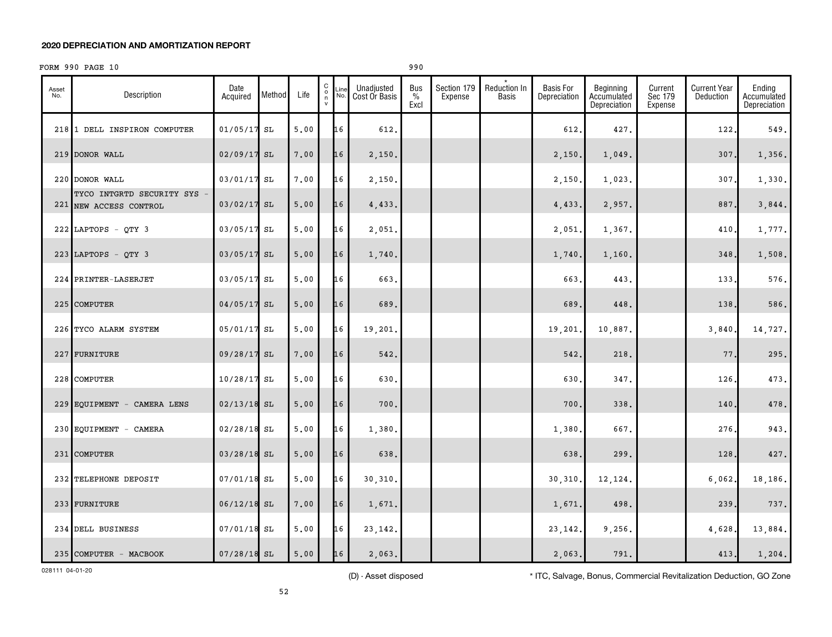# FORM 990 PAGE 10 990

| Asset<br>No. | Description                                           | Date<br>Acquired | Method | Life | C<br>$\overline{0}$ | Line<br>No. | Unadjusted<br>Cost Or Basis | <b>Bus</b><br>$\%$<br>Excl | Section 179<br>Expense | Reduction In<br>Basis | <b>Basis For</b><br>Depreciation | Beginning<br>Accumulated<br>Depreciation | Current<br>Sec 179<br>Expense | <b>Current Year</b><br>Deduction | Ending<br>Accumulated<br>Depreciation |
|--------------|-------------------------------------------------------|------------------|--------|------|---------------------|-------------|-----------------------------|----------------------------|------------------------|-----------------------|----------------------------------|------------------------------------------|-------------------------------|----------------------------------|---------------------------------------|
|              | 218 1 DELL INSPIRON COMPUTER                          | $01/05/17$ SL    |        | 5,00 |                     | 16          | 612.                        |                            |                        |                       | 612                              | 427.                                     |                               | 122                              | 549.                                  |
|              | 219 DONOR WALL                                        | 02/09/17         | SL     | 7.00 |                     | 16          | 2,150.                      |                            |                        |                       | 2,150.                           | 1,049.                                   |                               | 307.                             | 1,356.                                |
|              | 220 DONOR WALL                                        | 03/01/17 SL      |        | 7.00 |                     | 16          | 2,150.                      |                            |                        |                       | 2,150                            | 1,023                                    |                               | 307                              | 1,330.                                |
|              | TYCO INTGRTD SECURITY SYS -<br>221 NEW ACCESS CONTROL | $03/02/17$ SL    |        | 5,00 |                     | 16          | 4,433.                      |                            |                        |                       | 4,433                            | 2,957.                                   |                               | 887                              | 3,844.                                |
|              | 222 LAPTOPS - QTY 3                                   | 03/05/17 SL      |        | 5,00 |                     | 16          | 2,051.                      |                            |                        |                       | 2,051                            | 1,367.                                   |                               | 410.                             | 1,777.                                |
|              | 223 LAPTOPS - QTY 3                                   | 03/05/17 SL      |        | 5.00 |                     | 16          | 1,740.                      |                            |                        |                       | 1,740                            | 1,160.                                   |                               | 348                              | 1,508.                                |
|              | 224 PRINTER-LASERJET                                  | 03/05/17 SL      |        | 5,00 |                     | 16          | 663.                        |                            |                        |                       | 663                              | 443.                                     |                               | 133                              | 576.                                  |
|              | 225 COMPUTER                                          | 04/05/17         | SL     | 5.00 |                     | 16          | 689.                        |                            |                        |                       | 689                              | 448.                                     |                               | 138                              | 586.                                  |
|              | 226 TYCO ALARM SYSTEM                                 | 05/01/17         | SL     | 5.00 |                     | 16          | 19,201                      |                            |                        |                       | 19,201                           | 10,887.                                  |                               | 3,840                            | 14,727.                               |
|              | 227 FURNITURE                                         | 09/28/17         | SL     | 7.00 |                     | 16          | 542.                        |                            |                        |                       | 542.                             | 218.                                     |                               | 77                               | 295.                                  |
|              | 228 COMPUTER                                          | $10/28/17$ SL    |        | 5,00 |                     | 16          | 630.                        |                            |                        |                       | 630                              | 347.                                     |                               | 126                              | 473.                                  |
|              | 229 EQUIPMENT - CAMERA LENS                           | $02/13/18$ SL    |        | 5,00 |                     | 16          | 700.                        |                            |                        |                       | 700                              | 338.                                     |                               | 140                              | 478.                                  |
|              | 230 EQUIPMENT - CAMERA                                | $02/28/18$ SL    |        | 5.00 |                     | 16          | 1,380.                      |                            |                        |                       | 1,380                            | 667.                                     |                               | 276                              | 943.                                  |
|              | 231 COMPUTER                                          | 03/28/18 SL      |        | 5.00 |                     | 16          | 638.                        |                            |                        |                       | 638                              | 299.                                     |                               | 128                              | 427.                                  |
|              | 232 TELEPHONE DEPOSIT                                 | $07/01/18$ SL    |        | 5.00 |                     | 16          | 30,310.                     |                            |                        |                       | 30,310                           | 12,124.                                  |                               | 6,062.                           | 18,186.                               |
|              | 233 FURNITURE                                         | $06/12/18$ SL    |        | 7.00 |                     | 16          | 1,671.                      |                            |                        |                       | 1,671.                           | 498.                                     |                               | 239                              | 737.                                  |
|              | 234 DELL BUSINESS                                     | 07/01/18 SL      |        | 5.00 |                     | 16          | 23, 142.                    |                            |                        |                       | 23,142                           | 9,256.                                   |                               | 4,628.                           | 13,884.                               |
|              | 235 COMPUTER - MACBOOK                                | $07/28/18$ SL    |        | 5,00 |                     | 16          | 2,063.                      |                            |                        |                       | 2,063.                           | 791.                                     |                               | 413.                             | 1,204.                                |

028111 04-01-20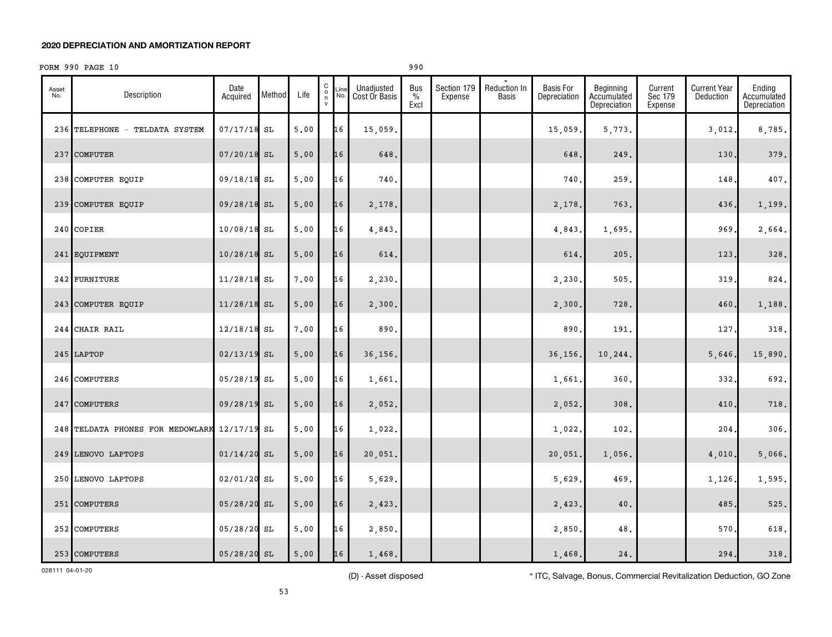# FORM 990 PAGE 10 990

| Asset<br>No. | Description                                  | Date<br>Acquired | Method | Life | 0000<br>Line<br>No. | Unadjusted<br>Cost Or Basis | <b>Bus</b><br>$\%$<br>Excl | Section 179<br>Expense | Reduction In<br>Basis | <b>Basis For</b><br>Depreciation | Beginning<br>Accumulated<br>Depreciation | Current<br>Sec 179<br>Expense | <b>Current Year</b><br>Deduction | Ending<br>Accumulated<br>Depreciation |
|--------------|----------------------------------------------|------------------|--------|------|---------------------|-----------------------------|----------------------------|------------------------|-----------------------|----------------------------------|------------------------------------------|-------------------------------|----------------------------------|---------------------------------------|
|              | 236 TELEPHONE - TELDATA SYSTEM               | $07/17/18$ SL    |        | 5.00 | 16                  | 15,059.                     |                            |                        |                       | 15,059                           | 5,773.                                   |                               | 3,012                            | 8,785.                                |
|              | 237 COMPUTER                                 | $07/20/18$ SL    |        | 5.00 | 16                  | 648.                        |                            |                        |                       | 648.                             | 249.                                     |                               | 130                              | 379.                                  |
|              | 238 COMPUTER EQUIP                           | 09/18/18 SL      |        | 5.00 | 16                  | 740.                        |                            |                        |                       | 740                              | 259.                                     |                               | 148                              | 407.                                  |
|              | 239 COMPUTER EQUIP                           | 09/28/18 SL      |        | 5.00 | 16                  | 2,178.                      |                            |                        |                       | 2,178                            | 763.                                     |                               | 436.                             | 1,199.                                |
|              | 240 COPIER                                   | 10/08/18 SL      |        | 5.00 | 16                  | 4,843.                      |                            |                        |                       | 4,843                            | 1,695.                                   |                               | 969                              | 2,664.                                |
|              | 241 EQUIPMENT                                | $10/28/18$ SL    |        | 5.00 | 16                  | 614.                        |                            |                        |                       | 614                              | 205.                                     |                               | 123                              | 328.                                  |
|              | 242 FURNITURE                                | $11/28/18$ SL    |        | 7.00 | 16                  | 2,230.                      |                            |                        |                       | 2,230                            | 505.                                     |                               | 319                              | 824.                                  |
|              | 243 COMPUTER EQUIP                           | $11/28/18$ SL    |        | 5.00 | 16                  | 2,300.                      |                            |                        |                       | 2,300                            | 728.                                     |                               | 460                              | 1,188.                                |
|              | 244 CHAIR RAIL                               | $12/18/18$ SL    |        | 7.00 | 16                  | 890.                        |                            |                        |                       | 890                              | 191.                                     |                               | 127                              | 318.                                  |
|              | $245$ LAPTOP                                 | $02/13/19$ SL    |        | 5.00 | 16                  | 36,156.                     |                            |                        |                       | 36,156                           | 10,244.                                  |                               | 5,646.                           | 15,890.                               |
|              | 246 COMPUTERS                                | 05/28/19 SL      |        | 5.00 | 16                  | 1,661.                      |                            |                        |                       | 1,661                            | 360.                                     |                               | 332                              | 692.                                  |
|              | 247 COMPUTERS                                | 09/28/19 SL      |        | 5.00 | 16                  | 2,052.                      |                            |                        |                       | 2,052.                           | 308.                                     |                               | 410                              | 718.                                  |
|              | 248 TELDATA PHONES FOR MEDOWLARK 12/17/19 SL |                  |        | 5.00 | 16                  | 1,022.                      |                            |                        |                       | 1,022.                           | 102.                                     |                               | 204                              | 306.                                  |
|              | 249 LENOVO LAPTOPS                           | $01/14/20$ SL    |        | 5.00 | 16                  | 20,051.                     |                            |                        |                       | 20,051                           | 1,056.                                   |                               | 4,010.                           | 5,066.                                |
|              | 250 LENOVO LAPTOPS                           | 02/01/20 SL      |        | 5.00 | 16                  | 5,629.                      |                            |                        |                       | 5,629                            | 469.                                     |                               | 1,126.                           | 1,595.                                |
|              | 251 COMPUTERS                                | $05/28/20$ SL    |        | 5.00 | 16                  | 2,423.                      |                            |                        |                       | 2,423                            | 40.                                      |                               | 485                              | 525.                                  |
|              | 252 COMPUTERS                                | 05/28/20 SL      |        | 5.00 | 16                  | 2,850.                      |                            |                        |                       | 2,850                            | 48.                                      |                               | 570                              | 618.                                  |
|              | 253 COMPUTERS                                | $05/28/20$ SL    |        | 5.00 | 16                  | 1,468.                      |                            |                        |                       | 1,468.                           | 24.                                      |                               | 294.                             | 318.                                  |

028111 04-01-20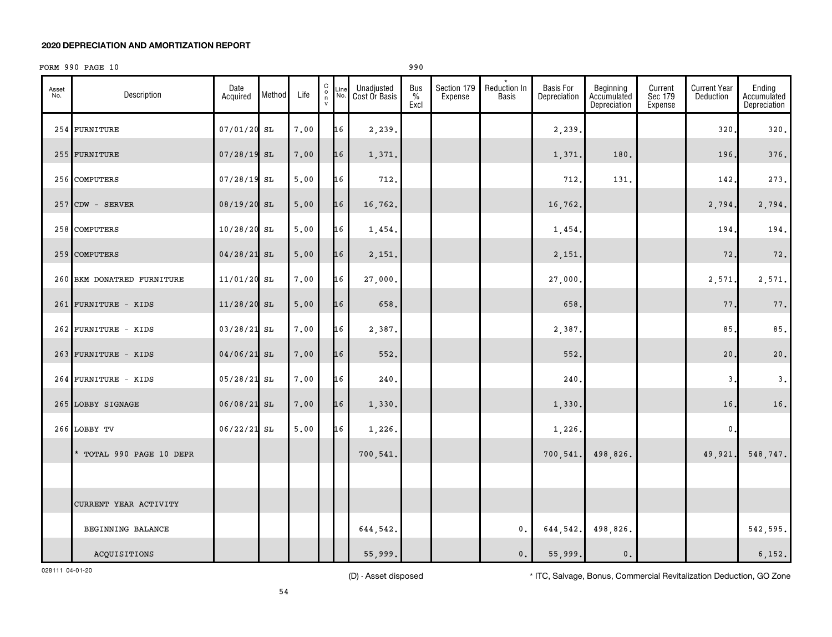# FORM 990 PAGE 10 990

| Asset<br>No. | Description                | Date<br>Acquired | Method | Life | 0000<br>Line<br>No. | Unadjusted<br>Cost Or Basis | Bus<br>$\%$<br>Excl | Section 179<br>Expense | Reduction In<br><b>Basis</b> | <b>Basis For</b><br>Depreciation | Beginning<br>Accumulated<br>Depreciation | Current<br>Sec 179<br>Expense | <b>Current Year</b><br>Deduction | Ending<br>Accumulated<br>Depreciation |
|--------------|----------------------------|------------------|--------|------|---------------------|-----------------------------|---------------------|------------------------|------------------------------|----------------------------------|------------------------------------------|-------------------------------|----------------------------------|---------------------------------------|
|              | 254 FURNITURE              | 07/01/20 SL      |        | 7.00 | 16                  | 2,239.                      |                     |                        |                              | 2,239.                           |                                          |                               | 320                              | 320.                                  |
|              | 255 FURNITURE              | 07/28/19 SL      |        | 7.00 | 16                  | 1,371.                      |                     |                        |                              | 1,371.                           | 180.                                     |                               | 196.                             | 376.                                  |
|              | 256 COMPUTERS              | $07/28/19$ SL    |        | 5.00 | 16                  | 712.                        |                     |                        |                              | 712.                             | 131.                                     |                               | 142                              | 273.                                  |
|              | $257$ CDW - SERVER         | 08/19/20 SL      |        | 5.00 | 16                  | 16,762.                     |                     |                        |                              | 16,762.                          |                                          |                               | 2,794.                           | 2,794.                                |
|              | 258 COMPUTERS              | $10/28/20$ SL    |        | 5,00 | 16                  | 1,454.                      |                     |                        |                              | 1,454.                           |                                          |                               | 194                              | 194.                                  |
|              | 259 COMPUTERS              | $04/28/21$ SL    |        | 5.00 | 16                  | 2,151.                      |                     |                        |                              | 2,151.                           |                                          |                               | 72.                              | 72.                                   |
|              | 260 BKM DONATRED FURNITURE | 11/01/20 SL      |        | 7.00 | 16                  | 27,000.                     |                     |                        |                              | 27,000                           |                                          |                               | 2,571.                           | 2,571.                                |
|              | 261 FURNITURE - KIDS       | 11/28/20 SL      |        | 5.00 | 16                  | 658.                        |                     |                        |                              | 658.                             |                                          |                               | 77                               | 77.                                   |
|              | 262 FURNITURE - KIDS       | 03/28/21 SL      |        | 7.00 | 16                  | 2,387.                      |                     |                        |                              | 2,387                            |                                          |                               | 85                               | 85.                                   |
|              | $263$ FURNITURE - KIDS     | $04/06/21$ SL    |        | 7.00 | 16                  | 552.                        |                     |                        |                              | 552.                             |                                          |                               | 20 <sub>1</sub>                  | 20.                                   |
|              | 264 FURNITURE - KIDS       | 05/28/21 SL      |        | 7.00 | 16                  | 240.                        |                     |                        |                              | 240                              |                                          |                               | 3 <sub>1</sub>                   | 3.                                    |
|              | 265 LOBBY SIGNAGE          | 06/08/21 SL      |        | 7.00 | 16                  | 1,330.                      |                     |                        |                              | 1,330.                           |                                          |                               | 16                               | 16.                                   |
|              | 266 LOBBY TV               | 06/22/21 SL      |        | 5.00 | 16                  | 1,226.                      |                     |                        |                              | 1,226.                           |                                          |                               | $\mathbf{0}$                     |                                       |
|              | * TOTAL 990 PAGE 10 DEPR   |                  |        |      |                     | 700,541.                    |                     |                        |                              | 700,541.                         | 498,826.                                 |                               | 49,921                           | 548, 747.                             |
|              |                            |                  |        |      |                     |                             |                     |                        |                              |                                  |                                          |                               |                                  |                                       |
|              | CURRENT YEAR ACTIVITY      |                  |        |      |                     |                             |                     |                        |                              |                                  |                                          |                               |                                  |                                       |
|              | BEGINNING BALANCE          |                  |        |      |                     | 644,542.                    |                     |                        | $\mathbf{0}$ .               | 644,542.                         | 498,826.                                 |                               |                                  | 542, 595.                             |
|              | ACQUISITIONS               |                  |        |      |                     | 55,999.                     |                     |                        | 0.                           | 55,999.                          | $\mathbf 0$ .                            |                               |                                  | 6,152.                                |

028111 04-01-20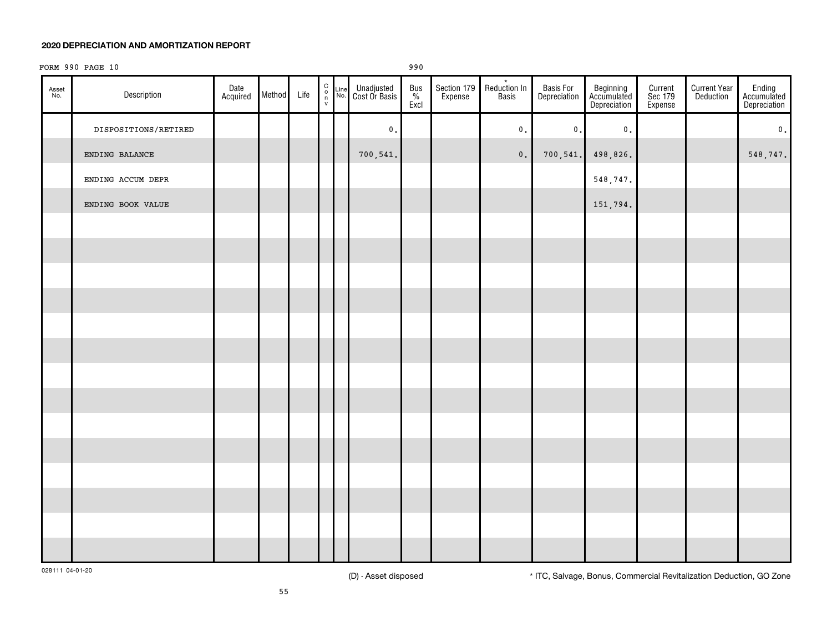# FORM 990 PAGE 10 990

| Asset<br>No. | Description          | Date<br>Acquired | Method | Life | $\begin{matrix} 0 \\ 0 \\ \mathsf{v} \end{matrix}$ | Line<br>No. | Unadjusted<br>Cost Or Basis | <b>Bus</b><br>$\frac{\%}{\text{Excl}}$ | Section 179<br>Expense | $\star$<br>Reduction In<br>Basis | Basis For<br>Depreciation | Beginning<br>Accumulated<br>Depreciation | Current<br>Sec 179<br>Expense | <b>Current Year</b><br>Deduction | Ending<br>Accumulated<br>Depreciation |
|--------------|----------------------|------------------|--------|------|----------------------------------------------------|-------------|-----------------------------|----------------------------------------|------------------------|----------------------------------|---------------------------|------------------------------------------|-------------------------------|----------------------------------|---------------------------------------|
|              | DISPOSITIONS/RETIRED |                  |        |      |                                                    |             | $\mathfrak o$ .             |                                        |                        | $\mathbf 0$ .                    | $\mathbf 0$ .             | $\mathfrak o$ .                          |                               |                                  | $\mathbf 0$ .                         |
|              | ENDING BALANCE       |                  |        |      |                                                    |             | 700, 541.                   |                                        |                        | $\mathbf 0$ .                    | 700,541.                  | 498,826.                                 |                               |                                  | 548, 747.                             |
|              | ENDING ACCUM DEPR    |                  |        |      |                                                    |             |                             |                                        |                        |                                  |                           | 548,747.                                 |                               |                                  |                                       |
|              | ENDING BOOK VALUE    |                  |        |      |                                                    |             |                             |                                        |                        |                                  |                           | 151,794.                                 |                               |                                  |                                       |
|              |                      |                  |        |      |                                                    |             |                             |                                        |                        |                                  |                           |                                          |                               |                                  |                                       |
|              |                      |                  |        |      |                                                    |             |                             |                                        |                        |                                  |                           |                                          |                               |                                  |                                       |
|              |                      |                  |        |      |                                                    |             |                             |                                        |                        |                                  |                           |                                          |                               |                                  |                                       |
|              |                      |                  |        |      |                                                    |             |                             |                                        |                        |                                  |                           |                                          |                               |                                  |                                       |
|              |                      |                  |        |      |                                                    |             |                             |                                        |                        |                                  |                           |                                          |                               |                                  |                                       |
|              |                      |                  |        |      |                                                    |             |                             |                                        |                        |                                  |                           |                                          |                               |                                  |                                       |
|              |                      |                  |        |      |                                                    |             |                             |                                        |                        |                                  |                           |                                          |                               |                                  |                                       |
|              |                      |                  |        |      |                                                    |             |                             |                                        |                        |                                  |                           |                                          |                               |                                  |                                       |
|              |                      |                  |        |      |                                                    |             |                             |                                        |                        |                                  |                           |                                          |                               |                                  |                                       |
|              |                      |                  |        |      |                                                    |             |                             |                                        |                        |                                  |                           |                                          |                               |                                  |                                       |
|              |                      |                  |        |      |                                                    |             |                             |                                        |                        |                                  |                           |                                          |                               |                                  |                                       |
|              |                      |                  |        |      |                                                    |             |                             |                                        |                        |                                  |                           |                                          |                               |                                  |                                       |
|              |                      |                  |        |      |                                                    |             |                             |                                        |                        |                                  |                           |                                          |                               |                                  |                                       |
|              |                      |                  |        |      |                                                    |             |                             |                                        |                        |                                  |                           |                                          |                               |                                  |                                       |

028111 04-01-20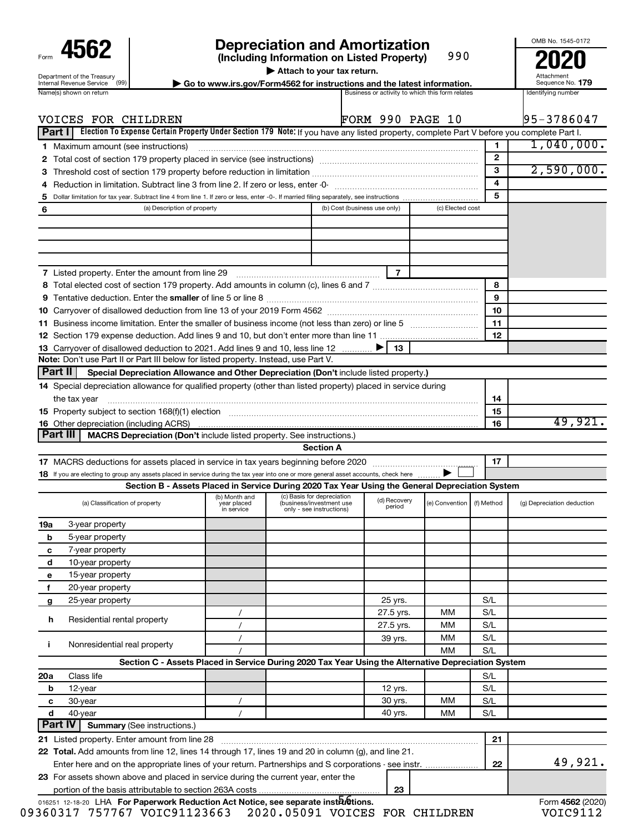| Form                                                   |
|--------------------------------------------------------|
| Department of the Treasury<br>Internal Revenue Service |
| $modo$ choun c                                         |

# **4562 Depreciation and Amortization**<br>(Including Information on Listed Property) 990 **2020**

**(Including Information on Listed Property)**

990

**| Attach to your tax return.**

**nternal Revenue Service**  $\left(99\right)$  **Go to www.irs.gov/Form4562 for instructions and the latest information.** Sequence No. 179<br>Name(s) shown on return and the lates and the lates are activity to which this form relates and

Attachment Sequence No.

OMB No. 1545-0172

|        | VOICES FOR CHILDREN                                                                                                                                                                                                            |                           |                                                      |                              |                        | <b>FORM 990 PAGE 10</b> |            | 95-3786047                 |
|--------|--------------------------------------------------------------------------------------------------------------------------------------------------------------------------------------------------------------------------------|---------------------------|------------------------------------------------------|------------------------------|------------------------|-------------------------|------------|----------------------------|
| Part I | Election To Expense Certain Property Under Section 179 Note: If you have any listed property, complete Part V before you complete Part I.                                                                                      |                           |                                                      |                              |                        |                         |            |                            |
|        | <b>1</b> Maximum amount (see instructions)                                                                                                                                                                                     |                           |                                                      |                              |                        |                         | 1          | 1,040,000.                 |
| 2      |                                                                                                                                                                                                                                |                           |                                                      |                              |                        |                         | 2          |                            |
| З      | Threshold cost of section 179 property before reduction in limitation [11] manuscription control cost of section 179 property before reduction in limitation [11] manuscription of the section 179 property section in limitat |                           |                                                      |                              |                        |                         | 3          | 2,590,000.                 |
| 4      |                                                                                                                                                                                                                                |                           |                                                      |                              |                        |                         | 4          |                            |
| 5      |                                                                                                                                                                                                                                |                           |                                                      |                              |                        |                         | 5          |                            |
| 6      | (a) Description of property                                                                                                                                                                                                    |                           |                                                      | (b) Cost (business use only) |                        | (c) Elected cost        |            |                            |
|        |                                                                                                                                                                                                                                |                           |                                                      |                              |                        |                         |            |                            |
|        |                                                                                                                                                                                                                                |                           |                                                      |                              |                        |                         |            |                            |
|        |                                                                                                                                                                                                                                |                           |                                                      |                              |                        |                         |            |                            |
|        | 7 Listed property. Enter the amount from line 29                                                                                                                                                                               |                           |                                                      |                              |                        |                         |            |                            |
|        |                                                                                                                                                                                                                                |                           |                                                      |                              |                        |                         | 8          |                            |
|        |                                                                                                                                                                                                                                |                           |                                                      |                              |                        |                         | 9          |                            |
|        |                                                                                                                                                                                                                                |                           |                                                      |                              |                        |                         | 10         |                            |
|        |                                                                                                                                                                                                                                |                           |                                                      |                              |                        |                         | 11         |                            |
|        |                                                                                                                                                                                                                                |                           |                                                      |                              |                        |                         | 12         |                            |
|        | 13 Carryover of disallowed deduction to 2021. Add lines 9 and 10, less line 12                                                                                                                                                 |                           |                                                      |                              | 13                     |                         |            |                            |
|        | Note: Don't use Part II or Part III below for listed property. Instead, use Part V.                                                                                                                                            |                           |                                                      |                              |                        |                         |            |                            |
|        | ∣ Part II<br>Special Depreciation Allowance and Other Depreciation (Don't include listed property.)                                                                                                                            |                           |                                                      |                              |                        |                         |            |                            |
|        | 14 Special depreciation allowance for qualified property (other than listed property) placed in service during                                                                                                                 |                           |                                                      |                              |                        |                         |            |                            |
|        | the tax year                                                                                                                                                                                                                   |                           |                                                      |                              |                        |                         | 14         |                            |
|        |                                                                                                                                                                                                                                |                           |                                                      |                              |                        |                         | 15         |                            |
|        | <b>16</b> Other depreciation (including ACRS)                                                                                                                                                                                  |                           |                                                      |                              |                        |                         | 16         | 49,921.                    |
|        | ∣ Part III<br>MACRS Depreciation (Don't include listed property. See instructions.)                                                                                                                                            |                           |                                                      |                              |                        |                         |            |                            |
|        |                                                                                                                                                                                                                                |                           | <b>Section A</b>                                     |                              |                        |                         |            |                            |
|        |                                                                                                                                                                                                                                |                           |                                                      |                              |                        |                         | 17         |                            |
|        | 18 If you are electing to group any assets placed in service during the tax year into one or more general asset accounts, check here                                                                                           |                           |                                                      |                              |                        |                         |            |                            |
|        | Section B - Assets Placed in Service During 2020 Tax Year Using the General Depreciation System                                                                                                                                | (b) Month and             | (c) Basis for depreciation                           |                              |                        |                         |            |                            |
|        | (a) Classification of property                                                                                                                                                                                                 | year placed<br>in service | (business/investment use<br>only - see instructions) |                              | (d) Recovery<br>period | (e) Convention          | (f) Method | (g) Depreciation deduction |
| 19a    | 3-year property                                                                                                                                                                                                                |                           |                                                      |                              |                        |                         |            |                            |
| b      | 5-year property                                                                                                                                                                                                                |                           |                                                      |                              |                        |                         |            |                            |
| c      | 7-year property                                                                                                                                                                                                                |                           |                                                      |                              |                        |                         |            |                            |
| d      | 10-year property                                                                                                                                                                                                               |                           |                                                      |                              |                        |                         |            |                            |
| е      | 15-year property                                                                                                                                                                                                               |                           |                                                      |                              |                        |                         |            |                            |
| f      | 20-year property                                                                                                                                                                                                               |                           |                                                      |                              |                        |                         |            |                            |
| g      | 25-year property                                                                                                                                                                                                               |                           |                                                      |                              | 25 yrs.                |                         | S/L        |                            |
| h      | Residential rental property                                                                                                                                                                                                    | $\prime$                  |                                                      |                              | 27.5 yrs.              | мм                      | S/L        |                            |
|        |                                                                                                                                                                                                                                | $\prime$                  |                                                      |                              | 27.5 yrs.              | мм                      | S/L        |                            |
| j.     | Nonresidential real property                                                                                                                                                                                                   | $\prime$                  |                                                      |                              | 39 yrs.                | мм                      | S/L        |                            |
|        | Section C - Assets Placed in Service During 2020 Tax Year Using the Alternative Depreciation System                                                                                                                            |                           |                                                      |                              |                        | ΜМ                      | S/L        |                            |
|        |                                                                                                                                                                                                                                |                           |                                                      |                              |                        |                         |            |                            |
| 20a    | Class life                                                                                                                                                                                                                     |                           |                                                      |                              | 12 yrs.                |                         | S/L<br>S/L |                            |
| b      | 12-year<br>30-year                                                                                                                                                                                                             |                           |                                                      |                              | 30 yrs.                | ΜМ                      | S/L        |                            |
| с<br>d | 40-year                                                                                                                                                                                                                        | $\sqrt{2}$<br>$\prime$    |                                                      |                              | 40 yrs.                | МM                      | S/L        |                            |
|        | <b>Part IV</b><br><b>Summary (See instructions.)</b>                                                                                                                                                                           |                           |                                                      |                              |                        |                         |            |                            |
|        | 21 Listed property. Enter amount from line 28                                                                                                                                                                                  |                           |                                                      |                              |                        |                         | 21         |                            |
|        | 22 Total. Add amounts from line 12, lines 14 through 17, lines 19 and 20 in column (g), and line 21.                                                                                                                           |                           |                                                      |                              |                        |                         |            |                            |
|        | Enter here and on the appropriate lines of your return. Partnerships and S corporations - see instr.                                                                                                                           |                           |                                                      |                              |                        |                         | 22         | 49,921.                    |
|        | 23 For assets shown above and placed in service during the current year, enter the                                                                                                                                             |                           |                                                      |                              |                        |                         |            |                            |
|        |                                                                                                                                                                                                                                |                           |                                                      |                              | 23                     |                         |            |                            |

016251 12-18-20 LHA **For Paperwork Reduction Act Notice, see separate instructions.<br>
Form 4562 (2020)** 09360317 757767 VOIC91123663 2020.05091 VOICES FOR CHILDREN VOIC9112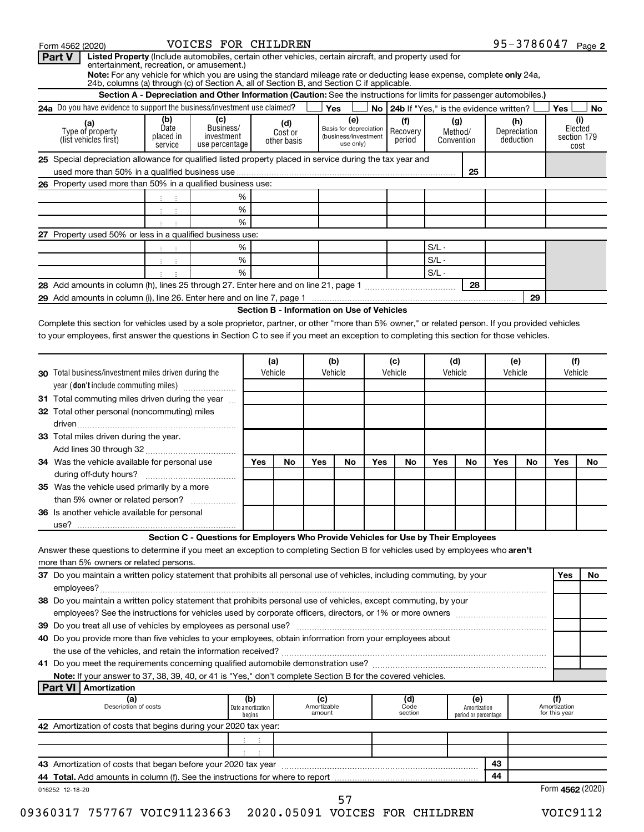|                                                                                                                                                                                                                                                                                                                                                                                                                                                                                                                                                                                                          | Section A - Depreciation and Other Information (Caution: See the instructions for limits for passenger automobiles.) |                                                                                     |                             |                                            |                       |                                                                    |     | 24b, columns (a) through (c) of Section A, all of Section B, and Section C if applicable. |                                             |                                      |            |                                  |                               |                        |
|----------------------------------------------------------------------------------------------------------------------------------------------------------------------------------------------------------------------------------------------------------------------------------------------------------------------------------------------------------------------------------------------------------------------------------------------------------------------------------------------------------------------------------------------------------------------------------------------------------|----------------------------------------------------------------------------------------------------------------------|-------------------------------------------------------------------------------------|-----------------------------|--------------------------------------------|-----------------------|--------------------------------------------------------------------|-----|-------------------------------------------------------------------------------------------|---------------------------------------------|--------------------------------------|------------|----------------------------------|-------------------------------|------------------------|
|                                                                                                                                                                                                                                                                                                                                                                                                                                                                                                                                                                                                          |                                                                                                                      | 24a Do you have evidence to support the business/investment use claimed?            |                             |                                            |                       | Yes                                                                |     |                                                                                           | No   24b If "Yes," is the evidence written? |                                      |            |                                  | Yes                           | No                     |
| (a)<br>Type of property<br>(list vehicles first)                                                                                                                                                                                                                                                                                                                                                                                                                                                                                                                                                         | (b)<br>Date<br>placed in<br>service                                                                                  | (c)<br>Business/<br>investment<br>use percentage                                    |                             | (d)<br>Cost or<br>other basis              |                       | (e)<br>Basis for depreciation<br>(business/investment<br>use only) |     | (f)<br>Recovery<br>period                                                                 | (g)<br>Method/<br>Convention                |                                      |            | (h)<br>Depreciation<br>deduction | section 179                   | (i)<br>Elected<br>cost |
| 25 Special depreciation allowance for qualified listed property placed in service during the tax year and                                                                                                                                                                                                                                                                                                                                                                                                                                                                                                |                                                                                                                      |                                                                                     |                             |                                            |                       |                                                                    |     |                                                                                           |                                             |                                      |            |                                  |                               |                        |
|                                                                                                                                                                                                                                                                                                                                                                                                                                                                                                                                                                                                          |                                                                                                                      |                                                                                     |                             |                                            |                       |                                                                    |     |                                                                                           |                                             | 25                                   |            |                                  |                               |                        |
| 26 Property used more than 50% in a qualified business use:                                                                                                                                                                                                                                                                                                                                                                                                                                                                                                                                              |                                                                                                                      |                                                                                     |                             |                                            |                       |                                                                    |     |                                                                                           |                                             |                                      |            |                                  |                               |                        |
|                                                                                                                                                                                                                                                                                                                                                                                                                                                                                                                                                                                                          |                                                                                                                      | %                                                                                   |                             |                                            |                       |                                                                    |     |                                                                                           |                                             |                                      |            |                                  |                               |                        |
|                                                                                                                                                                                                                                                                                                                                                                                                                                                                                                                                                                                                          | ÷                                                                                                                    | %                                                                                   |                             |                                            |                       |                                                                    |     |                                                                                           |                                             |                                      |            |                                  |                               |                        |
|                                                                                                                                                                                                                                                                                                                                                                                                                                                                                                                                                                                                          |                                                                                                                      | %                                                                                   |                             |                                            |                       |                                                                    |     |                                                                                           |                                             |                                      |            |                                  |                               |                        |
| 27 Property used 50% or less in a qualified business use:                                                                                                                                                                                                                                                                                                                                                                                                                                                                                                                                                |                                                                                                                      |                                                                                     |                             |                                            |                       |                                                                    |     |                                                                                           |                                             |                                      |            |                                  |                               |                        |
|                                                                                                                                                                                                                                                                                                                                                                                                                                                                                                                                                                                                          |                                                                                                                      | %                                                                                   |                             |                                            |                       |                                                                    |     |                                                                                           | $S/L -$                                     |                                      |            |                                  |                               |                        |
|                                                                                                                                                                                                                                                                                                                                                                                                                                                                                                                                                                                                          | ÷                                                                                                                    | $\%$                                                                                |                             |                                            |                       |                                                                    |     |                                                                                           | $S/L -$                                     |                                      |            |                                  |                               |                        |
|                                                                                                                                                                                                                                                                                                                                                                                                                                                                                                                                                                                                          |                                                                                                                      | %                                                                                   |                             |                                            |                       |                                                                    |     |                                                                                           | $S/L -$                                     |                                      |            |                                  |                               |                        |
|                                                                                                                                                                                                                                                                                                                                                                                                                                                                                                                                                                                                          |                                                                                                                      |                                                                                     |                             |                                            |                       |                                                                    |     |                                                                                           |                                             | 28                                   |            |                                  |                               |                        |
|                                                                                                                                                                                                                                                                                                                                                                                                                                                                                                                                                                                                          |                                                                                                                      |                                                                                     |                             |                                            |                       |                                                                    |     |                                                                                           |                                             |                                      |            | 29                               |                               |                        |
|                                                                                                                                                                                                                                                                                                                                                                                                                                                                                                                                                                                                          |                                                                                                                      |                                                                                     |                             | Section B - Information on Use of Vehicles |                       |                                                                    |     |                                                                                           |                                             |                                      |            |                                  |                               |                        |
| Complete this section for vehicles used by a sole proprietor, partner, or other "more than 5% owner," or related person. If you provided vehicles                                                                                                                                                                                                                                                                                                                                                                                                                                                        |                                                                                                                      |                                                                                     |                             |                                            |                       |                                                                    |     |                                                                                           |                                             |                                      |            |                                  |                               |                        |
| to your employees, first answer the questions in Section C to see if you meet an exception to completing this section for those vehicles.                                                                                                                                                                                                                                                                                                                                                                                                                                                                |                                                                                                                      |                                                                                     |                             |                                            |                       |                                                                    |     |                                                                                           |                                             |                                      |            |                                  |                               |                        |
|                                                                                                                                                                                                                                                                                                                                                                                                                                                                                                                                                                                                          |                                                                                                                      |                                                                                     |                             |                                            |                       |                                                                    |     |                                                                                           |                                             |                                      |            |                                  |                               |                        |
|                                                                                                                                                                                                                                                                                                                                                                                                                                                                                                                                                                                                          |                                                                                                                      |                                                                                     |                             | (a)                                        | (b)                   |                                                                    | (c) |                                                                                           | (d)                                         |                                      | (e)        |                                  | (f)                           |                        |
| <b>30</b> Total business/investment miles driven during the                                                                                                                                                                                                                                                                                                                                                                                                                                                                                                                                              |                                                                                                                      |                                                                                     |                             | Vehicle                                    | Vehicle               |                                                                    |     | Vehicle                                                                                   | Vehicle                                     |                                      |            | Vehicle                          | Vehicle                       |                        |
| year (don't include commuting miles)                                                                                                                                                                                                                                                                                                                                                                                                                                                                                                                                                                     |                                                                                                                      |                                                                                     |                             |                                            |                       |                                                                    |     |                                                                                           |                                             |                                      |            |                                  |                               |                        |
| 31 Total commuting miles driven during the year                                                                                                                                                                                                                                                                                                                                                                                                                                                                                                                                                          |                                                                                                                      |                                                                                     |                             |                                            |                       |                                                                    |     |                                                                                           |                                             |                                      |            |                                  |                               |                        |
| 32 Total other personal (noncommuting) miles                                                                                                                                                                                                                                                                                                                                                                                                                                                                                                                                                             |                                                                                                                      |                                                                                     |                             |                                            |                       |                                                                    |     |                                                                                           |                                             |                                      |            |                                  |                               |                        |
|                                                                                                                                                                                                                                                                                                                                                                                                                                                                                                                                                                                                          |                                                                                                                      |                                                                                     |                             |                                            |                       |                                                                    |     |                                                                                           |                                             |                                      |            |                                  |                               |                        |
| 33 Total miles driven during the year.                                                                                                                                                                                                                                                                                                                                                                                                                                                                                                                                                                   |                                                                                                                      |                                                                                     |                             |                                            |                       |                                                                    |     |                                                                                           |                                             |                                      |            |                                  |                               |                        |
| 34 Was the vehicle available for personal use                                                                                                                                                                                                                                                                                                                                                                                                                                                                                                                                                            |                                                                                                                      |                                                                                     | Yes                         | No                                         | Yes                   | No                                                                 | Yes | No                                                                                        | Yes                                         | No                                   | <b>Yes</b> | No                               | Yes                           | No                     |
|                                                                                                                                                                                                                                                                                                                                                                                                                                                                                                                                                                                                          |                                                                                                                      |                                                                                     |                             |                                            |                       |                                                                    |     |                                                                                           |                                             |                                      |            |                                  |                               |                        |
| 35 Was the vehicle used primarily by a more                                                                                                                                                                                                                                                                                                                                                                                                                                                                                                                                                              |                                                                                                                      |                                                                                     |                             |                                            |                       |                                                                    |     |                                                                                           |                                             |                                      |            |                                  |                               |                        |
| than 5% owner or related person?                                                                                                                                                                                                                                                                                                                                                                                                                                                                                                                                                                         |                                                                                                                      |                                                                                     |                             |                                            |                       |                                                                    |     |                                                                                           |                                             |                                      |            |                                  |                               |                        |
|                                                                                                                                                                                                                                                                                                                                                                                                                                                                                                                                                                                                          |                                                                                                                      |                                                                                     |                             |                                            |                       |                                                                    |     |                                                                                           |                                             |                                      |            |                                  |                               |                        |
|                                                                                                                                                                                                                                                                                                                                                                                                                                                                                                                                                                                                          |                                                                                                                      |                                                                                     |                             |                                            |                       |                                                                    |     |                                                                                           |                                             |                                      |            |                                  |                               |                        |
| <b>36</b> Is another vehicle available for personal                                                                                                                                                                                                                                                                                                                                                                                                                                                                                                                                                      |                                                                                                                      |                                                                                     |                             |                                            |                       |                                                                    |     |                                                                                           |                                             |                                      |            |                                  |                               |                        |
| use?                                                                                                                                                                                                                                                                                                                                                                                                                                                                                                                                                                                                     |                                                                                                                      |                                                                                     |                             |                                            |                       |                                                                    |     |                                                                                           |                                             |                                      |            |                                  |                               |                        |
|                                                                                                                                                                                                                                                                                                                                                                                                                                                                                                                                                                                                          |                                                                                                                      | Section C - Questions for Employers Who Provide Vehicles for Use by Their Employees |                             |                                            |                       |                                                                    |     |                                                                                           |                                             |                                      |            |                                  |                               |                        |
|                                                                                                                                                                                                                                                                                                                                                                                                                                                                                                                                                                                                          |                                                                                                                      |                                                                                     |                             |                                            |                       |                                                                    |     |                                                                                           |                                             |                                      |            |                                  |                               |                        |
|                                                                                                                                                                                                                                                                                                                                                                                                                                                                                                                                                                                                          |                                                                                                                      |                                                                                     |                             |                                            |                       |                                                                    |     |                                                                                           |                                             |                                      |            |                                  | <b>Yes</b>                    |                        |
|                                                                                                                                                                                                                                                                                                                                                                                                                                                                                                                                                                                                          |                                                                                                                      |                                                                                     |                             |                                            |                       |                                                                    |     |                                                                                           |                                             |                                      |            |                                  |                               |                        |
|                                                                                                                                                                                                                                                                                                                                                                                                                                                                                                                                                                                                          |                                                                                                                      |                                                                                     |                             |                                            |                       |                                                                    |     |                                                                                           |                                             |                                      |            |                                  |                               |                        |
|                                                                                                                                                                                                                                                                                                                                                                                                                                                                                                                                                                                                          |                                                                                                                      |                                                                                     |                             |                                            |                       |                                                                    |     |                                                                                           |                                             |                                      |            |                                  |                               |                        |
|                                                                                                                                                                                                                                                                                                                                                                                                                                                                                                                                                                                                          |                                                                                                                      |                                                                                     |                             |                                            |                       |                                                                    |     |                                                                                           |                                             |                                      |            |                                  |                               |                        |
|                                                                                                                                                                                                                                                                                                                                                                                                                                                                                                                                                                                                          |                                                                                                                      |                                                                                     |                             |                                            |                       |                                                                    |     |                                                                                           |                                             |                                      |            |                                  |                               |                        |
|                                                                                                                                                                                                                                                                                                                                                                                                                                                                                                                                                                                                          |                                                                                                                      |                                                                                     |                             |                                            |                       |                                                                    |     |                                                                                           |                                             |                                      |            |                                  |                               |                        |
|                                                                                                                                                                                                                                                                                                                                                                                                                                                                                                                                                                                                          |                                                                                                                      |                                                                                     |                             |                                            |                       |                                                                    |     |                                                                                           |                                             |                                      |            |                                  |                               |                        |
| Note: If your answer to 37, 38, 39, 40, or 41 is "Yes," don't complete Section B for the covered vehicles.                                                                                                                                                                                                                                                                                                                                                                                                                                                                                               |                                                                                                                      |                                                                                     |                             |                                            |                       |                                                                    |     |                                                                                           |                                             |                                      |            |                                  |                               |                        |
| <b>Part VI   Amortization</b>                                                                                                                                                                                                                                                                                                                                                                                                                                                                                                                                                                            |                                                                                                                      |                                                                                     |                             |                                            |                       |                                                                    |     |                                                                                           |                                             |                                      |            |                                  |                               |                        |
| (a)                                                                                                                                                                                                                                                                                                                                                                                                                                                                                                                                                                                                      |                                                                                                                      |                                                                                     | (b)                         |                                            | (c)                   |                                                                    |     | (d)                                                                                       |                                             | (e)                                  |            |                                  | (f)                           |                        |
| Description of costs                                                                                                                                                                                                                                                                                                                                                                                                                                                                                                                                                                                     |                                                                                                                      |                                                                                     | Date amortization<br>begins |                                            | Amortizable<br>amount |                                                                    |     | Code<br>section                                                                           |                                             | Amortization<br>period or percentage |            |                                  | Amortization<br>for this year | <b>No</b>              |
| Answer these questions to determine if you meet an exception to completing Section B for vehicles used by employees who aren't<br>more than 5% owners or related persons.<br>37 Do you maintain a written policy statement that prohibits all personal use of vehicles, including commuting, by your<br>38 Do you maintain a written policy statement that prohibits personal use of vehicles, except commuting, by your<br>40 Do you provide more than five vehicles to your employees, obtain information from your employees about<br>42 Amortization of costs that begins during your 2020 tax year: |                                                                                                                      |                                                                                     |                             |                                            |                       |                                                                    |     |                                                                                           |                                             |                                      |            |                                  |                               |                        |
|                                                                                                                                                                                                                                                                                                                                                                                                                                                                                                                                                                                                          |                                                                                                                      |                                                                                     |                             |                                            |                       |                                                                    |     |                                                                                           |                                             |                                      |            |                                  |                               |                        |
|                                                                                                                                                                                                                                                                                                                                                                                                                                                                                                                                                                                                          |                                                                                                                      |                                                                                     |                             |                                            |                       |                                                                    |     |                                                                                           |                                             |                                      |            |                                  |                               |                        |
| 43 Amortization of costs that began before your 2020 tax year [11] content to the content that content that we                                                                                                                                                                                                                                                                                                                                                                                                                                                                                           |                                                                                                                      |                                                                                     |                             |                                            |                       |                                                                    |     |                                                                                           |                                             |                                      | 43         |                                  |                               |                        |
|                                                                                                                                                                                                                                                                                                                                                                                                                                                                                                                                                                                                          |                                                                                                                      |                                                                                     |                             |                                            |                       |                                                                    |     |                                                                                           |                                             |                                      | 44         |                                  |                               |                        |

95-3786047 Page 2 Form 4562 (2020) VOICES FOR CHILDREN Page VOICES FOR CHILDREN 95-3786047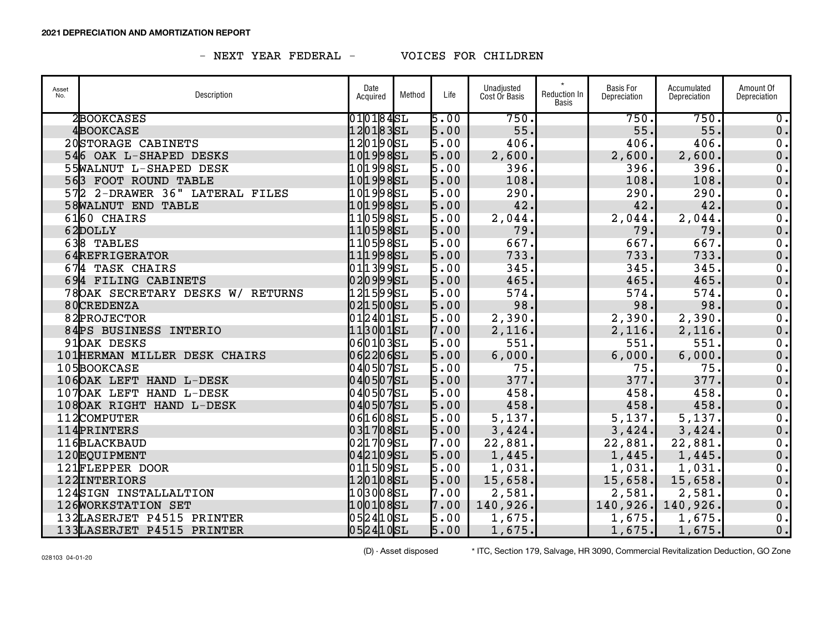| Asset<br>No. | Description                      | Date<br>Acquired | Method | Life | Unadjusted<br>Cost Or Basis | $\star$<br>Reduction In<br>Basis | <b>Basis For</b><br>Depreciation | Accumulated<br>Depreciation | Amount Of<br>Depreciation   |
|--------------|----------------------------------|------------------|--------|------|-----------------------------|----------------------------------|----------------------------------|-----------------------------|-----------------------------|
|              | 2BOOKCASES                       | 010184SL         |        | 5.00 | 750.                        |                                  | 750.                             | 750.                        | $\overline{\mathfrak{o}}$ . |
|              | 4BOOKCASE                        | 1201835L         |        | 5.00 | 55.                         |                                  | 55.                              | 55.                         | 0.                          |
|              | 20STORAGE CABINETS               | 120190SL         |        | 5.00 | 406.                        |                                  | 406.                             | 406.                        | 0.                          |
|              | 546 OAK L-SHAPED DESKS           | 101998SL         |        | 5.00 | 2,600.                      |                                  | 2,600.                           | 2,600.                      | 0.                          |
|              | 55WALNUT L-SHAPED DESK           | 1019985L         |        | 5.00 | 396.                        |                                  | 396.                             | 396.                        | $\mathbf 0$ .               |
|              | 563 FOOT ROUND TABLE             | 101998SL         |        | 5.00 | 108.                        |                                  | 108.                             | 108.                        | 0.                          |
|              | 572 2-DRAWER 36" LATERAL FILES   | 1019985L         |        | 5.00 | 290.                        |                                  | 290.                             | 290.                        | 0.                          |
|              | <b>58WALNUT END TABLE</b>        | 101998SL         |        | 5.00 | 42.                         |                                  | 42.                              | 42.                         | 0.                          |
|              | 6160 CHAIRS                      | 1105985L         |        | 5.00 | 2,044.                      |                                  | 2,044.                           | 2,044.                      | 0.                          |
|              | 62DOLLY                          | 110598SL         |        | 5.00 | 79.                         |                                  | 79.                              | 79.                         | 0.                          |
|              | 638 TABLES                       | 110598SL         |        | 5.00 | 667.                        |                                  | 667.                             | 667.                        | 0.                          |
|              | 64REFRIGERATOR                   | 111998SL         |        | 5.00 | 733.                        |                                  | 733.                             | 733.                        | 0.                          |
|              | 674 TASK CHAIRS                  | 011399SL         |        | 5.00 | 345.                        |                                  | 345.                             | 345.                        | 0.                          |
|              | 694 FILING CABINETS              | 0209995L         |        | 5.00 | 465.                        |                                  | 465.                             | 465.                        | 0.                          |
|              | 78OAK SECRETARY DESKS W/ RETURNS | 121599SL         |        | 5.00 | 574.                        |                                  | 574.                             | 574.                        | 0.                          |
|              | 80CREDENZA                       | 021500SL         |        | 5.00 | 98.                         |                                  | 98.                              | 98.                         | 0.                          |
|              | 82PROJECTOR                      | 012401SL         |        | 5.00 | 2,390.                      |                                  | 2,390.                           | 2,390.                      | 0.                          |
|              | 84PS BUSINESS INTERIO            | 113001SL         |        | 7.00 | 2,116.                      |                                  | 2,116.                           | 2,116.                      | 0.                          |
|              | 91OAK DESKS                      | 060103SL         |        | 5.00 | 551.                        |                                  | 551.                             | 551.                        | 0.                          |
|              | 101HERMAN MILLER DESK CHAIRS     | 0622065L         |        | 5.00 | 6,000.                      |                                  | 6,000.                           | 6,000.                      | $0$ .                       |
|              | 105BOOKCASE                      | 040507SL         |        | 5.00 | 75.                         |                                  | 75.                              | 75.                         | 0.                          |
|              | 106OAK LEFT HAND L-DESK          | $040507$ SL      |        | 5.00 | 377.                        |                                  | 377.                             | 377.                        | 0.                          |
|              | 107OAK LEFT HAND L-DESK          | 040507SL         |        | 5.00 | 458.                        |                                  | 458.                             | 458.                        | $\overline{0}$ .            |
|              | 108OAK RIGHT HAND L-DESK         | 0405075L         |        | 5.00 | 458.                        |                                  | 458.                             | 458.                        | 0.                          |
|              | 112COMPUTER                      | 0616085L         |        | 5.00 | 5,137.                      |                                  | 5,137.                           | 5,137.                      | 0.                          |
|              | 114PRINTERS                      | 0317085L         |        | 5.00 | 3,424.                      |                                  | 3,424.                           | 3,424.                      | $0$ .                       |
|              | 116BLACKBAUD                     | 021709SL         |        | 7.00 | 22,881.                     |                                  | 22,881.                          | 22,881.                     | 0.                          |
|              | 120EQUIPMENT                     | 042109SL         |        | 5.00 | 1,445.                      |                                  | 1,445.                           | 1,445.                      | $\mathbf 0$ .               |
|              | 121FLEPPER DOOR                  | 011509SL         |        | 5.00 | 1,031.                      |                                  | 1,031.                           | 1,031.                      | 0.                          |
|              | 122 INTERIORS                    | 120108SL         |        | 5.00 | 15,658.                     |                                  | 15,658.                          | 15,658.                     | $0$ .                       |
|              | 124SIGN INSTALLALTION            | 1030085L         |        | 7.00 | 2,581.                      |                                  | 2,581.                           | 2,581.                      | 0.                          |
|              | 126WORKSTATION SET               | 100108SL         |        | 7.00 | 140,926.                    |                                  |                                  | $140, 926.$ 140, 926.       | $0$ .                       |
|              | 132LASERJET P4515 PRINTER        | 052410SL         |        | 5.00 | 1,675.                      |                                  | 1,675.                           | 1,675.                      | 0.                          |
|              | 133LASERJET P4515 PRINTER        | 052410SL         |        | 5.00 | 1,675.                      |                                  | 1,675.                           | 1,675.                      | $0$ .                       |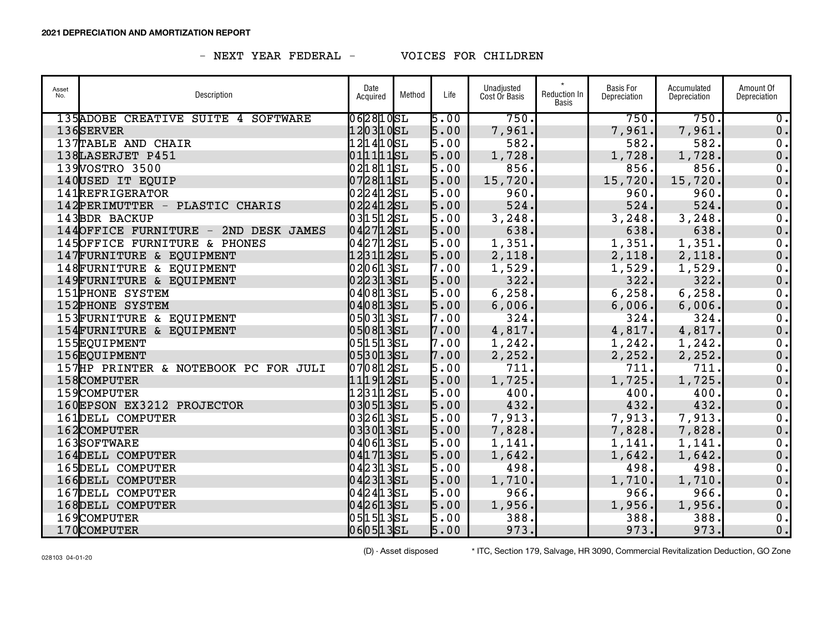| Asset<br>No. | Description                          | Date<br>Acquired | Method | Life | Unadjusted<br>Cost Or Basis | $\star$<br>Reduction In<br>Basis | <b>Basis For</b><br>Depreciation | Accumulated<br>Depreciation | Amount Of<br>Depreciation   |
|--------------|--------------------------------------|------------------|--------|------|-----------------------------|----------------------------------|----------------------------------|-----------------------------|-----------------------------|
|              | 135ADOBE CREATIVE SUITE 4 SOFTWARE   | 062810SL         |        | 5.00 | 750.                        |                                  | 750.                             | 750.                        | $\overline{\mathfrak{o}}$ . |
|              | 136SERVER                            | 1203105L         |        | 5.00 | 7,961.                      |                                  | 7,961.                           | 7,961.                      | 0.                          |
|              | 137TABLE AND CHAIR                   | 121410SL         |        | 5.00 | 582.                        |                                  | 582.                             | 582.                        | 0.                          |
|              | 138LASERJET P451                     | 011111sL         |        | 5.00 | 1,728.                      |                                  | 1,728.                           | 1,728.                      | 0.                          |
|              | 139VOSTRO 3500                       | 021811sL         |        | 5.00 | 856.                        |                                  | 856.                             | 856.                        | 0.                          |
|              | 140USED IT EQUIP                     | 0728115L         |        | 5.00 | 15,720.                     |                                  | 15,720.                          | 15,720.                     | 0.                          |
|              | 141REFRIGERATOR                      | 0224125L         |        | 5.00 | 960.                        |                                  | 960.                             | 960.                        | 0.                          |
|              | 142PERIMUTTER - PLASTIC CHARIS       | 0224125L         |        | 5.00 | 524.                        |                                  | 524.                             | 524.                        | 0.                          |
|              | 143BDR BACKUP                        | 031512SL         |        | 5.00 | 3, 248.                     |                                  | 3, 248.                          | 3,248.                      | 0.                          |
|              | 144OFFICE FURNITURE - 2ND DESK JAMES | 0427125L         |        | 5.00 | 638.                        |                                  | 638.                             | 638.                        | $0$ .                       |
|              | 145OFFICE FURNITURE & PHONES         | 0427125L         |        | 5.00 | 1,351.                      |                                  | 1,351.                           | 1,351.                      | 0.                          |
|              | 147FURNITURE & EQUIPMENT             | 123112SL         |        | 5.00 | 2,118.                      |                                  | 2,118.                           | 2,118.                      | 0.                          |
|              | 148FURNITURE & EQUIPMENT             | 0206135L         |        | 7.00 | 1,529.                      |                                  | 1,529.                           | 1,529.                      | 0.                          |
|              | 149 FURNITURE & EQUIPMENT            | 0223135L         |        | 5.00 | 322.                        |                                  | 322.                             | 322.                        | $0$ .                       |
|              | <b>151PHONE SYSTEM</b>               | 040813SL         |        | 5.00 | 6, 258.                     |                                  | 6, 258.                          | 6, 258.                     | 0.                          |
|              | <b>152PHONE SYSTEM</b>               | 040813SL         |        | 5.00 | 6,006.                      |                                  | 6,006.                           | 6,006.                      | $0$ .                       |
|              | 153FURNITURE & EQUIPMENT             | 0503135L         |        | 7.00 | 324.                        |                                  | 324.                             | 324.                        | 0.                          |
|              | 154FURNITURE & EQUIPMENT             | 0508135L         |        | 7.00 | 4,817.                      |                                  | 4,817.                           | 4,817.                      | $\mathbf 0$ .               |
|              | 155EQUIPMENT                         | 05 15 13 5 L     |        | 7.00 | 1,242.                      |                                  | 1, 242.                          | 1,242.                      | 0.                          |
|              | 156EQUIPMENT                         | 0530135L         |        | 7.00 | 2, 252.                     |                                  | 2, 252.                          | 2, 252.                     | $0$ .                       |
|              | 157HP PRINTER & NOTEBOOK PC FOR JULI | $070812$ SL      |        | 5.00 | 711.                        |                                  | 711.                             | 711.                        | 0.                          |
|              | 158COMPUTER                          | 1119125L         |        | 5.00 | 1,725.                      |                                  | 1,725.                           | 1,725.                      | $\mathbf 0$ .               |
|              | 159COMPUTER                          | 123112sL         |        | 5.00 | 400.                        |                                  | 400.                             | 400.                        | 0.                          |
|              | 160EPSON EX3212 PROJECTOR            | 0305135L         |        | 5.00 | 432.                        |                                  | 432.                             | 432.                        | 0.                          |
|              | 161DELL COMPUTER                     | 0326135L         |        | 5.00 | 7,913.                      |                                  | 7,913.                           | 7,913.                      | $\overline{0}$ .            |
|              | 162COMPUTER                          | 0330135L         |        | 5.00 | 7,828.                      |                                  | 7,828.                           | 7,828.                      | $0$ .                       |
|              | 163SOFTWARE                          | 040613SL         |        | 5.00 | 1,141.                      |                                  | 1,141.                           | 1,141.                      | 0.                          |
|              | 164DELL COMPUTER                     | 0417135L         |        | 5.00 | 1,642.                      |                                  | 1,642.                           | 1,642.                      | $0$ .                       |
|              | 165DELL COMPUTER                     | 0423135L         |        | 5.00 | 498.                        |                                  | 498.                             | 498.                        | 0.                          |
|              | 166DELL COMPUTER                     | 0423135L         |        | 5.00 | 1,710.                      |                                  | 1,710.                           | 1,710.                      | $0$ .                       |
|              | 167DELL COMPUTER                     | 0424135L         |        | 5.00 | 966.                        |                                  | 966.                             | 966.                        | 0.                          |
|              | 168DELL COMPUTER                     | 0426135L         |        | 5.00 | 1,956.                      |                                  | 1,956.                           | 1,956.                      | 0.                          |
|              | 169COMPUTER                          | 0515135L         |        | 5.00 | 388.                        |                                  | 388.                             | 388.                        | 0.                          |
|              | 170COMPUTER                          | 0605135L         |        | 5.00 | 973.                        |                                  | 973.                             | 973.                        | 0.                          |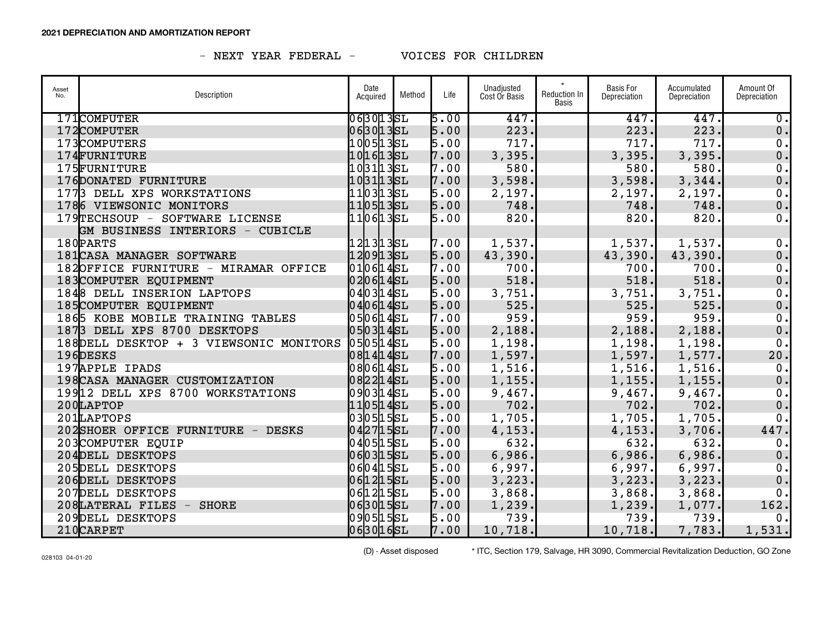| Asset<br>No. | Description                             | Date<br>Acquired | Method | Life | Unadjusted<br>Cost Or Basis | $\star$<br>Reduction In<br>Basis | <b>Basis For</b><br>Depreciation | Accumulated<br>Depreciation | Amount Of<br>Depreciation   |
|--------------|-----------------------------------------|------------------|--------|------|-----------------------------|----------------------------------|----------------------------------|-----------------------------|-----------------------------|
|              | 171COMPUTER                             | 063013SL         |        | 5.00 | 447.                        |                                  | 447.                             | 447.                        | $\overline{\mathfrak{o}}$ . |
|              | 172COMPUTER                             | 063013SL         |        | 5.00 | 223.                        |                                  | 223.                             | 223.                        | 0.                          |
|              | 173COMPUTERS                            | 1005135L         |        | 5.00 | 717.                        |                                  | 717.                             | 717.                        | $0$ .                       |
|              | 174FURNITURE                            | 101613SL         |        | 7.00 | 3,395.                      |                                  | 3,395.                           | 3,395.                      | 0.                          |
|              | 175FURNITURE                            | 1031135L         |        | 7.00 | 580.                        |                                  | 580.                             | 580.                        | 0.                          |
|              | 176DONATED FURNITURE                    | 10 31 13 SL      |        | 7.00 | 3,598.                      |                                  | 3,598.                           | 3,344.                      | 0.                          |
|              | 1773 DELL XPS WORKSTATIONS              | 1103135L         |        | 5.00 | 2,197.                      |                                  | 2,197.                           | 2,197.                      | 0.                          |
|              | 1786 VIEWSONIC MONITORS                 | 1105135L         |        | 5.00 | 748.                        |                                  | 748.                             | 748.                        | 0.                          |
|              | 179TECHSOUP - SOFTWARE LICENSE          | 1106135L         |        | 5.00 | 820.                        |                                  | 820.                             | 820.                        | 0.                          |
|              | GM BUSINESS INTERIORS - CUBICLE         |                  |        |      |                             |                                  |                                  |                             |                             |
|              | 180PARTS                                | 121313SL         |        | 7.00 | 1,537.                      |                                  | 1,537.                           | 1,537.                      | $\overline{0}$ .            |
|              | 181 CASA MANAGER SOFTWARE               | 1209135L         |        | 5.00 | 43,390.                     |                                  | 43,390.                          | 43,390.                     | $0$ .                       |
|              | 182OFFICE FURNITURE - MIRAMAR OFFICE    | 010614SL         |        | 7.00 | 700.                        |                                  | 700.                             | 700.                        | 0.                          |
|              | 183COMPUTER EQUIPMENT                   | $020614$ SL      |        | 5.00 | 518.                        |                                  | 518.                             | 518.                        | $0$ .                       |
|              | 1848 DELL INSERION LAPTOPS              | 040314SL         |        | 5.00 | 3,751.                      |                                  | 3,751.                           | 3,751.                      | 0.                          |
|              | 185COMPUTER EQUIPMENT                   | $040614$ SL      |        | 5.00 | 525.                        |                                  | 525.                             | 525.                        | $0$ .                       |
|              | 1865 KOBE MOBILE TRAINING TABLES        | 050614SL         |        | 7.00 | 959.                        |                                  | 959.                             | 959.                        | 0.                          |
|              | 1873 DELL XPS 8700 DESKTOPS             | $050314$ SL      |        | 5.00 | 2,188.                      |                                  | 2,188.                           | 2,188.                      | $0$ .                       |
|              | 188 DELL DESKTOP + 3 VIEWSONIC MONITORS | 0505145L         |        | 5.00 | 1,198.                      |                                  | 1,198.                           | 1,198.                      | 0.                          |
|              | 196DESKS                                | 0814145L         |        | 7.00 | 1,597.                      |                                  | 1,597.                           | 1,577.                      | 20.                         |
|              | 197APPLE IPADS                          | 080614SL         |        | 5.00 | 1,516.                      |                                  | 1,516.                           | 1,516.                      | 0.                          |
|              | 198 CASA MANAGER CUSTOMIZATION          | 0822145L         |        | 5.00 | 1,155.                      |                                  | 1, 155.                          | 1, 155.                     | 0.                          |
|              | 19912 DELL XPS 8700 WORKSTATIONS        | $090314$ SL      |        | 5.00 | 9,467.                      |                                  | 9,467.                           | 9,467.                      | 0.                          |
|              | 200LAPTOP                               | $110514$ SL      |        | 5.00 | 702.                        |                                  | 702.                             | 702.                        | 0.                          |
|              | 201LAPTOPS                              | 0305155L         |        | 5.00 | 1,705.                      |                                  | 1,705.                           | 1,705.                      | 0.                          |
|              | 202SHOER OFFICE FURNITURE - DESKS       | 0427155L         |        | 7.00 | 4, 153.                     |                                  | 4, 153.                          | 3,706.                      | 447.                        |
|              | 203COMPUTER EQUIP                       | 0405155L         |        | 5.00 | 632.                        |                                  | 632.                             | 632.                        | 0.                          |
|              | 204DELL DESKTOPS                        | 060315SL         |        | 5.00 | 6,986.                      |                                  | 6,986.                           | 6,986.                      | 0.                          |
|              | 205DELL DESKTOPS                        | 060415SL         |        | 5.00 | 6,997.                      |                                  | 6,997.                           | 6,997.                      | 0.                          |
|              | 206DELL DESKTOPS                        | 0612155L         |        | 5.00 | 3,223.                      |                                  | 3, 223.                          | 3, 223.                     | 0.                          |
|              | 207DELL DESKTOPS                        | 0612155L         |        | 5.00 | 3,868.                      |                                  | 3,868.                           | 3,868.                      | 0.                          |
|              | 208LATERAL FILES - SHORE                | 063015SL         |        | 7.00 | 1,239.                      |                                  | 1, 239.                          | 1,077.                      | 162.                        |
|              | 209DELL DESKTOPS                        | 0905155L         |        | 5.00 | 739.                        |                                  | 739.                             | 739.                        | 0.1                         |
|              | 210CARPET                               | 063016SL         |        | 7.00 | 10, 718.                    |                                  | 10, 718.                         | 7,783.                      | 1,531.                      |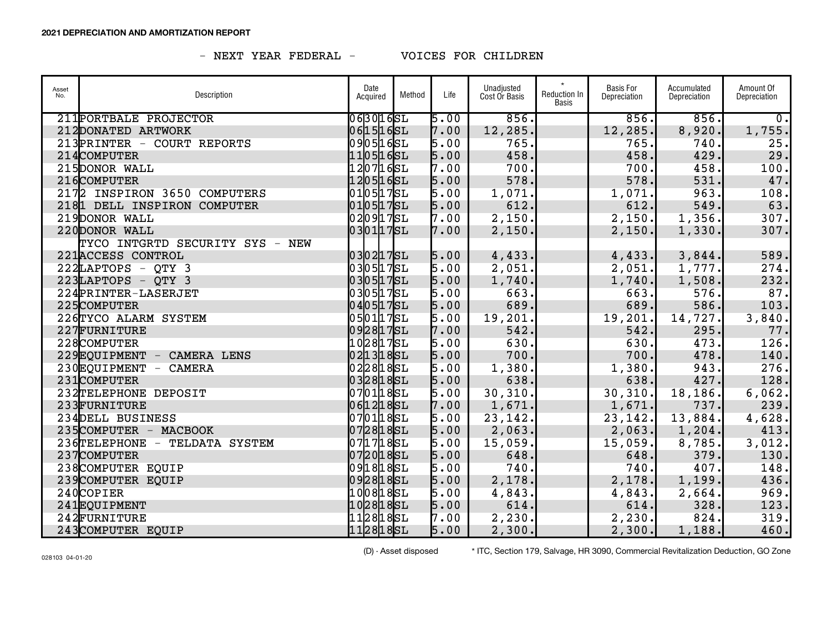| Asset<br>No. | Description                     | Date<br>Acquired | Method | Life | Unadjusted<br>Cost Or Basis | $\star$<br>Reduction In<br>Basis | <b>Basis For</b><br>Depreciation | Accumulated<br>Depreciation | Amount Of<br>Depreciation |
|--------------|---------------------------------|------------------|--------|------|-----------------------------|----------------------------------|----------------------------------|-----------------------------|---------------------------|
|              | 211 PORTBALE PROJECTOR          | 0630165L         |        | 5.00 | 856.                        |                                  | 856.                             | 856.                        | $\overline{\bullet}$      |
|              | 212DONATED ARTWORK              | 0615165L         |        | 7.00 | 12,285.                     |                                  | 12,285.                          | 8,920.                      | 1,755.                    |
|              | 213PRINTER - COURT REPORTS      | 0905165L         |        | 5.00 | 765.                        |                                  | 765.                             | 740.                        | 25.                       |
|              | 214COMPUTER                     | 1105165L         |        | 5.00 | 458.                        |                                  | 458.                             | 429.                        | 29.                       |
|              | 215DONOR WALL                   | 1207165L         |        | 7.00 | 700.                        |                                  | 700.                             | 458.                        | 100.                      |
|              | 216COMPUTER                     | 1205165L         |        | 5.00 | 578.                        |                                  | 578.                             | 531.                        | 47.                       |
|              | 2172 INSPIRON 3650 COMPUTERS    | 0105175L         |        | 5.00 | 1,071.                      |                                  | 1,071.                           | 963.                        | 108.                      |
|              | 2181 DELL INSPIRON COMPUTER     | 0105175L         |        | 5.00 | 612.                        |                                  | 612.                             | 549.                        | 63.                       |
|              | 219DONOR WALL                   | 0209175L         |        | 7.00 | 2,150.                      |                                  | 2,150.                           | 1,356.                      | 307.                      |
|              | 220DONOR WALL                   | 0301175L         |        | 7.00 | 2,150.                      |                                  | 2,150.                           | 1,330.                      | 307.                      |
|              | TYCO INTGRTD SECURITY SYS - NEW |                  |        |      |                             |                                  |                                  |                             |                           |
|              | 221 ACCESS CONTROL              | 0302175L         |        | 5.00 | 4,433.                      |                                  | 4,433.                           | 3,844.                      | 589.                      |
|              | $222LAPTOPS - QTY$ 3            | 0305175L         |        | 5.00 | 2,051.                      |                                  | 2,051.                           | 1,777.                      | 274.                      |
|              | $223$ LAPTOPS - QTY 3           | 0305175L         |        | 5.00 | 1,740.                      |                                  | 1,740.                           | 1,508.                      | 232.                      |
|              | 224PRINTER-LASERJET             | 0305175L         |        | 5.00 | 663.                        |                                  | 663.                             | 576.                        | 87.                       |
|              | 225COMPUTER                     | 0405175L         |        | 5.00 | 689.                        |                                  | 689.                             | 586.                        | 103.                      |
|              | 226TYCO ALARM SYSTEM            | 0501175L         |        | 5.00 | 19,201.                     |                                  | 19, 201.                         | 14,727.                     | 3,840.                    |
|              | 227FURNITURE                    | 0928175L         |        | 7.00 | 542.                        |                                  | 542.                             | 295.                        | 77.                       |
|              | 228COMPUTER                     | 1028175L         |        | 5.00 | 630.                        |                                  | 630.                             | 473.                        | 126.                      |
|              | 229EQUIPMENT - CAMERA LENS      | 0213185L         |        | 5.00 | 700.                        |                                  | 700.                             | 478.                        | 140.                      |
|              | 230EQUIPMENT - CAMERA           | 0228185L         |        | 5.00 | 1,380.                      |                                  | 1,380.                           | 943.                        | 276.                      |
|              | 231COMPUTER                     | 0328185L         |        | 5.00 | 638.                        |                                  | 638.                             | 427.                        | 128.                      |
|              | 232TELEPHONE DEPOSIT            | 0701185L         |        | 5.00 | 30, 310.                    |                                  | 30, 310.                         | 18, 186.                    | 6,062.                    |
|              | 233FURNITURE                    | 0612185L         |        | 7.00 | 1,671.                      |                                  | 1,671.                           | 737.                        | 239.                      |
|              | 234DELL BUSINESS                | 0701185L         |        | 5.00 | 23,142.                     |                                  | 23, 142.                         | 13,884.                     | 4,628.                    |
|              | 235COMPUTER - MACBOOK           | 0728185L         |        | 5.00 | 2,063.                      |                                  | 2,063.                           | 1, 204.                     | 413.                      |
|              | 236TELEPHONE - TELDATA SYSTEM   | 0717185L         |        | 5.00 | 15,059.                     |                                  | 15,059.                          | 8,785.                      | 3,012.                    |
|              | 237COMPUTER                     | 0720185L         |        | 5.00 | 648.                        |                                  | 648.                             | 379.                        | 130.                      |
|              | 238COMPUTER EQUIP               | 0918185L         |        | 5.00 | 740.                        |                                  | 740.                             | 407.                        | 148.                      |
|              | 239 COMPUTER EQUIP              | 0928185L         |        | 5.00 | 2,178.                      |                                  | 2,178.                           | 1,199.                      | 436.                      |
|              | 240COPIER                       | 1008185L         |        | 5.00 | 4,843.                      |                                  | 4,843.                           | 2,664.                      | 969.                      |
|              | 241EQUIPMENT                    | 1028185L         |        | 5.00 | 614.                        |                                  | 614.                             | 328.                        | 123.                      |
|              | 242FURNITURE                    | 1128185L         |        | 7.00 | 2,230.                      |                                  | 2, 230.                          | 824.                        | 319.                      |
|              | 243COMPUTER EQUIP               | 1128185L         |        | 5.00 | 2,300.                      |                                  | 2,300.                           | 1,188.                      | 460.                      |